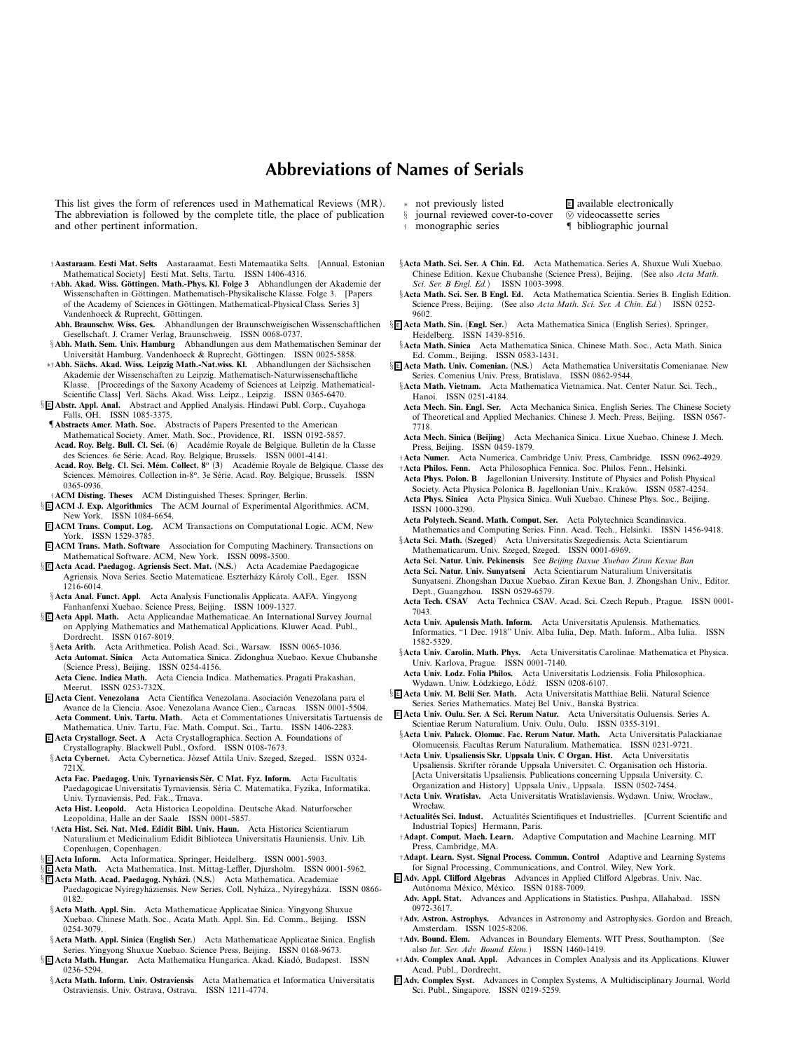## **Abbreviations of Names of Serials**

*This list gives the form of references used in Mathematical Reviews (MR). The abbreviation is followed by the complete title, the place of publication and other pertinent information.*

- †**Aastaraam. Eesti Mat. Selts** *Aastaraamat. Eesti Matemaatika Selts. [Annual. Estonian Mathematical Society] Eesti Mat. Selts, Tartu. ISSN 1406-4316.*
- †**Abh. Akad. Wiss. G¨ottingen. Math.-Phys. Kl. Folge 3** *Abhandlungen der Akademie der* Wissenschaften in Göttingen. Mathematisch-Physikalische Klasse. Folge 3. [Papers *of the Academy of Sciences in Göttingen. Mathematical-Physical Class. Series 3]* Vandenhoeck & Ruprecht, Göttingen.
- **Abh. Braunschw. Wiss. Ges.** *Abhandlungen der Braunschweigischen Wissenschaftlichen* § <sup>E</sup> **Acta Math. Sin.** *(***Engl. Ser.***) Acta Mathematica Sinica (English Series). Springer, Gesellschaft. J. Cramer Verlag, Braunschweig. ISSN 0068-0737.*
- §**Abh. Math. Sem. Univ. Hamburg** *Abhandlungen aus dem Mathematischen Seminar der* Universität Hamburg. Vandenhoeck & Ruprecht, Göttingen. ISSN 0025-5858.
- ∗†**Abh. S¨achs. Akad. Wiss. Leipzig Math.-Nat.wiss. Kl.** *Abhandlungen der S¨achsischen Akademie der Wissenschaften zu Leipzig. Mathematisch-Naturwissenschaftliche Klasse. [Proceedings of the Saxony Academy of Sciences at Leipzig. Mathematical-Scientific Class] Verl. S¨achs. Akad. Wiss. Leipz., Leipzig. ISSN 0365-6470.*
- § <sup>E</sup> **Abstr. Appl. Anal.** *Abstract and Applied Analysis. Hindawi Publ. Corp., Cuyahoga Falls, OH. ISSN 1085-3375.*
- ¶**Abstracts Amer. Math. Soc.** *Abstracts of Papers Presented to the American Mathematical Society. Amer. Math. Soc., Providence, RI. ISSN 0192-5857.* **Acad. Roy. Belg. Bull. Cl. Sci.** *(***6***) Acad´emie Royale de Belgique. Bulletin de la Classe des Sciences. 6e S´erie. Acad. Roy. Belgique, Brussels. ISSN 0001-4141.*
- Acad. Roy. Belg. Cl. Sci. Mém. Collect.  $8^\circ$  (3) Académie Royale de Belgique. Classe des *Sciences. M´emoires. Collection in-8o. 3e S´erie. Acad. Roy. Belgique, Brussels. ISSN 0365-0936.*
- †**ACM Disting. Theses** *ACM Distinguished Theses. Springer, Berlin.*
- § <sup>E</sup> **ACM J. Exp. Algorithmics** *The ACM Journal of Experimental Algorithmics. ACM, New York. ISSN 1084-6654.*
- <sup>E</sup> **ACM Trans. Comput. Log.** *ACM Transactions on Computational Logic. ACM, New York.* ISSN 1529-3785.<br>**E** ACM Trans. Math. Software
- Association for Computing Machinery. Transactions on *Mathematical Software. ACM, New York. ISSN 0098-3500.*
- § <sup>E</sup> **Acta Acad. Paedagog. Agriensis Sect. Mat.** *(***N.S.***) Acta Academiae Paedagogicae Agriensis. Nova Series. Sectio Matematicae. Eszterh´azy K´aroly Coll., Eger. ISSN 1216-6014.*
- §**Acta Anal. Funct. Appl.** *Acta Analysis Functionalis Applicata. AAFA. Yingyong Fanhanfenxi Xuebao. Science Press, Beijing. ISSN 1009-1327.*
- § <sup>E</sup> **Acta Appl. Math.** *Acta Applicandae Mathematicae. An International Survey Journal on Applying Mathematics and Mathematical Applications. Kluwer Acad. Publ., Dordrecht. ISSN 0167-8019.*
- §**Acta Arith.** *Acta Arithmetica. Polish Acad. Sci., Warsaw. ISSN 0065-1036.* **Acta Automat. Sinica** *Acta Automatica Sinica. Zidonghua Xuebao. Kexue Chubanshe (Science Press), Beijing. ISSN 0254-4156.*
- **Acta Cienc. Indica Math.** *Acta Ciencia Indica. Mathematics. Pragati Prakashan, Meerut. ISSN 0253-732X.*
- **E Acta Cient. Venezolana** Acta Científica Venezolana. Asociación Venezolana para el *Avance de la Ciencia. Asoc. Venezolana Avance Cien., Caracas. ISSN 0001-5504.* **Acta Comment. Univ. Tartu. Math.** *Acta et Commentationes Universitatis Tartuensis de Mathematica. Univ. Tartu, Fac. Math. Comput. Sci., Tartu. ISSN 1406-2283.*
- <sup>E</sup> **Acta Crystallogr. Sect. A** *Acta Crystallographica. Section A. Foundations of*
- *Crystallography. Blackwell Publ., Oxford. ISSN 0108-7673.* §**Acta Cybernet.** Acta Cybernetica. József Attila Univ. Szeged, Szeged. ISSN 0324-*721X.*
- Acta Fac. Paedagog. Univ. Tyrnaviensis Sér. C Mat. Fyz. Inform. Acta Facultatis *Paedagogicae Universitatis Tyrnaviensis. S´eria C. Matematika, Fyzika, Informatika. Univ. Tyrnaviensis, Ped. Fak., Trnava.*
- **Acta Hist. Leopold.** *Acta Historica Leopoldina. Deutsche Akad. Naturforscher Leopoldina, Halle an der Saale. ISSN 0001-5857.*
- †**Acta Hist. Sci. Nat. Med. Edidit Bibl. Univ. Haun.** *Acta Historica Scientiarum Naturalium et Medicinalium Edidit Biblioteca Universitatis Hauniensis. Univ. Lib. Copenhagen, Copenhagen.*
- § <sup>E</sup> **Acta Inform.** *Acta Informatica. Springer, Heidelberg. ISSN 0001-5903.*
- § <sup>E</sup> **Acta Math.** *Acta Mathematica. Inst. Mittag-Leffler, Djursholm. ISSN 0001-5962.* § <sup>E</sup> **Acta Math. Acad. Paedagog. Nyh ´azi.** *(***N.S.***) Acta Mathematica. Academiae*
- *Paedagogicae Ny´ıregyh´aziensis. New Series. Coll. Nyh´aza., Ny´ıregyh´aza. ISSN 0866- 0182.*
- §**Acta Math. Appl. Sin.** *Acta Mathematicae Applicatae Sinica. Yingyong Shuxue Xuebao. Chinese Math. Soc., Acata Math. Appl. Sin. Ed. Comm., Beijing. ISSN 0254-3079.*
- §**Acta Math. Appl. Sinica** *(***English Ser.***) Acta Mathematicae Applicatae Sinica. English Series. Yingyong Shuxue Xuebao. Science Press, Beijing. ISSN 0168-9673.*
- § <sup>E</sup> **Acta Math. Hungar.** *Acta Mathematica Hungarica. Akad. Kiad ´o, Budapest. ISSN 0236-5294.*
- §**Acta Math. Inform. Univ. Ostraviensis** *Acta Mathematica et Informatica Universitatis Ostraviensis. Univ. Ostrava, Ostrava. ISSN 1211-4774.*
- <sup>∗</sup> *not previously listed* <sup>E</sup> *available electronically*
	-
- § journal reviewed cover-to-cover<br><sup>†</sup> monographic series † *monographic series* ¶ *bibliographic journal*
- §**Acta Math. Sci. Ser. A Chin. Ed.** *Acta Mathematica. Series A. Shuxue Wuli Xuebao. Chinese Edition. Kexue Chubanshe (Science Press), Beijing. (See also Acta Math.*
- *Sci. Ser. B Engl. Ed.) ISSN 1003-3998.* §**Acta Math. Sci. Ser. B Engl. Ed.** *Acta Mathematica Scientia. Series B. English Edition.*
- *Science Press, Beijing. (See also Acta Math. Sci. Ser. A Chin. Ed.) ISSN 0252- 9602.*
- *Heidelberg. ISSN 1439-8516.*
- §**Acta Math. Sinica** *Acta Mathematica Sinica. Chinese Math. Soc., Acta Math. Sinica Ed. Comm., Beijing. ISSN 0583-1431.*
- § <sup>E</sup> **Acta Math. Univ. Comenian.** *(***N.S.***) Acta Mathematica Universitatis Comenianae. New Series. Comenius Univ. Press, Bratislava. ISSN 0862-9544.*
	- §**Acta Math. Vietnam.** *Acta Mathematica Vietnamica. Nat. Center Natur. Sci. Tech., Hanoi. ISSN 0251-4184.*
	- **Acta Mech. Sin. Engl. Ser.** *Acta Mechanica Sinica. English Series. The Chinese Society of Theoretical and Applied Mechanics. Chinese J. Mech. Press, Beijing. ISSN 0567- 7718.*
	- **Acta Mech. Sinica** *(***Beijing***) Acta Mechanica Sinica. Lixue Xuebao. Chinese J. Mech. Press, Beijing. ISSN 0459-1879.*
	- †**Acta Numer.** *Acta Numerica. Cambridge Univ. Press, Cambridge. ISSN 0962-4929.* †**Acta Philos. Fenn.** *Acta Philosophica Fennica. Soc. Philos. Fenn., Helsinki.*
	- **Acta Phys. Polon. B** *Jagellonian University. Institute of Physics and Polish Physical* Society. Acta Physica Polonica B. Jagellonian Univ., Kraków. ISSN 0587-4254.
	- **Acta Phys. Sinica** *Acta Physica Sinica. Wuli Xuebao. Chinese Phys. Soc., Beijing. ISSN 1000-3290.*
	- **Acta Polytech. Scand. Math. Comput. Ser.** *Acta Polytechnica Scandinavica.*

*Mathematics and Computing Series. Finn. Acad. Tech., Helsinki. ISSN 1456-9418.* §**Acta Sci. Math.** *(***Szeged***) Acta Universitatis Szegediensis. Acta Scientiarum Mathematicarum. Univ. Szeged, Szeged. ISSN 0001-6969.*

- 
- **Acta Sci. Natur. Univ. Pekinensis** *See Beijing Daxue Xuebao Ziran Kexue Ban* **Acta Sci. Natur. Univ. Sunyatseni** *Acta Scientiarum Naturalium Universitatis Sunyatseni. Zhongshan Daxue Xuebao. Ziran Kexue Ban. J. Zhongshan Univ., Editor. Dept., Guangzhou. ISSN 0529-6579.*
- **Acta Tech. CSAV** *Acta Technica CSAV. Acad. Sci. Czech Repub., Prague. ISSN 0001- 7043.*
- **Acta Univ. Apulensis Math. Inform.** *Acta Universitatis Apulensis. Mathematics. Informatics. "1 Dec. 1918" Univ. Alba Iulia, Dep. Math. Inform., Alba Iulia. ISSN 1582-5329.*
- §**Acta Univ. Carolin. Math. Phys.** *Acta Universitatis Carolinae. Mathematica et Physica. Univ. Karlova, Prague. ISSN 0001-7140.*
- **Acta Univ. Lodz. Folia Philos.** *Acta Universitatis Lodziensis. Folia Philosophica.* Wydawn. Uniw. Łódzkiego, Łódź. ISSN 0208-6107.
- § <sup>E</sup> **Acta Univ. M. Belii Ser. Math.** *Acta Universitatis Matthiae Belii. Natural Science Series. Series Mathematics. Matej Bel Univ., Bansk´a Bystrica.*
- <sup>E</sup> **Acta Univ. Oulu. Ser. A Sci. Rerum Natur.** *Acta Universitatis Ouluensis. Series A. Scientiae Rerum Naturalium. Univ. Oulu, Oulu. ISSN 0355-3191.*
- §**Acta Univ. Palack. Olomuc. Fac. Rerum Natur. Math.** *Acta Universitatis Palackianae Olomucensis. Facultas Rerum Naturalium. Mathematica. ISSN 0231-9721.*
- †**Acta Univ. Upsaliensis Skr. Uppsala Univ. C Organ. Hist.** *Acta Universitatis* Upsaliensis. Skrifter rörande Uppsala Universitet. C. Organisation och Historia. *[Acta Universitatis Upsaliensis. Publications concerning Uppsala University. C. Organization and History] Uppsala Univ., Uppsala. ISSN 0502-7454.*
- †**Acta Univ. Wratislav.** *Acta Universitatis Wratislaviensis. Wydawn. Uniw. Wrocław., Wrocław.*
- †**Actualit´es Sci. Indust.** *Actualit´es Scientifiques et Industrielles. [Current Scientific and Industrial Topics] Hermann, Paris.*
- †**Adapt. Comput. Mach. Learn.** *Adaptive Computation and Machine Learning. MIT Press, Cambridge, MA.*
- †**Adapt. Learn. Syst. Signal Process. Commun. Control** *Adaptive and Learning Systems for Signal Processing, Communications, and Control. Wiley, New York.*
- <sup>E</sup> **Adv. Appl. Clifford Algebras** *Advances in Applied Clifford Algebras. Univ. Nac. Aut ´onoma M´exico, M´exico. ISSN 0188-7009.*
- **Adv. Appl. Stat.** *Advances and Applications in Statistics. Pushpa, Allahabad. ISSN 0972-3617.*
- †**Adv. Astron. Astrophys.** *Advances in Astronomy and Astrophysics. Gordon and Breach, Amsterdam. ISSN 1025-8206.*
- †**Adv. Bound. Elem.** *Advances in Boundary Elements. WIT Press, Southampton. (See also Int. Ser. Adv. Bound. Elem.) ISSN 1460-1419.*
- ∗†**Adv. Complex Anal. Appl.** *Advances in Complex Analysis and its Applications. Kluwer Acad. Publ., Dordrecht.*
- <sup>E</sup> **Adv. Complex Syst.** *Advances in Complex Systems. A Multidisciplinary Journal. World Sci. Publ., Singapore. ISSN 0219-5259.*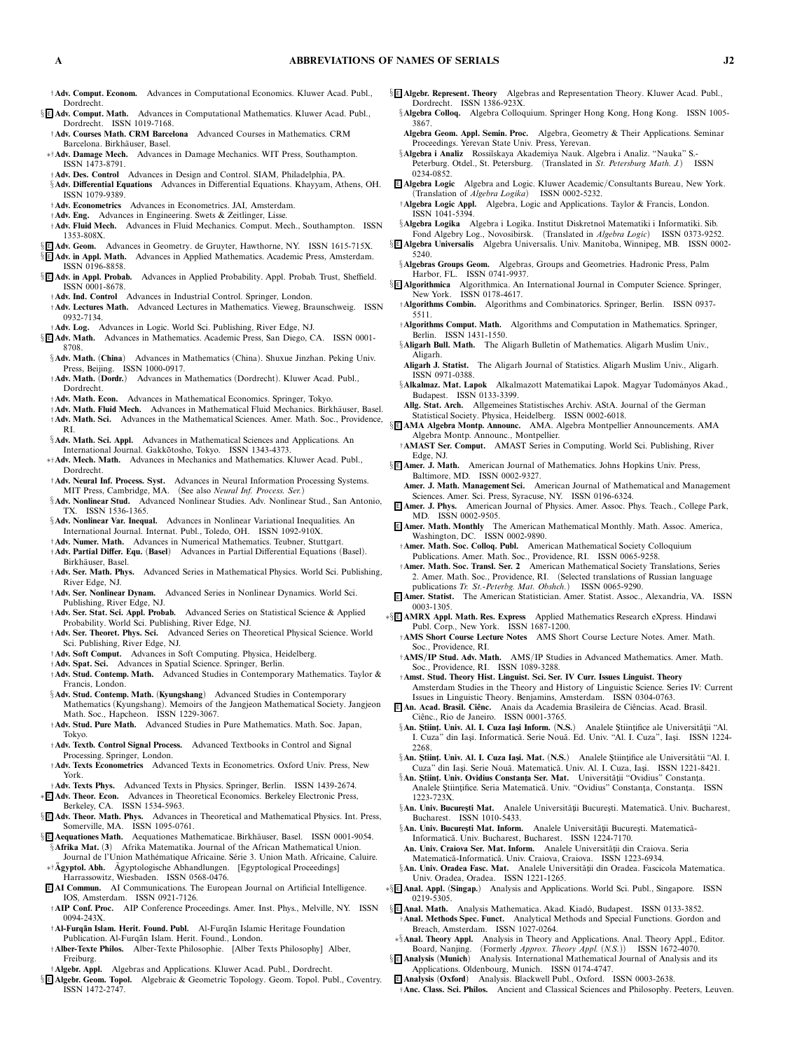- †**Adv. Comput. Econom.** *Advances in Computational Economics. Kluwer Acad. Publ., Dordrecht.*
- § <sup>E</sup> **Adv. Comput. Math.** *Advances in Computational Mathematics. Kluwer Acad. Publ., Dordrecht. ISSN 1019-7168.*
- †**Adv. Courses Math. CRM Barcelona** *Advanced Courses in Mathematics. CRM Barcelona. Birkh¨auser, Basel.*
- ∗†**Adv. Damage Mech.** *Advances in Damage Mechanics. WIT Press, Southampton. ISSN 1473-8791.*
- †**Adv. Des. Control** *Advances in Design and Control. SIAM, Philadelphia, PA.* §**Adv. Differential Equations** *Advances in Differential Equations. Khayyam, Athens, OH. ISSN 1079-9389.*
- †**Adv. Econometrics** *Advances in Econometrics. JAI, Amsterdam.*
- †**Adv. Eng.** *Advances in Engineering. Swets & Zeitlinger, Lisse.*
- †**Adv. Fluid Mech.** *Advances in Fluid Mechanics. Comput. Mech., Southampton. ISSN 1353-808X.* § <sup>E</sup> **Adv. Geom.** *Advances in Geometry. de Gruyter, Hawthorne, NY. ISSN 1615-715X.*
- § <sup>E</sup> **Adv. in Appl. Math.** *Advances in Applied Mathematics. Academic Press, Amsterdam.*
- *ISSN 0196-8858.*
- § <sup>E</sup> **Adv. in Appl. Probab.** *Advances in Applied Probability. Appl. Probab. Trust, Sheffield. ISSN 0001-8678.*
- †**Adv. Ind. Control** *Advances in Industrial Control. Springer, London.*
- †**Adv. Lectures Math.** *Advanced Lectures in Mathematics. Vieweg, Braunschweig. ISSN 0932-7134.*
- †**Adv. Log.** *Advances in Logic. World Sci. Publishing, River Edge, NJ.*
- § <sup>E</sup> **Adv. Math.** *Advances in Mathematics. Academic Press, San Diego, CA. ISSN 0001- 8708.*
- §**Adv. Math.** *(***China***) Advances in Mathematics (China). Shuxue Jinzhan. Peking Univ. Press, Beijing. ISSN 1000-0917.*
- †**Adv. Math.** *(***Dordr.***) Advances in Mathematics (Dordrecht). Kluwer Acad. Publ.,* Dordrecht.<br>† **Adv. Math. Econ.**
- †**Adv. Math. Econ.** *Advances in Mathematical Economics. Springer, Tokyo.*
- †**Adv. Math. Fluid Mech.** *Advances in Mathematical Fluid Mechanics. Birkh¨auser, Basel.* †**Adv. Math. Sci.** *Advances in the Mathematical Sciences. Amer. Math. Soc., Providence, RI.*
- §**Adv. Math. Sci. Appl.** *Advances in Mathematical Sciences and Applications. An* International Journal. Gakkotosho, Tokyo. ISSN 1343-4373.
- ∗†**Adv. Mech. Math.** *Advances in Mechanics and Mathematics. Kluwer Acad. Publ., Dordrecht.*
- †**Adv. Neural Inf. Process. Syst.** *Advances in Neural Information Processing Systems. MIT Press, Cambridge, MA. (See also Neural Inf. Process. Ser.)*
- §**Adv. Nonlinear Stud.** *Advanced Nonlinear Studies. Adv. Nonlinear Stud., San Antonio, TX. ISSN 1536-1365.*
- §**Adv. Nonlinear Var. Inequal.** *Advances in Nonlinear Variational Inequalities. An International Journal. Internat. Publ., Toledo, OH. ISSN 1092-910X.*
- †**Adv. Numer. Math.** *Advances in Numerical Mathematics. Teubner, Stuttgart.*
- †**Adv. Partial Differ. Equ.** *(***Basel***) Advances in Partial Differential Equations (Basel). Birkh¨auser, Basel.*
- †**Adv. Ser. Math. Phys.** *Advanced Series in Mathematical Physics. World Sci. Publishing, River Edge, NJ.*
- †**Adv. Ser. Nonlinear Dynam.** *Advanced Series in Nonlinear Dynamics. World Sci.*
- *Publishing, River Edge, NJ.* †**Adv. Ser. Stat. Sci. Appl. Probab.** *Advanced Series on Statistical Science & Applied Probability. World Sci. Publishing, River Edge, NJ.*
- †**Adv. Ser. Theoret. Phys. Sci.** *Advanced Series on Theoretical Physical Science. World Sci. Publishing, River Edge, NJ.*
- †**Adv. Soft Comput.** *Advances in Soft Computing. Physica, Heidelberg.*
- †**Adv. Spat. Sci.** *Advances in Spatial Science. Springer, Berlin.*
- †**Adv. Stud. Contemp. Math.** *Advanced Studies in Contemporary Mathematics. Taylor & Francis, London.*
- §**Adv. Stud. Contemp. Math.** *(***Kyungshang***) Advanced Studies in Contemporary*
- *Mathematics (Kyungshang). Memoirs of the Jangjeon Mathematical Society. Jangjeon Math. Soc., Hapcheon. ISSN 1229-3067.*
- †**Adv. Stud. Pure Math.** *Advanced Studies in Pure Mathematics. Math. Soc. Japan, Tokyo.*
- †**Adv. Textb. Control Signal Process.** *Advanced Textbooks in Control and Signal Processing. Springer, London.*
- †**Adv. Texts Econometrics** *Advanced Texts in Econometrics. Oxford Univ. Press, New York.*
- †**Adv. Texts Phys.** *Advanced Texts in Physics. Springer, Berlin. ISSN 1439-2674.* ∗ <sup>E</sup> **Adv. Theor. Econ.** *Advances in Theoretical Economics. Berkeley Electronic Press, Berkeley, CA. ISSN 1534-5963.*
- § <sup>E</sup> **Adv. Theor. Math. Phys.** *Advances in Theoretical and Mathematical Physics. Int. Press, Somerville, MA. ISSN 1095-0761.*
- § **E** Aequationes Math. Aequationes Mathematicae. Birkhäuser, Basel. ISSN 0001-9054. §**Afrika Mat.** *(***3***) Afrika Matematika. Journal of the African Mathematical Union.*
- Journal de l'Union Mathématique Africaine. Série 3. Union Math. Africaine, Caluire. <sup>∗</sup>†**Agyptol. Abh. ¨** *Agyptologische Abhandlungen. [Egyptological Proceedings] ¨ Harrassowitz, Wiesbaden. ISSN 0568-0476.*
- <sup>E</sup> **AI Commun.** *AI Communications. The European Journal on Artificial Intelligence. IOS, Amsterdam. ISSN 0921-7126.*
- †**AIP Conf. Proc.** *AIP Conference Proceedings. Amer. Inst. Phys., Melville, NY. ISSN 0094-243X.*
- †**Al-Furq ¯an Islam. Herit. Found. Publ.** *Al-Furq¯an Islamic Heritage Foundation Publication. Al-Furq¯an Islam. Herit. Found., London.*
- †**Alber-Texte Philos.** *Alber-Texte Philosophie. [Alber Texts Philosophy] Alber, Freiburg.*
- †**Algebr. Appl.** *Algebras and Applications. Kluwer Acad. Publ., Dordrecht.*
- § <sup>E</sup> **Algebr. Geom. Topol.** *Algebraic & Geometric Topology. Geom. Topol. Publ., Coventry. ISSN 1472-2747.*
- § <sup>E</sup> **Algebr. Represent. Theory** *Algebras and Representation Theory. Kluwer Acad. Publ., Dordrecht. ISSN 1386-923X.*
	- §**Algebra Colloq.** *Algebra Colloquium. Springer Hong Kong, Hong Kong. ISSN 1005- 3867.*
	- **Algebra Geom. Appl. Semin. Proc.** *Algebra, Geometry & Their Applications. Seminar Proceedings. Yerevan State Univ. Press, Yerevan.*
	- §Algebra i Analiz Rossiĭskaya Akademiya Nauk. Algebra i Analiz. "Nauka" S. *Peterburg. Otdel., St. Petersburg. (Translated in St. Petersburg Math. J.) ISSN 0234-0852.*
- <sup>E</sup> **Algebra Logic** *Algebra and Logic. Kluwer Academic/Consultants Bureau, New York. (Translation of Algebra Logika) ISSN 0002-5232.*
- †**Algebra LogicAppl.** *Algebra, Logic and Applications. Taylor & Francis, London. ISSN 1041-5394.*
- §**Algebra Logika** *Algebra i Logika. Institut Diskretno˘ı Matematiki i Informatiki. Sib.*
- *Fond Algebry Log., Novosibirsk. (Translated in Algebra Logic) ISSN 0373-9252.* § <sup>E</sup> **Algebra Universalis** *Algebra Universalis. Univ. Manitoba, Winnipeg, MB. ISSN 0002- 5240.*
- §**Algebras Groups Geom.** *Algebras, Groups and Geometries. Hadronic Press, Palm Harbor, FL. ISSN 0741-9937.*
- § <sup>E</sup> **Algorithmica** *Algorithmica. An International Journal in Computer Science. Springer, New York. ISSN 0178-4617.*
- †**Algorithms Combin.** *Algorithms and Combinatorics. Springer, Berlin. ISSN 0937- 5511.*
- †**Algorithms Comput. Math.** *Algorithms and Computation in Mathematics. Springer, Berlin. ISSN 1431-1550.*
- §**Aligarh Bull. Math.** *The Aligarh Bulletin of Mathematics. Aligarh Muslim Univ., Aligarh.*
- **Aligarh J. Statist.** *The Aligarh Journal of Statistics. Aligarh Muslim Univ., Aligarh. ISSN 0971-0388.*
- §**Alkalmaz. Mat. Lapok** *Alkalmazott Matematikai Lapok. Magyar Tudom´anyos Akad., Budapest. ISSN 0133-3399.*
- **Allg. Stat. Arch.** *Allgemeines Statistisches Archiv. AStA. Journal of the German Statistical Society. Physica, Heidelberg. ISSN 0002-6018.*
- § <sup>E</sup> **AMA Algebra Montp. Announc.** *AMA. Algebra Montpellier Announcements. AMA Algebra Montp. Announc., Montpellier.*
- †**AMAST Ser. Comput.** *AMAST Series in Computing. World Sci. Publishing, River Edge, NJ.*
- § <sup>E</sup> **Amer. J. Math.** *American Journal of Mathematics. Johns Hopkins Univ. Press, Baltimore, MD. ISSN 0002-9327.*
	- **Amer. J. Math. Management Sci.** *American Journal of Mathematical and Management Sciences. Amer. Sci. Press, Syracuse, NY. ISSN 0196-6324.*
- <sup>E</sup> **Amer. J. Phys.** *American Journal of Physics. Amer. Assoc. Phys. Teach., College Park, MD. ISSN 0002-9505.*
- <sup>E</sup> **Amer. Math. Monthly** *The American Mathematical Monthly. Math. Assoc. America, Washington, DC. ISSN 0002-9890.*
- †**Amer. Math. Soc. Colloq. Publ.** *American Mathematical Society Colloquium Publications. Amer. Math. Soc., Providence, RI. ISSN 0065-9258.*
- †**Amer. Math. Soc. Transl. Ser. 2** *American Mathematical Society Translations, Series 2. Amer. Math. Soc., Providence, RI. (Selected translations of Russian language publications Tr. St.-Peterbg. Mat. Obshch.) ISSN 0065-9290.*
- <sup>E</sup> **Amer. Statist.** *The American Statistician. Amer. Statist. Assoc., Alexandria, VA. ISSN 0003-1305.*
- ∗§ <sup>E</sup> **AMRX Appl. Math. Res. Express** *Applied Mathematics Research eXpress. Hindawi Publ. Corp., New York. ISSN 1687-1200.*
	- †**AMS Short Course Lecture Notes** *AMS Short Course Lecture Notes. Amer. Math. Soc., Providence, RI.*
	- †**AMS/IP Stud. Adv. Math.** *AMS/IP Studies in Advanced Mathematics. Amer. Math. Soc., Providence, RI. ISSN 1089-3288.*
	- †**Amst. Stud. Theory Hist. Linguist. Sci. Ser. IV Curr. Issues Linguist. Theory** *Amsterdam Studies in the Theory and History of Linguistic Science. Series IV: Current Issues in Linguistic Theory. Benjamins, Amsterdam. ISSN 0304-0763.*
	- <sup>E</sup> **An. Acad. Brasil. Ciˆenc.** *Anais da Academia Brasileira de Ciˆencias. Acad. Brasil. Ciˆenc., Rio de Janeiro. ISSN 0001-3765.*
	- §**An. Științ. Univ. Al. I. Cuza Iași Inform.** (N.S.) Analele Științifice ale Universității "Al. I. Cuza" din Iași. Informatică. Serie Nouă. Ed. Univ. "Al. I. Cuza", Iași. ISSN 1224-*2268.*
	- §**An. Stiint. Univ. Al. I. Cuza Iasi. Mat.** (N.S.) Analele Stiintifice ale Universitătii "Al. I. *Cuza" din Ias¸i. Serie Nou˘a. Matematic˘a. Univ. Al. I. Cuza, Ias¸i. ISSN 1221-8421.*
	- §An. Științ. Univ. Ovidius Constanța Ser. Mat. Universității "Ovidius" Constanța. Analele Științifice. Seria Matematică. Univ. "Ovidius" Constanța, Constanța. ISSN *1223-723X.*
	- §An. Univ. București Mat. Analele Universității București. Matematică. Univ. Bucharest, *Bucharest. ISSN 1010-5433.*
	- §An. Univ. Bucuresti Mat. Inform. Analele Universității București. Matematică-*Informatic˘a. Univ. Bucharest, Bucharest. ISSN 1224-7170.*
	- An. Univ. Craiova Ser. Mat. Inform. Analele Universității din Craiova. Seria *Matematic˘a-Informatic˘a. Univ. Craiova, Craiova. ISSN 1223-6934.*
	- §An. Univ. Oradea Fasc. Mat. Analele Universității din Oradea. Fascicola Matematica. *Univ. Oradea, Oradea. ISSN 1221-1265.*
- ∗§ <sup>E</sup> **Anal. Appl.** *(***Singap.***) Analysis and Applications. World Sci. Publ., Singapore. ISSN 0219-5305.*
- § E Anal. Math. Analysis Mathematica. Akad. Kiadó, Budapest. ISSN 0133-3852. †**Anal. Methods Spec. Funct.** *Analytical Methods and Special Functions. Gordon and*
- *Breach, Amsterdam. ISSN 1027-0264.* ∗§**Anal. Theory Appl.** *Analysis in Theory and Applications. Anal. Theory Appl., Editor.*
- *Board, Nanjing. (Formerly Approx. Theory Appl. (N.S.)) ISSN 1672-4070.* § <sup>E</sup> **Analysis** *(***Munich***) Analysis. International Mathematical Journal of Analysis and its*
- *Applications. Oldenbourg, Munich. ISSN 0174-4747.* <sup>E</sup> **Analysis** *(***Oxford***) Analysis. Blackwell Publ., Oxford. ISSN 0003-2638.*
- †**Anc. Class. Sci. Philos.** *Ancient and Classical Sciences and Philosophy. Peeters, Leuven.*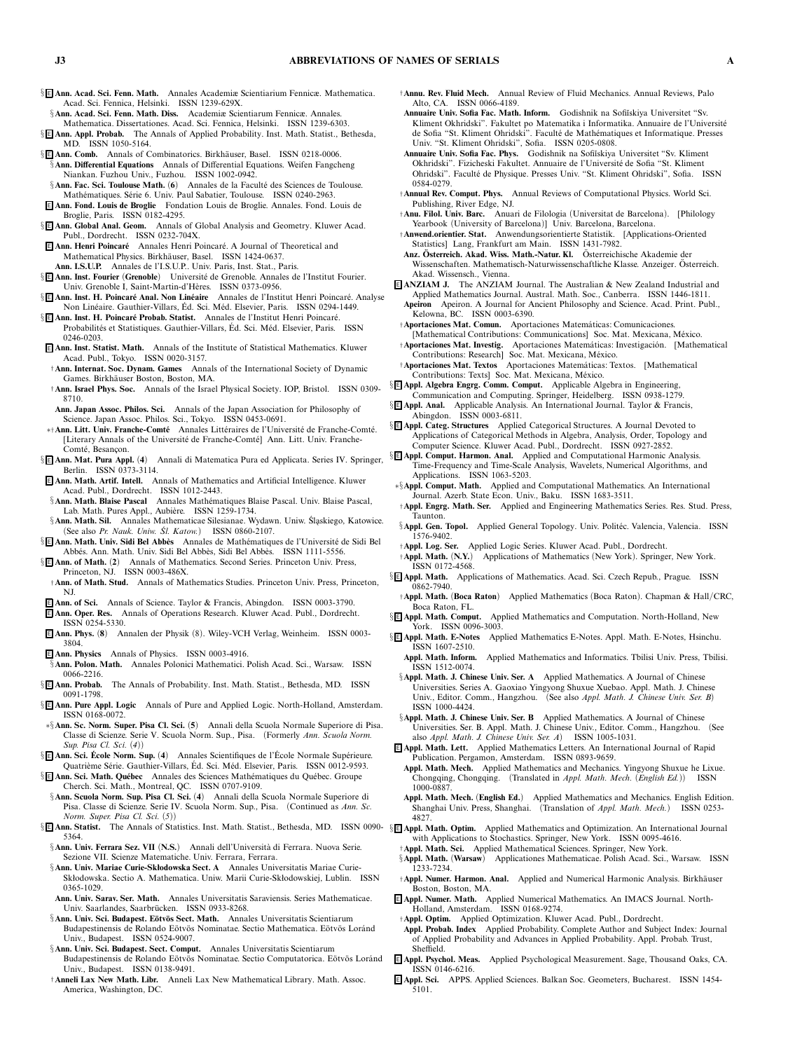- § <sup>E</sup> **Ann. Acad. Sci. Fenn. Math.** *Annales Academiæ Scientiarium Fennicæ. Mathematica. Acad. Sci. Fennica, Helsinki. ISSN 1239-629X.*
- §**Ann. Acad. Sci. Fenn. Math. Diss.** *Academiæ Scientiarum Fennicæ. Annales. Mathematica. Dissertationes. Acad. Sci. Fennica, Helsinki. ISSN 1239-6303.*
- § <sup>E</sup> **Ann. Appl. Probab.** *The Annals of Applied Probability. Inst. Math. Statist., Bethesda,*
- *MD. ISSN 1050-5164.* § E Ann. Comb. Annals of Combinatorics. Birkhäuser, Basel. ISSN 0218-0006.
- §**Ann. Differential Equations** *Annals of Differential Equations. Weifen Fangcheng Niankan. Fuzhou Univ., Fuzhou. ISSN 1002-0942.* §**Ann. Fac. Sci. Toulouse Math.** (6) Annales de la Faculté des Sciences de Toulouse.
- *Math´ematiques. S´erie 6. Univ. Paul Sabatier, Toulouse. ISSN 0240-2963.* <sup>E</sup> **Ann. Fond. Louis de Broglie** *Fondation Louis de Broglie. Annales. Fond. Louis de*
- *Broglie, Paris. ISSN 0182-4295.*
- § <sup>E</sup> **Ann. Global Anal. Geom.** *Annals of Global Analysis and Geometry. Kluwer Acad. Publ., Dordrecht. ISSN 0232-704X.* <sup>E</sup> **Ann. Henri Poincar´e** *Annales Henri Poincar´e. A Journal of Theoretical and*
- *Mathematical Physics. Birkhäuser, Basel. ISSN 1424-0637.* **Ann. I.S.U.P.** *Annales de l'I.S.U.P.. Univ. Paris, Inst. Stat., Paris.*
- § <sup>E</sup> **Ann. Inst. Fourier** *(***Grenoble***) Universit´e de Grenoble. Annales de l'Institut Fourier.*
- *Univ. Grenoble I, Saint-Martin-d'H`eres. ISSN 0373-0956.* § E Ann. Inst. H. Poincaré Anal. Non Linéaire Annales de l'Institut Henri Poincaré. Analyse
- *Non Lin´eaire. Gauthier-Villars, Ed. Sci. M´ ´ ed. Elsevier, Paris. ISSN 0294-1449.* § **E Ann. Inst. H. Poincaré Probab. Statist.** Annales de l'Institut Henri Poincaré.
- *Probabilit´es et Statistiques. Gauthier-Villars, Ed. Sci. M´ ´ ed. Elsevier, Paris. ISSN 0246-0203.*
- <sup>E</sup> **Ann. Inst. Statist. Math.** *Annals of the Institute of Statistical Mathematics. Kluwer Acad. Publ., Tokyo. ISSN 0020-3157.* †**Ann. Internat. Soc. Dynam. Games** *Annals of the International Society of Dynamic*
- *Games. Birkh¨auser Boston, Boston, MA.*
- †**Ann. Israel Phys. Soc.** *Annals of the Israel Physical Society. IOP, Bristol. ISSN 0309- 8710.*
- **Ann. Japan Assoc. Philos. Sci.** *Annals of the Japan Association for Philosophy of Science. Japan Assoc. Philos. Sci., Tokyo. ISSN 0453-0691.*
- ∗† Ann. Litt. Univ. Franche-Comté Annales Littéraires de l'Université de Franche-Comté. [Literary Annals of the Université de Franche-Comté] Ann. Litt. Univ. Franche-*Comt´e, Besanc¸on.*
- § <sup>E</sup> **Ann. Mat. Pura Appl.** *(***4***) Annali di Matematica Pura ed Applicata. Series IV. Springer, B***E Ann. Mat. Pura Appl. (4)** *B*<br>**Berlin. ISSN 0373-3114.**
- <sup>E</sup> **Ann. Math. Artif. Intell.** *Annals of Mathematics and Artificial Intelligence. Kluwer Acad. Publ., Dordrecht. ISSN 1012-2443.*
- §**Ann. Math. Blaise Pascal** Annales Mathématiques Blaise Pascal. Univ. Blaise Pascal, Lab. Math. Pures Appl., Aubière. ISSN 1259-1734.
- §**Ann. Math. Sil.** *Annales Mathematicae Silesianae. Wydawn. Uniw. Sl ´ askiego, Katowice. (See also Pr. Nauk. Uniw. Sl. Katow. ´ ) ISSN 0860-2107.*
- § E Ann. Math. Univ. Sidi Bel Abbès Annales de Mathématiques de l'Université de Sidi Bel *Abb´es. Ann. Math. Univ. Sidi Bel Abb`es, Sidi Bel Abb`es. ISSN 1111-5556.*
- § <sup>E</sup> **Ann. of Math.** *(***2***) Annals of Mathematics. Second Series. Princeton Univ. Press, Princeton, NJ. ISSN 0003-486X.*
- †**Ann. of Math. Stud.** *Annals of Mathematics Studies. Princeton Univ. Press, Princeton, NJ.*
- <sup>E</sup> **Ann. of Sci.** *Annals of Science. Taylor & Francis, Abingdon. ISSN 0003-3790.*
- <sup>E</sup> **Ann. Oper. Res.** *Annals of Operations Research. Kluwer Acad. Publ., Dordrecht. ISSN 0254-5330.*
- <sup>E</sup> **Ann. Phys.** *(***8***) Annalen der Physik (8). Wiley-VCH Verlag, Weinheim. ISSN 0003- 3804.*
- <sup>E</sup> **Ann. Physics** *Annals of Physics. ISSN 0003-4916.* §**Ann. Polon. Math.** *Annales Polonici Mathematici. Polish Acad. Sci., Warsaw. ISSN 0066-2216.*
- § <sup>E</sup> **Ann. Probab.** *The Annals of Probability. Inst. Math. Statist., Bethesda, MD. ISSN 0091-1798.*
- § <sup>E</sup> **Ann. Pure Appl. Logic** *Annals of Pure and Applied Logic. North-Holland, Amsterdam. ISSN 0168-0072.*
- ∗§**Ann. Sc. Norm. Super. Pisa Cl. Sci.** *(***5***) Annali della Scuola Normale Superiore di Pisa. Classe di Scienze. Serie V. Scuola Norm. Sup., Pisa. (Formerly Ann. Scuola Norm. Sup. Pisa Cl. Sci. (4))*
- § <sup>E</sup> **Ann. Sci. Ecole Norm. Sup. ´** *(***4***) Annales Scientifiques de l'Ecole Normale Sup´ ´ erieure. Quatri`eme S´erie. Gauthier-Villars, Ed. Sci. M´ ´ ed. Elsevier, Paris. ISSN 0012-9593.*
- § <sup>E</sup> **Ann. Sci. Math. Qu´ebec** *Annales des Sciences Math´ematiques du Qu´ebec. Groupe Cherch. Sci. Math., Montreal, QC. ISSN 0707-9109.*
- §**Ann. Scuola Norm. Sup. Pisa Cl. Sci.** *(***4***) Annali della Scuola Normale Superiore di Pisa. Classe di Scienze. Serie IV. Scuola Norm. Sup., Pisa. (Continued as Ann. Sc. Norm. Super. Pisa Cl. Sci. (5))*
- §**E Ann. Statist.** The Annals of Statistics. Inst. Math. Statist., Bethesda, MD. ISSN 0090-§E Appl. Math. Optim. Applied Mathematics and Optimization. An International Journal *5364.*
- §**Ann. Univ. Ferrara Sez. VII (N.S.)** Annali dell'Università di Ferrara. Nuova Serie. *Sezione VII. Scienze Matematiche. Univ. Ferrara, Ferrara.*
- §**Ann. Univ. Mariae Curie-Skłodowska Sect. A** *Annales Universitatis Mariae Curie-Skłodowska. Sectio A. Mathematica. Uniw. Marii Curie-Skłodowskiej, Lublin. ISSN 0365-1029.*
- **Ann. Univ. Sarav. Ser. Math.** *Annales Universitatis Saraviensis. Series Mathematicae.* Univ. Saarlandes, Saarbrücken. ISSN 0933-8268.
- §**Ann. Univ. Sci. Budapest. Eötvös Sect. Math.** Annales Universitatis Scientiarum Budapestinensis de Rolando Eötvös Nominatae. Sectio Mathematica. Eötvös Loránd *Univ., Budapest. ISSN 0524-9007.*
- §**Ann. Univ. Sci. Budapest. Sect. Comput.** *Annales Universitatis Scientiarum* Budapestinensis de Rolando Eötvös Nominatae. Sectio Computatorica. Eötvös Loránd *Univ., Budapest. ISSN 0138-9491.*
- †**Anneli Lax New Math. Libr.** *Anneli Lax New Mathematical Library. Math. Assoc. America, Washington, DC.*
- †**Annu. Rev. Fluid Mech.** *Annual Review of Fluid Mechanics. Annual Reviews, Palo Alto, CA. ISSN 0066-4189.*
- **Annuaire Univ. Sofia Fac. Math. Inform.** *Godishnik na Sofi˘ıskiya Universitet "Sv.* Kliment Okhridski". Fakultet po Matematika i Informatika. Annuaire de l'Université de Sofia "St. Kliment Ohridski". Faculté de Mathématiques et Informatique. Presses *Univ. "St. Kliment Ohridski", Sofia. ISSN 0205-0808.*
- **Annuaire Univ. Sofia Fac. Phys.** *Godishnik na Sofi˘ıskiya Universitet "Sv. Kliment Okhridski". Fizicheski Fakultet. Annuaire de l'Universit´e de Sofia "St. Kliment Ohridski". Facult´e de Physique. Presses Univ. "St. Kliment Ohridski", Sofia. ISSN 0584-0279.*
- †**Annual Rev. Comput. Phys.** *Annual Reviews of Computational Physics. World Sci. Publishing, River Edge, NJ.*
- †**Anu. Filol. Univ. Barc.** *Anuari de Filologia (Universitat de Barcelona). [Philology Yearbook (University of Barcelona)] Univ. Barcelona, Barcelona.*
- †**Anwend.orientier. Stat.** *Anwendungsorientierte Statistik. [Applications-Oriented Statistics] Lang, Frankfurt am Main. ISSN 1431-7982.*
- **Anz. Osterreich. Akad. Wiss. Math.-Natur. Kl. ¨** *Osterreichische Akademie der ¨ Wissenschaften. Mathematisch-Naturwissenschaftliche Klasse. Anzeiger. Osterreich. ¨ Akad. Wissensch., Vienna.*
- <sup>E</sup> **ANZIAM J.** *The ANZIAM Journal. The Australian & New Zealand Industrial and Applied Mathematics Journal. Austral. Math. Soc., Canberra. ISSN 1446-1811.* **Apeiron** *Apeiron. A Journal for Ancient Philosophy and Science. Acad. Print. Publ., Kelowna, BC. ISSN 0003-6390.*
- †**Aportaciones Mat. Comun.** *Aportaciones Matem´aticas: Comunicaciones.* [Mathematical Contributions: Communications] Soc. Mat. Mexicana, México. †**Aportaciones Mat. Investig.** Aportaciones Matemáticas: Investigación. [Mathematical Contributions: Research] Soc. Mat. Mexicana, México.
- †**Aportaciones Mat. Textos** *Aportaciones Matem´aticas: Textos. [Mathematical Contributions: Texts] Soc. Mat. Mexicana, M´exico.*
- § <sup>E</sup> **Appl. Algebra Engrg. Comm. Comput.** *Applicable Algebra in Engineering,*
- *Communication and Computing. Springer, Heidelberg. ISSN 0938-1279.* § <sup>E</sup> **Appl. Anal.** *Applicable Analysis. An International Journal. Taylor & Francis,*
- *Abingdon. ISSN 0003-6811.* § <sup>E</sup> **Appl. Categ. Structures** *Applied Categorical Structures. A Journal Devoted to*
- *Applications of Categorical Methods in Algebra, Analysis, Order, Topology and Computer Science. Kluwer Acad. Publ., Dordrecht. ISSN 0927-2852.*
- § <sup>E</sup> **Appl. Comput. Harmon. Anal.** *Applied and Computational Harmonic Analysis. Time-Frequency and Time-Scale Analysis, Wavelets, Numerical Algorithms, and Applications. ISSN 1063-5203.*
- ∗§**Appl. Comput. Math.** *Applied and Computational Mathematics. An International Journal. Azerb. State Econ. Univ., Baku. ISSN 1683-3511.*
- †**Appl. Engrg. Math. Ser.** *Applied and Engineering Mathematics Series. Res. Stud. Press, Taunton.*
- §**Appl. Gen. Topol.** Applied General Topology. Univ. Politéc. Valencia, Valencia. ISSN 1576-9402.<br>**Appl. Log. Ser.**
- †**Appl. Log. Ser.** *Applied Logic Series. Kluwer Acad. Publ., Dordrecht.* †**Appl. Math.** *(***N.Y.***) Applications of Mathematics (New York). Springer, New York. ISSN 0172-4568.*
- § <sup>E</sup> **Appl. Math.** *Applications of Mathematics. Acad. Sci. Czech Repub., Prague. ISSN 0862-7940.*
- †**Appl. Math.** *(***Boca Raton***) Applied Mathematics (Boca Raton). Chapman & Hall/CRC,* **Boca Raton, FL.**<br>**§E Appl. Math. Comput.**
- § <sup>E</sup> **Appl. Math. Comput.** *Applied Mathematics and Computation. North-Holland, New York. ISSN 0096-3003.*
- § <sup>E</sup> **Appl. Math. E-Notes** *Applied Mathematics E-Notes. Appl. Math. E-Notes, Hsinchu. ISSN 1607-2510.*
	- **Appl. Math. Inform.** *Applied Mathematics and Informatics. Tbilisi Univ. Press, Tbilisi. ISSN 1512-0074.*
	- §**Appl. Math. J. Chinese Univ. Ser. A** *Applied Mathematics. A Journal of Chinese Universities. Series A. Gaoxiao Yingyong Shuxue Xuebao. Appl. Math. J. Chinese Univ., Editor. Comm., Hangzhou. (See also Appl. Math. J. Chinese Univ. Ser. B) ISSN 1000-4424.*
	- §**Appl. Math. J. Chinese Univ. Ser. B** *Applied Mathematics. A Journal of Chinese Universities. Ser. B. Appl. Math. J. Chinese Univ., Editor. Comm., Hangzhou. (See also Appl. Math. J. Chinese Univ. Ser. A) ISSN 1005-1031.*
- <sup>E</sup> **Appl. Math. Lett.** *Applied Mathematics Letters. An International Journal of Rapid Publication. Pergamon, Amsterdam. ISSN 0893-9659.*
- **Appl. Math. Mech.** *Applied Mathematics and Mechanics. Yingyong Shuxue he Lixue. Chongqing, Chongqing. (Translated in Appl. Math. Mech. (English Ed.)) ISSN 1000-0887.*
- **Appl. Math. Mech.** *(***English Ed.***) Applied Mathematics and Mechanics. English Edition. Shanghai Univ. Press, Shanghai. (Translation of Appl. Math. Mech.) ISSN 0253- 4827.*
- *with Applications to Stochastics. Springer, New York. ISSN 0095-4616.* †**Appl. Math. Sci.** *Applied Mathematical Sciences. Springer, New York.*
- §**Appl. Math.** *(***Warsaw***) Applicationes Mathematicae. Polish Acad. Sci., Warsaw. ISSN 1233-7234.*
- †**Appl. Numer. Harmon. Anal.** *Applied and Numerical Harmonic Analysis. Birkh¨auser Boston, Boston, MA.*
- <sup>E</sup> **Appl. Numer. Math.** *Applied Numerical Mathematics. An IMACS Journal. North-Holland, Amsterdam. ISSN 0168-9274.*
- †**Appl. Optim.** *Applied Optimization. Kluwer Acad. Publ., Dordrecht.*
- **Appl. Probab. Index** *Applied Probability. Complete Author and Subject Index: Journal of Applied Probability and Advances in Applied Probability. Appl. Probab. Trust, Sheffield.*
- <sup>E</sup> **Appl. Psychol. Meas.** *Applied Psychological Measurement. Sage, Thousand Oaks, CA. ISSN 0146-6216.*
- <sup>E</sup> **Appl. Sci.** *APPS. Applied Sciences. Balkan Soc. Geometers, Bucharest. ISSN 1454- 5101.*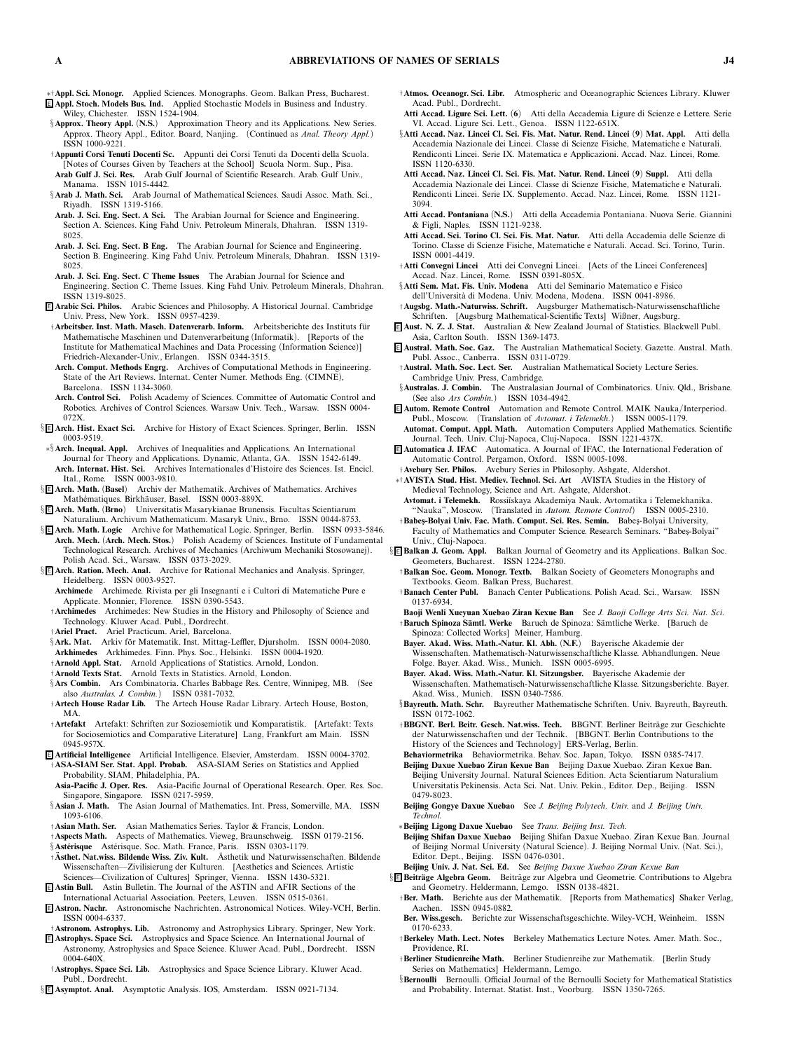- ∗†**Appl. Sci. Monogr.** *Applied Sciences. Monographs. Geom. Balkan Press, Bucharest.* <sup>E</sup> **Appl. Stoch. Models Bus. Ind.** *Applied Stochastic Models in Business and Industry. Wiley, Chichester. ISSN 1524-1904.*
- §**Approx. Theory Appl.** *(***N.S.***) Approximation Theory and its Applications. New Series. Approx. Theory Appl., Editor. Board, Nanjing. (Continued as Anal. Theory Appl.) ISSN 1000-9221.*
- †**Appunti Corsi Tenuti Docenti Sc.** *Appunti dei Corsi Tenuti da Docenti della Scuola. [Notes of Courses Given by Teachers at the School] Scuola Norm. Sup., Pisa.* **Arab Gulf J. Sci. Res.** *Arab Gulf Journal of Scientific Research. Arab. Gulf Univ., Manama. ISSN 1015-4442.*
- §**Arab J. Math. Sci.** *Arab Journal of Mathematical Sciences. Saudi Assoc. Math. Sci., Riyadh. ISSN 1319-5166.*
- **Arab. J. Sci. Eng. Sect. A Sci.** *The Arabian Journal for Science and Engineering. Section A. Sciences. King Fahd Univ. Petroleum Minerals, Dhahran. ISSN 1319- 8025.*
- **Arab. J. Sci. Eng. Sect. B Eng.** *The Arabian Journal for Science and Engineering. Section B. Engineering. King Fahd Univ. Petroleum Minerals, Dhahran. ISSN 1319- 8025.*
- **Arab. J. Sci. Eng. Sect. C Theme Issues** *The Arabian Journal for Science and*
- *Engineering. Section C. Theme Issues. King Fahd Univ. Petroleum Minerals, Dhahran. ISSN 1319-8025.*
- <sup>E</sup> **ArabicSci. Philos.** *Arabic Sciences and Philosophy. A Historical Journal. Cambridge Univ. Press, New York. ISSN 0957-4239.*
- †**Arbeitsber. Inst. Math. Masch. Datenverarb. Inform.** *Arbeitsberichte des Instituts f ¨ur Mathematische Maschinen und Datenverarbeitung (Informatik). [Reports of the Institute for Mathematical Machines and Data Processing (Information Science)] Friedrich-Alexander-Univ., Erlangen. ISSN 0344-3515.*
- **Arch. Comput. Methods Engrg.** *Archives of Computational Methods in Engineering. State of the Art Reviews. Internat. Center Numer. Methods Eng. (CIMNE), Barcelona. ISSN 1134-3060.*
- **Arch. Control Sci.** *Polish Academy of Sciences. Committee of Automatic Control and Robotics. Archives of Control Sciences. Warsaw Univ. Tech., Warsaw. ISSN 0004- 072X.*
- § <sup>E</sup> **Arch. Hist. Exact Sci.** *Archive for History of Exact Sciences. Springer, Berlin. ISSN 0003-9519.*
- ∗§**Arch. Inequal. Appl.** *Archives of Inequalities and Applications. An International Journal for Theory and Applications. Dynamic, Atlanta, GA. ISSN 1542-6149.* **Arch. Internat. Hist. Sci.** *Archives Internationales d'Histoire des Sciences. Ist. Encicl. Ital., Rome. ISSN 0003-9810.*
- § <sup>E</sup> **Arch. Math.** *(***Basel***) Archiv der Mathematik. Archives of Mathematics. Archives Math´ematiques. Birkh¨auser, Basel. ISSN 0003-889X.*
- § <sup>E</sup> **Arch. Math.** *(***Brno***) Universitatis Masarykianae Brunensis. Facultas Scientiarum Naturalium. Archivum Mathematicum. Masaryk Univ., Brno. ISSN 0044-8753.*
- § <sup>E</sup> **Arch. Math. Logic** *Archive for Mathematical Logic. Springer, Berlin. ISSN 0933-5846.* **Arch. Mech.** *(***Arch. Mech. Stos.***) Polish Academy of Sciences. Institute of Fundamental Technological Research. Archives of Mechanics (Archiwum Mechaniki Stosowanej). Polish Acad. Sci., Warsaw. ISSN 0373-2029.*
- § <sup>E</sup> **Arch. Ration. Mech. Anal.** *Archive for Rational Mechanics and Analysis. Springer, Heidelberg. ISSN 0003-9527.*
	- **Archimede** *Archimede. Rivista per gli Insegnanti e i Cultori di Matematiche Pure e Applicate. Monnier, Florence. ISSN 0390-5543.*
- †**Archimedes** *Archimedes: New Studies in the History and Philosophy of Science and Technology. Kluwer Acad. Publ., Dordrecht.*
- †**Ariel Pract.** *Ariel Practicum. Ariel, Barcelona.*
- §**Ark. Mat.** Arkiv för Matematik. Inst. Mittag-Leffler. Djursholm. ISSN 0004-2080.
- **Arkhimedes** *Arkhimedes. Finn. Phys. Soc., Helsinki. ISSN 0004-1920.*
- †**Arnold Appl. Stat.** *Arnold Applications of Statistics. Arnold, London.*
- †**Arnold Texts Stat.** *Arnold Texts in Statistics. Arnold, London.*
- §**Ars Combin.** *Ars Combinatoria. Charles Babbage Res. Centre, Winnipeg, MB. (See also Australas. J. Combin.) ISSN 0381-7032.*
- †**Artech House Radar Lib.** *The Artech House Radar Library. Artech House, Boston, MA.*
- †**Artefakt** *Artefakt: Schriften zur Soziosemiotik und Komparatistik. [Artefakt: Texts for Sociosemiotics and Comparative Literature] Lang, Frankfurt am Main. ISSN 0945-957X.*
- <sup>E</sup> **Artificial Intelligence** *Artificial Intelligence. Elsevier, Amsterdam. ISSN 0004-3702.* †**ASA-SIAM Ser. Stat. Appl. Probab.** *ASA-SIAM Series on Statistics and Applied Probability. SIAM, Philadelphia, PA.*
- **Asia-Pacific J. Oper. Res.** *Asia-Pacific Journal of Operational Research. Oper. Res. Soc. Singapore, Singapore. ISSN 0217-5959.*
- §**Asian J. Math.** *The Asian Journal of Mathematics. Int. Press, Somerville, MA. ISSN 1093-6106.*
- †**Asian Math. Ser.** *Asian Mathematics Series. Taylor & Francis, London.*
- †**Aspects Math.** *Aspects of Mathematics. Vieweg, Braunschweig. ISSN 0179-2156.*
- §**Astérisque** Astérisque. Soc. Math. France, Paris. ISSN 0303-1179.
- †**Asthet. Nat.wiss. Bildende Wiss. Ziv. Kult. ¨** *Asthetik und Naturwissenschaften. Bildende ¨ Wissenschaften—Zivilisierung der Kulturen. [Aesthetics and Sciences. Artistic Sciences—Civilization of Cultures] Springer, Vienna. ISSN 1430-5321.*
- <sup>E</sup> **Astin Bull.** *Astin Bulletin. The Journal of the ASTIN and AFIR Sections of the International Actuarial Association. Peeters, Leuven. ISSN 0515-0361.*
- <sup>E</sup> **Astron. Nachr.** *Astronomische Nachrichten. Astronomical Notices. Wiley-VCH, Berlin. ISSN 0004-6337.*
- †**Astronom. Astrophys. Lib.** *Astronomy and Astrophysics Library. Springer, New York.*
- <sup>E</sup> **Astrophys. Space Sci.** *Astrophysics and Space Science. An International Journal of Astronomy, Astrophysics and Space Science. Kluwer Acad. Publ., Dordrecht. ISSN 0004-640X.*
- †**Astrophys. Space Sci. Lib.** *Astrophysics and Space Science Library. Kluwer Acad. Publ., Dordrecht.*
- § <sup>E</sup> **Asymptot. Anal.** *Asymptotic Analysis. IOS, Amsterdam. ISSN 0921-7134.*
- †**Atmos. Oceanogr. Sci. Libr.** *Atmospheric and Oceanographic Sciences Library. Kluwer Acad. Publ., Dordrecht.*
- **Atti Accad. Ligure Sci. Lett.** *(***6***) Atti della Accademia Ligure di Scienze e Lettere. Serie VI. Accad. Ligure Sci. Lett., Genoa. ISSN 1122-651X.*
- §**Atti Accad. Naz. Lincei Cl. Sci. Fis. Mat. Natur. Rend. Lincei** *(***9***)* **Mat. Appl.** *Atti della Accademia Nazionale dei Lincei. Classe di Scienze Fisiche, Matematiche e Naturali. Rendiconti Lincei. Serie IX. Matematica e Applicazioni. Accad. Naz. Lincei, Rome. ISSN 1120-6330.*
- **Atti Accad. Naz. Lincei Cl. Sci. Fis. Mat. Natur. Rend. Lincei** *(***9***)* **Suppl.** *Atti della Accademia Nazionale dei Lincei. Classe di Scienze Fisiche, Matematiche e Naturali. Rendiconti Lincei. Serie IX. Supplemento. Accad. Naz. Lincei, Rome. ISSN 1121- 3094.*
- **Atti Accad. Pontaniana** *(***N.S.***) Atti della Accademia Pontaniana. Nuova Serie. Giannini & Figli, Naples. ISSN 1121-9238.*
- **Atti Accad. Sci. Torino Cl. Sci. Fis. Mat. Natur.** *Atti della Accademia delle Scienze di Torino. Classe di Scienze Fisiche, Matematiche e Naturali. Accad. Sci. Torino, Turin. ISSN 0001-4419.*
- †**Atti Convegni Lincei** *Atti dei Convegni Lincei. [Acts of the Lincei Conferences] Accad. Naz. Lincei, Rome. ISSN 0391-805X.*
- §**Atti Sem. Mat. Fis. Univ. Modena** *Atti del Seminario Matematico e Fisico dell'Universit`a di Modena. Univ. Modena, Modena. ISSN 0041-8986.*
- †**Augsbg. Math.-Naturwiss. Schrift.** *Augsburger Mathematisch-Naturwissenschaftliche Schriften. [Augsburg Mathematical-Scientific Texts] Wißner, Augsburg.*
- <sup>E</sup> **Aust. N. Z. J. Stat.** *Australian & New Zealand Journal of Statistics. Blackwell Publ. Asia, Carlton South. ISSN 1369-1473.*
- <sup>E</sup> **Austral. Math. Soc . Gaz.** *The Australian Mathematical Society. Gazette. Austral. Math. Publ. Assoc., Canberra. ISSN 0311-0729.*
- †**Austral. Math. Soc . Lec t. Ser.** *Australian Mathematical Society Lecture Series. Cambridge Univ. Press, Cambridge.*
- §**Australas. J. Combin.** *The Australasian Journal of Combinatorics. Univ. Qld., Brisbane. (See also Ars Combin.) ISSN 1034-4942.*
- <sup>E</sup> **Autom. Remote Control** *Automation and Remote Control. MAIK Nauka/Interperiod. Publ., Moscow. (Translation of Avtomat. i Telemekh.) ISSN 0005-1179.* **Automat. Comput. Appl. Math.** *Automation Computers Applied Mathematics. Scientific*
- *Journal. Tech. Univ. Cluj-Napoca, Cluj-Napoca. ISSN 1221-437X.* <sup>E</sup> **Automatica J. IFAC** *Automatica. A Journal of IFAC, the International Federation of*
- *Automatic Control. Pergamon, Oxford. ISSN 0005-1098.* †**Avebury Ser. Philos.** *Avebury Series in Philosophy. Ashgate, Aldershot.*
- ∗†**AVISTA Stud. Hist. Mediev. Technol. Sci. Art** *AVISTA Studies in the History of Medieval Technology, Science and Art. Ashgate, Aldershot.*
- **Avtomat. i Telemekh.** *Rossi˘ıskaya Akademiya Nauk. Avtomatika i Telemekhanika. "Nauka", Moscow. (Translated in Autom. Remote Control) ISSN 0005-2310.*
- †**Babes¸-Bolyai Univ. Fac. Math. Comput. Sci. Res. Semin.** *Babes¸-Bolyai University, Faculty of Mathematics and Computer Science. Research Seminars. "Babes¸-Bolyai" Univ., Cluj-Napoca.*
- § <sup>E</sup> **Balkan J. Geom. Appl.** *Balkan Journal of Geometry and its Applications. Balkan Soc. Geometers, Bucharest. ISSN 1224-2780.*
	- †**Balkan Soc. Geom. Monogr. Textb.** *Balkan Society of Geometers Monographs and Textbooks. Geom. Balkan Press, Bucharest.*
	- †**Banach Center Publ.** *Banach Center Publications. Polish Acad. Sci., Warsaw. ISSN 0137-6934.*
	- **Baoji Wenli Xueyuan Xuebao Ziran Kexue Ban** *See J. Baoji College Arts Sci. Nat. Sci.* †**Baruch Spinoza S ¨amtl. Werke** *Baruch de Spinoza: S¨amtliche Werke. [Baruch de*
	- *Spinoza: Collected Works] Meiner, Hamburg.* **Bayer. Akad. Wiss. Math.-Natur. Kl. Abh.** *(***N.F.***) Bayerische Akademie der Wissenschaften. Mathematisch-Naturwissenschaftliche Klasse. Abhandlungen. Neue*
	- *Folge. Bayer. Akad. Wiss., Munich. ISSN 0005-6995.* **Bayer. Akad. Wiss. Math.-Natur. Kl. Sitzungsber.** *Bayerische Akademie der*
	- *Wissenschaften. Mathematisch-Naturwissenschaftliche Klasse. Sitzungsberichte. Bayer. Akad. Wiss., Munich. ISSN 0340-7586.*
	- §**Bayreuth. Math. Schr.** *Bayreuther Mathematische Schriften. Univ. Bayreuth, Bayreuth. ISSN 0172-1062.*
	- †**BBGNT. Berl. Beitr. Gesch. Nat.wiss. Tech.** *BBGNT. Berliner Beitr¨age zur Geschichte der Naturwissenschaften und der Technik. [BBGNT. Berlin Contributions to the History of the Sciences and Technology] ERS-Verlag, Berlin.*
	- **Behaviormetrika** *Behaviormetrika. Behav. Soc. Japan, Tokyo. ISSN 0385-7417.*
	- **Beijing Daxue Xuebao Ziran Kexue Ban** *Beijing Daxue Xuebao. Ziran Kexue Ban. Beijing University Journal. Natural Sciences Edition. Acta Scientiarum Naturalium Universitatis Pekinensis. Acta Sci. Nat. Univ. Pekin., Editor. Dep., Beijing. ISSN 0479-8023.*
	- **Beijing Gongye Daxue Xuebao** *See J. Beijing Polytech. Univ. and J. Beijing Univ. Technol.*
	- ∗**Beijing Ligong Daxue Xuebao** *See Trans. Beijing Inst. Tech.*
	- **Beijing Shifan Daxue Xuebao** *Beijing Shifan Daxue Xuebao. Ziran Kexue Ban. Journal of Beijing Normal University (Natural Science). J. Beijing Normal Univ. (Nat. Sci.), Editor. Dept., Beijing. ISSN 0476-0301.*
	- **Beijing Univ. J. Nat. Sci. Ed.** *See Beijing Daxue Xuebao Ziran Kexue Ban*
- § **E Beiträge Algebra Geom.** Beiträge zur Algebra und Geometrie. Contributions to Algebra *and Geometry. Heldermann, Lemgo. ISSN 0138-4821.*
	- †**Ber. Math.** *Berichte aus der Mathematik. [Reports from Mathematics] Shaker Verlag, Aachen. ISSN 0945-0882.*
	- **Ber. Wiss.gesch.** *Berichte zur Wissenschaftsgeschichte. Wiley-VCH, Weinheim. ISSN 0170-6233.*
	- †**Berkeley Math. Lect. Notes** *Berkeley Mathematics Lecture Notes. Amer. Math. Soc., Providence, RI.*
	- †**Berliner Studienreihe Math.** *Berliner Studienreihe zur Mathematik. [Berlin Study Series on Mathematics] Heldermann, Lemgo.*
	- §**Bernoulli** *Bernoulli. Official Journal of the Bernoulli Society for Mathematical Statistics and Probability. Internat. Statist. Inst., Voorburg. ISSN 1350-7265.*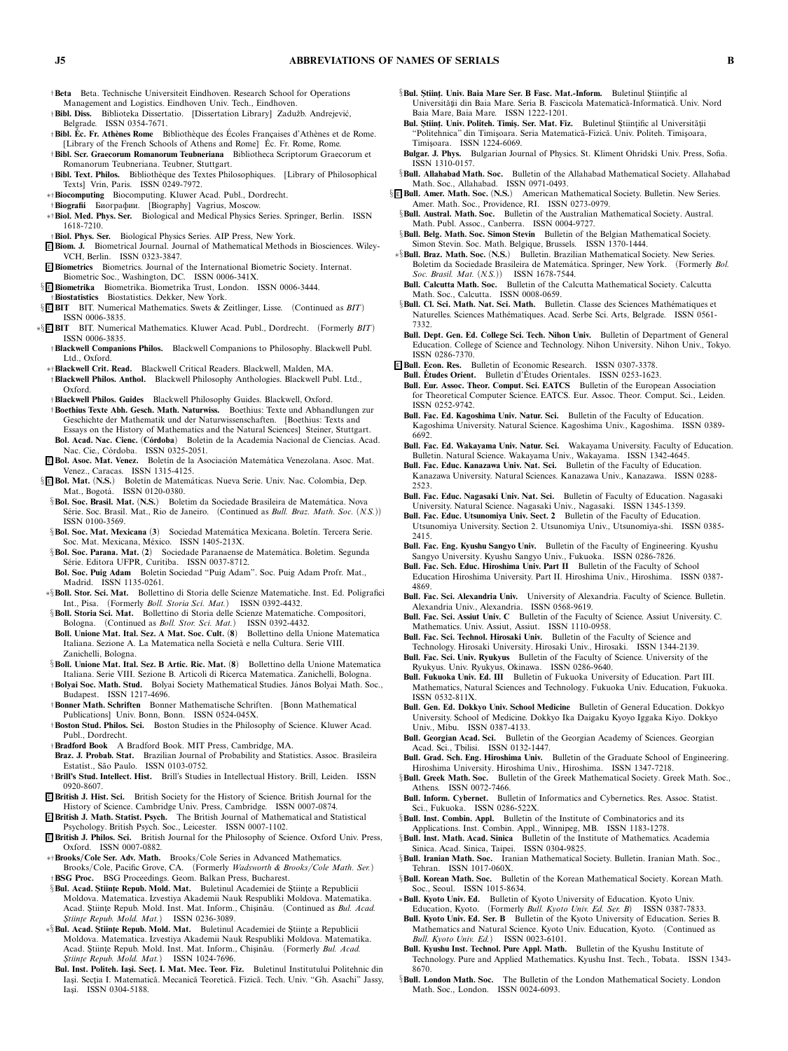- †**Beta** *Beta. Technische Universiteit Eindhoven. Research School for Operations Management and Logistics. Eindhoven Univ. Tech., Eindhoven.*
- †**Bibl. Diss.** *Biblioteka Dissertatio. [Dissertation Library] Zaduˇzb. Andrejevi´c, Belgrade. ISSN 0354-7671.*
- $\dagger$  **Bibl. Ec. Fr. Athènes Rome** Bibliothèque des Écoles Françaises d'Athènes et de Rome. *[Library of the French Schools of Athens and Rome] Ec. Fr. Rome, Rome. ´*
- †**Bibl. Scr. Graecorum Romanorum Teubneriana** *Bibliotheca Scriptorum Graecorum et Romanorum Teubneriana. Teubner, Stuttgart.*
- †**Bibl. Text. Philos.** *Biblioth`eque des Textes Philosophiques. [Library of Philosophical Texts] Vrin, Paris. ISSN 0249-7972.*
- ∗†**Biocomputing** *Biocomputing. Kluwer Acad. Publ., Dordrecht.*
- †**Biografii** Биографии. *[Biography] Vagrius, Moscow.*
- ∗†**Biol. Med. Phys. Ser.** *Biological and Medical Physics Series. Springer, Berlin. ISSN 1618-7210.*
- †**Biol. Phys. Ser.** *Biological Physics Series. AIP Press, New York.*
- <sup>E</sup> **Biom. J.** *Biometrical Journal. Journal of Mathematical Methods in Biosciences. Wiley-VCH, Berlin. ISSN 0323-3847.*
- <sup>E</sup> **Biometrics** *Biometrics. Journal of the International Biometric Society. Internat. Biometric Soc., Washington, DC. ISSN 0006-341X.*
- § <sup>E</sup> **Biometrika** *Biometrika. Biometrika Trust, London. ISSN 0006-3444.*
- †**Biostatistics** *Biostatistics. Dekker, New York.*
- § <sup>E</sup> **BIT** *BIT. Numerical Mathematics. Swets & Zeitlinger, Lisse. (Continued as BIT) ISSN 0006-3835.*
- ∗§ <sup>E</sup> **BIT** *BIT. Numerical Mathematics. Kluwer Acad. Publ., Dordrecht. (Formerly BIT) ISSN 0006-3835.*
	- †**Blackwell Companions Philos.** *Blackwell Companions to Philosophy. Blackwell Publ. Ltd., Oxford.*
	- ∗†**Blackwell Crit. Read.** *Blackwell Critical Readers. Blackwell, Malden, MA.* †**Blackwell Philos. Anthol.** *Blackwell Philosophy Anthologies. Blackwell Publ. Ltd., Oxford.*
	- †**Blackwell Philos. Guides** *Blackwell Philosophy Guides. Blackwell, Oxford.*
	- †**Boethius Texte Abh. Gesch. Math. Naturwiss.** *Boethius: Texte und Abhandlungen zur Geschichte der Mathematik und der Naturwissenschaften. [Boethius: Texts and Essays on the History of Mathematics and the Natural Sciences] Steiner, Stuttgart.*
	- **Bol. Acad. Nac. Cienc.** *(***C´ordoba***) Boletin de la Academia Nacional de Ciencias. Acad. Nac. Cie., C ´ordoba. ISSN 0325-2051.*
- <sup>E</sup> **Bol. Asoc. Mat. Venez.** *Bolet´ın de la Asociaci ´on Matem´atica Venezolana. Asoc. Mat. Venez., Caracas. ISSN 1315-4125.*
- §<sup>E</sup> Bol. Mat. (N.S.) Boletín de Matemáticas. Nueva Serie. Univ. Nac. Colombia, Dep. *Mat., Bogot´a. ISSN 0120-0380.*
- §**Bol. Soc. Brasil. Mat.** (N.S.) Boletim da Sociedade Brasileira de Matemática. Nova *S´erie. Soc. Brasil. Mat., Rio de Janeiro. (Continued as Bull. Braz. Math. Soc. (N.S.)) ISSN 0100-3569.*
- §**Bol. Soc. Mat. Mexicana** (3) Sociedad Matemática Mexicana. Boletín. Tercera Serie. *Soc. Mat. Mexicana, M´exico. ISSN 1405-213X.*
- §**Bol. Soc. Parana. Mat.** (2) Sociedade Paranaense de Matemática. Boletim. Segunda *S´erie. Editora UFPR, Curitiba. ISSN 0037-8712.*
- **Bol. Soc. Puig Adam** *Boletin Sociedad "Puig Adam". Soc. Puig Adam Profr. Mat., Madrid. ISSN 1135-0261.*
- ∗§**Boll. Stor. Sci. Mat.** *Bollettino di Storia delle Scienze Matematiche. Inst. Ed. Poligrafici Int., Pisa. (Formerly Boll. Storia Sci. Mat.) ISSN 0392-4432.*
- §**Boll. Storia Sci. Mat.** *Bollettino di Storia delle Scienze Matematiche. Compositori, Bologna. (Continued as Boll. Stor. Sci. Mat.) ISSN 0392-4432.*
- **Boll. Unione Mat. Ital. Sez. A Mat. Soc. Cult.** *(***8***) Bollettino della Unione Matematica Italiana. Sezione A. La Matematica nella Societ`a e nella Cultura. Serie VIII. Zanichelli, Bologna.*
- §**Boll. Unione Mat. Ital. Sez. B Artic. Ric. Mat.** *(***8***) Bollettino della Unione Matematica Italiana. Serie VIII. Sezione B. Articoli di Ricerca Matematica. Zanichelli, Bologna.*
- †**Bolyai Soc. Math. Stud.** *Bolyai Society Mathematical Studies. J´anos Bolyai Math. Soc., Budapest. ISSN 1217-4696.*
- †**Bonner Math. Schriften** *Bonner Mathematische Schriften. [Bonn Mathematical Publications] Univ. Bonn, Bonn. ISSN 0524-045X.*
- †**Boston Stud. Philos. Sci.** *Boston Studies in the Philosophy of Science. Kluwer Acad. Publ., Dordrecht.*
- †**Bradford Book** *A Bradford Book. MIT Press, Cambridge, MA.*
- **Braz. J. Probab. Stat.** *Brazilian Journal of Probability and Statistics. Assoc. Brasileira Estat´ıst., S˜ao Paulo. ISSN 0103-0752.*
- †**Brill's Stud. Intellect. Hist.** *Brill's Studies in Intellectual History. Brill, Leiden. ISSN 0920-8607.*
- <sup>E</sup> **British J. Hist. Sci.** *British Society for the History of Science. British Journal for the History of Science. Cambridge Univ. Press, Cambridge. ISSN 0007-0874.*
- <sup>E</sup> **British J. Math. Statist. Psych.** *The British Journal of Mathematical and Statistical Psychology. British Psych. Soc., Leicester. ISSN 0007-1102.*
- <sup>E</sup> **British J. Philos. Sci.** *British Journal for the Philosophy of Science. Oxford Univ. Press, Oxford. ISSN 0007-0882.*
- ∗†**Brooks/Cole Ser. Adv. Math.** *Brooks/Cole Series in Advanced Mathematics. Brooks/Cole, Pacific Grove, CA. (Formerly Wadsworth & Brooks/Cole Math. Ser.)* †**BSG Proc.** *BSG Proceedings. Geom. Balkan Press, Bucharest.*
- §**Bul. Acad. Științe Repub. Mold. Mat.** Buletinul Academiei de Științe a Republicii *Moldova. Matematica. Izvestiya Akademii Nauk Respubliki Moldova. Matematika.* Acad. Științe Repub. Mold. Inst. Mat. Inform., Chișinău. (Continued as *Bul. Acad. Stiinte Repub. Mold. Mat.*<sup>2</sup> *ISSN 0236-3089.*
- \*§**Bul. Acad. Științe Repub. Mold. Mat.** Buletinul Academiei de Științe a Republicii *Moldova. Matematica. Izvestiya Akademii Nauk Respubliki Moldova. Matematika.* Acad. Științe Repub. Mold. Inst. Mat. Inform., Chișinău. (Formerly *Bul. Acad. S¸ tiint¸e Repub. Mold. Mat.) ISSN 1024-7696.*
	- Bul. Inst. Politeh. Iași. Secț. I. Mat. Mec. Teor. Fiz. Buletinul Institutului Politehnic din Iași. Secția I. Matematică. Mecanică Teoretică. Fizică. Tech. Univ. "Gh. Asachi" Jassy, *Ias¸i. ISSN 0304-5188.*
- $\delta$ **Bul. Stiint, Univ. Baia Mare Ser. B. Fasc. Mat.-Inform.** Buletinul Stiintific al. *Universitˇat¸ii din Baia Mare. Seria B. Fascicola Matematicˇa-Informaticˇa. Univ. Nord Baia Mare, Baia Mare. ISSN 1222-1201.*
- **Bul. Științ. Univ. Politeh. Timiș. Ser. Mat. Fiz.** Buletinul Științific al Universității *"Politehnica" din Timis¸oara. Seria Matematic˘a-Fizic˘a. Univ. Politeh. Timis¸oara, Timis¸oara. ISSN 1224-6069.*
- **Bulgar. J. Phys.** *Bulgarian Journal of Physics. St. Kliment Ohridski Univ. Press, Sofia. ISSN 1310-0157.*
- §**Bull. Allahabad Math. Soc.** *Bulletin of the Allahabad Mathematical Society. Allahabad Math. Soc., Allahabad. ISSN 0971-0493.* § <sup>E</sup> **Bull. Amer. Math. Soc.** *(***N.S.***) American Mathematical Society. Bulletin. New Series.*
- *Amer. Math. Soc., Providence, RI. ISSN 0273-0979.* §**Bull. Austral. Math. Soc.** *Bulletin of the Australian Mathematical Society. Austral.*
- *Math. Publ. Assoc., Canberra. ISSN 0004-9727.* §**Bull. Belg. Math. Soc. Simon Stevin** *Bulletin of the Belgian Mathematical Society. Simon Stevin. Soc. Math. Belgique, Brussels. ISSN 1370-1444.*
- ∗§**Bull. Braz. Math. Soc.** *(***N.S.***) Bulletin. Brazilian Mathematical Society. New Series. Boletim da Sociedade Brasileira de Matem´atica. Springer, New York. (Formerly Bol. Soc. Brasil. Mat. (N.S.)) ISSN 1678-7544.*
- **Bull. Calcutta Math. Soc.** *Bulletin of the Calcutta Mathematical Society. Calcutta Math. Soc., Calcutta. ISSN 0008-0659.*
- §**Bull. Cl. Sci. Math. Nat. Sci. Math.** Bulletin. Classe des Sciences Mathématiques et *Naturelles. Sciences Math´ematiques. Acad. Serbe Sci. Arts, Belgrade. ISSN 0561- 7332.*
- **Bull. Dept. Gen. Ed. College Sci. Tech. Nihon Univ.** *Bulletin of Department of General Education. College of Science and Technology. Nihon University. Nihon Univ., Tokyo. ISSN 0286-7370.*
- <sup>E</sup> **Bull. Econ. Res.** *Bulletin of Economic Research. ISSN 0307-3378.*
- **Bull. Etudes Orient. ´** *Bulletin d'Etudes Orientales. ISSN 0253-1623. ´*
- **Bull. Eur. Assoc. Theor. Comput. Sci. EATCS** *Bulletin of the European Association for Theoretical Computer Science. EATCS. Eur. Assoc. Theor. Comput. Sci., Leiden. ISSN 0252-9742.*
- **Bull. Fac. Ed. Kagoshima Univ. Natur. Sci.** *Bulletin of the Faculty of Education. Kagoshima University. Natural Science. Kagoshima Univ., Kagoshima. ISSN 0389- 6692.*
- **Bull. Fac. Ed. Wakayama Univ. Natur. Sci.** *Wakayama University. Faculty of Education. Bulletin. Natural Science. Wakayama Univ., Wakayama. ISSN 1342-4645.*
- **Bull. Fac. Educ. Kanazawa Univ. Nat. Sci.** *Bulletin of the Faculty of Education. Kanazawa University. Natural Sciences. Kanazawa Univ., Kanazawa. ISSN 0288- 2523.*
- **Bull. Fac. Educ. Nagasaki Univ. Nat. Sci.** *Bulletin of Faculty of Education. Nagasaki University. Natural Science. Nagasaki Univ., Nagasaki. ISSN 1345-1359.*
- **Bull. Fac. Educ. Utsunomiya Univ. Sect. 2** *Bulletin of the Faculty of Education. Utsunomiya University. Section 2. Utsunomiya Univ., Utsunomiya-shi. ISSN 0385- 2415.*
- **Bull. Fac. Eng. Kyushu Sangyo Univ.** *Bulletin of the Faculty of Engineering. Kyushu Sangyo University. Kyushu Sangyo Univ., Fukuoka. ISSN 0286-7826.*
- **Bull. Fac. Sch. Educ. Hiroshima Univ. Part II** *Bulletin of the Faculty of School Education Hiroshima University. Part II. Hiroshima Univ., Hiroshima. ISSN 0387- 4869.*
- **Bull. Fac. Sci. Alexandria Univ.** *University of Alexandria. Faculty of Science. Bulletin. Alexandria Univ., Alexandria. ISSN 0568-9619.*
- **Bull. Fac. Sci. Assiut Univ. C** *Bulletin of the Faculty of Science. Assiut University. C. Mathematics. Univ. Assiut, Assiut. ISSN 1110-0958.*
- **Bull. Fac. Sci. Technol. Hirosaki Univ.** *Bulletin of the Faculty of Science and Technology. Hirosaki University. Hirosaki Univ., Hirosaki. ISSN 1344-2139.*
- **Bull. Fac. Sci. Univ. Ryukyus** *Bulletin of the Faculty of Science. University of the Ryukyus. Univ. Ryukyus, Okinawa. ISSN 0286-9640.*
- **Bull. Fukuoka Univ. Ed. III** *Bulletin of Fukuoka University of Education. Part III. Mathematics, Natural Sciences and Technology. Fukuoka Univ. Education, Fukuoka. ISSN 0532-811X.*
- **Bull. Gen. Ed. Dokkyo Univ. School Medicine** *Bulletin of General Education. Dokkyo University. School of Medicine. Dokkyo Ika Daigaku Kyoyo Iggaka Kiyo. Dokkyo Univ., Mibu. ISSN 0387-4133.*
- **Bull. Georgian Acad. Sci.** *Bulletin of the Georgian Academy of Sciences. Georgian Acad. Sci., Tbilisi. ISSN 0132-1447.*
- **Bull. Grad. Sch. Eng. Hiroshima Univ.** *Bulletin of the Graduate School of Engineering. Hiroshima University. Hiroshima Univ., Hiroshima. ISSN 1347-7218.*
- §**Bull. Greek Math. Soc.** *Bulletin of the Greek Mathematical Society. Greek Math. Soc., Athens. ISSN 0072-7466.*
- **Bull. Inform. Cybernet.** *Bulletin of Informatics and Cybernetics. Res. Assoc. Statist. Sci., Fukuoka. ISSN 0286-522X.*
- §**Bull. Inst. Combin. Appl.** *Bulletin of the Institute of Combinatorics and its Applications. Inst. Combin. Appl., Winnipeg, MB. ISSN 1183-1278.*
- §**Bull. Inst. Math. Acad. Sinica** *Bulletin of the Institute of Mathematics. Academia Sinica. Acad. Sinica, Taipei. ISSN 0304-9825.*
- §**Bull. Iranian Math. Soc.** *Iranian Mathematical Society. Bulletin. Iranian Math. Soc., Tehran. ISSN 1017-060X.*
- §**Bull. Korean Math. Soc.** *Bulletin of the Korean Mathematical Society. Korean Math. Soc., Seoul. ISSN 1015-8634.*
- ∗**Bull. Kyoto Univ. Ed.** *Bulletin of Kyoto University of Education. Kyoto Univ. Education, Kyoto. (Formerly Bull. Kyoto Univ. Ed. Ser. B) ISSN 0387-7833.*
- **Bull. Kyoto Univ. Ed. Ser. B** *Bulletin of the Kyoto University of Education. Series B. Mathematics and Natural Science. Kyoto Univ. Education, Kyoto. (Continued as Bull. Kyoto Univ. Ed.) ISSN 0023-6101.*
- **Bull. Kyushu Inst. Technol. Pure Appl. Math.** *Bulletin of the Kyushu Institute of Technology. Pure and Applied Mathematics. Kyushu Inst. Tech., Tobata. ISSN 1343- 8670.*
- §**Bull. London Math. Soc.** *The Bulletin of the London Mathematical Society. London Math. Soc., London. ISSN 0024-6093.*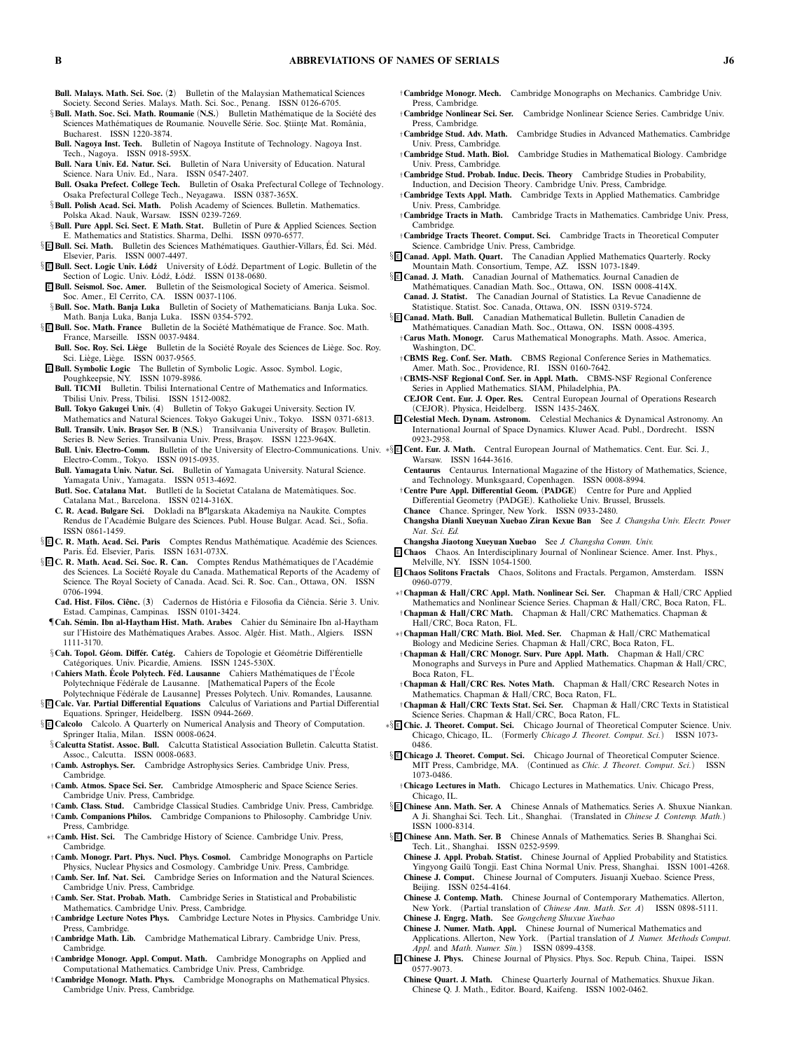- **Bull. Malays. Math. Sci. Soc.** *(***2***) Bulletin of the Malaysian Mathematical Sciences Society. Second Series. Malays. Math. Sci. Soc., Penang. ISSN 0126-6705.*
- §**Bull. Math. Soc. Sci. Math. Roumanie** (N.S.) Bulletin Mathématique de la Société des *Sciences Math´ematiques de Roumanie. Nouvelle S´erie. Soc. S¸ tiint¸e Mat. Romˆania, Bucharest. ISSN 1220-3874.*
- **Bull. Nagoya Inst. Tech.** *Bulletin of Nagoya Institute of Technology. Nagoya Inst. Tech., Nagoya. ISSN 0918-595X.*
- **Bull. Nara Univ. Ed. Natur. Sci.** *Bulletin of Nara University of Education. Natural Science. Nara Univ. Ed., Nara. ISSN 0547-2407.*
- **Bull. Osaka Prefect. College Tech.** *Bulletin of Osaka Prefectural College of Technology. Osaka Prefectural College Tech., Neyagawa. ISSN 0387-365X.*
- §**Bull. Polish Acad. Sci. Math.** *Polish Academy of Sciences. Bulletin. Mathematics. Polska Akad. Nauk, Warsaw. ISSN 0239-7269.*
- §**Bull. Pure Appl. Sci. Sect. E Math. Stat.** *Bulletin of Pure & Applied Sciences. Section E. Mathematics and Statistics. Sharma, Delhi. ISSN 0970-6577.*
- $\S$  **E Bull. Sci. Math.** Bulletin des Sciences Mathématiques. Gauthier-Villars, Éd. Sci. Méd. *Elsevier, Paris. ISSN 0007-4497.*
- § E Bull. Sect. Logic Univ. Łódź University of Łódź. Department of Logic. Bulletin of the Section of Logic. Univ. Łódź, Łódź. ISSN 0138-0680.
- <sup>E</sup> **Bull. Seismol. Soc. Amer.** *Bulletin of the Seismological Society of America. Seismol. Soc. Amer., El Cerrito, CA. ISSN 0037-1106.*
- §**Bull. Soc. Math. Banja Luka** *Bulletin of Society of Mathematicians. Banja Luka. Soc. Math. Banja Luka, Banja Luka. ISSN 0354-5792.*
- **§ E Bull. Soc. Math. France** Bulletin de la Société Mathématique de France. Soc. Math. *France, Marseille. ISSN 0037-9484.*
- **Bull. Soc. Roy. Sci. Liège** Bulletin de la Société Royale des Sciences de Liège. Soc. Roy. *Sci. Li`ege, Li`ege. ISSN 0037-9565.*
- <sup>E</sup> **Bull. SymbolicLogic** *The Bulletin of Symbolic Logic. Assoc. Symbol. Logic, Poughkeepsie, NY. ISSN 1079-8986.*
	- **Bull. TICMI** *Bulletin. Tbilisi International Centre of Mathematics and Informatics. Tbilisi Univ. Press, Tbilisi. ISSN 1512-0082.*
- **Bull. Tokyo Gakugei Univ.** *(***4***) Bulletin of Tokyo Gakugei University. Section IV. Mathematics and Natural Sciences. Tokyo Gakugei Univ., Tokyo. ISSN 0371-6813.*
- **Bull. Transilv. Univ. Bras¸ov Ser. B** *(***N.S.***) Transilvania University of Bras¸ov. Bulletin.* Series B. New Series. Transilvania Univ. Press, Brașov. ISSN 1223-964X.
- *Electro-Comm., Tokyo. ISSN 0915-0935.*
- **Bull. Yamagata Univ. Natur. Sci.** *Bulletin of Yamagata University. Natural Science. Yamagata Univ., Yamagata. ISSN 0513-4692.*
- Butl. Soc. Catalana Mat. Butlletí de la Societat Catalana de Matemàtiques. Soc. *Catalana Mat., Barcelona. ISSN 0214-316X.*
- **C. R. Acad. Bulgare Sci.** *Dokladi na B*-*lgarskata Akademiya na Naukite. Comptes Rendus de l'Acad´emie Bulgare des Sciences. Publ. House Bulgar. Acad. Sci., Sofia. ISSN 0861-1459.*
- § <sup>E</sup> **C. R. Math. Acad. Sci. Paris** *Comptes Rendus Math´ematique. Acad´emie des Sciences. Paris. Ed. Elsevier, Paris. ISSN 1631-073X. ´*
- § <sup>E</sup> **C. R. Math. Acad. Sci. Soc. R. Can.** *Comptes Rendus Math´ematiques de l'Acad´emie* des Sciences. La Société Royale du Canada. Mathematical Reports of the Academy of *Science. The Royal Society of Canada. Acad. Sci. R. Soc. Can., Ottawa, ON. ISSN 0706-1994.*
	- **Cad. Hist. Filos. Ciˆenc.** *(***3***) Cadernos de Hist ´oria e Filosofia da Ciˆencia. S´erie 3. Univ. Estad. Campinas, Campinas. ISSN 0101-3424.*
- ¶**Cah. S´emin. Ibn al-Haytham Hist. Math. Arabes** *Cahier du S´eminaire Ibn al-Haytham sur l'Histoire des Math´ematiques Arabes. Assoc. Alg ´er. Hist. Math., Algiers. ISSN 1111-3170.*
- $\S$ Cah. Topol. Géom. Différ. Catég. Cahiers de Topologie et Géométrie Différentielle *Cat´egoriques. Univ. Picardie, Amiens. ISSN 1245-530X.*
- $\dagger$  Cahiers Math. École Polytech. Féd. Lausanne Cahiers Mathématiques de l'École Polytechnique Fédérale de Lausanne. [Mathematical Papers of the École
- Polytechnique Fédérale de Lausanne] Presses Polytech. Univ. Romandes, Lausanne. § <sup>E</sup> **Calc. Var. Partial Differential Equations** *Calculus of Variations and Partial Differential*
- *Equations. Springer, Heidelberg. ISSN 0944-2669.* § <sup>E</sup> **Calcolo** *Calcolo. A Quarterly on Numerical Analysis and Theory of Computation. Springer Italia, Milan. ISSN 0008-0624.*
- §**Calcutta Statist. Assoc. Bull.** *Calcutta Statistical Association Bulletin. Calcutta Statist. Assoc., Calcutta. ISSN 0008-0683.*
- †**Camb. Astrophys. Ser.** *Cambridge Astrophysics Series. Cambridge Univ. Press, Cambridge.*
- †**Camb. Atmos. Space Sci. Ser.** *Cambridge Atmospheric and Space Science Series. Cambridge Univ. Press, Cambridge.*
- †**Camb. Class. Stud.** *Cambridge Classical Studies. Cambridge Univ. Press, Cambridge.* †**Camb. Companions Philos.** *Cambridge Companions to Philosophy. Cambridge Univ. Press, Cambridge.*
- ∗†**Camb. Hist. Sci.** *The Cambridge History of Science. Cambridge Univ. Press, Cambridge.*
- †**Camb. Monogr. Part. Phys. Nucl. Phys. Cosmol.** *Cambridge Monographs on Particle Physics, Nuclear Physics and Cosmology. Cambridge Univ. Press, Cambridge.*
- †**Camb. Ser. Inf. Nat. Sc i.** *Cambridge Series on Information and the Natural Sciences. Cambridge Univ. Press, Cambridge.*
- †**Camb. Ser. Stat. Probab. Math.** *Cambridge Series in Statistical and Probabilistic Mathematics. Cambridge Univ. Press, Cambridge.*
- †**Cambridge Lecture Notes Phys.** *Cambridge Lecture Notes in Physics. Cambridge Univ. Press, Cambridge.*
- †**Cambridge Math. Lib.** *Cambridge Mathematical Library. Cambridge Univ. Press, Cambridge.*
- †**Cambridge Monogr. Appl. Comput. Math.** *Cambridge Monographs on Applied and Computational Mathematics. Cambridge Univ. Press, Cambridge.*
- †**Cambridge Monogr. Math. Phys.** *Cambridge Monographs on Mathematical Physics. Cambridge Univ. Press, Cambridge.*
- †**Cambridge Monogr. Mech.** *Cambridge Monographs on Mechanics. Cambridge Univ. Press, Cambridge.*
- †**Cambridge Nonlinear Sci. Ser.** *Cambridge Nonlinear Science Series. Cambridge Univ. Press, Cambridge.*
- †**Cambridge Stud. Adv. Math.** *Cambridge Studies in Advanced Mathematics. Cambridge Univ. Press, Cambridge.*
- †**Cambridge Stud. Math. Biol.** *Cambridge Studies in Mathematical Biology. Cambridge Univ. Press, Cambridge.*
- †**Cambridge Stud. Probab. Induc. Decis. Theory** *Cambridge Studies in Probability, Induction, and Decision Theory. Cambridge Univ. Press, Cambridge.*
- †**Cambridge Texts Appl. Math.** *Cambridge Texts in Applied Mathematics. Cambridge Univ. Press, Cambridge.* †**Cambridge Tracts in Math.** *Cambridge Tracts in Mathematics. Cambridge Univ. Press,*
- *Cambridge.* †**Cambridge Tracts Theoret. Comput. Sci.** *Cambridge Tracts in Theoretical Computer*
- *Science. Cambridge Univ. Press, Cambridge.*
- § <sup>E</sup> **Canad. Appl. Math. Quart.** *The Canadian Applied Mathematics Quarterly. Rocky Mountain Math. Consortium, Tempe, AZ. ISSN 1073-1849.*
- § <sup>E</sup> **Canad. J. Math.** *Canadian Journal of Mathematics. Journal Canadien de Math´ematiques. Canadian Math. Soc., Ottawa, ON. ISSN 0008-414X.* **Canad. J. Statist.** *The Canadian Journal of Statistics. La Revue Canadienne de*
- *Statistique. Statist. Soc. Canada, Ottawa, ON. ISSN 0319-5724.*
- § <sup>E</sup> **Canad. Math. Bull.** *Canadian Mathematical Bulletin. Bulletin Canadien de Math´ematiques. Canadian Math. Soc., Ottawa, ON. ISSN 0008-4395.* †**Carus Math. Monogr.** *Carus Mathematical Monographs. Math. Assoc. America,*
	- *Washington, DC.*
	- †**CBMS Reg. Conf. Ser. Math.** *CBMS Regional Conference Series in Mathematics. Amer. Math. Soc., Providence, RI. ISSN 0160-7642.*
	- †**CBMS-NSF Regional Conf. Ser. in Appl. Math.** *CBMS-NSF Regional Conference Series in Applied Mathematics. SIAM, Philadelphia, PA.*
	- **CEJOR Cent. Eur. J. Oper. Res.** *Central European Journal of Operations Research (CEJOR). Physica, Heidelberg. ISSN 1435-246X.*
- <sup>E</sup> **Celestial Mech. Dynam. Astronom.** *Celestial Mechanics & Dynamical Astronomy. An International Journal of Space Dynamics. Kluwer Acad. Publ., Dordrecht. ISSN 0923-2958.*
- **Bull. Univ. Electro-Comm.** *Bulletin of the University of Electro-Communications. Univ.* ∗§ <sup>E</sup> **Cent. Eur. J. Math.** *Central European Journal of Mathematics. Cent. Eur. Sci. J., Warsaw. ISSN 1644-3616.*
	- **Centaurus** *Centaurus. International Magazine of the History of Mathematics, Science, and Technology. Munksgaard, Copenhagen. ISSN 0008-8994.*
	- †**Centre Pure Appl. Differential Geom.** *(***PADGE***) Centre for Pure and Applied Differential Geometry (PADGE). Katholieke Univ. Brussel, Brussels.*
	- **Chance** *Chance. Springer, New York. ISSN 0933-2480.*
	- **Changsha Dianli Xueyuan Xuebao Ziran Kexue Ban** *See J. Changsha Univ. Electr. Power Nat. Sci. Ed.*
	- **Changsha Jiaotong Xueyuan Xuebao** *See J. Changsha Comm. Univ.*
	- <sup>E</sup> **Chaos** *Chaos. An Interdisciplinary Journal of Nonlinear Science. Amer. Inst. Phys., Melville, NY. ISSN 1054-1500.*
	- <sup>E</sup> **Chaos Solitons Fractals** *Chaos, Solitons and Fractals. Pergamon, Amsterdam. ISSN 0960-0779.*
	- ∗†**Chapman & Hall/CRC Appl. Math. Nonlinear Sci. Ser.** *Chapman & Hall/CRC Applied Mathematics and Nonlinear Science Series. Chapman & Hall/CRC, Boca Raton, FL.* †**Chapman & Hall/CRC Math.** *Chapman & Hall/CRC Mathematics. Chapman & Hall/CRC, Boca Raton, FL.*
	- ∗†**Chapman Hall/CRC Math. Biol. Med. Ser.** *Chapman & Hall/CRC Mathematical Biology and Medicine Series. Chapman & Hall/CRC, Boca Raton, FL.*
	- †**Chapman & Hall/CRC Monogr. Surv. Pure Appl. Math.** *Chapman & Hall/CRC Monographs and Surveys in Pure and Applied Mathematics. Chapman & Hall/CRC, Boca Raton, FL.*
	- †**Chapman & Hall/CRC Res. Notes Math.** *Chapman & Hall/CRC Research Notes in Mathematics. Chapman & Hall/CRC, Boca Raton, FL.*
	- †**Chapman & Hall/CRC Texts Stat. Sci. Ser.** *Chapman & Hall/CRC Texts in Statistical Science Series. Chapman & Hall/CRC, Boca Raton, FL.*
	- ∗§ <sup>E</sup> **Chic. J. Theoret. Comput. Sci.** *Chicago Journal of Theoretical Computer Science. Univ. Chicago, Chicago, IL. (Formerly Chicago J. Theoret. Comput. Sci.) ISSN 1073- 0486.*
	- § <sup>E</sup> **Chicago J. Theoret. Comput. Sci.** *Chicago Journal of Theoretical Computer Science. MIT Press, Cambridge, MA. (Continued as Chic. J. Theoret. Comput. Sci.) ISSN 1073-0486.*
	- †**Chicago Lectures in Math.** *Chicago Lectures in Mathematics. Univ. Chicago Press, Chicago, IL.*
	- § <sup>E</sup> **Chinese Ann. Math. Ser. A** *Chinese Annals of Mathematics. Series A. Shuxue Niankan. A Ji. Shanghai Sci. Tech. Lit., Shanghai. (Translated in Chinese J. Contemp. Math.) ISSN 1000-8314.*
	- § <sup>E</sup> **Chinese Ann. Math. Ser. B** *Chinese Annals of Mathematics. Series B. Shanghai Sci. Tech. Lit., Shanghai. ISSN 0252-9599.*
		- **Chinese J. Appl. Probab. Statist.** *Chinese Journal of Applied Probability and Statistics.* Yingyong Gailü Tongji. East China Normal Univ. Press, Shanghai. ISSN 1001-4268. **Chinese J. Comput.** *Chinese Journal of Computers. Jisuanji Xuebao. Science Press, Beijing. ISSN 0254-4164.*
		- **Chinese J. Contemp. Math.** *Chinese Journal of Contemporary Mathematics. Allerton, New York. (Partial translation of Chinese Ann. Math. Ser. A) ISSN 0898-5111.* **Chinese J. Engrg. Math.** *See Gongcheng Shuxue Xuebao*
		-
		- **Chinese J. Numer. Math. Appl.** *Chinese Journal of Numerical Mathematics and Applications. Allerton, New York. (Partial translation of J. Numer. Methods Comput. Appl. and Math. Numer. Sin.) ISSN 0899-4358.*
	- <sup>E</sup> **Chinese J. Phys.** *Chinese Journal of Physics. Phys. Soc. Repub. China, Taipei. ISSN 0577-9073.*
	- **Chinese Quart. J. Math.** *Chinese Quarterly Journal of Mathematics. Shuxue Jikan. Chinese Q. J. Math., Editor. Board, Kaifeng. ISSN 1002-0462.*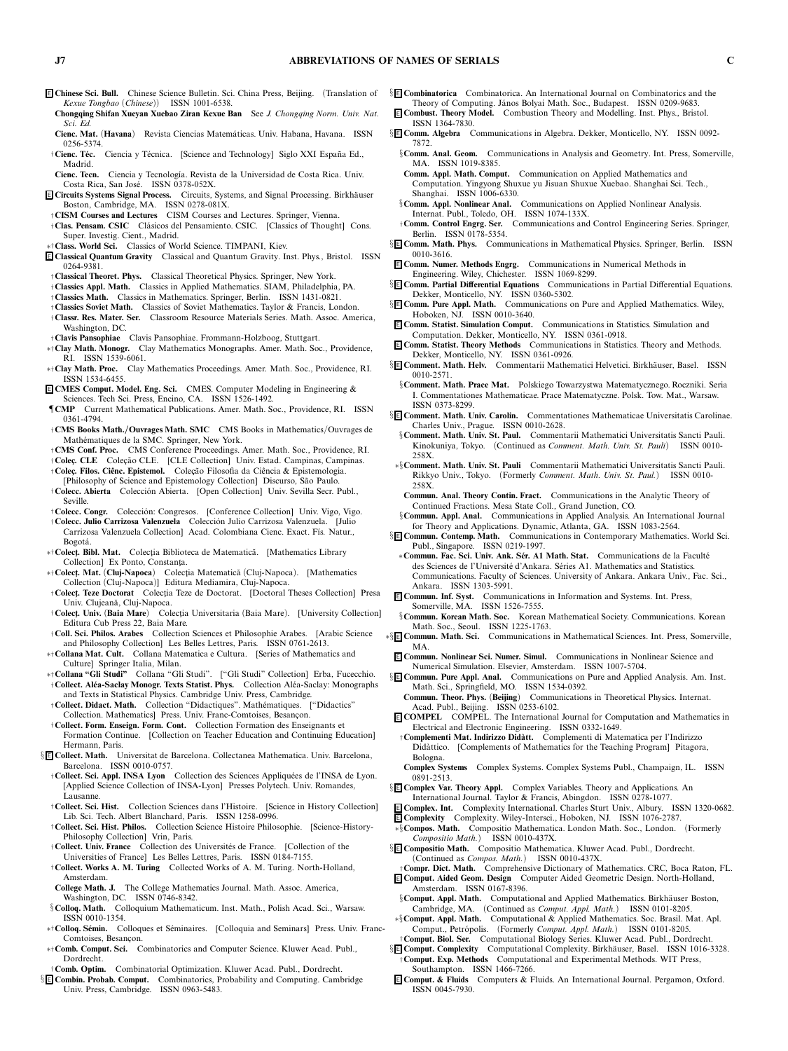- <sup>E</sup> **Chinese Sci. Bull.** *Chinese Science Bulletin. Sci. China Press, Beijing. (Translation of Kexue Tongbao (Chinese)) ISSN 1001-6538.*
- **Chongqing Shifan Xueyan Xuebao Ziran Kexue Ban** *See J. Chongqing Norm. Univ. Nat. Sci. Ed.*
- **Cienc. Mat.** *(***Havana***) Revista Ciencias Matem´aticas. Univ. Habana, Havana. ISSN 0256-5374.*
- $\dagger$  Cienc. Téc. Ciencia y Técnica. [Science and Technology] Siglo XXI España Ed., *Madrid.*
- **Cienc. Tecn.** *Ciencia y Tecnolog´ıa. Revista de la Universidad de Costa Rica. Univ. Costa Rica, San Jos´e. ISSN 0378-052X.*
- <sup>E</sup> **Circuits Systems Signal Process.** *Circuits, Systems, and Signal Processing. Birkh¨auser Boston, Cambridge, MA. ISSN 0278-081X.*
- †**CISM Courses and Lectures** *CISM Courses and Lectures. Springer, Vienna.* †**Clas. Pensam. CSIC** *Cl´asicos del Pensamiento. CSIC. [Classics of Thought] Cons. Super. Investig. Cient., Madrid.*
- ∗†**Class. World Sci.** *Classics of World Science. TIMPANI, Kiev.*
- <sup>E</sup> **Classical Quantum Gravity** *Classical and Quantum Gravity. Inst. Phys., Bristol. ISSN 0264-9381.*
- †**Classical Theoret. Phys.** *Classical Theoretical Physics. Springer, New York.*
- †**Classics Appl. Math.** *Classics in Applied Mathematics. SIAM, Philadelphia, PA.*
- †**Classics Math.** *Classics in Mathematics. Springer, Berlin. ISSN 1431-0821.* †**Classics Soviet Math.** *Classics of Soviet Mathematics. Taylor & Francis, London.*
- †**Classr. Res. Mater. Ser.** *Classroom Resource Materials Series. Math. Assoc. America, Washington, DC.*
- †**Clavis Pansophiae** *Clavis Pansophiae. Frommann-Holzboog, Stuttgart.*
- ∗†**Clay Math. Monogr.** *Clay Mathematics Monographs. Amer. Math. Soc., Providence, RI. ISSN 1539-6061.*
- ∗†**Clay Math. Proc.** *Clay Mathematics Proceedings. Amer. Math. Soc., Providence, RI. ISSN 1534-6455.*
- <sup>E</sup> **CMES Comput. Model. Eng. Sci.** *CMES. Computer Modeling in Engineering & Sciences. Tech Sci. Press, Encino, CA. ISSN 1526-1492.*
- ¶**CMP** *Current Mathematical Publications. Amer. Math. Soc., Providence, RI. ISSN 0361-4794.*
- †**CMS Books Math./Ouvrages Math. SMC** *CMS Books in Mathematics/Ouvrages de Math´ematiques de la SMC. Springer, New York.*
- †**CMS Conf. Proc.** *CMS Conference Proceedings. Amer. Math. Soc., Providence, RI.*
- †**Colec¸. CLE** *Colec¸ ˜ao CLE. [CLE Collection] Univ. Estad. Campinas, Campinas.* †**Colec¸. Filos. Ciˆenc. Epistemol.** *Colec¸ ˜ao Filosofia da Ciˆencia & Epistemologia.*
- *[Philosophy of Science and Epistemology Collection] Discurso, S˜ao Paulo.* †**Colecc. Abierta** *Colecci ´on Abierta. [Open Collection] Univ. Sevilla Secr. Publ., Seville.*
- $\dagger$  Colecc. Congr. Colección: Congresos. [Conference Collection] Univ. Vigo, Vigo.
- †**Colecc. Julio Carrizosa Valenzuela** *Colecci ´on Julio Carrizosa Valenzuela. [Julio Carrizosa Valenzuela Collection] Acad. Colombiana Cienc. Exact. F´ıs. Natur., Bogot´a.*
- ∗†**Colect¸. Bibl. Mat.** *Colect¸ia Biblioteca de Matematic˘a. [Mathematics Library Collection] Ex Ponto, Constant¸a.*
- ∗†**Colect¸. Mat.** *(***Cluj-Napoca***) Colect¸ia Matematic˘a (Cluj-Napoca). [Mathematics Collection (Cluj-Napoca)] Editura Mediamira, Cluj-Napoca.*
- $\dagger$ **Colect. Teze Doctorat** Colectia Teze de Doctorat. [Doctoral Theses Collection] Presa *Univ. Clujean˘a, Cluj-Napoca.*
- $\dagger$  Colect<sub>i</sub>. Univ. (Baia Mare) Colectia Universitaria (Baia Mare). [University Collection] *Editura Cub Press 22, Baia Mare.*
- †**Coll. Sci. Philos. Arabes** *Collection Sciences et Philosophie Arabes. [Arabic Science and Philosophy Collection] Les Belles Lettres, Paris. ISSN 0761-2613.*
- ∗†**Collana Mat. Cult.** *Collana Matematica e Cultura. [Series of Mathematics and Culture] Springer Italia, Milan.*
- ∗†**Collana "Gli Studi"** *Collana "Gli Studi". ["Gli Studi" Collection] Erba, Fucecchio.* †**Collect. Al´ea-Saclay Monogr. Texts Statist. Phys.** *Collection Al´ea-Saclay: Monographs and Texts in Statistical Physics. Cambridge Univ. Press, Cambridge.*
- †**Collect. Didact. Math.** *Collection "Didactiques". Math´ematiques. ["Didactics"* Collection. Mathematics] Press. Univ. Franc-Comtoises, Besançon.
- †**Collect. Form. Enseign. Form. Cont.** *Collection Formation des Enseignants et Formation Continue. [Collection on Teacher Education and Continuing Education] Hermann, Paris.*
- § <sup>E</sup> **Collect. Math.** *Universitat de Barcelona. Collectanea Mathematica. Univ. Barcelona, Barcelona. ISSN 0010-0757.*
- †**Collect. Sci. Appl. INSA Lyon** *Collection des Sciences Appliqu´ees de l'INSA de Lyon. [Applied Science Collection of INSA-Lyon] Presses Polytech. Univ. Romandes, Lausanne.*
- †**Collect. Sci. Hist.** *Collection Sciences dans l'Histoire. [Science in History Collection] Lib. Sci. Tech. Albert Blanchard, Paris. ISSN 1258-0996.*
- †**Collect. Sci. Hist. Philos.** *Collection Science Histoire Philosophie. [Science-History-Philosophy Collection] Vrin, Paris.*
- †**Collect. Univ. France** *Collection des Universit´es de France. [Collection of the Universities of France] Les Belles Lettres, Paris. ISSN 0184-7155.*
- †**Collect. Works A. M. Turing** *Collected Works of A. M. Turing. North-Holland, Amsterdam.*
- **College Math. J.** *The College Mathematics Journal. Math. Assoc. America, Washington, DC. ISSN 0746-8342.*
- §**Colloq. Math.** *Colloquium Mathematicum. Inst. Math., Polish Acad. Sci., Warsaw. ISSN 0010-1354.*
- ∗†**Colloq. S´emin.** *Colloques et S´eminaires. [Colloquia and Seminars] Press. Univ. Franc-Comtoises, Besanc¸on.*
- ∗†**Comb. Comput. Sci.** *Combinatorics and Computer Science. Kluwer Acad. Publ., Dordrecht.*
- †**Comb. Optim.** *Combinatorial Optimization. Kluwer Acad. Publ., Dordrecht.*
- § <sup>E</sup> **Combin. Probab. Comput.** *Combinatorics, Probability and Computing. Cambridge Univ. Press, Cambridge. ISSN 0963-5483.*
- § <sup>E</sup> **Combinatorica** *Combinatorica. An International Journal on Combinatorics and the Theory of Computing. J´anos Bolyai Math. Soc., Budapest. ISSN 0209-9683.*
- <sup>E</sup> **Combust. Theory Model.** *Combustion Theory and Modelling. Inst. Phys., Bristol. ISSN 1364-7830.*
- § <sup>E</sup> **Comm. Algebra** *Communications in Algebra. Dekker, Monticello, NY. ISSN 0092-* 7872.<br>§ Comm. Anal. Geom.
- §**Comm. Anal. Geom.** *Communications in Analysis and Geometry. Int. Press, Somerville, MA. ISSN 1019-8385.*
- **Comm. Appl. Math. Comput.** *Communication on Applied Mathematics and Computation. Yingyong Shuxue yu Jisuan Shuxue Xuebao. Shanghai Sci. Tech., Shanghai. ISSN 1006-6330.*
- §**Comm. Appl. Nonlinear Anal.** *Communications on Applied Nonlinear Analysis. Internat. Publ., Toledo, OH. ISSN 1074-133X.*
- †**Comm. Control Engrg. Ser.** *Communications and Control Engineering Series. Springer, Berlin. ISSN 0178-5354.*
- § <sup>E</sup> **Comm. Math. Phys.** *Communications in Mathematical Physics. Springer, Berlin. ISSN 0010-3616.*
- <sup>E</sup> **Comm. Numer. Methods Engrg.** *Communications in Numerical Methods in Engineering. Wiley, Chichester. ISSN 1069-8299.*
- § <sup>E</sup> **Comm. Partial Differential Equations** *Communications in Partial Differential Equations. Dekker, Monticello, NY. ISSN 0360-5302.*
- § <sup>E</sup> **Comm. Pure Appl. Math.** *Communications on Pure and Applied Mathematics. Wiley, Hoboken, NJ. ISSN 0010-3640.* <sup>E</sup> **Comm. Statist. Simulation Comput.** *Communications in Statistics. Simulation and*
	- *Computation. Dekker, Monticello, NY. ISSN 0361-0918.* <sup>E</sup> **Comm. Statist. Theory Methods** *Communications in Statistics. Theory and Methods.*
	- *Dekker, Monticello, NY. ISSN 0361-0926.*
	- § **E Comment. Math. Helv.** Commentarii Mathematici Helvetici. Birkhäuser, Basel. ISSN *0010-2571.*
	- §**Comment. Math. Prace Mat.** *Polskiego Towarzystwa Matematycznego. Roczniki. Seria I. Commentationes Mathematicae. Prace Matematyczne. Polsk. Tow. Mat., Warsaw. ISSN 0373-8299.*
	- § <sup>E</sup> **Comment. Math. Univ. Carolin.** *Commentationes Mathematicae Universitatis Carolinae. Charles Univ., Prague. ISSN 0010-2628.*
		- §**Comment. Math. Univ. St. Paul.** *Commentarii Mathematici Universitatis Sancti Pauli. Kinokuniya, Tokyo. (Continued as Comment. Math. Univ. St. Pauli) ISSN 0010- 258X.*
	- ∗§**Comment. Math. Univ. St. Pauli** *Commentarii Mathematici Universitatis Sancti Pauli. Rikkyo Univ., Tokyo. (Formerly Comment. Math. Univ. St. Paul.) ISSN 0010- 258X.*
	- **Commun. Anal. Theory Contin. Fract.** *Communications in the Analytic Theory of Continued Fractions. Mesa State Coll., Grand Junction, CO.*
	- §**Commun. Appl. Anal.** *Communications in Applied Analysis. An International Journal for Theory and Applications. Dynamic, Atlanta, GA. ISSN 1083-2564.*
	- § <sup>E</sup> **Commun. Contemp. Math.** *Communications in Contemporary Mathematics. World Sci. Publ., Singapore. ISSN 0219-1997.*
	- \*Commun. Fac. Sci. Univ. Ank. Sér. A1 Math. Stat. Communications de la Faculté *des Sciences de l'Universit´e d'Ankara. S´eries A1. Mathematics and Statistics. Communications. Faculty of Sciences. University of Ankara. Ankara Univ., Fac. Sci., Ankara. ISSN 1303-5991.*
	- <sup>E</sup> **Commun. Inf. Syst.** *Communications in Information and Systems. Int. Press, Somerville, MA. ISSN 1526-7555.*
	- §**Commun. Korean Math. Soc.** *Korean Mathematical Society. Communications. Korean Math. Soc., Seoul. ISSN 1225-1763.*
	- ∗§ <sup>E</sup> **Commun. Math. Sci.** *Communications in Mathematical Sciences. Int. Press, Somerville, MA.*
	- <sup>E</sup> **Commun. Nonlinear Sci. Numer. Simul.** *Communications in Nonlinear Science and Numerical Simulation. Elsevier, Amsterdam. ISSN 1007-5704.*
	- § <sup>E</sup> **Commun. Pure Appl. Anal.** *Communications on Pure and Applied Analysis. Am. Inst. Math. Sci., Springfield, MO. ISSN 1534-0392.*
	- **Commun. Theor. Phys.** *(***Beijing***) Communications in Theoretical Physics. Internat. Acad. Publ., Beijing. ISSN 0253-6102.*
	- <sup>E</sup> **COMPEL** *COMPEL. The International Journal for Computation and Mathematics in Electrical and Electronic Engineering. ISSN 0332-1649.*
	- †**Complementi Mat. Indirizzo Did `att.** *Complementi di Matematica per l'Indirizzo Did`attico. [Complements of Mathematics for the Teaching Program] Pitagora, Bologna.*
	- **Complex Systems** *Complex Systems. Complex Systems Publ., Champaign, IL. ISSN 0891-2513.*
	- § <sup>E</sup> **Complex Var. Theory Appl.** *Complex Variables. Theory and Applications. An International Journal. Taylor & Francis, Abingdon. ISSN 0278-1077.*
	- <sup>E</sup> **Complex. Int.** *Complexity International. Charles Sturt Univ., Albury. ISSN 1320-0682.*
	- <sup>E</sup> **Complexity** *Complexity. Wiley-Intersci., Hoboken, NJ. ISSN 1076-2787.*
	- ∗§**Compos. Math.** *Compositio Mathematica. London Math. Soc., London. (Formerly*
	- *Compositio Math.) ISSN 0010-437X.* § <sup>E</sup> **Compositio Math.** *Compositio Mathematica. Kluwer Acad. Publ., Dordrecht.*
	- *(Continued as Compos. Math.) ISSN 0010-437X.* †**Compr. Dict. Math.** *Comprehensive Dictionary of Mathematics. CRC, Boca Raton, FL.*
	- <sup>E</sup> **Comput. Aided Geom. Design** *Computer Aided Geometric Design. North-Holland, Amsterdam. ISSN 0167-8396.*
	- §**Comput. Appl. Math.** *Computational and Applied Mathematics. Birkh¨auser Boston, Cambridge, MA. (Continued as Comput. Appl. Math.) ISSN 0101-8205.*
	- ∗§**Comput. Appl. Math.** *Computational & Applied Mathematics. Soc. Brasil. Mat. Apl. Comput., Petr ´opolis. (Formerly Comput. Appl. Math.) ISSN 0101-8205.* †**Comput. Biol. Ser.** *Computational Biology Series. Kluwer Acad. Publ., Dordrecht.*
	- § **E Comput. Complexity** Computational Complexity. Birkhäuser, Basel. ISSN 1016-3328. †**Comput. Exp. Methods** *Computational and Experimental Methods. WIT Press, Southampton. ISSN 1466-7266.*
	- <sup>E</sup> **Comput. & Fluids** *Computers & Fluids. An International Journal. Pergamon, Oxford. ISSN 0045-7930.*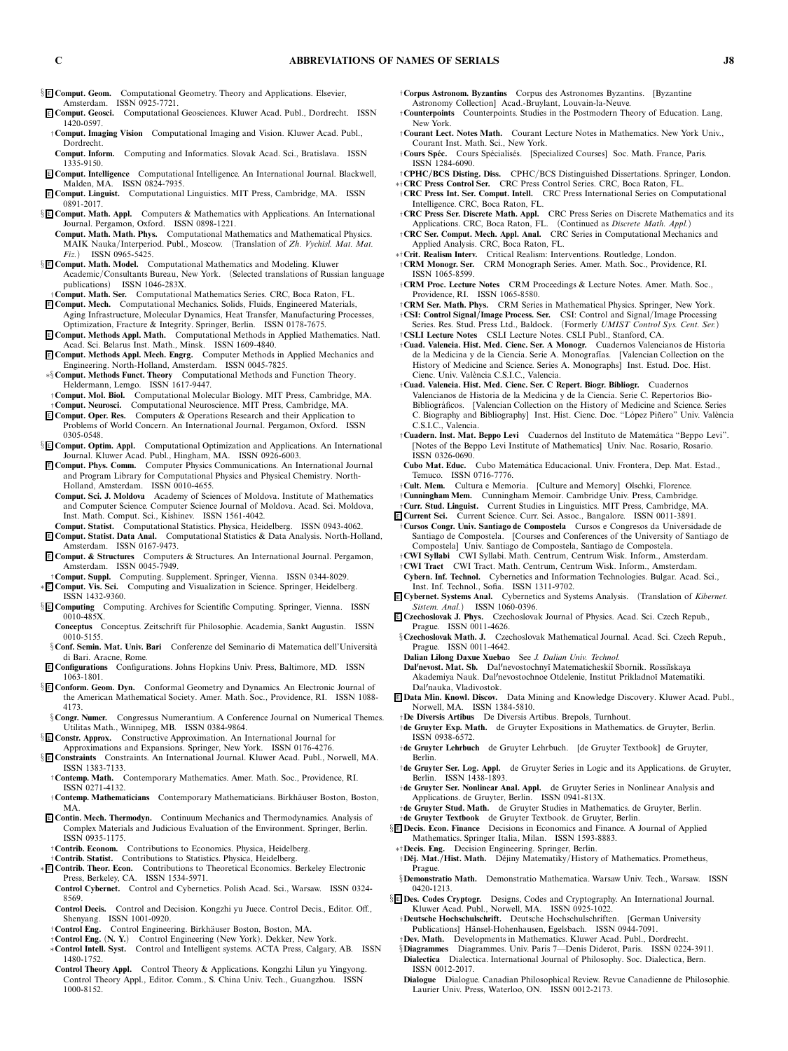- § <sup>E</sup> **Comput. Geom.** *Computational Geometry. Theory and Applications. Elsevier, Amsterdam. ISSN 0925-7721.*
- <sup>E</sup> **Comput. Geosci.** *Computational Geosciences. Kluwer Acad. Publ., Dordrecht. ISSN 1420-0597.*
- †**Comput. Imaging Vision** *Computational Imaging and Vision. Kluwer Acad. Publ., Dordrecht.*
- **Comput. Inform.** *Computing and Informatics. Slovak Acad. Sci., Bratislava. ISSN 1335-9150.*
- <sup>E</sup> **Comput. Intelligence** *Computational Intelligence. An International Journal. Blackwell, Malden, MA. ISSN 0824-7935.*
- <sup>E</sup> **Comput. Linguist.** *Computational Linguistics. MIT Press, Cambridge, MA. ISSN 0891-2017.*
- § <sup>E</sup> **Comput. Math. Appl.** *Computers & Mathematics with Applications. An International Journal. Pergamon, Oxford. ISSN 0898-1221.*
- **Comput. Math. Math. Phys.** *Computational Mathematics and Mathematical Physics. MAIK Nauka/Interperiod. Publ., Moscow. (Translation of Zh. Vychisl. Mat. Mat. Fiz.) ISSN 0965-5425.*
- § <sup>E</sup> **Comput. Math. Model.** *Computational Mathematics and Modeling. Kluwer Academic/Consultants Bureau, New York. (Selected translations of Russian language publications) ISSN 1046-283X.*
- †**Comput. Math. Ser.** *Computational Mathematics Series. CRC, Boca Raton, FL.*
- <sup>E</sup> **Comput. Mech.** *Computational Mechanics. Solids, Fluids, Engineered Materials, Aging Infrastructure, Molecular Dynamics, Heat Transfer, Manufacturing Processes, Optimization, Fracture & Integrity. Springer, Berlin. ISSN 0178-7675.*
- <sup>E</sup> **Comput. Methods Appl. Math.** *Computational Methods in Applied Mathematics. Natl. Acad. Sci. Belarus Inst. Math., Minsk. ISSN 1609-4840.*
- <sup>E</sup> **Comput. Methods Appl. Mech. Engrg.** *Computer Methods in Applied Mechanics and Engineering. North-Holland, Amsterdam. ISSN 0045-7825.*
- ∗§**Comput. Methods Funct. Theory** *Computational Methods and Function Theory. Heldermann, Lemgo. ISSN 1617-9447.*
- †**Comput. Mol. Biol.** *Computational Molecular Biology. MIT Press, Cambridge, MA.* †**Comput. Neurosci.** *Computational Neuroscience. MIT Press, Cambridge, MA.*
- <sup>E</sup> **Comput. Oper. Res.** *Computers & Operations Research and their Application to Problems of World Concern. An International Journal. Pergamon, Oxford. ISSN 0305-0548.*
- § <sup>E</sup> **Comput. Optim. Appl.** *Computational Optimization and Applications. An International Journal. Kluwer Acad. Publ., Hingham, MA. ISSN 0926-6003.*
- <sup>E</sup> **Comput. Phys. Comm.** *Computer Physics Communications. An International Journal and Program Library for Computational Physics and Physical Chemistry. North-Holland, Amsterdam. ISSN 0010-4655.*
- **Comput. Sci. J. Moldova** *Academy of Sciences of Moldova. Institute of Mathematics and Computer Science. Computer Science Journal of Moldova. Acad. Sci. Moldova, Inst. Math. Comput. Sci., Kishinev. ISSN 1561-4042.*
- **Comput. Statist.** *Computational Statistics. Physica, Heidelberg. ISSN 0943-4062.* <sup>E</sup> **Comput. Statist. Data Anal.** *Computational Statistics & Data Analysis. North-Holland,*
- *Amsterdam. ISSN 0167-9473.* <sup>E</sup> **Comput. & Structures** *Computers & Structures. An International Journal. Pergamon, Amsterdam. ISSN 0045-7949.*
- †**Comput. Suppl.** *Computing. Supplement. Springer, Vienna. ISSN 0344-8029.*
- ∗ <sup>E</sup> **Comput. Vis. Sci.** *Computing and Visualization in Science. Springer, Heidelberg. ISSN 1432-9360.*
- § <sup>E</sup> **Computing** *Computing. Archives for Scientific Computing. Springer, Vienna. ISSN 0010-485X.*
- **Conceptus** Conceptus. Zeitschrift für Philosophie. Academia, Sankt Augustin. ISSN *0010-5155.*
- §**Conf. Semin. Mat. Univ. Bari** *Conferenze del Seminario di Matematica dell'Universit`a di Bari. Aracne, Rome.*
- <sup>E</sup> **Configurations** *Configurations. Johns Hopkins Univ. Press, Baltimore, MD. ISSN 1063-1801.*
- § <sup>E</sup> **Conform. Geom. Dyn.** *Conformal Geometry and Dynamics. An Electronic Journal of the American Mathematical Society. Amer. Math. Soc., Providence, RI. ISSN 1088- 4173.*
- §**Congr. Numer.** *Congressus Numerantium. A Conference Journal on Numerical Themes. Utilitas Math., Winnipeg, MB. ISSN 0384-9864.*
- § <sup>E</sup> **Constr. Approx.** *Constructive Approximation. An International Journal for*
- *Approximations and Expansions. Springer, New York. ISSN 0176-4276.* § <sup>E</sup> **Constraints** *Constraints. An International Journal. Kluwer Acad. Publ., Norwell, MA. ISSN 1383-7133.*
- †**Contemp. Math.** *Contemporary Mathematics. Amer. Math. Soc., Providence, RI. ISSN 0271-4132.*
- †**Contemp. Mathematicians** *Contemporary Mathematicians. Birkh¨auser Boston, Boston, MA.*
- <sup>E</sup> **Contin. Mech. Thermodyn.** *Continuum Mechanics and Thermodynamics. Analysis of Complex Materials and Judicious Evaluation of the Environment. Springer, Berlin. ISSN 0935-1175.*
- †**Contrib. Econom.** *Contributions to Economics. Physica, Heidelberg.*
- †**Contrib. Statist.** *Contributions to Statistics. Physica, Heidelberg.* ∗ <sup>E</sup> **Contrib. Theor. Econ.** *Contributions to Theoretical Economics. Berkeley Electronic*
- *Press, Berkeley, CA. ISSN 1534-5971.* **Control Cybernet.** *Control and Cybernetics. Polish Acad. Sci., Warsaw. ISSN 0324- 8569.*
- **Control Decis.** *Control and Decision. Kongzhi yu Juece. Control Decis., Editor. Off., Shenyang. ISSN 1001-0920.*
- †**Control Eng.** *Control Engineering. Birkh¨auser Boston, Boston, MA.*
- †**Control Eng.** *(***N. Y.***) Control Engineering (New York). Dekker, New York.*
- ∗**Control Intell. Syst.** *Control and Intelligent systems. ACTA Press, Calgary, AB. ISSN 1480-1752.*
- **Control Theory Appl.** *Control Theory & Applications. Kongzhi Lilun yu Yingyong. Control Theory Appl., Editor. Comm., S. China Univ. Tech., Guangzhou. ISSN 1000-8152.*
- †**Corpus Astronom. Byzantins** *Corpus des Astronomes Byzantins. [Byzantine Astronomy Collection] Acad.-Bruylant, Louvain-la-Neuve.*
- †**Counterpoints** *Counterpoints. Studies in the Postmodern Theory of Education. Lang, New York.*
- †**Courant Lect. Notes Math.** *Courant Lecture Notes in Mathematics. New York Univ., Courant Inst. Math. Sci., New York.*
- †**Cours Sp ´ec.** *Cours Sp´ecialis´es. [Specialized Courses] Soc. Math. France, Paris. ISSN 1284-6090.*
- †**CPHC/BCS Disting. Diss.** *CPHC/BCS Distinguished Dissertations. Springer, London.*
- ∗†**CRC Press Control Ser.** *CRC Press Control Series. CRC, Boca Raton, FL.* †**CRC Press Int. Ser. Comput. Intell.** *CRC Press International Series on Computational Intelligence. CRC, Boca Raton, FL.*
- †**CRC Press Ser. Discrete Math. Appl.** *CRC Press Series on Discrete Mathematics and its Applications. CRC, Boca Raton, FL. (Continued as Discrete Math. Appl.)*
- †**CRC Ser. Comput. Mech. Appl. Anal.** *CRC Series in Computational Mechanics and Applied Analysis. CRC, Boca Raton, FL.*
- ∗†**Crit. Realism Interv.** *Critical Realism: Interventions. Routledge, London.* †**CRM Monogr. Ser.** *CRM Monograph Series. Amer. Math. Soc., Providence, RI. ISSN 1065-8599.*
- †**CRM Proc. Lecture Notes** *CRM Proceedings & Lecture Notes. Amer. Math. Soc., Providence, RI. ISSN 1065-8580.*
- †**CRM Ser. Math. Phys.** *CRM Series in Mathematical Physics. Springer, New York.* †**CSI: Control Signal/Image Process. Ser.** *CSI: Control and Signal/Image Processing*
- *Series. Res. Stud. Press Ltd., Baldock. (Formerly UMIST Control Sys. Cent. Ser.)* †**CSLI Lecture Notes** *CSLI Lecture Notes. CSLI Publ., Stanford, CA.*
- *de la Medicina y de la Ciencia. Serie A. Monograf´ias. [Valencian Collection on the History of Medicine and Science. Series A. Monographs] Inst. Estud. Doc. Hist. Cienc. Univ. Val`encia C.S.I.C., Valencia.*
- †**Cuad. Valencia. Hist. Med. Cienc. Ser. C Repert. Biogr. Bibliogr.** *Cuadernos Valencianos de Historia de la Medicina y de la Ciencia. Serie C. Repertorios Bio-Bibliogr´aficos. [Valencian Collection on the History of Medicine and Science. Series C. Biography and Bibliography] Inst. Hist. Cienc. Doc. "L ´opez Pi ˜nero" Univ. Val`encia C.S.I.C., Valencia.*
- †**Cuadern. Inst. Mat. Beppo Levi** *Cuadernos del Instituto de Matem´atica "Beppo Levi". [Notes of the Beppo Levi Institute of Mathematics] Univ. Nac. Rosario, Rosario. ISSN 0326-0690.*
- **Cubo Mat. Educ.** *Cubo Matem´atica Educacional. Univ. Frontera, Dep. Mat. Estad., Temuco. ISSN 0716-7776.*
- †**Cult. Mem.** *Cultura e Memoria. [Culture and Memory] Olschki, Florence.*
- †**Cunningham Mem.** *Cunningham Memoir. Cambridge Univ. Press, Cambridge.*
- †**Curr. Stud. Linguist.** *Current Studies in Linguistics. MIT Press, Cambridge, MA.* <sup>E</sup> **Current Sci.** *Current Science. Curr. Sci. Assoc., Bangalore. ISSN 0011-3891.*
- †**Cursos Congr. Univ. Santiago de Compostela** *Cursos e Congresos da Universidade de Santiago de Compostela. [Courses and Conferences of the University of Santiago de Compostela] Univ. Santiago de Compostela, Santiago de Compostela.* †**CWI Syllabi** *CWI Syllabi. Math. Centrum, Centrum Wisk. Inform., Amsterdam.*
- †**CWI Tract** *CWI Tract. Math. Centrum, Centrum Wisk. Inform., Amsterdam.*
- **Cybern. Inf. Technol.** *Cybernetics and Information Technologies. Bulgar. Acad. Sci., Inst. Inf. Technol., Sofia. ISSN 1311-9702.*
- <sup>E</sup> **Cybernet. Systems Anal.** *Cybernetics and Systems Analysis. (Translation of Kibernet. Sistem. Anal.) ISSN 1060-0396.*
- <sup>E</sup> **Czechoslovak J. Phys.** *Czechoslovak Journal of Physics. Acad. Sci. Czech Repub., Prague. ISSN 0011-4626.*
- §**Czechoslovak Math. J.** *Czechoslovak Mathematical Journal. Acad. Sci. Czech Repub., Prague. ISSN 0011-4642.*
- **Dalian Lilong Daxue Xuebao** *See J. Dalian Univ. Technol.*
- **Dalnevost. Mat. Sb.** *Dalnevostochny˘ı Matematicheski˘ı Sbornik. Rossi˘ıskaya Akademiya Nauk. Dalnevostochnoe Otdelenie, Institut Prikladno˘ı Matematiki. Dalnauka, Vladivostok.*
- <sup>E</sup> **Data Min. Knowl. Discov.** *Data Mining and Knowledge Discovery. Kluwer Acad. Publ., Norwell, MA. ISSN 1384-5810.*
- †**De Diversis Artibus** *De Diversis Artibus. Brepols, Turnhout.*
- †**de Gruyter Exp. Math.** *de Gruyter Expositions in Mathematics. de Gruyter, Berlin. ISSN 0938-6572.*
- †**de Gruyter Lehrbuch** *de Gruyter Lehrbuch. [de Gruyter Textbook] de Gruyter, Berlin.*
- †**de Gruyter Ser. Log. Appl.** *de Gruyter Series in Logic and its Applications. de Gruyter, Berlin. ISSN 1438-1893.*
- †**de Gruyter Ser. Nonlinear Anal. Appl.** *de Gruyter Series in Nonlinear Analysis and Applications. de Gruyter, Berlin. ISSN 0941-813X.*
- †**de Gruyter Stud. Math.** *de Gruyter Studies in Mathematics. de Gruyter, Berlin.*
- †**de Gruyter Textbook** *de Gruyter Textbook. de Gruyter, Berlin.*
- § <sup>E</sup> **Decis. Econ. Finance** *Decisions in Economics and Finance. A Journal of Applied Mathematics. Springer Italia, Milan. ISSN 1593-8883.*
- ∗†**Decis. Eng.** *Decision Engineering. Springer, Berlin.* †**Dˇej. Mat./Hist. Math.** *Dˇejiny Matematiky/History of Mathematics. Prometheus, Prague.*
- §**Demonstratio Math.** *Demonstratio Mathematica. Warsaw Univ. Tech., Warsaw. ISSN 0420-1213.*
- § <sup>E</sup> **Des. Codes Cryptogr.** *Designs, Codes and Cryptography. An International Journal. Kluwer Acad. Publ., Norwell, MA. ISSN 0925-1022.*
	- †**Deutsche Hochschulschrift.** *Deutsche Hochschulschriften. [German University* Publications] Hänsel-Hohenhausen, Egelsbach. ISSN 0944-7091.
- †**Dev. Math.** *Developments in Mathematics. Kluwer Acad. Publ., Dordrecht.* §**Diagrammes** *Diagrammes. Univ. Paris 7—Denis Diderot, Paris. ISSN 0224-3911.*
- **Dialectica** *Dialectica. International Journal of Philosophy. Soc. Dialectica, Bern. ISSN 0012-2017.*
- **Dialogue** *Dialogue. Canadian Philosophical Review. Revue Canadienne de Philosophie. Laurier Univ. Press, Waterloo, ON. ISSN 0012-2173.*

†**Cuad. Valencia. Hist. Med. Cienc. Ser. A Monogr.** *Cuadernos Valencianos de Historia*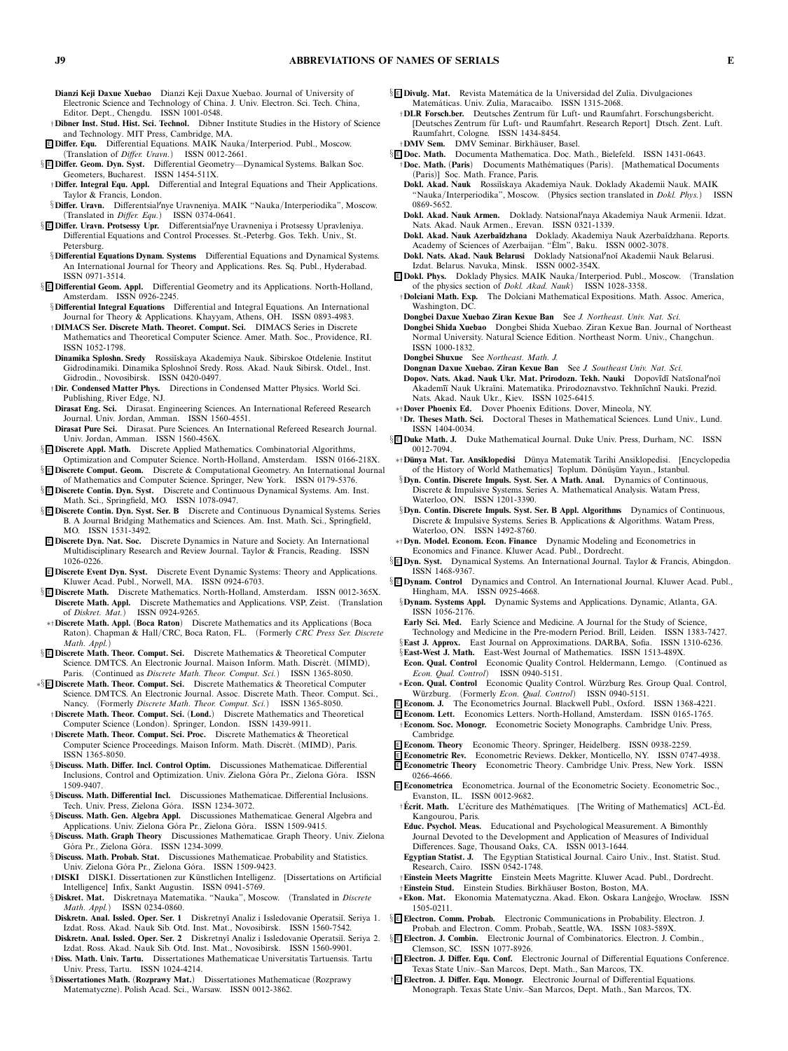- **Dianzi Keji Daxue Xuebao** *Dianzi Keji Daxue Xuebao. Journal of University of Electronic Science and Technology of China. J. Univ. Electron. Sci. Tech. China, Editor. Dept., Chengdu. ISSN 1001-0548.*
- †**Dibner Inst. Stud. Hist. Sci. Technol.** *Dibner Institute Studies in the History of Science and Technology. MIT Press, Cambridge, MA.*
- <sup>E</sup> **Differ. Equ.** *Differential Equations. MAIK Nauka/Interperiod. Publ., Moscow. (Translation of Differ. Uravn.) ISSN 0012-2661.*
- § <sup>E</sup> **Differ. Geom. Dyn. Syst.** *Differential Geometry—Dynamical Systems. Balkan Soc. Geometers, Bucharest. ISSN 1454-511X.*
- †**Differ. Integral Equ. Appl.** *Differential and Integral Equations and Their Applications. Taylor & Francis, London.*
- §**Differ. Uravn.** *Differentsialnye Uravneniya. MAIK "Nauka/Interperiodika", Moscow. (Translated in Differ. Equ.) ISSN 0374-0641.*
- §**E** Differ. Uravn. Protsessy Upr. Differentsial/nye Uravneniya i Protsessy Upravleniya. Differential Equations and Control Processes. St.-Peterbg. Gos. Tekh. Univ., St. *Petersburg.*
- §**Differential Equations Dynam. Systems** *Differential Equations and Dynamical Systems. An International Journal for Theory and Applications. Res. Sq. Publ., Hyderabad. ISSN 0971-3514.*
- § <sup>E</sup> **Differential Geom. Appl.** *Differential Geometry and its Applications. North-Holland, Amsterdam. ISSN 0926-2245.*
- §**Differential Integral Equations** *Differential and Integral Equations. An International Journal for Theory & Applications. Khayyam, Athens, OH. ISSN 0893-4983.* †**DIMACS Ser. Discrete Math. Theoret. Comput. Sci.** *DIMACS Series in Discrete*
- *Mathematics and Theoretical Computer Science. Amer. Math. Soc., Providence, RI. ISSN 1052-1798.*
- **Dinamika Sploshn. Sredy** *Rossi˘ıskaya Akademiya Nauk. Sibirskoe Otdelenie. Institut Gidrodinamiki. Dinamika Sploshno˘ı Sredy. Ross. Akad. Nauk Sibirsk. Otdel., Inst. Gidrodin., Novosibirsk. ISSN 0420-0497.*
- †**Dir. Condensed Matter Phys.** *Directions in Condensed Matter Physics. World Sci. Publishing, River Edge, NJ.*
- **Dirasat Eng. Sci.** *Dirasat. Engineering Sciences. An International Refereed Research Journal. Univ. Jordan, Amman. ISSN 1560-4551.*
- **Dirasat Pure Sci.** *Dirasat. Pure Sciences. An International Refereed Research Journal. Univ. Jordan, Amman. ISSN 1560-456X.*
- § <sup>E</sup> **Discrete Appl. Math.** *Discrete Applied Mathematics. Combinatorial Algorithms,*

*Optimization and Computer Science. North-Holland, Amsterdam. ISSN 0166-218X.* § <sup>E</sup> **Discrete Comput. Geom.** *Discrete & Computational Geometry. An International Journal*

*of Mathematics and Computer Science. Springer, New York. ISSN 0179-5376.* § <sup>E</sup> **Discrete Contin. Dyn. Syst.** *Discrete and Continuous Dynamical Systems. Am. Inst. Math. Sci., Springfield, MO. ISSN 1078-0947.*

- § <sup>E</sup> **Discrete Contin. Dyn. Syst. Ser. B** *Discrete and Continuous Dynamical Systems. Series B. A Journal Bridging Mathematics and Sciences. Am. Inst. Math. Sci., Springfield, MO. ISSN 1531-3492.*
- <sup>E</sup> **Discrete Dyn. Nat. Soc.** *Discrete Dynamics in Nature and Society. An International Multidisciplinary Research and Review Journal. Taylor & Francis, Reading. ISSN 1026-0226.*
- <sup>E</sup> **Discrete Event Dyn. Syst.** *Discrete Event Dynamic Systems: Theory and Applications. Kluwer Acad. Publ., Norwell, MA. ISSN 0924-6703.*
- § <sup>E</sup> **Discrete Math.** *Discrete Mathematics. North-Holland, Amsterdam. ISSN 0012-365X.* **Discrete Math. Appl.** *Discrete Mathematics and Applications. VSP, Zeist. (Translation of Diskret. Mat.) ISSN 0924-9265.*
- ∗†**Discrete Math. Appl.** *(***Boca Raton***) Discrete Mathematics and its Applications (Boca Raton). Chapman & Hall/CRC, Boca Raton, FL. (Formerly CRC Press Ser. Discrete Math. Appl.)*
- § <sup>E</sup> **Discrete Math. Theor. Comput. Sci.** *Discrete Mathematics & Theoretical Computer* Science. DMTCS. An Electronic Journal. Maison Inform. Math. Discrèt. (MIMD), *Paris. (Continued as Discrete Math. Theor. Comput. Sci.) ISSN 1365-8050.*
- ∗§ <sup>E</sup> **Discrete Math. Theor. Comput. Sci.** *Discrete Mathematics & Theoretical Computer Science. DMTCS. An Electronic Journal. Assoc. Discrete Math. Theor. Comput. Sci., Nancy. (Formerly Discrete Math. Theor. Comput. Sci.) ISSN 1365-8050.*
	- †**Discrete Math. Theor. Comput. Sci.** *(***Lond.***) Discrete Mathematics and Theoretical Computer Science (London). Springer, London. ISSN 1439-9911.*
	- †**Discrete Math. Theor. Comput. Sci. Proc.** *Discrete Mathematics & Theoretical Computer Science Proceedings. Maison Inform. Math. Discr`et. (MIMD), Paris. ISSN 1365-8050.*
	- §**Discuss. Math. Differ. Incl. Control Optim.** *Discussiones Mathematicae. Differential Inclusions, Control and Optimization, Univ. Zielona Góra Pr., Zielona Góra. ISSN 1509-9407.*
	- §**Discuss. Math. Differential Incl.** *Discussiones Mathematicae. Differential Inclusions.* Tech. Univ. Press, Zielona Góra. ISSN 1234-3072.
	- §**Discuss. Math. Gen. Algebra Appl.** *Discussiones Mathematicae. General Algebra and* Applications. Univ. Zielona Góra Pr., Zielona Góra. ISSN 1509-9415.
	- §**Discuss. Math. Graph Theory** *Discussiones Mathematicae. Graph Theory. Univ. Zielona G ´ora Pr., Zielona G ´ora. ISSN 1234-3099.*
	- §**Discuss. Math. Probab. Stat.** *Discussiones Mathematicae. Probability and Statistics. Univ. Zielona G ´ora Pr., Zielona G ´ora. ISSN 1509-9423.*
	- †**DISKI** *DISKI. Dissertationen zur K ¨unstlichen Intelligenz. [Dissertations on Artificial Intelligence] Infix, Sankt Augustin. ISSN 0941-5769.*
	- §**Diskret. Mat.** *Diskretnaya Matematika. "Nauka", Moscow. (Translated in Discrete Math. Appl.) ISSN 0234-0860.*
	- **Diskretn. Anal. Issled. Oper. Ser. 1** *Diskretny˘ı Analiz i Issledovanie Operatsi˘ı. Seriya 1. Izdat. Ross. Akad. Nauk Sib. Otd. Inst. Mat., Novosibirsk. ISSN 1560-7542.* Diskretn. Anal. Issled. Oper. Ser. 2 Diskretnyĭ Analiz i Issledovanie Operatsiĭ. Seriya 2.
	- *Izdat. Ross. Akad. Nauk Sib. Otd. Inst. Mat., Novosibirsk. ISSN 1560-9901.* †**Diss. Math. Univ. Tartu.** *Dissertationes Mathematicae Universitatis Tartuensis. Tartu*
	- *Univ. Press, Tartu. ISSN 1024-4214.* §**Dissertationes Math.** *(***Rozprawy Mat.***) Dissertationes Mathematicae (Rozprawy Matematyczne). Polish Acad. Sci., Warsaw. ISSN 0012-3862.*
- § <sup>E</sup> **Divulg. Mat.** *Revista Matem´atica de la Universidad del Zulia. Divulgaciones Matem´aticas. Univ. Zulia, Maracaibo. ISSN 1315-2068.*
	- †**DLR Forsch.ber.** *Deutsches Zentrum f ¨ur Luft- und Raumfahrt. Forschungsbericht.* [Deutsches Zentrum für Luft- und Raumfahrt. Research Report] Dtsch. Zent. Luft. *Raumfahrt, Cologne. ISSN 1434-8454.*
- †**DMV Sem.** *DMV Seminar. Birkh¨auser, Basel.*
- § <sup>E</sup> **Doc. Math.** *Documenta Mathematica. Doc. Math., Bielefeld. ISSN 1431-0643.* †**Doc. Math.** *(***Paris***) Documents Math´ematiques (Paris). [Mathematical Documents (Paris)] Soc. Math. France, Paris.*
	- **Dokl. Akad. Nauk** *Rossi˘ıskaya Akademiya Nauk. Doklady Akademii Nauk. MAIK "Nauka/Interperiodika", Moscow. (Physics section translated in Dokl. Phys.) ISSN 0869-5652.*
	- **Dokl. Akad. Nauk Armen.** *Doklady. Natsionalnaya Akademiya Nauk Armenii. Idzat. Nats. Akad. Nauk Armen., Erevan. ISSN 0321-1339.*
	- **Dokl. Akad. Nauk Azerba˘ıdzhana** *Doklady. Akademiya Nauk Azerba˘ıdzhana. Reports. Academy of Sciences of Azerbaijan. "Elm", Baku. ISSN 0002-3078. `*
	- **Dokl. Nats. Akad. Nauk Belarusi** *Doklady Natsionalno˘ı Akademii Nauk Belarusi. Izdat. Belarus. Navuka, Minsk. ISSN 0002-354X.*
- <sup>E</sup> **Dokl. Phys.** *Doklady Physics. MAIK Nauka/Interperiod. Publ., Moscow. (Translation of the physics section of Dokl. Akad. Nauk) ISSN 1028-3358.*
- †**Dolciani Math. Exp.** *The Dolciani Mathematical Expositions. Math. Assoc. America, Washington, DC.*
- **Dongbei Daxue Xuebao Ziran Kexue Ban** *See J. Northeast. Univ. Nat. Sci.*
- **Dongbei Shida Xuebao** *Dongbei Shida Xuebao. Ziran Kexue Ban. Journal of Northeast Normal University. Natural Science Edition. Northeast Norm. Univ., Changchun. ISSN 1000-1832.*
- **Dongbei Shuxue** *See Northeast. Math. J.*
- **Dongnan Daxue Xuebao. Ziran Kexue Ban** *See J. Southeast Univ. Nat. Sci.*
- **Dopov. Nats. Akad. Nauk Ukr. Mat. Prirodozn. Tekh. Nauki** *Dopov¯ıd¯ı Nats¯ıonalno¨ı Akadem¯ı¨ı Nauk Ukra¨ıni. Matematika. Prirodoznavstvo. Tekhn¯ıchn¯ı Nauki. Prezid. Nats. Akad. Nauk Ukr., Kiev. ISSN 1025-6415.*
- ∗†**Dover Phoenix Ed.** *Dover Phoenix Editions. Dover, Mineola, NY.*
- †**Dr. Theses Math. Sci.** *Doctoral Theses in Mathematical Sciences. Lund Univ., Lund. ISSN 1404-0034.*
- § <sup>E</sup> **Duke Math. J.** *Duke Mathematical Journal. Duke Univ. Press, Durham, NC. ISSN 0012-7094.*
- ∗†**D¨unya Mat. Tar. Ansiklopedisi** *D ¨unya Matematik Tarihi Ansiklopedisi. [Encyclopedia* of the History of World Mathematics] Toplum. Dönüşüm Yayın., Istanbul.

§**Dyn. Contin. Discrete Impuls. Syst. Ser. A Math. Anal.** *Dynamics of Continuous, Discrete & Impulsive Systems. Series A. Mathematical Analysis. Watam Press, Waterloo, ON. ISSN 1201-3390.*

- §**Dyn. Contin. Discrete Impuls. Syst. Ser. B Appl. Algorithms** *Dynamics of Continuous, Discrete & Impulsive Systems. Series B. Applications & Algorithms. Watam Press, Waterloo, ON. ISSN 1492-8760.*
- ∗†**Dyn. Model. Econom. Econ. Finance** *Dynamic Modeling and Econometrics in Economics and Finance. Kluwer Acad. Publ., Dordrecht.*
- § <sup>E</sup> **Dyn. Syst.** *Dynamical Systems. An International Journal. Taylor & Francis, Abingdon. ISSN 1468-9367.*
- § <sup>E</sup> **Dynam. Control** *Dynamics and Control. An International Journal. Kluwer Acad. Publ., Hingham, MA. ISSN 0925-4668.*
	- §**Dynam. Systems Appl.** *Dynamic Systems and Applications. Dynamic, Atlanta, GA. ISSN 1056-2176.*
	- **Early Sci. Med.** *Early Science and Medicine. A Journal for the Study of Science, Technology and Medicine in the Pre-modern Period. Brill, Leiden. ISSN 1383-7427.*
	- §**East J. Approx.** *East Journal on Approximations. DARBA, Sofia. ISSN 1310-6236.*
	- §**East-West J. Math.** *East-West Journal of Mathematics. ISSN 1513-489X.* **Econ. Qual. Control** *Economic Quality Control. Heldermann, Lemgo. (Continued as Econ. Qual. Control) ISSN 0940-5151.*
	- ∗**Econ. Qual. Control** *Economic Quality Control. W ¨urzburg Res. Group Qual. Control, W ¨urzburg. (Formerly Econ. Qual. Control) ISSN 0940-5151.*
- <sup>E</sup> **Econom. J.** *The Econometrics Journal. Blackwell Publ., Oxford. ISSN 1368-4221.*
- <sup>E</sup> **Econom. Lett.** *Economics Letters. North-Holland, Amsterdam. ISSN 0165-1765.* †**Econom. Soc. Monogr.** *Econometric Society Monographs. Cambridge Univ. Press,*
- *Cambridge.*
- <sup>E</sup> **Econom. Theory** *Economic Theory. Springer, Heidelberg. ISSN 0938-2259.*
- <sup>E</sup> **Econometric Rev.** *Econometric Reviews. Dekker, Monticello, NY. ISSN 0747-4938.* <sup>E</sup> **Econometric Theory** *Econometric Theory. Cambridge Univ. Press, New York. ISSN 0266-4666.*
- <sup>E</sup> **Econometrica** *Econometrica. Journal of the Econometric Society. Econometric Soc., Evanston, IL. ISSN 0012-9682.*
- †**Ecrit. Math. ´** *L'´ecriture des Math´ematiques. [The Writing of Mathematics] ACL-Ed. ´ Kangourou, Paris.*
- **Educ. Psychol. Meas.** *Educational and Psychological Measurement. A Bimonthly Journal Devoted to the Development and Application of Measures of Individual Differences. Sage, Thousand Oaks, CA. ISSN 0013-1644.*
- **Egyptian Statist. J.** *The Egyptian Statistical Journal. Cairo Univ., Inst. Statist. Stud. Research, Cairo. ISSN 0542-1748.*
- †**Einstein Meets Magritte** *Einstein Meets Magritte. Kluwer Acad. Publ., Dordrecht.*
- †**Einstein Stud.** *Einstein Studies. Birkh¨auser Boston, Boston, MA.*
- ∗**Ekon. Mat.** *Ekonomia Matematyczna. Akad. Ekon. Oskara Lan´ge´go, Wrocław. ISSN 1505-0211.*
- § <sup>E</sup> **Electron. Comm. Probab.** *Electronic Communications in Probability. Electron. J.*
- *Probab. and Electron. Comm. Probab., Seattle, WA. ISSN 1083-589X.* § <sup>E</sup> **Electron. J. Combin.** *Electronic Journal of Combinatorics. Electron. J. Combin., Clemson, SC. ISSN 1077-8926.*
- † <sup>E</sup> **Electron. J. Differ. Equ. Conf.** *Electronic Journal of Differential Equations Conference. Texas State Univ.–San Marcos, Dept. Math., San Marcos, TX.*
- † <sup>E</sup> **Electron. J. Differ. Equ. Monogr.** *Electronic Journal of Differential Equations. Monograph. Texas State Univ.–San Marcos, Dept. Math., San Marcos, TX.*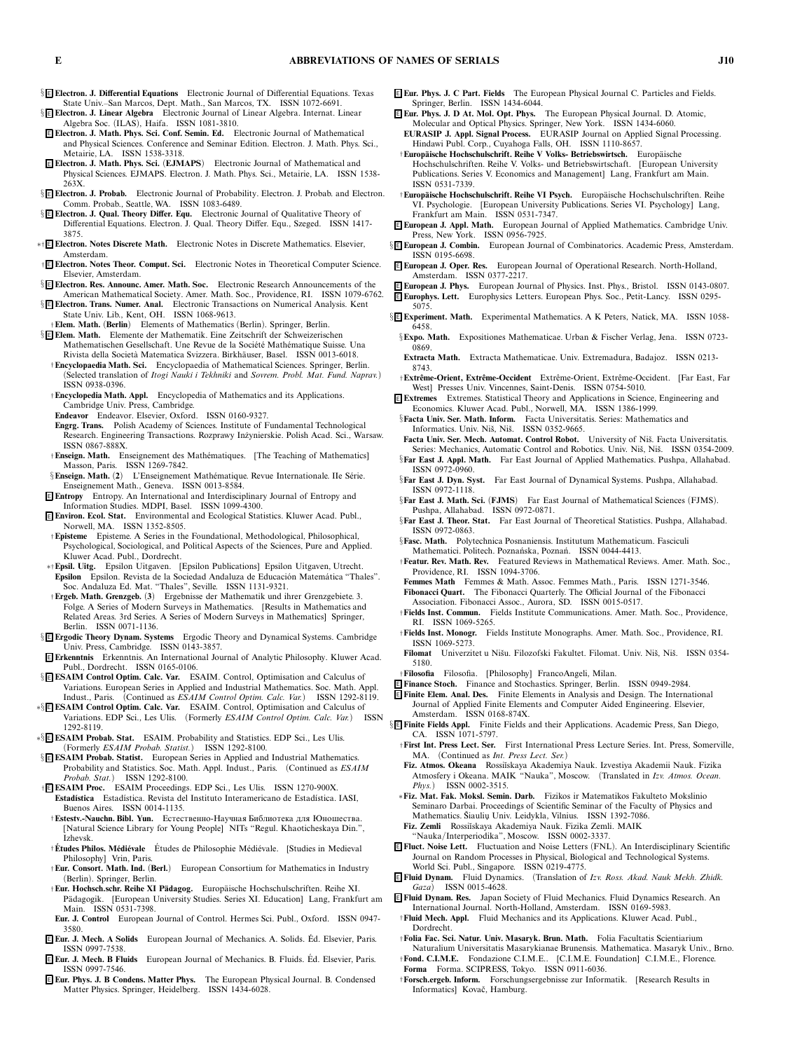§ <sup>E</sup> **Electron. J. Differential Equations** *Electronic Journal of Differential Equations. Texas State Univ.–San Marcos, Dept. Math., San Marcos, TX. ISSN 1072-6691.*

§ <sup>E</sup> **Electron. J. Linear Algebra** *Electronic Journal of Linear Algebra. Internat. Linear Algebra Soc. (ILAS), Haifa. ISSN 1081-3810.*

- <sup>E</sup> **Electron. J. Math. Phys. Sci. Conf. Semin. Ed.** *Electronic Journal of Mathematical and Physical Sciences. Conference and Seminar Edition. Electron. J. Math. Phys. Sci., Metairie, LA. ISSN 1538-3318.*
- <sup>E</sup> **Electron. J. Math. Phys. Sci.** *(***EJMAPS***) Electronic Journal of Mathematical and Physical Sciences. EJMAPS. Electron. J. Math. Phys. Sci., Metairie, LA. ISSN 1538- 263X.*
- § <sup>E</sup> **Electron. J. Probab.** *Electronic Journal of Probability. Electron. J. Probab. and Electron. Comm. Probab., Seattle, WA. ISSN 1083-6489.*
- § <sup>E</sup> **Electron. J. Qual. Theory Differ. Equ.** *Electronic Journal of Qualitative Theory of Differential Equations. Electron. J. Qual. Theory Differ. Equ., Szeged. ISSN 1417- 3875.*
- ∗† <sup>E</sup> **Electron. Notes Discrete Math.** *Electronic Notes in Discrete Mathematics. Elsevier, Amsterdam.*
- † <sup>E</sup> **Electron. Notes Theor. Comput. Sci.** *Electronic Notes in Theoretical Computer Science. Elsevier, Amsterdam.*
- § <sup>E</sup> **Electron. Res. Announc. Amer. Math. Soc.** *Electronic Research Announcements of the American Mathematical Society. Amer. Math. Soc., Providence, RI. ISSN 1079-6762.*
- § <sup>E</sup> **Electron. Trans. Numer. Anal.** *Electronic Transactions on Numerical Analysis. Kent State Univ. Lib., Kent, OH. ISSN 1068-9613.*
- †**Elem. Math.** *(***Berlin***) Elements of Mathematics (Berlin). Springer, Berlin.* § <sup>E</sup> **Elem. Math.** *Elemente der Mathematik. Eine Zeitschrift der Schweizerischen Mathematischen Gesellschaft. Une Revue de la Soci´et´e Math´ematique Suisse. Una*
- *Rivista della Societ`a Matematica Svizzera. Birkh¨auser, Basel. ISSN 0013-6018.* †**Encyclopaedia Math. Sci.** *Encyclopaedia of Mathematical Sciences. Springer, Berlin. (Selected translation of Itogi Nauki i Tekhniki and Sovrem. Probl. Mat. Fund. Naprav.) ISSN 0938-0396.*
- †**Encyclopedia Math. Appl.** *Encyclopedia of Mathematics and its Applications. Cambridge Univ. Press, Cambridge.*
- **Endeavor** *Endeavor. Elsevier, Oxford. ISSN 0160-9327.*
- **Engrg. Trans.** *Polish Academy of Sciences. Institute of Fundamental Technological Research. Engineering Transactions. Rozprawy In˙zynierskie. Polish Acad. Sci., Warsaw. ISSN 0867-888X.*
- †**Enseign. Math.** *Enseignement des Math´ematiques. [The Teaching of Mathematics] Masson, Paris. ISSN 1269-7842.*
- §**Enseign. Math.** (2) L'Enseignement Mathématique. Revue Internationale. IIe Série. *Enseignement Math., Geneva. ISSN 0013-8584.*
- <sup>E</sup> **Entropy** *Entropy. An International and Interdisciplinary Journal of Entropy and Information Studies. MDPI, Basel. ISSN 1099-4300.*
- <sup>E</sup> **Environ. Ecol. Stat.** *Environmental and Ecological Statistics. Kluwer Acad. Publ., Norwell, MA. ISSN 1352-8505.*
- †**Episteme** *Episteme. A Series in the Foundational, Methodological, Philosophical, Psychological, Sociological, and Political Aspects of the Sciences, Pure and Applied. Kluwer Acad. Publ., Dordrecht.*
- ∗†**Epsil. Uitg.** *Epsilon Uitgaven. [Epsilon Publications] Epsilon Uitgaven, Utrecht.* **Epsilon** *Epsilon. Revista de la Sociedad Andaluza de Educaci ´on Matem´atica "Thales". Soc. Andaluza Ed. Mat. "Thales", Seville. ISSN 1131-9321.*
- †**Ergeb. Math. Grenzgeb.** *(***3***) Ergebnisse der Mathematik und ihrer Grenzgebiete. 3. Folge. A Series of Modern Surveys in Mathematics. [Results in Mathematics and Related Areas. 3rd Series. A Series of Modern Surveys in Mathematics] Springer, Berlin. ISSN 0071-1136.*
- § <sup>E</sup> **ErgodicTheory Dynam. Systems** *Ergodic Theory and Dynamical Systems. Cambridge Univ. Press, Cambridge. ISSN 0143-3857.*
- <sup>E</sup> **Erkenntnis** *Erkenntnis. An International Journal of Analytic Philosophy. Kluwer Acad. Publ., Dordrecht. ISSN 0165-0106.*
- § <sup>E</sup> **ESAIM Control Optim. Calc. Var.** *ESAIM. Control, Optimisation and Calculus of Variations. European Series in Applied and Industrial Mathematics. Soc. Math. Appl. Indust., Paris. (Continued as ESAIM Control Optim. Calc. Var.) ISSN 1292-8119.*
- ∗§ <sup>E</sup> **ESAIM Control Optim. Calc. Var.** *ESAIM. Control, Optimisation and Calculus of Variations. EDP Sci., Les Ulis. (Formerly ESAIM Control Optim. Calc. Var.) ISSN 1292-8119.*
- ∗§ <sup>E</sup> **ESAIM Probab. Stat.** *ESAIM. Probability and Statistics. EDP Sci., Les Ulis. (Formerly ESAIM Probab. Statist.) ISSN 1292-8100.*
- § <sup>E</sup> **ESAIM Probab. Statist.** *European Series in Applied and Industrial Mathematics. Probability and Statistics. Soc. Math. Appl. Indust., Paris. (Continued as ESAIM Probab. Stat.) ISSN 1292-8100.*
- † <sup>E</sup> **ESAIM Proc.** *ESAIM Proceedings. EDP Sci., Les Ulis. ISSN 1270-900X.* **Estad´ıstica** *Estad´ıstica. Revista del Instituto Interamericano de Estad´ıstica. IASI, Buenos Aires. ISSN 0014-1135.*
- †**Estestv.-Nauchn. Bibl. Yun.** Естественно-Научная Библиотека для Юношества. *[Natural Science Library for Young People] NITs "Regul. Khaoticheskaya Din.", Izhevsk.*
- †**Etudes Philos. M´ ´ edi´evale** *Etudes de Philosophie M´ ´ edi´evale. [Studies in Medieval Philosophy] Vrin, Paris.*
- †**Eur. Consort. Math. Ind.** *(***Berl.***) European Consortium for Mathematics in Industry (Berlin). Springer, Berlin.*
- †**Eur. Hochsch.schr. Reihe XI P¨adagog.** *Europ¨aische Hochschulschriften. Reihe XI. P ¨adagogik. [European University Studies. Series XI. Education] Lang, Frankfurt am Main. ISSN 0531-7398.*
- **Eur. J. Control** *European Journal of Control. Hermes Sci. Publ., Oxford. ISSN 0947- 3580.*
- <sup>E</sup> **Eur. J. Mech. A Solids** *European Journal of Mechanics. A. Solids. Ed. Elsevier, Paris. ´ ISSN 0997-7538.* <sup>E</sup> **Eur. J. Mech. B Fluids** *European Journal of Mechanics. B. Fluids. Ed. Elsevier, Paris. ´*
- *ISSN 0997-7546.*
- <sup>E</sup> **Eur. Phys. J. B Condens. Matter Phys.** *The European Physical Journal. B. Condensed Matter Physics. Springer, Heidelberg. ISSN 1434-6028.*
- <sup>E</sup> **Eur. Phys. J. C Part. Fields** *The European Physical Journal C. Particles and Fields. Springer, Berlin. ISSN 1434-6044.*
- <sup>E</sup> **Eur. Phys. J. D At. Mol. Opt. Phys.** *The European Physical Journal. D. Atomic, Molecular and Optical Physics. Springer, New York. ISSN 1434-6060.* **EURASIP J. Appl. Signal Process.** *EURASIP Journal on Applied Signal Processing.*
- *Hindawi Publ. Corp., Cuyahoga Falls, OH. ISSN 1110-8657.* †**Europ ¨aische Hochschulschrift. Reihe V Volks- Betriebswirtsch.** *Europ¨aische*
- *Hochschulschriften. Reihe V. Volks- und Betriebswirtschaft. [European University Publications. Series V. Economics and Management] Lang, Frankfurt am Main. ISSN 0531-7339.*
- †**Europ ¨aische Hochschulschrift. Reihe VI Psych.** *Europ¨aische Hochschulschriften. Reihe VI. Psychologie. [European University Publications. Series VI. Psychology] Lang, Frankfurt am Main. ISSN 0531-7347.*
- <sup>E</sup> **European J. Appl. Math.** *European Journal of Applied Mathematics. Cambridge Univ. Press, New York. ISSN 0956-7925.*
- § <sup>E</sup> **European J. Combin.** *European Journal of Combinatorics. Academic Press, Amsterdam. ISSN 0195-6698.*
- <sup>E</sup> **European J. Oper. Res.** *European Journal of Operational Research. North-Holland, Amsterdam. ISSN 0377-2217.*
- <sup>E</sup> **European J. Phys.** *European Journal of Physics. Inst. Phys., Bristol. ISSN 0143-0807.*
- <sup>E</sup> **Europhys. Lett.** *Europhysics Letters. European Phys. Soc., Petit-Lancy. ISSN 0295- 5075.*
- § <sup>E</sup> **Experiment. Math.** *Experimental Mathematics. A K Peters, Natick, MA. ISSN 1058- 6458.*
- §**Expo. Math.** *Expositiones Mathematicae. Urban & Fischer Verlag, Jena. ISSN 0723- 0869.*
- **Extracta Math.** *Extracta Mathematicae. Univ. Extremadura, Badajoz. ISSN 0213- 8743.*
- †**Extrˆeme-Orient, Extrˆeme-Occident** *Extrˆeme-Orient, Extrˆeme-Occident. [Far East, Far West] Presses Univ. Vincennes, Saint-Denis. ISSN 0754-5010.*
- <sup>E</sup> **Extremes** *Extremes. Statistical Theory and Applications in Science, Engineering and Economics. Kluwer Acad. Publ., Norwell, MA. ISSN 1386-1999.*
- §**Facta Univ. Ser. Math. Inform.** *Facta Universitatis. Series: Mathematics and Informatics. Univ. Niš. Niš. ISSN 0352-9665.*
- Facta Univ. Ser. Mech. Automat. Control Robot. University of Niš. Facta Universitatis. Series: Mechanics, Automatic Control and Robotics. Univ. Niš, Niš. ISSN 0354-2009.
- §**Far East J. Appl. Math.** *Far East Journal of Applied Mathematics. Pushpa, Allahabad. ISSN 0972-0960.*
- §**Far East J. Dyn. Syst.** *Far East Journal of Dynamical Systems. Pushpa, Allahabad. ISSN 0972-1118.*
- §**Far East J. Math. Sci.** *(***FJMS***) Far East Journal of Mathematical Sciences (FJMS). Pushpa, Allahabad. ISSN 0972-0871.*
- §**Far East J. Theor. Stat.** *Far East Journal of Theoretical Statistics. Pushpa, Allahabad. ISSN 0972-0863.*
- §**Fasc. Math.** *Polytechnica Posnaniensis. Institutum Mathematicum. Fasciculi Mathematici. Politech. Pozna ´nska, Pozna ´n. ISSN 0044-4413.*
- †**Featur. Rev. Math. Rev.** *Featured Reviews in Mathematical Reviews. Amer. Math. Soc., Providence, RI. ISSN 1094-3706.*
- **Femmes Math** *Femmes & Math. Assoc. Femmes Math., Paris. ISSN 1271-3546.* **Fibonacci Quart.** *The Fibonacci Quarterly. The Official Journal of the Fibonacci*
- *Association. Fibonacci Assoc., Aurora, SD. ISSN 0015-0517.* †**Fields Inst. Commun.** *Fields Institute Communications. Amer. Math. Soc., Providence,*
- *RI. ISSN 1069-5265.* †**Fields Inst. Monogr.** *Fields Institute Monographs. Amer. Math. Soc., Providence, RI. ISSN 1069-5273.*
- **Filomat** *Univerzitet u Niˇsu. Filozofski Fakultet. Filomat. Univ. Niˇs, Niˇs. ISSN 0354- 5180.*
- †**Filosofia** *Filosofia. [Philosophy] FrancoAngeli, Milan.*
- <sup>E</sup> **Finance Stoch.** *Finance and Stochastics. Springer, Berlin. ISSN 0949-2984.*
- <sup>E</sup> **Finite Elem. Anal. Des.** *Finite Elements in Analysis and Design. The International Journal of Applied Finite Elements and Computer Aided Engineering. Elsevier, Amsterdam. ISSN 0168-874X.*
- § <sup>E</sup> **Finite Fields Appl.** *Finite Fields and their Applications. Academic Press, San Diego, CA. ISSN 1071-5797.*
	- †**First Int. Press Lect. Ser.** *First International Press Lecture Series. Int. Press, Somerville, MA. (Continued as Int. Press Lect. Ser.)*
	- **Fiz. Atmos. Okeana** *Rossi˘ıskaya Akademiya Nauk. Izvestiya Akademii Nauk. Fizika Atmosfery i Okeana. MAIK "Nauka", Moscow. (Translated in Izv. Atmos. Ocean. Phys.) ISSN 0002-3515.*
	- ∗**Fiz. Mat. Fak. Moksl. Semin. Darb.** *Fizikos ir Matematikos Fakulteto Mokslinio Seminaro Darbai. Proceedings of Scientific Seminar of the Faculty of Physics and Mathematics. Siauliu ˇ ¸ Univ. Leidykla, Vilnius. ISSN 1392-7086.*
	- **Fiz. Zemli** *Rossi˘ıskaya Akademiya Nauk. Fizika Zemli. MAIK*
	- *"Nauka/Interperiodika", Moscow. ISSN 0002-3337.*
- <sup>E</sup> **Fluct. Noise Lett.** *Fluctuation and Noise Letters (FNL). An Interdisciplinary Scientific Journal on Random Processes in Physical, Biological and Technological Systems. World Sci. Publ., Singapore. ISSN 0219-4775.*
- <sup>E</sup> **Fluid Dynam.** *Fluid Dynamics. (Translation of Izv. Ross. Akad. Nauk Mekh. Zhidk. Gaza) ISSN 0015-4628.*
- <sup>E</sup> **Fluid Dynam. Res.** *Japan Society of Fluid Mechanics. Fluid Dynamics Research. An International Journal. North-Holland, Amsterdam. ISSN 0169-5983.* †**Fluid Mech. Appl.** *Fluid Mechanics and its Applications. Kluwer Acad. Publ.,*
- *Dordrecht.* †**Folia Fac. Sci. Natur. Univ. Masaryk. Brun. Math.** *Folia Facultatis Scientiarium*
- *Naturalium Universitatis Masarykianae Brunensis. Mathematica. Masaryk Univ., Brno.* †**Fond. C.I.M.E.** *Fondazione C.I.M.E.. [C.I.M.E. Foundation] C.I.M.E., Florence.*
- **Forma** *Forma. SCIPRESS, Tokyo. ISSN 0911-6036.*
- †**Forsch.ergeb. Inform.** *Forschungsergebnisse zur Informatik. [Research Results in* Informatics] Kovač, Hamburg.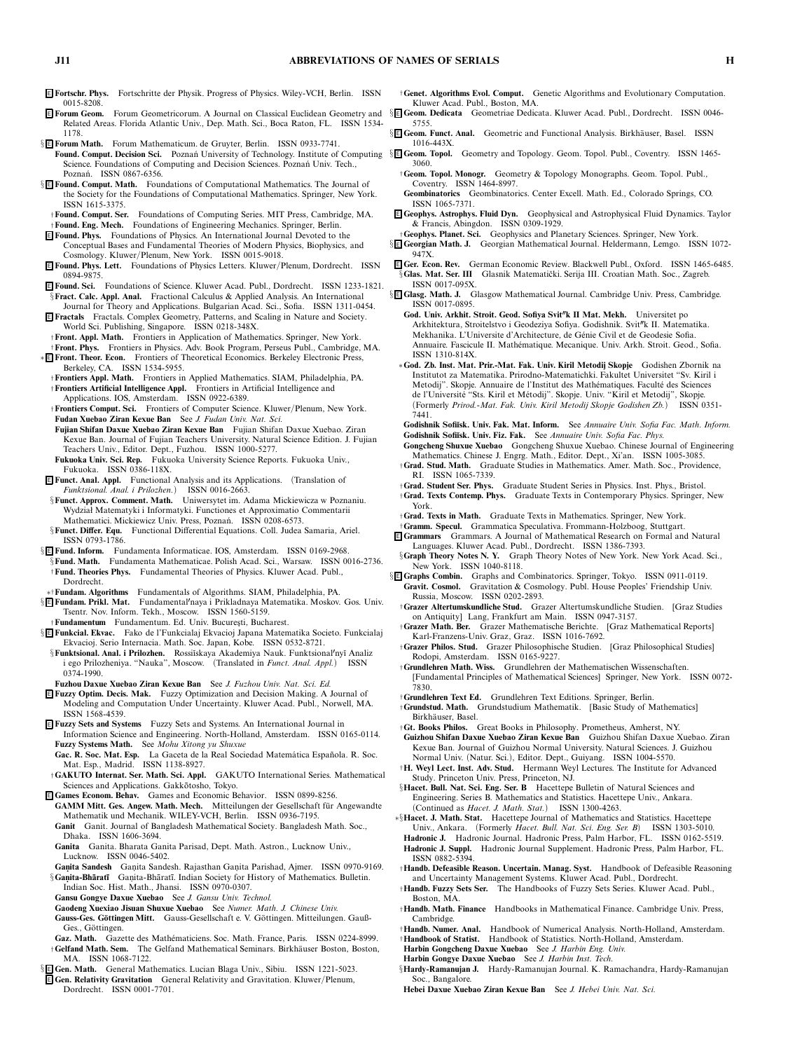<sup>E</sup> **Fortschr. Phys.** *Fortschritte der Physik. Progress of Physics. Wiley-VCH, Berlin. ISSN 0015-8208.*

- <sup>E</sup> **Forum Geom.** *Forum Geometricorum. A Journal on Classical Euclidean Geometry and* § <sup>E</sup> **Geom. Dedicata** *Geometriae Dedicata. Kluwer Acad. Publ., Dordrecht. ISSN 0046- Related Areas. Florida Atlantic Univ., Dep. Math. Sci., Boca Raton, FL. ISSN 1534- 1178.*
- § <sup>E</sup> **Forum Math.** *Forum Mathematicum. de Gruyter, Berlin. ISSN 0933-7741.*
- **Found. Comput. Decision Sci.** Poznań University of Technology. Institute of Computing §**E Geom. Topol.** Geometry and Topology. Geom. Topol. Publ., Coventry. ISSN 1465-Science. Foundations of Computing and Decision Sciences. Poznań Univ. Tech., *Pozna ´n. ISSN 0867-6356.*
- § <sup>E</sup> **Found. Comput. Math.** *Foundations of Computational Mathematics. The Journal of the Society for the Foundations of Computational Mathematics. Springer, New York. ISSN 1615-3375.*
- †**Found. Comput. Ser.** *Foundations of Computing Series. MIT Press, Cambridge, MA.* †**Found. Eng. Mech.** *Foundations of Engineering Mechanics. Springer, Berlin.*
- <sup>E</sup> **Found. Phys.** *Foundations of Physics. An International Journal Devoted to the Conceptual Bases and Fundamental Theories of Modern Physics, Biophysics, and Cosmology. Kluwer/Plenum, New York. ISSN 0015-9018.*
- <sup>E</sup> **Found. Phys. Lett.** *Foundations of Physics Letters. Kluwer/Plenum, Dordrecht. ISSN 0894-9875.*
- <sup>E</sup> **Found. Sci.** *Foundations of Science. Kluwer Acad. Publ., Dordrecht. ISSN 1233-1821.* §**Fract. Calc. Appl. Anal.** *Fractional Calculus & Applied Analysis. An International*
- *Journal for Theory and Applications. Bulgarian Acad. Sci., Sofia. ISSN 1311-0454.* <sup>E</sup> **Fractals** *Fractals. Complex Geometry, Patterns, and Scaling in Nature and Society. World Sci. Publishing, Singapore. ISSN 0218-348X.*
- †**Front. Appl. Math.** *Frontiers in Application of Mathematics. Springer, New York.* †**Front. Phys.** *Frontiers in Physics. Adv. Book Program, Perseus Publ., Cambridge, MA.*
- ∗ <sup>E</sup> **Front. Theor. Econ.** *Frontiers of Theoretical Economics. Berkeley Electronic Press, Berkeley, CA. ISSN 1534-5955.*
- †**Frontiers Appl. Math.** *Frontiers in Applied Mathematics. SIAM, Philadelphia, PA.* †**Frontiers Artificial Intelligence Appl.** *Frontiers in Artificial Intelligence and Applications. IOS, Amsterdam. ISSN 0922-6389.*
- †**Frontiers Comput. Sci.** *Frontiers of Computer Science. Kluwer/Plenum, New York.* **Fudan Xuebao Ziran Kexue Ban** *See J. Fudan Univ. Nat. Sci.*
- **Fujian Shifan Daxue Xuebao Ziran Kexue Ban** *Fujian Shifan Daxue Xuebao. Ziran Kexue Ban. Journal of Fujian Teachers University. Natural Science Edition. J. Fujian Teachers Univ., Editor. Dept., Fuzhou. ISSN 1000-5277.*
- **Fukuoka Univ. Sci. Rep.** *Fukuoka University Science Reports. Fukuoka Univ., Fukuoka. ISSN 0386-118X.*
- <sup>E</sup> **Funct. Anal. Appl.** *Functional Analysis and its Applications. (Translation of Funktsional. Anal. i Prilozhen.) ISSN 0016-2663.*
- §**Funct. Approx. Comment. Math.** *Uniwersytet im. Adama Mickiewicza w Poznaniu. Wydział Matematyki i Informatyki. Functiones et Approximatio Commentarii Mathematici. Mickiewicz Univ. Press, Poznań. ISSN 0208-6573.* §**Funct. Differ. Equ.** *Functional Differential Equations. Coll. Judea Samaria, Ariel.*
- *ISSN 0793-1786.*
- § <sup>E</sup> **Fund. Inform.** *Fundamenta Informaticae. IOS, Amsterdam. ISSN 0169-2968.* §**Fund. Math.** *Fundamenta Mathematicae. Polish Acad. Sci., Warsaw. ISSN 0016-2736.*
- †**Fund. Theories Phys.** *Fundamental Theories of Physics. Kluwer Acad. Publ., Dordrecht.*
- ∗†**Fundam. Algorithms** *Fundamentals of Algorithms. SIAM, Philadelphia, PA.*
- § <sup>E</sup> **Fundam. Prikl. Mat.** *Fundamentalnaya i Prikladnaya Matematika. Moskov. Gos. Univ. Tsentr. Nov. Inform. Tekh., Moscow. ISSN 1560-5159.*
- †**Fundamentum** *Fundamentum. Ed. Univ. Bucures¸ti, Bucharest.*
- § <sup>E</sup> **Funkcial. Ekvac.** *Fako de l'Funkcialaj Ekvacioj Japana Matematika Societo. Funkcialaj Ekvacioj. Serio Internacia. Math. Soc. Japan, Kobe. ISSN 0532-8721.*
- §**Funktsional. Anal. i Prilozhen.** *Rossi˘ıskaya Akademiya Nauk. Funktsionalny˘ı Analiz i ego Prilozheniya. "Nauka", Moscow. (Translated in Funct. Anal. Appl.) ISSN 0374-1990.*
- **Fuzhou Daxue Xuebao Ziran Kexue Ban** *See J. Fuzhou Univ. Nat. Sci. Ed.*
- <sup>E</sup> **Fuzzy Optim. Decis. Mak.** *Fuzzy Optimization and Decision Making. A Journal of Modeling and Computation Under Uncertainty. Kluwer Acad. Publ., Norwell, MA. ISSN 1568-4539.*
- <sup>E</sup> **Fuzzy Sets and Systems** *Fuzzy Sets and Systems. An International Journal in Information Science and Engineering. North-Holland, Amsterdam. ISSN 0165-0114.* **Fuzzy Systems Math.** *See Mohu Xitong yu Shuxue*
- Gac. R. Soc. Mat. Esp. La Gaceta de la Real Sociedad Matemática Española. R. Soc. *Mat. Esp., Madrid. ISSN 1138-8927.*
- †**GAKUTO Internat. Ser. Math. Sci. Appl.** *GAKUTO International Series. Mathematical* Sciences and Applications. Gakkotosho, Tokyo.
- <sup>E</sup> **Games Econom. Behav.** *Games and Economic Behavior. ISSN 0899-8256.* GAMM Mitt. Ges. Angew. Math. Mech. Mitteilungen der Gesellschaft für Angewandte *Mathematik und Mechanik. WILEY-VCH, Berlin. ISSN 0936-7195.* **Ganit** *Ganit. Journal of Bangladesh Mathematical Society. Bangladesh Math. Soc.,*
- *Dhaka. ISSN 1606-3694.* **Ganita** *Ganita. Bharata Ganita Parisad, Dept. Math. Astron., Lucknow Univ.,*
- *Lucknow. ISSN 0046-5402.* **Ganita Sandesh** Ganita Sandesh, Rajasthan Ganita Parishad, Ajmer. ISSN 0970-9169.
- §**Ganita-Bhāratī** Ganita-Bhāratī. Indian Society for History of Mathematics. Bulletin. *Indian Soc. Hist. Math., Jhansi. ISSN 0970-0307.*
- **Gansu Gongye Daxue Xuebao** *See J. Gansu Univ. Technol.*
- **Gaodeng Xuexiao Jisuan Shuxue Xuebao** *See Numer. Math. J. Chinese Univ.*
- Gauss-Ges. Göttingen Mitt. Gauss-Gesellschaft e. V. Göttingen. Mitteilungen. Gauß-Ges., Göttingen.
- **Gaz. Math.** *Gazette des Math´ematiciens. Soc. Math. France, Paris. ISSN 0224-8999.* †**Gelfand Math. Sem.** *The Gelfand Mathematical Seminars. Birkh¨auser Boston, Boston, MA. ISSN 1068-7122.*
- § <sup>E</sup> **Gen. Math.** *General Mathematics. Lucian Blaga Univ., Sibiu. ISSN 1221-5023.*
- <sup>E</sup> **Gen. Relativity Gravitation** *General Relativity and Gravitation. Kluwer/Plenum, Dordrecht. ISSN 0001-7701.*
- †**Genet. Algorithms Evol. Comput.** *Genetic Algorithms and Evolutionary Computation. Kluwer Acad. Publ., Boston, MA.*
- *5755.*
- §**E** Geom. Funct. Anal. Geometric and Functional Analysis. Birkhäuser, Basel. ISSN *1016-443X.*
- *3060.*
- †**Geom. Topol. Monogr.** *Geometry & Topology Monographs. Geom. Topol. Publ., Coventry. ISSN 1464-8997.* **Geombinatorics** *Geombinatorics. Center Excell. Math. Ed., Colorado Springs, CO.*
- *ISSN 1065-7371.*
- <sup>E</sup> **Geophys. Astrophys. Fluid Dyn.** *Geophysical and Astrophysical Fluid Dynamics. Taylor & Francis, Abingdon. ISSN 0309-1929.*
- †**Geophys. Planet. Sci.** *Geophysics and Planetary Sciences. Springer, New York.*
- § <sup>E</sup> **Georgian Math. J.** *Georgian Mathematical Journal. Heldermann, Lemgo. ISSN 1072- 947X.*
- <sup>E</sup> **Ger. Econ. Rev.** *German Economic Review. Blackwell Publ., Oxford. ISSN 1465-6485.*  $\sqrt[5]{\text{G}}$ las. Mat. Ser. III Glasnik Matematički. Serija III. Croatian Math. Soc., Zagreb. *ISSN 0017-095X.*
- § <sup>E</sup> **Glasg. Math. J.** *Glasgow Mathematical Journal. Cambridge Univ. Press, Cambridge. ISSN 0017-0895.*
	- **God. Univ. Arkhit. Stroit. Geod. Sofiya Svit**-**k II Mat. Mekh.** *Universitet po Arkhitektura, Stroitelstvo i Geodeziya Sofiya. Godishnik. Svit*-*k II. Matematika. Mekhanika. L'Universite d'Architecture, de G´enie Civil et de Geodesie Sofia. Annuaire. Fascicule II. Math´ematique. Mecanique. Univ. Arkh. Stroit. Geod., Sofia. ISSN 1310-814X.*
	- ∗**God. Zb. Inst. Mat. Prir.-Mat. Fak. Univ. Kiril Metodij Skopje** *Godishen Zbornik na Institutot za Matematika. Prirodno-Matematichki. Fakultet Universitet "Sv. Kiril i* Metodij". Skopje. Annuaire de l'Institut des Mathématiques. Faculté des Sciences *de l'Universit´e "Sts. Kiril et M´etodij". Skopje. Univ. "Kiril et Metodij", Skopje. (Formerly Prirod.-Mat. Fak. Univ. Kiril Metodij Skopje Godishen Zb.) ISSN 0351- 7441.*
	- **Godishnik Sofi˘ısk. Univ. Fak. Mat. Inform.** *See Annuaire Univ. Sofia Fac. Math. Inform.* **Godishnik Sofi˘ısk. Univ. Fiz. Fak.** *See Annuaire Univ. Sofia Fac. Phys.*
	- **Gongcheng Shuxue Xuebao** *Gongcheng Shuxue Xuebao. Chinese Journal of Engineering Mathematics. Chinese J. Engrg. Math., Editor. Dept., Xi'an. ISSN 1005-3085.*
	- †**Grad. Stud. Math.** *Graduate Studies in Mathematics. Amer. Math. Soc., Providence, RI. ISSN 1065-7339.*
	- †**Grad. Student Ser. Phys.** *Graduate Student Series in Physics. Inst. Phys., Bristol.* †**Grad. Texts Contemp. Phys.** *Graduate Texts in Contemporary Physics. Springer, New York.*
	- †**Grad. Texts in Math.** *Graduate Texts in Mathematics. Springer, New York.*
- †**Gramm. Specul.** *Grammatica Speculativa. Frommann-Holzboog, Stuttgart.*
- <sup>E</sup> **Grammars** *Grammars. A Journal of Mathematical Research on Formal and Natural Languages. Kluwer Acad. Publ., Dordrecht. ISSN 1386-7393.*
- §**Graph Theory Notes N. Y.** *Graph Theory Notes of New York. New York Acad. Sci., New York. ISSN 1040-8118.*
- § <sup>E</sup> **Graphs Combin.** *Graphs and Combinatorics. Springer, Tokyo. ISSN 0911-0119.* **Gravit. Cosmol.** *Gravitation & Cosmology. Publ. House Peoples' Friendship Univ. Russia, Moscow. ISSN 0202-2893.*
	- †**Grazer Altertumskundliche Stud.** *Grazer Altertumskundliche Studien. [Graz Studies on Antiquity] Lang, Frankfurt am Main. ISSN 0947-3157.*
	- †**Grazer Math. Ber.** *Grazer Mathematische Berichte. [Graz Mathematical Reports] Karl-Franzens-Univ. Graz, Graz. ISSN 1016-7692.*
	- †**Grazer Philos. Stud.** *Grazer Philosophische Studien. [Graz Philosophical Studies] Rodopi, Amsterdam. ISSN 0165-9227.*
	- †**Grundlehren Math. Wiss.** *Grundlehren der Mathematischen Wissenschaften. [Fundamental Principles of Mathematical Sciences] Springer, New York. ISSN 0072- 7830.*
	- †**Grundlehren Text Ed.** *Grundlehren Text Editions. Springer, Berlin.*
	- †**Grundstud. Math.** *Grundstudium Mathematik. [Basic Study of Mathematics] Birkh¨auser, Basel.*
	- †**Gt. Books Philos.** *Great Books in Philosophy. Prometheus, Amherst, NY.*
	- **Guizhou Shifan Daxue Xuebao Ziran Kexue Ban** *Guizhou Shifan Daxue Xuebao. Ziran Kexue Ban. Journal of Guizhou Normal University. Natural Sciences. J. Guizhou Normal Univ. (Natur. Sci.), Editor. Dept., Guiyang. ISSN 1004-5570.*
	- †**H. Weyl Lect. Inst. Adv. Stud.** *Hermann Weyl Lectures. The Institute for Advanced Study. Princeton Univ. Press, Princeton, NJ.*
	- §**Hacet. Bull. Nat. Sci. Eng. Ser. B** *Hacettepe Bulletin of Natural Sciences and Engineering. Series B. Mathematics and Statistics. Hacettepe Univ., Ankara. (Continued as Hacet. J. Math. Stat.) ISSN 1300-4263.*
- ∗§**Hacet. J. Math. Stat.** *Hacettepe Journal of Mathematics and Statistics. Hacettepe*
	- *Univ., Ankara. (Formerly Hacet. Bull. Nat. Sci. Eng. Ser. B) ISSN 1303-5010.*
- **HadronicJ.** *Hadronic Journal. Hadronic Press, Palm Harbor, FL. ISSN 0162-5519.* **HadronicJ. Suppl.** *Hadronic Journal Supplement. Hadronic Press, Palm Harbor, FL. ISSN 0882-5394.*
- †**Handb. Defeasible Reason. Uncertain. Manag. Syst.** *Handbook of Defeasible Reasoning and Uncertainty Management Systems. Kluwer Acad. Publ., Dordrecht.*
- †**Handb. Fuzzy Sets Ser.** *The Handbooks of Fuzzy Sets Series. Kluwer Acad. Publ., Boston, MA.*
- †**Handb. Math. Finance** *Handbooks in Mathematical Finance. Cambridge Univ. Press, Cambridge.*
- †**Handb. Numer. Anal.** *Handbook of Numerical Analysis. North-Holland, Amsterdam.* †**Handbook of Statist.** *Handbook of Statistics. North-Holland, Amsterdam.*
- **Harbin Gongcheng Daxue Xuebao** *See J. Harbin Eng. Univ.*
- **Harbin Gongye Daxue Xuebao** *See J. Harbin Inst. Tech.*
- §**Hardy-Ramanujan J.** *Hardy-Ramanujan Journal. K. Ramachandra, Hardy-Ramanujan Soc., Bangalore.*
- **Hebei Daxue Xuebao Ziran Kexue Ban** *See J. Hebei Univ. Nat. Sci.*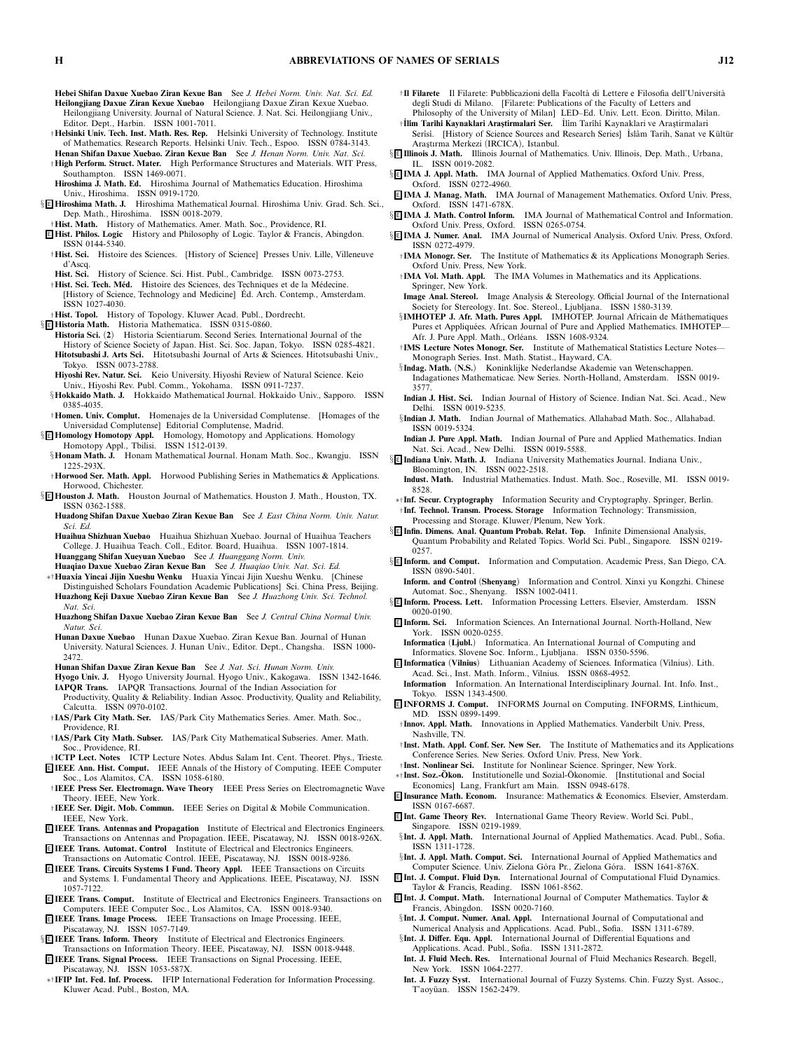- **Hebei Shifan Daxue Xuebao Ziran Kexue Ban** *See J. Hebei Norm. Univ. Nat. Sci. Ed.* **Heilongjiang Daxue Ziran Kexue Xuebao** *Heilongjiang Daxue Ziran Kexue Xuebao. Heilongjiang University. Journal of Natural Science. J. Nat. Sci. Heilongjiang Univ., Editor. Dept., Harbin. ISSN 1001-7011.*
- †**Helsinki Univ. Tech. Inst. Math. Res. Rep.** *Helsinki University of Technology. Institute of Mathematics. Research Reports. Helsinki Univ. Tech., Espoo. ISSN 0784-3143.*
- **Henan Shifan Daxue Xuebao. Ziran Kexue Ban** *See J. Henan Norm. Univ. Nat. Sci.* †**High Perform. Struct. Mater.** *High Performance Structures and Materials. WIT Press, Southampton. ISSN 1469-0071.*
- **Hiroshima J. Math. Ed.** *Hiroshima Journal of Mathematics Education. Hiroshima Univ., Hiroshima. ISSN 0919-1720.*
- § <sup>E</sup> **Hiroshima Math. J.** *Hiroshima Mathematical Journal. Hiroshima Univ. Grad. Sch. Sci., Dep. Math., Hiroshima. ISSN 0018-2079.*
- †**Hist. Math.** *History of Mathematics. Amer. Math. Soc., Providence, RI.*
- <sup>E</sup> **Hist. Philos. Logic** *History and Philosophy of Logic. Taylor & Francis, Abingdon. ISSN 0144-5340.*
- †**Hist. Sci.** *Histoire des Sciences. [History of Science] Presses Univ. Lille, Villeneuve d'Ascq.*
- **Hist. Sci.** *History of Science. Sci. Hist. Publ., Cambridge. ISSN 0073-2753.*
- †**Hist. Sci. Tech. M´ed.** *Histoire des Sciences, des Techniques et de la M´edecine. [History of Science, Technology and Medicine] Ed. Arch. Contemp., Amsterdam. ´ ISSN 1027-4030.*
- †**Hist. Topol.** *History of Topology. Kluwer Acad. Publ., Dordrecht.*
- § <sup>E</sup> **Historia Math.** *Historia Mathematica. ISSN 0315-0860.*
	- **Historia Sci.** *(***2***) Historia Scientiarum. Second Series. International Journal of the History of Science Society of Japan. Hist. Sci. Soc. Japan, Tokyo. ISSN 0285-4821.* **Hitotsubashi J. Arts Sci.** *Hitotsubashi Journal of Arts & Sciences. Hitotsubashi Univ., Tokyo. ISSN 0073-2788.*
	- Hiyoshi Rev. Natur. Sci. Keio University. Hiyoshi Review of Natural Science. Keio *Univ., Hiyoshi Rev. Publ. Comm., Yokohama. ISSN 0911-7237.*
	- §**Hokkaido Math. J.** *Hokkaido Mathematical Journal. Hokkaido Univ., Sapporo. ISSN 0385-4035.*
- †**Homen. Univ. Complut.** *Homenajes de la Universidad Complutense. [Homages of the Universidad Complutense] Editorial Complutense, Madrid.*
- § <sup>E</sup> **Homology Homotopy Appl.** *Homology, Homotopy and Applications. Homology Homotopy Appl., Tbilisi. ISSN 1512-0139.*
- §**Honam Math. J.** *Honam Mathematical Journal. Honam Math. Soc., Kwangju. ISSN 1225-293X.*
- *Horwood, Chichester.*
- *ISSN 0362-1588.*
- **Huadong Shifan Daxue Xuebao Ziran Kexue Ban** *See J. East China Norm. Univ. Natur. Sci. Ed.*
- **Huaihua Shizhuan Xuebao** *Huaihua Shizhuan Xuebao. Journal of Huaihua Teachers College. J. Huaihua Teach. Coll., Editor. Board, Huaihua. ISSN 1007-1814.* **Huanggang Shifan Xueyuan Xuebao** *See J. Huanggang Norm. Univ.*

**Huaqiao Daxue Xuebao Ziran Kexue Ban** *See J. Huaqiao Univ. Nat. Sci. Ed.*

- ∗†**Huaxia Yincai Jijin Xueshu Wenku** *Huaxia Yincai Jijin Xueshu Wenku. [Chinese Distinguished Scholars Foundation Academic Publications] Sci. China Press, Beijing.* **Huazhong Keji Daxue Xuebao Ziran Kexue Ban** *See J. Huazhong Univ. Sci. Technol. Nat. Sci.*
- **Huazhong Shifan Daxue Xuebao Ziran Kexue Ban** *See J. Central China Normal Univ. Natur. Sci.*
- **Hunan Daxue Xuebao** *Hunan Daxue Xuebao. Ziran Kexue Ban. Journal of Hunan University. Natural Sciences. J. Hunan Univ., Editor. Dept., Changsha. ISSN 1000- 2472.*
- **Hunan Shifan Daxue Ziran Kexue Ban** *See J. Nat. Sci. Hunan Norm. Univ.*
- **Hyogo Univ. J.** *Hyogo University Journal. Hyogo Univ., Kakogawa. ISSN 1342-1646.* **IAPQR Trans.** *IAPQR Transactions. Journal of the Indian Association for Productivity, Quality & Reliability. Indian Assoc. Productivity, Quality and Reliability,*
- *Calcutta. ISSN 0970-0102.*
- † **IAS/Park City Math. Ser.** *IAS/Park City Mathematics Series. Amer. Math. Soc., Providence, RI.*
- † **IAS/Park City Math. Subser.** *IAS/Park City Mathematical Subseries. Amer. Math. Soc., Providence, RI.*
- † **ICTP Lect. Notes** *ICTP Lecture Notes. Abdus Salam Int. Cent. Theoret. Phys., Trieste.* <sup>E</sup> **IEEE Ann. Hist. Comput.** *IEEE Annals of the History of Computing. IEEE Computer*
- *Soc., Los Alamitos, CA. ISSN 1058-6180.* † **IEEE Press Ser. Electromagn. Wave Theory** *IEEE Press Series on Electromagnetic Wave Theory. IEEE, New York.*
- † **IEEE Ser. Digit. Mob. Commun.** *IEEE Series on Digital & Mobile Communication. IEEE, New York.*
- <sup>E</sup> **IEEE Trans. Antennas and Propagation** *Institute of Electrical and Electronics Engineers. Transactions on Antennas and Propagation. IEEE, Piscataway, NJ. ISSN 0018-926X.*
- <sup>E</sup> **IEEE Trans. Automat. Control** *Institute of Electrical and Electronics Engineers. Transactions on Automatic Control. IEEE, Piscataway, NJ. ISSN 0018-9286.*
- <sup>E</sup> **IEEE Trans. Circuits Systems I Fund. Theory Appl.** *IEEE Transactions on Circuits and Systems. I. Fundamental Theory and Applications. IEEE, Piscataway, NJ. ISSN 1057-7122.*
- <sup>E</sup> **IEEE Trans. Comput.** *Institute of Electrical and Electronics Engineers. Transactions on Computers. IEEE Computer Soc., Los Alamitos, CA. ISSN 0018-9340.*
- <sup>E</sup> **IEEE Trans. Image Process.** *IEEE Transactions on Image Processing. IEEE, Piscataway, NJ. ISSN 1057-7149.*
- § <sup>E</sup> **IEEE Trans. Inform. Theory** *Institute of Electrical and Electronics Engineers. Transactions on Information Theory. IEEE, Piscataway, NJ. ISSN 0018-9448.*
- <sup>E</sup> **IEEE Trans. Signal Process.** *IEEE Transactions on Signal Processing. IEEE, Piscataway, NJ. ISSN 1053-587X.*
- ∗†**IFIP Int. Fed. Inf. Process.** *IFIP International Federation for Information Processing. Kluwer Acad. Publ., Boston, MA.*
- <sup>†</sup>**Il Filarete** Il Filarete: Pubblicazioni della Facoltà di Lettere e Filosofia dell'Università *degli Studi di Milano. [Filarete: Publications of the Faculty of Letters and Philosophy of the University of Milan] LED–Ed. Univ. Lett. Econ. Diritto, Milan.*
- † **˙ Il˙im Tar˙ih˙i Kaynaklari Aras¸tirmalari Ser.** *˙ Il˙im Tar˙ih˙i Kaynaklari ve Aras¸tirmalari* Serisi. [History of Science Sources and Research Series] İslâm Tarih, Sanat ve Kültür *Aras¸tırma Merkezi (IRCICA), Istanbul.*
- § <sup>E</sup> **Illinois J. Math.** *Illinois Journal of Mathematics. Univ. Illinois, Dep. Math., Urbana, IL. ISSN 0019-2082.*
- § <sup>E</sup> **IMA J. Appl. Math.** *IMA Journal of Applied Mathematics. Oxford Univ. Press, Oxford. ISSN 0272-4960.*
- <sup>E</sup> **IMA J. Manag. Math.** *IMA Journal of Management Mathematics. Oxford Univ. Press, Oxford. ISSN 1471-678X.*
- § <sup>E</sup> **IMA J. Math. Control Inform.** *IMA Journal of Mathematical Control and Information. Oxford Univ. Press, Oxford. ISSN 0265-0754.*
- § <sup>E</sup> **IMA J. Numer. Anal.** *IMA Journal of Numerical Analysis. Oxford Univ. Press, Oxford. ISSN 0272-4979.*
	- †**IMA Monogr. Ser.** *The Institute of Mathematics & its Applications Monograph Series. Oxford Univ. Press, New York.*
	- †**IMA Vol. Math. Appl.** *The IMA Volumes in Mathematics and its Applications. Springer, New York.*
	- **Image Anal. Stereol.** *Image Analysis & Stereology. Official Journal of the International Society for Stereology. Int. Soc. Stereol., Ljubljana. ISSN 1580-3139.*
	- §**IMHOTEP J. Afr. Math. Pures Appl.** *IMHOTEP. Journal Africain de M´athematiques* Pures et Appliquées. African Journal of Pure and Applied Mathematics. IMHOTEP— Afr. J. Pure Appl. Math., Orléans. *ISSN 1608-9324*.
	- †**IMS Lecture Notes Monogr. Ser.** *Institute of Mathematical Statistics Lecture Notes— Monograph Series. Inst. Math. Statist., Hayward, CA.*
	- §**Indag. Math.** *(***N.S.***) Koninklijke Nederlandse Akademie van Wetenschappen. Indagationes Mathematicae. New Series. North-Holland, Amsterdam. ISSN 0019- 3577.*
	- **Indian J. Hist. Sci.** *Indian Journal of History of Science. Indian Nat. Sci. Acad., New Delhi. ISSN 0019-5235.*
	- §**Indian J. Math.** *Indian Journal of Mathematics. Allahabad Math. Soc., Allahabad. ISSN 0019-5324.*
- **Indian J. Pure Appl. Math.** *Indian Journal of Pure and Applied Mathematics. Indian Nat. Sci. Acad., New Delhi. ISSN 0019-5588.*
- § <sup>E</sup> **Indiana Univ. Math. J.** *Indiana University Mathematics Journal. Indiana Univ., Bloomington, IN. ISSN 0022-2518.*
- **Indust. Math.** *Industrial Mathematics. Indust. Math. Soc., Roseville, MI. ISSN 0019- 8528.*
- ∗†**Inf. Secur. Cryptography** *Information Security and Cryptography. Springer, Berlin.* †**Inf. Technol. Transm. Process. Storage** *Information Technology: Transmission, Processing and Storage. Kluwer/Plenum, New York.*
- § <sup>E</sup> **Infin. Dimens. Anal. Quantum Probab. Relat. Top.** *Infinite Dimensional Analysis, Quantum Probability and Related Topics. World Sci. Publ., Singapore. ISSN 0219- 0257.*
- § <sup>E</sup> **Inform. and Comput.** *Information and Computation. Academic Press, San Diego, CA. ISSN 0890-5401.*
- **Inform. and Control** *(***Shenyang***) Information and Control. Xinxi yu Kongzhi. Chinese Automat. Soc., Shenyang. ISSN 1002-0411.*
- § <sup>E</sup> **Inform. Process. Lett.** *Information Processing Letters. Elsevier, Amsterdam. ISSN 0020-0190.*
- <sup>E</sup> **Inform. Sci.** *Information Sciences. An International Journal. North-Holland, New York. ISSN 0020-0255.*
	- **Informatica** *(***Ljubl.***) Informatica. An International Journal of Computing and Informatics. Slovene Soc. Inform., Ljubljana. ISSN 0350-5596.*
- <sup>E</sup> **Informatica** *(***Vilnius***) Lithuanian Academy of Sciences. Informatica (Vilnius). Lith. Acad. Sci., Inst. Math. Inform., Vilnius. ISSN 0868-4952.*
- **Information** *Information. An International Interdisciplinary Journal. Int. Info. Inst., Tokyo. ISSN 1343-4500.*
- <sup>E</sup> **INFORMS J. Comput.** *INFORMS Journal on Computing. INFORMS, Linthicum, MD. ISSN 0899-1499.*
- †**Innov. Appl. Math.** *Innovations in Applied Mathematics. Vanderbilt Univ. Press, Nashville, TN.*
- †**Inst. Math. Appl. Conf. Ser. New Ser.** *The Institute of Mathematics and its Applications Conference Series. New Series. Oxford Univ. Press, New York.*
- †**Inst. Nonlinear Sci.** *Institute for Nonlinear Science. Springer, New York.* <sup>∗</sup>†**Inst. Soz.-Okon. ¨** *Institutionelle und Sozial-Okonomie. [Institutional and Social ¨ Economics] Lang, Frankfurt am Main. ISSN 0948-6178.*
- <sup>E</sup> **Insurance Math. Econom.** *Insurance: Mathematics & Economics. Elsevier, Amsterdam. ISSN 0167-6687.*
- <sup>E</sup> **Int. Game Theory Rev.** *International Game Theory Review. World Sci. Publ., Singapore. ISSN 0219-1989.*
- §**Int. J. Appl. Math.** *International Journal of Applied Mathematics. Acad. Publ., Sofia. ISSN 1311-1728.*
- §**Int. J. Appl. Math. Comput. Sci.** *International Journal of Applied Mathematics and Computer Science. Univ. Zielona G ´ora Pr., Zielona G ´ora. ISSN 1641-876X.*
- <sup>E</sup> **Int. J. Comput. Fluid Dyn.** *International Journal of Computational Fluid Dynamics. Taylor & Francis, Reading. ISSN 1061-8562.*
- <sup>E</sup> **Int. J. Comput. Math.** *International Journal of Computer Mathematics. Taylor & Francis, Abingdon. ISSN 0020-7160.*
- §**Int. J. Comput. Numer. Anal. Appl.** *International Journal of Computational and Numerical Analysis and Applications. Acad. Publ., Sofia. ISSN 1311-6789.*
- §**Int. J. Differ. Equ. Appl.** *International Journal of Differential Equations and Applications. Acad. Publ., Sofia. ISSN 1311-2872.*
- **Int. J. Fluid Mech. Res.** *International Journal of Fluid Mechanics Research. Begell, New York. ISSN 1064-2277.*
- **Int. J. Fuzzy Syst.** *International Journal of Fuzzy Systems. Chin. Fuzzy Syst. Assoc., T'aoy ¨uan. ISSN 1562-2479.*

†**Horwood Ser. Math. Appl.** *Horwood Publishing Series in Mathematics & Applications.* § <sup>E</sup> **Houston J. Math.** *Houston Journal of Mathematics. Houston J. Math., Houston, TX.*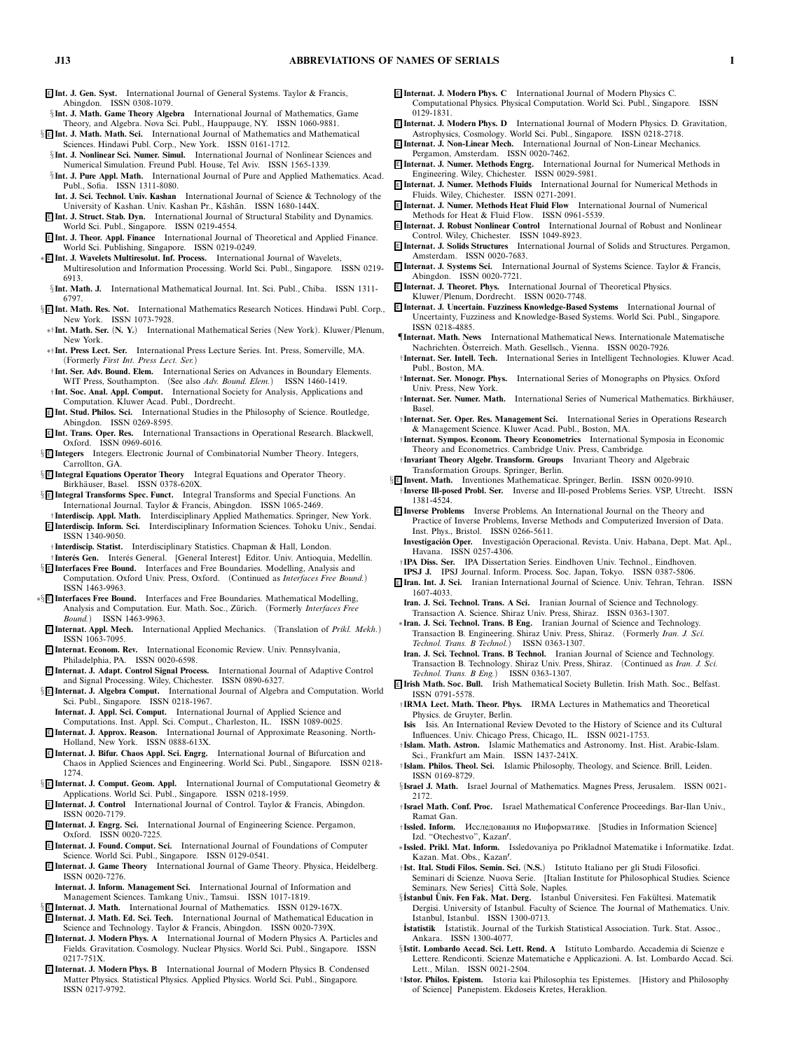- <sup>E</sup> **Int. J. Gen. Syst.** *International Journal of General Systems. Taylor & Francis, Abingdon. ISSN 0308-1079.*
- §**Int. J. Math. Game Theory Algebra** *International Journal of Mathematics, Game Theory, and Algebra. Nova Sci. Publ., Hauppauge, NY. ISSN 1060-9881.*
- § <sup>E</sup> **Int. J. Math. Math. Sci.** *International Journal of Mathematics and Mathematical Sciences. Hindawi Publ. Corp., New York. ISSN 0161-1712.*
- §**Int. J. Nonlinear Sci. Numer. Simul.** *International Journal of Nonlinear Sciences and Numerical Simulation. Freund Publ. House, Tel Aviv. ISSN 1565-1339.*
- §**Int. J. Pure Appl. Math.** *International Journal of Pure and Applied Mathematics. Acad. Publ., Sofia. ISSN 1311-8080.*
- **Int. J. Sci. Technol. Univ. Kashan** *International Journal of Science & Technology of the* University of Kashan. Univ. Kashan Pr., Kāshān. ISSN 1680-144X.
- <sup>E</sup> **Int. J. Struct. Stab. Dyn.** *International Journal of Structural Stability and Dynamics. World Sci. Publ., Singapore. ISSN 0219-4554.*
- <sup>E</sup> **Int. J. Theor. Appl. Finance** *International Journal of Theoretical and Applied Finance. World Sci. Publishing, Singapore. ISSN 0219-0249.*
- ∗ <sup>E</sup> **Int. J. Wavelets Multiresolut. Inf. Process.** *International Journal of Wavelets,*
- *Multiresolution and Information Processing. World Sci. Publ., Singapore. ISSN 0219- 6913.*
- §**Int. Math. J.** *International Mathematical Journal. Int. Sci. Publ., Chiba. ISSN 1311- 6797.*
- § <sup>E</sup> **Int. Math. Res. Not.** *International Mathematics Research Notices. Hindawi Publ. Corp., New York. ISSN 1073-7928.*
- ∗†**Int. Math. Ser.** *(***N. Y.***) International Mathematical Series (New York). Kluwer/Plenum, New York.*
- ∗†**Int. Press Lect. Ser.** *International Press Lecture Series. Int. Press, Somerville, MA. (Formerly First Int. Press Lect. Ser.)*
- † **Int. Ser. Adv. Bound. Elem.** *International Series on Advances in Boundary Elements. WIT Press, Southampton. (See also Adv. Bound. Elem.) ISSN 1460-1419.*
- † **Int. Soc. Anal. Appl. Comput.** *International Society for Analysis, Applications and Computation. Kluwer Acad. Publ., Dordrecht.*
- <sup>E</sup> **Int. Stud. Philos. Sci.** *International Studies in the Philosophy of Science. Routledge, Abingdon. ISSN 0269-8595.*
- <sup>E</sup> **Int. Trans. Oper. Res.** *International Transactions in Operational Research. Blackwell, Oxford. ISSN 0969-6016.*
- § <sup>E</sup> **Integers** *Integers. Electronic Journal of Combinatorial Number Theory. Integers, Carrollton, GA.*
- § <sup>E</sup> **Integral Equations Operator Theory** *Integral Equations and Operator Theory. Birkh¨auser, Basel. ISSN 0378-620X.*
- § <sup>E</sup> **Integral Transforms Spec. Funct.** *Integral Transforms and Special Functions. An International Journal. Taylor & Francis, Abingdon. ISSN 1065-2469.*
- † **Interdiscip. Appl. Math.** *Interdisciplinary Applied Mathematics. Springer, New York.* <sup>E</sup> **Interdiscip. Inform. Sci.** *Interdisciplinary Information Sciences. Tohoku Univ., Sendai. ISSN 1340-9050.*
- † **Interdiscip. Statist.** *Interdisciplinary Statistics. Chapman & Hall, London.*
- † **Inter´es Gen.** *Inter´es General. [General Interest] Editor. Univ. Antioquia, Medell´ın.* § <sup>E</sup> **Interfaces Free Bound.** *Interfaces and Free Boundaries. Modelling, Analysis and*
- *Computation. Oxford Univ. Press, Oxford. (Continued as Interfaces Free Bound.) ISSN 1463-9963.*
- ∗§ <sup>E</sup> **Interfaces Free Bound.** *Interfaces and Free Boundaries. Mathematical Modelling,* Analysis and Computation. Eur. Math. Soc., Zürich. (Formerly *Interfaces Free Bound.) ISSN 1463-9963.*
- <sup>E</sup> **Internat. Appl. Mech.** *International Applied Mechanics. (Translation of Prikl. Mekh.) ISSN 1063-7095.*
- <sup>E</sup> **Internat. Econom. Rev.** *International Economic Review. Univ. Pennsylvania, Philadelphia, PA. ISSN 0020-6598.*
- <sup>E</sup> **Internat. J. Adapt. Control Signal Process.** *International Journal of Adaptive Control and Signal Processing. Wiley, Chichester. ISSN 0890-6327.*
- § <sup>E</sup> **Internat. J. Algebra Comput.** *International Journal of Algebra and Computation. World Sci. Publ., Singapore. ISSN 0218-1967.*
- **Internat. J. Appl. Sci. Comput.** *International Journal of Applied Science and Computations. Inst. Appl. Sci. Comput., Charleston, IL. ISSN 1089-0025.*
- <sup>E</sup> **Internat. J. Approx. Reason.** *International Journal of Approximate Reasoning. North-Holland, New York. ISSN 0888-613X.*
- <sup>E</sup> **Internat. J. Bifur. Chaos Appl. Sci. Engrg.** *International Journal of Bifurcation and Chaos in Applied Sciences and Engineering. World Sci. Publ., Singapore. ISSN 0218- 1274.*
- § <sup>E</sup> **Internat. J. Comput. Geom. Appl.** *International Journal of Computational Geometry & Applications. World Sci. Publ., Singapore. ISSN 0218-1959.*
- <sup>E</sup> **Internat. J. Control** *International Journal of Control. Taylor & Francis, Abingdon. ISSN 0020-7179.*
- <sup>E</sup> **Internat. J. Engrg. Sci.** *International Journal of Engineering Science. Pergamon, Oxford. ISSN 0020-7225.*
- <sup>E</sup> **Internat. J. Found. Comput. Sci.** *International Journal of Foundations of Computer Science. World Sci. Publ., Singapore. ISSN 0129-0541.*
- <sup>E</sup> **Internat. J. Game Theory** *International Journal of Game Theory. Physica, Heidelberg. ISSN 0020-7276.*
- **Internat. J. Inform. Management Sci.** *International Journal of Information and Management Sciences. Tamkang Univ., Tamsui. ISSN 1017-1819.*
- § <sup>E</sup> **Internat. J. Math.** *International Journal of Mathematics. ISSN 0129-167X.*
- <sup>E</sup> **Internat. J. Math. Ed. Sci. Tech.** *International Journal of Mathematical Education in Science and Technology. Taylor & Francis, Abingdon. ISSN 0020-739X.*
- <sup>E</sup> **Internat. J. Modern Phys. A** *International Journal of Modern Physics A. Particles and Fields. Gravitation. Cosmology. Nuclear Physics. World Sci. Publ., Singapore. ISSN 0217-751X.*
- <sup>E</sup> **Internat. J. Modern Phys. B** *International Journal of Modern Physics B. Condensed Matter Physics. Statistical Physics. Applied Physics. World Sci. Publ., Singapore. ISSN 0217-9792.*
- <sup>E</sup> **Internat. J. Modern Phys. C** *International Journal of Modern Physics C. Computational Physics. Physical Computation. World Sci. Publ., Singapore. ISSN*
- *0129-1831.* <sup>E</sup> **Internat. J. Modern Phys. D** *International Journal of Modern Physics. D. Gravitation,*
- *Astrophysics, Cosmology. World Sci. Publ., Singapore. ISSN 0218-2718.* <sup>E</sup> **Internat. J. Non-Linear Mech.** *International Journal of Non-Linear Mechanics.*
- *Pergamon, Amsterdam. ISSN 0020-7462.* <sup>E</sup> **Internat. J. Numer. Methods Engrg.** *International Journal for Numerical Methods in Engineering. Wiley, Chichester. ISSN 0029-5981.*
- <sup>E</sup> **Internat. J. Numer. Methods Fluids** *International Journal for Numerical Methods in Fluids. Wiley, Chichester. ISSN 0271-2091.*
- <sup>E</sup> **Internat. J. Numer. Methods Heat Fluid Flow** *International Journal of Numerical Methods for Heat & Fluid Flow. ISSN 0961-5539.*
- <sup>E</sup> **Internat. J. Robust Nonlinear Control** *International Journal of Robust and Nonlinear Control. Wiley, Chichester. ISSN 1049-8923.*
- <sup>E</sup> **Internat. J. Solids Structures** *International Journal of Solids and Structures. Pergamon, Amsterdam. ISSN 0020-7683.*
- <sup>E</sup> **Internat. J. Systems Sci.** *International Journal of Systems Science. Taylor & Francis, Abingdon. ISSN 0020-7721.*
- <sup>E</sup> **Internat. J. Theoret. Phys.** *International Journal of Theoretical Physics.*
- *Kluwer/Plenum, Dordrecht. ISSN 0020-7748.*
- <sup>E</sup> **Internat. J. Uncertain. Fuzziness Knowledge-Based Systems** *International Journal of Uncertainty, Fuzziness and Knowledge-Based Systems. World Sci. Publ., Singapore. ISSN 0218-4885.*
- ¶**Internat. Math. News** *International Mathematical News. Internationale Matematische Nachrichten. Osterreich. Math. Gesellsch., Vienna. ISSN 0020-7926. ¨*
- †**Internat. Ser. Intell. Tech.** *International Series in Intelligent Technologies. Kluwer Acad. Publ., Boston, MA.*
- †**Internat. Ser. Monogr. Phys.** *International Series of Monographs on Physics. Oxford Univ. Press, New York.*
- †**Internat. Ser. Numer. Math.** *International Series of Numerical Mathematics. Birkh¨auser, Basel.*
- †**Internat. Ser. Oper. Res. Management Sci.** *International Series in Operations Research & Management Science. Kluwer Acad. Publ., Boston, MA.*
- †**Internat. Sympos. Econom. Theory Econometrics** *International Symposia in Economic Theory and Econometrics. Cambridge Univ. Press, Cambridge.*
- †**Invariant Theory Algebr. Transform. Groups** *Invariant Theory and Algebraic Transformation Groups. Springer, Berlin.*

§ <sup>E</sup> **Invent. Math.** *Inventiones Mathematicae. Springer, Berlin. ISSN 0020-9910.* †**Inverse Ill-posed Probl. Ser.** *Inverse and Ill-posed Problems Series. VSP, Utrecht. ISSN 1381-4524.*

- <sup>E</sup> **Inverse Problems** *Inverse Problems. An International Journal on the Theory and Practice of Inverse Problems, Inverse Methods and Computerized Inversion of Data. Inst. Phys., Bristol. ISSN 0266-5611.*
- Investigación Oper. Investigación Operacional. Revista. Univ. Habana, Dept. Mat. Apl., *Havana. ISSN 0257-4306.*
- †**IPA Diss. Ser.** *IPA Dissertation Series. Eindhoven Univ. Technol., Eindhoven.*
- **IPSJ J.** *IPSJ Journal. Inform. Process. Soc. Japan, Tokyo. ISSN 0387-5806.*
- <sup>E</sup> **Iran. Int. J. Sci.** *Iranian International Journal of Science. Univ. Tehran, Tehran. ISSN 1607-4033.*
- **Iran. J. Sci. Technol. Trans. A Sci.** *Iranian Journal of Science and Technology. Transaction A. Science. Shiraz Univ. Press, Shiraz. ISSN 0363-1307.*
- ∗**Iran. J. Sci. Technol. Trans. B Eng.** *Iranian Journal of Science and Technology. Transaction B. Engineering. Shiraz Univ. Press, Shiraz. (Formerly Iran. J. Sci.*  $Technol.$  Trans. **B** Technol.<sup> $)$ </sup>
- **Iran. J. Sci. Technol. Trans. B Technol.** *Iranian Journal of Science and Technology. Transaction B. Technology. Shiraz Univ. Press, Shiraz. (Continued as Iran. J. Sci. Technol. Trans. B Eng.) ISSN 0363-1307.*
- <sup>E</sup> **Irish Math. Soc. Bull.** *Irish Mathematical Society Bulletin. Irish Math. Soc., Belfast. ISSN 0791-5578.*
- †**IRMA Lect. Math. Theor. Phys.** *IRMA Lectures in Mathematics and Theoretical Physics. de Gruyter, Berlin.*
- **Isis** *Isis. An International Review Devoted to the History of Science and its Cultural Influences. Univ. Chicago Press, Chicago, IL. ISSN 0021-1753.*
- †**Islam. Math. Astron.** *Islamic Mathematics and Astronomy. Inst. Hist. Arabic-Islam. Sci., Frankfurt am Main. ISSN 1437-241X.*
- †**Islam. Philos. Theol. Sci.** *Islamic Philosophy, Theology, and Science. Brill, Leiden. ISSN 0169-8729.*
- §**Israel J. Math.** *Israel Journal of Mathematics. Magnes Press, Jerusalem. ISSN 0021- 2172.*
- †**Israel Math. Conf. Proc.** *Israel Mathematical Conference Proceedings. Bar-Ilan Univ., Ramat Gan.*
- †**Issled. Inform.** Исследования по Информатике. *[Studies in Information Science] Izd. "Otechestvo", Kazan.*
- ∗**Issled. Prikl. Mat. Inform.** *Issledovaniya po Prikladno˘ı Matematike i Informatike. Izdat. Kazan. Mat. Obs., Kazan.*
- †**Ist. Ital. Studi Filos. Semin. Sci.** *(***N.S.***) Istituto Italiano per gli Studi Filosofici. Seminari di Scienze. Nuova Serie. [Italian Institute for Philosophical Studies. Science Seminars. New Series] Citt`a Sole, Naples.*
- §**˙ Istanbul Univ. Fen Fak. Mat. Derg. ¨** *˙ Istanbul Universitesi. Fen Fak ¨ ¨ ultesi. Matematik Dergisi. University of Istanbul. Faculty of Science. The Journal of Mathematics. Univ. Istanbul, Istanbul. ISSN 1300-0713.*
- **˙ Istatistik** *˙ Istatistik. Journal of the Turkish Statistical Association. Turk. Stat. Assoc., Ankara. ISSN 1300-4077.*
- §**Istit. Lombardo Accad. Sci. Lett. Rend. A** *Istituto Lombardo. Accademia di Scienze e Lettere. Rendiconti. Scienze Matematiche e Applicazioni. A. Ist. Lombardo Accad. Sci. Lett., Milan. ISSN 0021-2504.*
- †**Istor. Philos. Epistem.** *Istoria kai Philosophia tes Epistemes. [History and Philosophy of Science] Panepistem. Ekdoseis Kretes, Heraklion.*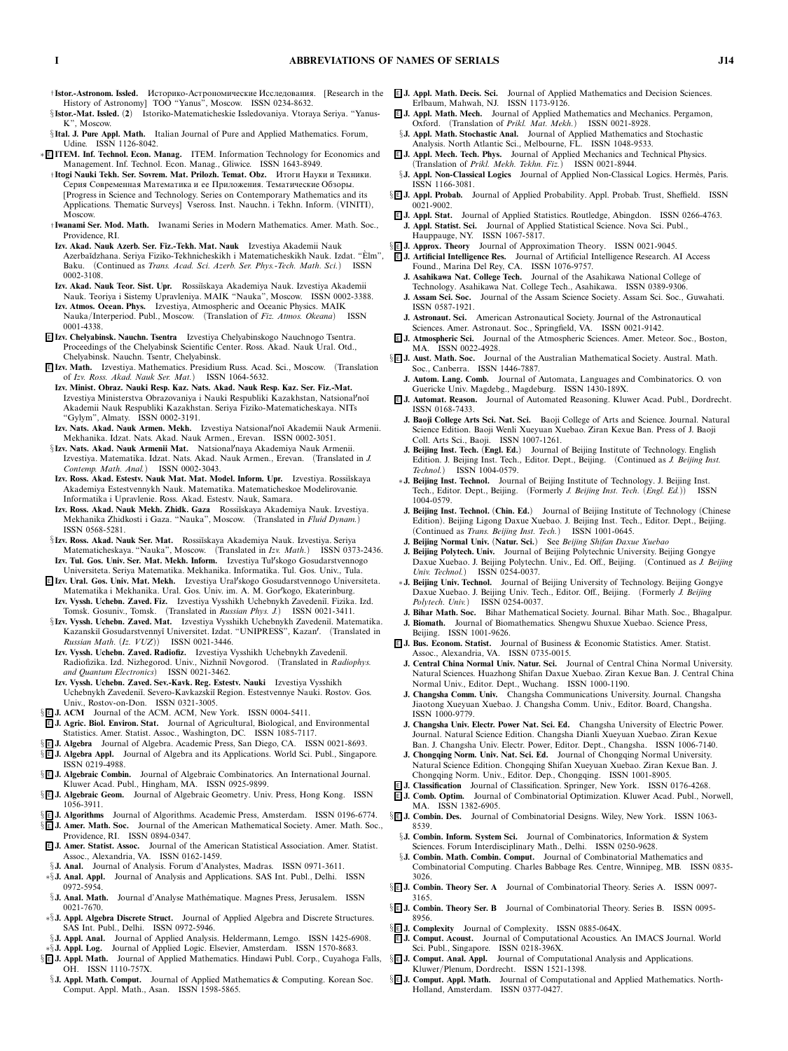- † **Istor.-Astronom. Issled.** Историко-Астрономические Исследования. *[Research in the History of Astronomy] TOO "Yanus", Moscow. ISSN 0234-8632.*
- §**Istor.-Mat. Issled.** *(***2***) Istoriko-Matematicheskie Issledovaniya. Vtoraya Seriya. "Yanus-K", Moscow.*
- §**Ital. J. Pure Appl. Math.** *Italian Journal of Pure and Applied Mathematics. Forum, Udine. ISSN 1126-8042.*
- ∗ <sup>E</sup> **ITEM. Inf. Technol. Econ. Manag.** *ITEM. Information Technology for Economics and Management. Inf. Technol. Econ. Manag., Gliwice. ISSN 1643-8949.*
	- † **Itogi Nauki Tekh. Ser. Sovrem. Mat. Prilozh. Temat. Obz.** Итоги Науки и Техники. Серия Современная Математика и ее Приложения. Тематические Обзоры. *[Progress in Science and Technology. Series on Contemporary Mathematics and its Applications. Thematic Surveys] Vseross. Inst. Nauchn. i Tekhn. Inform. (VINITI), Moscow.*
	- † **Iwanami Ser. Mod. Math.** *Iwanami Series in Modern Mathematics. Amer. Math. Soc., Providence, RI.*
	- **Izv. Akad. Nauk Azerb. Ser. Fiz.-Tekh. Mat. Nauk** *Izvestiya Akademii Nauk Azerba˘ıdzhana. Seriya Fiziko-Tekhnicheskikh i Matematicheskikh Nauk. Izdat. "Elm", ` Baku. (Continued as Trans. Acad. Sci. Azerb. Ser. Phys.-Tech. Math. Sci.) ISSN 0002-3108.*
	- **Izv. Akad. Nauk Teor. Sist. Upr.** *Rossi˘ıskaya Akademiya Nauk. Izvestiya Akademii Nauk. Teoriya i Sistemy Upravleniya. MAIK "Nauka", Moscow. ISSN 0002-3388.*
	- **Izv. Atmos. Ocean. Phys.** *Izvestiya, Atmospheric and Oceanic Physics. MAIK Nauka/Interperiod. Publ., Moscow. (Translation of Fiz. Atmos. Okeana) ISSN 0001-4338.*
- <sup>E</sup> **Izv. Chelyabinsk. Nauchn. Tsentra** *Izvestiya Chelyabinskogo Nauchnogo Tsentra. Proceedings of the Chelyabinsk Scientific Center. Ross. Akad. Nauk Ural. Otd., Chelyabinsk. Nauchn. Tsentr, Chelyabinsk.*
- <sup>E</sup> **Izv. Math.** *Izvestiya. Mathematics. Presidium Russ. Acad. Sci., Moscow. (Translation of Izv. Ross. Akad. Nauk Ser. Mat.) ISSN 1064-5632.*
- **Izv. Minist. Obraz. Nauki Resp. Kaz. Nats. Akad. Nauk Resp. Kaz. Ser. Fiz.-Mat.** *Izvestiya Ministerstva Obrazovaniya i Nauki Respubliki Kazakhstan, Natsionalno˘ı Akademii Nauk Respubliki Kazakhstan. Seriya Fiziko-Matematicheskaya. NITs "Gylym", Almaty. ISSN 0002-3191.*
- **Izv. Nats. Akad. Nauk Armen. Mekh.** *Izvestiya Natsionalno˘ı Akademii Nauk Armenii. Mekhanika. Idzat. Nats. Akad. Nauk Armen., Erevan. ISSN 0002-3051.*
- §**Izv. Nats. Akad. Nauk Armenii Mat.** *Natsionalnaya Akademiya Nauk Armenii. Izvestiya. Matematika. Idzat. Nats. Akad. Nauk Armen., Erevan. (Translated in J. Contemp. Math. Anal.) ISSN 0002-3043.*
- Izv. Ross. Akad. Estestv. Nauk Mat. Mat. Model. Inform. Upr. *Izvestiya. Rossi*ĭskaya *Akademiya Estestvennykh Nauk. Matematika. Matematicheskoe Modelirovanie. Informatika i Upravlenie. Ross. Akad. Estestv. Nauk, Samara.*
- **Izv. Ross. Akad. Nauk Mekh. Zhidk. Gaza** *Rossi˘ıskaya Akademiya Nauk. Izvestiya. Mekhanika Zhidkosti i Gaza. "Nauka", Moscow. (Translated in Fluid Dynam.) ISSN 0568-5281.*
- §**Izv. Ross. Akad. Nauk Ser. Mat.** Rossiĭskaya Akademiya Nauk. Izvestiya. Seriya *Matematicheskaya. "Nauka", Moscow. (Translated in Izv. Math.) ISSN 0373-2436.* **Izv. Tul. Gos. Univ. Ser. Mat. Mekh. Inform.** *Izvestiya Tulskogo Gosudarstvennogo*
- *Universiteta. Seriya Matematika. Mekhanika. Informatika. Tul. Gos. Univ., Tula.* <sup>E</sup> **Izv. Ural. Gos. Univ. Mat. Mekh.** *Izvestiya Uralskogo Gosudarstvennogo Universiteta.*
- *Matematika i Mekhanika. Ural. Gos. Univ. im. A. M. Gorkogo, Ekaterinburg.* **Izv. Vyssh. Uchebn. Zaved. Fiz.** *Izvestiya Vysshikh Uchebnykh Zavedeni˘ı. Fizika. Izd.*
- *Tomsk. Gosuniv., Tomsk. (Translated in Russian Phys. J.) ISSN 0021-3411.* §**Izv. Vyssh. Uchebn. Zaved. Mat.** *Izvestiya Vysshikh Uchebnykh Zavedeni˘ı. Matematika. Kazanski˘ı Gosudarstvenny˘ı Universitet. Izdat. "UNIPRESS", Kazan. (Translated in Russian Math. (Iz. VUZ)) ISSN 0021-3446.*
- **Izv. Vyssh. Uchebn. Zaved. Radiofiz.** *Izvestiya Vysshikh Uchebnykh Zavedeni˘ı. Radiofizika. Izd. Nizhegorod. Univ., Nizhni˘ı Novgorod. (Translated in Radiophys. and Quantum Electronics) ISSN 0021-3462.*
- **Izv. Vyssh. Uchebn. Zaved. Sev.-Kavk. Reg. Estestv. Nauki** *Izvestiya Vysshikh Uchebnykh Zavedeni˘ı. Severo-Kavkazski˘ı Region. Estestvennye Nauki. Rostov. Gos. Univ., Rostov-on-Don. ISSN 0321-3005.*
- § <sup>E</sup> **J. ACM** *Journal of the ACM. ACM, New York. ISSN 0004-5411.*
- <sup>E</sup> **J. Agric. Biol. Environ. Stat.** *Journal of Agricultural, Biological, and Environmental Statistics. Amer. Statist. Assoc., Washington, DC. ISSN 1085-7117.*
- § <sup>E</sup> **J. Algebra** *Journal of Algebra. Academic Press, San Diego, CA. ISSN 0021-8693.* § <sup>E</sup> **J. Algebra Appl.** *Journal of Algebra and its Applications. World Sci. Publ., Singapore.*
- *ISSN 0219-4988.* § <sup>E</sup> **J. AlgebraicCombin.** *Journal of Algebraic Combinatorics. An International Journal.*
- *Kluwer Acad. Publ., Hingham, MA. ISSN 0925-9899.*
- § <sup>E</sup> **J. AlgebraicGeom.** *Journal of Algebraic Geometry. Univ. Press, Hong Kong. ISSN 1056-3911.*
- § <sup>E</sup> **J. Algorithms** *Journal of Algorithms. Academic Press, Amsterdam. ISSN 0196-6774.*
- § <sup>E</sup> **J. Amer. Math. Soc.** *Journal of the American Mathematical Society. Amer. Math. Soc., Providence, RI. ISSN 0894-0347.*
- <sup>E</sup> **J. Amer. Statist. Assoc.** *Journal of the American Statistical Association. Amer. Statist. Assoc., Alexandria, VA. ISSN 0162-1459.*
- §**J. Anal.** *Journal of Analysis. Forum d'Analystes, Madras. ISSN 0971-3611.*
- ∗§**J. Anal. Appl.** *Journal of Analysis and Applications. SAS Int. Publ., Delhi. ISSN 0972-5954.*
- §**J. Anal. Math.** *Journal d'Analyse Math´ematique. Magnes Press, Jerusalem. ISSN 0021-7670.*
- ∗§**J. Appl. Algebra Discrete Struct.** *Journal of Applied Algebra and Discrete Structures. SAS Int. Publ., Delhi. ISSN 0972-5946.*
- §**J. Appl. Anal.** *Journal of Applied Analysis. Heldermann, Lemgo. ISSN 1425-6908.*
- ∗§**J. Appl. Log.** *Journal of Applied Logic. Elsevier, Amsterdam. ISSN 1570-8683.* § <sup>E</sup> **J. Appl. Math.** *Journal of Applied Mathematics. Hindawi Publ. Corp., Cuyahoga Falls,*
- *OH. ISSN 1110-757X.* §**J. Appl. Math. Comput.** *Journal of Applied Mathematics & Computing. Korean Soc. Comput. Appl. Math., Asan. ISSN 1598-5865.*
- <sup>E</sup> **J. Appl. Math. Decis. Sci.** *Journal of Applied Mathematics and Decision Sciences. Erlbaum, Mahwah, NJ. ISSN 1173-9126.*
- <sup>E</sup> **J. Appl. Math. Mech.** *Journal of Applied Mathematics and Mechanics. Pergamon, Oxford. (Translation of Prikl. Mat. Mekh.) ISSN 0021-8928.*
- §**J. Appl. Math. Stochastic Anal.** *Journal of Applied Mathematics and Stochastic Analysis. North Atlantic Sci., Melbourne, FL. ISSN 1048-9533.*
- <sup>E</sup> **J. Appl. Mech. Tech. Phys.** *Journal of Applied Mechanics and Technical Physics. (Translation of Prikl. Mekh. Tekhn. Fiz.) ISSN 0021-8944.*
- §**J. Appl. Non-Classical Logics** Journal of Applied Non-Classical Logics. Hermès, Paris. *ISSN 1166-3081.*
- § <sup>E</sup> **J. Appl. Probab.** *Journal of Applied Probability. Appl. Probab. Trust, Sheffield. ISSN 0021-9002.*
- <sup>E</sup> **J. Appl. Stat.** *Journal of Applied Statistics. Routledge, Abingdon. ISSN 0266-4763.* **J. Appl. Statist. Sci.** *Journal of Applied Statistical Science. Nova Sci. Publ., Hauppauge, NY. ISSN 1067-5817.*
- § <sup>E</sup> **J. Approx. Theory** *Journal of Approximation Theory. ISSN 0021-9045.*
- <sup>E</sup> **J. Artificial Intelligence Res.** *Journal of Artificial Intelligence Research. AI Access Found., Marina Del Rey, CA. ISSN 1076-9757.*
- **J. Asahikawa Nat. College Tech.** *Journal of the Asahikawa National College of Technology. Asahikawa Nat. College Tech., Asahikawa. ISSN 0389-9306.* **J. Assam Sci. Soc.** *Journal of the Assam Science Society. Assam Sci. Soc., Guwahati.*
- *ISSN 0587-1921.*
- **J. Astronaut. Sci.** *American Astronautical Society. Journal of the Astronautical Sciences. Amer. Astronaut. Soc., Springfield, VA. ISSN 0021-9142.*
- <sup>E</sup> **J. AtmosphericSci.** *Journal of the Atmospheric Sciences. Amer. Meteor. Soc., Boston, MA. ISSN 0022-4928.*
- § <sup>E</sup> **J. Aust. Math. Soc.** *Journal of the Australian Mathematical Society. Austral. Math. Soc., Canberra. ISSN 1446-7887.*
	- **J. Autom. Lang. Comb.** *Journal of Automata, Languages and Combinatorics. O. von Guericke Univ. Magdebg., Magdeburg. ISSN 1430-189X.*
- <sup>E</sup> **J. Automat. Reason.** *Journal of Automated Reasoning. Kluwer Acad. Publ., Dordrecht. ISSN 0168-7433.*
- **J. Baoji College Arts Sci. Nat. Sci.** *Baoji College of Arts and Science. Journal. Natural Science Edition. Baoji Wenli Xueyuan Xuebao. Ziran Kexue Ban. Press of J. Baoji Coll. Arts Sci., Baoji. ISSN 1007-1261.*
- **J. Beijing Inst. Tech.** *(***Engl. Ed.***) Journal of Beijing Institute of Technology. English Edition. J. Beijing Inst. Tech., Editor. Dept., Beijing. (Continued as J. Beijing Inst. Technol.) ISSN 1004-0579.*
- ∗**J. Beijing Inst. Technol.** *Journal of Beijing Institute of Technology. J. Beijing Inst. Tech., Editor. Dept., Beijing. (Formerly J. Beijing Inst. Tech. (Engl. Ed.)) ISSN 1004-0579.*
- **J. Beijing Inst. Technol.** *(***Chin. Ed.***) Journal of Beijing Institute of Technology (Chinese Edition). Beijing Ligong Daxue Xuebao. J. Beijing Inst. Tech., Editor. Dept., Beijing. (Continued as Trans. Beijing Inst. Tech.) ISSN 1001-0645.*
- **J. Beijing Normal Univ.** *(***Natur. Sci.***) See Beijing Shifan Daxue Xuebao*
- **J. Beijing Polytech. Univ.** *Journal of Beijing Polytechnic University. Beijing Gongye Daxue Xuebao. J. Beijing Polytechn. Univ., Ed. Off., Beijing. (Continued as J. Beijing Univ. Technol.) ISSN 0254-0037.*
- ∗**J. Beijing Univ. Technol.** *Journal of Beijing University of Technology. Beijing Gongye Daxue Xuebao. J. Beijing Univ. Tech., Editor. Off., Beijing. (Formerly J. Beijing Polytech. Univ.) ISSN 0254-0037.*
- **J. Bihar Math. Soc.** *Bihar Mathematical Society. Journal. Bihar Math. Soc., Bhagalpur.* **J. Biomath.** *Journal of Biomathematics. Shengwu Shuxue Xuebao. Science Press,*
- *Beijing. ISSN 1001-9626.* <sup>E</sup> **J. Bus. Econom. Statist.** *Journal of Business & Economic Statistics. Amer. Statist.*
- *Assoc., Alexandria, VA. ISSN 0735-0015.*
- **J. Central China Normal Univ. Natur. Sci.** *Journal of Central China Normal University. Natural Sciences. Huazhong Shifan Daxue Xuebao. Ziran Kexue Ban. J. Central China Normal Univ., Editor. Dept., Wuchang. ISSN 1000-1190.*
- **J. Changsha Comm. Univ.** *Changsha Communications University. Journal. Changsha Jiaotong Xueyuan Xuebao. J. Changsha Comm. Univ., Editor. Board, Changsha. ISSN 1000-9779.*
- **J. Changsha Univ. Electr. Power Nat. Sci. Ed.** *Changsha University of Electric Power. Journal. Natural Science Edition. Changsha Dianli Xueyuan Xuebao. Ziran Kexue Ban. J. Changsha Univ. Electr. Power, Editor. Dept., Changsha. ISSN 1006-7140.*
- **J. Chongqing Norm. Univ. Nat. Sci. Ed.** *Journal of Chongqing Normal University. Natural Science Edition. Chongqing Shifan Xueyuan Xuebao. Ziran Kexue Ban. J. Chongqing Norm. Univ., Editor. Dep., Chongqing. ISSN 1001-8905.*
- <sup>E</sup> **J. Classification** *Journal of Classification. Springer, New York. ISSN 0176-4268.*
- <sup>E</sup> **J. Comb. Optim.** *Journal of Combinatorial Optimization. Kluwer Acad. Publ., Norwell, MA. ISSN 1382-6905.*
- § <sup>E</sup> **J. Combin. Des.** *Journal of Combinatorial Designs. Wiley, New York. ISSN 1063- 8539.*
	- §**J. Combin. Inform. System Sci.** *Journal of Combinatorics, Information & System Sciences. Forum Interdisciplinary Math., Delhi. ISSN 0250-9628.*
	- §**J. Combin. Math. Combin. Comput.** *Journal of Combinatorial Mathematics and Combinatorial Computing. Charles Babbage Res. Centre, Winnipeg, MB. ISSN 0835- 3026.*
- § <sup>E</sup> **J. Combin. Theory Ser. A** *Journal of Combinatorial Theory. Series A. ISSN 0097- 3165.*
- § <sup>E</sup> **J. Combin. Theory Ser. B** *Journal of Combinatorial Theory. Series B. ISSN 0095- 8956.*
- § <sup>E</sup> **J. Complexity** *Journal of Complexity. ISSN 0885-064X.*
- <sup>E</sup> **J. Comput. Acoust.** *Journal of Computational Acoustics. An IMACS Journal. World Sci. Publ., Singapore. ISSN 0218-396X.*
- § <sup>E</sup> **J. Comput. Anal. Appl.** *Journal of Computational Analysis and Applications. Kluwer/Plenum, Dordrecht. ISSN 1521-1398.*
- § <sup>E</sup> **J. Comput. Appl. Math.** *Journal of Computational and Applied Mathematics. North-Holland, Amsterdam. ISSN 0377-0427.*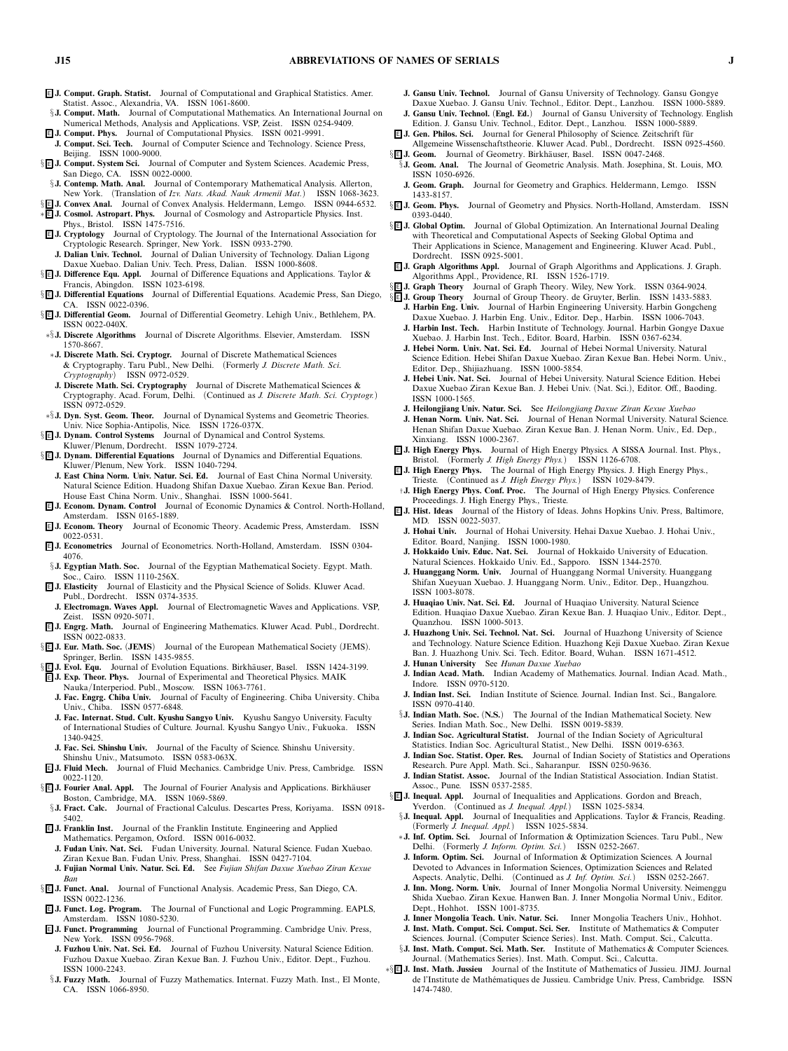- <sup>E</sup> **J. Comput. Graph. Statist.** *Journal of Computational and Graphical Statistics. Amer. Statist. Assoc., Alexandria, VA. ISSN 1061-8600.*
- §**J. Comput. Math.** *Journal of Computational Mathematics. An International Journal on Numerical Methods, Analysis and Applications. VSP, Zeist. ISSN 0254-9409.*
- <sup>E</sup> **J. Comput. Phys.** *Journal of Computational Physics. ISSN 0021-9991.* **J. Comput. Sci. Tech.** *Journal of Computer Science and Technology. Science Press, Beijing. ISSN 1000-9000.*
- § <sup>E</sup> **J. Comput. System Sci.** *Journal of Computer and System Sciences. Academic Press, San Diego, CA. ISSN 0022-0000.*
- §**J. Contemp. Math. Anal.** *Journal of Contemporary Mathematical Analysis. Allerton, New York. (Translation of Izv. Nats. Akad. Nauk Armenii Mat.) ISSN 1068-3623.*
- § <sup>E</sup> **J. Convex Anal.** *Journal of Convex Analysis. Heldermann, Lemgo. ISSN 0944-6532.*
- ∗ <sup>E</sup> **J. Cosmol. Astropart. Phys.** *Journal of Cosmology and Astroparticle Physics. Inst. Phys., Bristol. ISSN 1475-7516.*
- <sup>E</sup> **J. Cryptology** *Journal of Cryptology. The Journal of the International Association for Cryptologic Research. Springer, New York. ISSN 0933-2790.*
- **J. Dalian Univ. Technol.** *Journal of Dalian University of Technology. Dalian Ligong Daxue Xuebao. Dalian Univ. Tech. Press, Dalian. ISSN 1000-8608.*
- § <sup>E</sup> **J. Difference Equ. Appl.** *Journal of Difference Equations and Applications. Taylor & Francis, Abingdon. ISSN 1023-6198.*
- § <sup>E</sup> **J. Differential Equations** *Journal of Differential Equations. Academic Press, San Diego, CA. ISSN 0022-0396.*
- § <sup>E</sup> **J. Differential Geom.** *Journal of Differential Geometry. Lehigh Univ., Bethlehem, PA. ISSN 0022-040X.*
- ∗§**J. Discrete Algorithms** *Journal of Discrete Algorithms. Elsevier, Amsterdam. ISSN 1570-8667.*
- ∗**J. Discrete Math. Sci. Cryptogr.** *Journal of Discrete Mathematical Sciences & Cryptography. Taru Publ., New Delhi. (Formerly J. Discrete Math. Sci. Cryptography) ISSN 0972-0529.*
- **J. Discrete Math. Sci. Cryptography** *Journal of Discrete Mathematical Sciences & Cryptography. Acad. Forum, Delhi. (Continued as J. Discrete Math. Sci. Cryptogr.) ISSN 0972-0529.*
- ∗§**J. Dyn. Syst. Geom. Theor.** *Journal of Dynamical Systems and Geometric Theories. Univ. Nice Sophia-Antipolis, Nice. ISSN 1726-037X.*
- § <sup>E</sup> **J. Dynam. Control Systems** *Journal of Dynamical and Control Systems.*
- *Kluwer/Plenum, Dordrecht. ISSN 1079-2724.*
- § **E J. Dynam. Differential Equations** Journal of Dynamics and Differential Equations. *Kluwer/Plenum, New York. ISSN 1040-7294.* **J. East China Norm. Univ. Natur. Sci. Ed.** *Journal of East China Normal University.*
- *Natural Science Edition. Huadong Shifan Daxue Xuebao. Ziran Kexue Ban. Period. House East China Norm. Univ., Shanghai. ISSN 1000-5641.*
- <sup>E</sup> **J. Econom. Dynam. Control** *Journal of Economic Dynamics & Control. North-Holland, Amsterdam. ISSN 0165-1889.*
- <sup>E</sup> **J. Econom. Theory** *Journal of Economic Theory. Academic Press, Amsterdam. ISSN 0022-0531.*
- <sup>E</sup> **J. Econometrics** *Journal of Econometrics. North-Holland, Amsterdam. ISSN 0304- 4076.*
- §**J. Egyptian Math. Soc.** *Journal of the Egyptian Mathematical Society. Egypt. Math. Soc., Cairo. ISSN 1110-256X.*
- <sup>E</sup> **J. Elasticity** *Journal of Elasticity and the Physical Science of Solids. Kluwer Acad. Publ., Dordrecht. ISSN 0374-3535.* **J. Electromagn. Waves Appl.** *Journal of Electromagnetic Waves and Applications. VSP,*
- *Zeist. ISSN 0920-5071.*
- <sup>E</sup> **J. Engrg. Math.** *Journal of Engineering Mathematics. Kluwer Acad. Publ., Dordrecht. ISSN 0022-0833.*
- § <sup>E</sup> **J. Eur. Math. Soc.** *(***JEMS***) Journal of the European Mathematical Society (JEMS). Springer, Berlin. ISSN 1435-9855.*
- §**E** J. Evol. Equ. Journal of Evolution Equations. Birkhäuser, Basel. ISSN 1424-3199.
- <sup>E</sup> **J. Exp. Theor. Phys.** *Journal of Experimental and Theoretical Physics. MAIK Nauka/Interperiod. Publ., Moscow. ISSN 1063-7761.*
- **J. Fac. Engrg. Chiba Univ.** *Journal of Faculty of Engineering. Chiba University. Chiba Univ., Chiba. ISSN 0577-6848.*
- **J. Fac. Internat. Stud. Cult. Kyushu Sangyo Univ.** *Kyushu Sangyo University. Faculty of International Studies of Culture. Journal. Kyushu Sangyo Univ., Fukuoka. ISSN 1340-9425.*
- **J. Fac. Sci. Shinshu Univ.** *Journal of the Faculty of Science. Shinshu University. Shinshu Univ., Matsumoto. ISSN 0583-063X.*
- <sup>E</sup> **J. Fluid Mech.** *Journal of Fluid Mechanics. Cambridge Univ. Press, Cambridge. ISSN 0022-1120.*
- § **E J. Fourier Anal. Appl.** The Journal of Fourier Analysis and Applications. Birkhäuser *Boston, Cambridge, MA. ISSN 1069-5869.*
- §**J. Fract. Calc.** *Journal of Fractional Calculus. Descartes Press, Koriyama. ISSN 0918- 5402.*
- <sup>E</sup> **J. Franklin Inst.** *Journal of the Franklin Institute. Engineering and Applied Mathematics. Pergamon, Oxford. ISSN 0016-0032.* **J. Fudan Univ. Nat. Sci.** *Fudan University. Journal. Natural Science. Fudan Xuebao.*
- *Ziran Kexue Ban. Fudan Univ. Press, Shanghai. ISSN 0427-7104.* **J. Fujian Normal Univ. Natur. Sci. Ed.** *See Fujian Shifan Daxue Xuebao Ziran Kexue Ban*
- § <sup>E</sup> **J. Funct. Anal.** *Journal of Functional Analysis. Academic Press, San Diego, CA. ISSN 0022-1236.*
- <sup>E</sup> **J. Funct. Log. Program.** *The Journal of Functional and Logic Programming. EAPLS, Amsterdam. ISSN 1080-5230.*
- <sup>E</sup> **J. Funct. Programming** *Journal of Functional Programming. Cambridge Univ. Press, New York. ISSN 0956-7968.*
- **J. Fuzhou Univ. Nat. Sci. Ed.** *Journal of Fuzhou University. Natural Science Edition. Fuzhou Daxue Xuebao. Ziran Kexue Ban. J. Fuzhou Univ., Editor. Dept., Fuzhou. ISSN 1000-2243.*
- §**J. Fuzzy Math.** *Journal of Fuzzy Mathematics. Internat. Fuzzy Math. Inst., El Monte, CA. ISSN 1066-8950.*
- **J. Gansu Univ. Technol.** *Journal of Gansu University of Technology. Gansu Gongye Daxue Xuebao. J. Gansu Univ. Technol., Editor. Dept., Lanzhou. ISSN 1000-5889.*
- **J. Gansu Univ. Technol.** *(***Engl. Ed.***) Journal of Gansu University of Technology. English Edition. J. Gansu Univ. Technol., Editor. Dept., Lanzhou. ISSN 1000-5889.*
- <sup>E</sup> **J. Gen. Philos. Sci.** *Journal for General Philosophy of Science. Zeitschrift f ¨ur Allgemeine Wissenschaftstheorie. Kluwer Acad. Publ., Dordrecht. ISSN 0925-4560.*
- § E J. Geom. Journal of Geometry. Birkhäuser, Basel. ISSN 0047-2468. §**J. Geom. Anal.** *The Journal of Geometric Analysis. Math. Josephina, St. Louis, MO. ISSN 1050-6926.*
- **J. Geom. Graph.** *Journal for Geometry and Graphics. Heldermann, Lemgo. ISSN 1433-8157.*
- § <sup>E</sup> **J. Geom. Phys.** *Journal of Geometry and Physics. North-Holland, Amsterdam. ISSN 0393-0440.*
- §**EJ. Global Optim.** Journal of Global Optimization. An International Journal Dealing *with Theoretical and Computational Aspects of Seeking Global Optima and Their Applications in Science, Management and Engineering. Kluwer Acad. Publ., Dordrecht. ISSN 0925-5001.*
- <sup>E</sup> **J. Graph Algorithms Appl.** *Journal of Graph Algorithms and Applications. J. Graph. Algorithms Appl., Providence, RI. ISSN 1526-1719.*
- § <sup>E</sup> **J. Graph Theory** *Journal of Graph Theory. Wiley, New York. ISSN 0364-9024.*
- § <sup>E</sup> **J. Group Theory** *Journal of Group Theory. de Gruyter, Berlin. ISSN 1433-5883.* **J. Harbin Eng. Univ.** *Journal of Harbin Engineering University. Harbin Gongcheng Daxue Xuebao. J. Harbin Eng. Univ., Editor. Dep., Harbin. ISSN 1006-7043.*
	- **J. Harbin Inst. Tech.** *Harbin Institute of Technology. Journal. Harbin Gongye Daxue Xuebao. J. Harbin Inst. Tech., Editor. Board, Harbin. ISSN 0367-6234.*
	- **J. Hebei Norm. Univ. Nat. Sci. Ed.** *Journal of Hebei Normal University. Natural Science Edition. Hebei Shifan Daxue Xuebao. Ziran Kexue Ban. Hebei Norm. Univ., Editor. Dep., Shijiazhuang. ISSN 1000-5854.*
	- **J. Hebei Univ. Nat. Sci.** *Journal of Hebei University. Natural Science Edition. Hebei Daxue Xuebao Ziran Kexue Ban. J. Hebei Univ. (Nat. Sci.), Editor. Off., Baoding. ISSN 1000-1565.*
	- **J. Heilongjiang Univ. Natur. Sci.** *See Heilongjiang Daxue Ziran Kexue Xuebao*
	- **J. Henan Norm. Univ. Nat. Sci.** *Journal of Henan Normal University. Natural Science. Henan Shifan Daxue Xuebao. Ziran Kexue Ban. J. Henan Norm. Univ., Ed. Dep., Xinxiang. ISSN 1000-2367.*
- <sup>E</sup> **J. High Energy Phys.** *Journal of High Energy Physics. A SISSA Journal. Inst. Phys., Bristol. (Formerly J. High Energy Phys.) ISSN 1126-6708.*
- <sup>E</sup> **J. High Energy Phys.** *The Journal of High Energy Physics. J. High Energy Phys., Trieste. (Continued as J. High Energy Phys.) ISSN 1029-8479.*
- †**J. High Energy Phys. Conf. Proc.** *The Journal of High Energy Physics. Conference Proceedings. J. High Energy Phys., Trieste.*
- <sup>E</sup> **J. Hist. Ideas** *Journal of the History of Ideas. Johns Hopkins Univ. Press, Baltimore, MD. ISSN 0022-5037.*
	- **J. Hohai Univ.** *Journal of Hohai University. Hehai Daxue Xuebao. J. Hohai Univ., Editor. Board, Nanjing. ISSN 1000-1980.*
	- **J. Hokkaido Univ. Educ. Nat. Sci.** *Journal of Hokkaido University of Education. Natural Sciences. Hokkaido Univ. Ed., Sapporo. ISSN 1344-2570.*
	- **J. Huanggang Norm. Univ.** *Journal of Huanggang Normal University. Huanggang Shifan Xueyuan Xuebao. J. Huanggang Norm. Univ., Editor. Dep., Huangzhou. ISSN 1003-8078.*
	- **J. Huaqiao Univ. Nat. Sci. Ed.** *Journal of Huaqiao University. Natural Science Edition. Huaqiao Daxue Xuebao. Ziran Kexue Ban. J. Huaqiao Univ., Editor. Dept., Quanzhou. ISSN 1000-5013.*
	- **J. Huazhong Univ. Sci. Technol. Nat. Sci.** *Journal of Huazhong University of Science and Technology. Nature Science Edition. Huazhong Keji Daxue Xuebao. Ziran Kexue Ban. J. Huazhong Univ. Sci. Tech. Editor. Board, Wuhan. ISSN 1671-4512.*
	- **J. Hunan University** *See Hunan Daxue Xuebao*
	- **J. Indian Acad. Math.** *Indian Academy of Mathematics. Journal. Indian Acad. Math., Indore. ISSN 0970-5120.*
	- **J. Indian Inst. Sci.** *Indian Institute of Science. Journal. Indian Inst. Sci., Bangalore. ISSN 0970-4140.*
- §**J. Indian Math. Soc.** *(***N.S.***) The Journal of the Indian Mathematical Society. New Series. Indian Math. Soc., New Delhi. ISSN 0019-5839.*
- **J. Indian Soc. Agricultural Statist.** *Journal of the Indian Society of Agricultural Statistics. Indian Soc. Agricultural Statist., New Delhi. ISSN 0019-6363.*
- **J. Indian Soc. Statist. Oper. Res.** *Journal of Indian Society of Statistics and Operations Research. Pure Appl. Math. Sci., Saharanpur. ISSN 0250-9636.*
- **J. Indian Statist. Assoc.** *Journal of the Indian Statistical Association. Indian Statist. Assoc., Pune. ISSN 0537-2585.*
- § <sup>E</sup> **J. Inequal. Appl.** *Journal of Inequalities and Applications. Gordon and Breach, Yverdon. (Continued as J. Inequal. Appl.) ISSN 1025-5834.*
	- §**J. Inequal. Appl.** *Journal of Inequalities and Applications. Taylor & Francis, Reading. (Formerly J. Inequal. Appl.) ISSN 1025-5834.*
	- ∗**J. Inf. Optim. Sci.** *Journal of Information & Optimization Sciences. Taru Publ., New Delhi. (Formerly J. Inform. Optim. Sci.) ISSN 0252-2667.*
	- **J. Inform. Optim. Sci.** *Journal of Information & Optimization Sciences. A Journal Devoted to Advances in Information Sciences, Optimization Sciences and Related Aspects. Analytic, Delhi. (Continued as J. Inf. Optim. Sci.) ISSN 0252-2667.*
	- **J. Inn. Mong. Norm. Univ.** *Journal of Inner Mongolia Normal University. Neimenggu Shida Xuebao. Ziran Kexue. Hanwen Ban. J. Inner Mongolia Normal Univ., Editor. Dept., Hohhot. ISSN 1001-8735.*
	- **J. Inner Mongolia Teach. Univ. Natur. Sci.** *Inner Mongolia Teachers Univ., Hohhot.* **J. Inst. Math. Comput. Sci. Comput. Sci. Ser.** *Institute of Mathematics & Computer*
	- *Sciences. Journal. (Computer Science Series). Inst. Math. Comput. Sci., Calcutta.* §**J. Inst. Math. Comput. Sci. Math. Ser.** *Institute of Mathematics & Computer Sciences.*
- *Journal. (Mathematics Series). Inst. Math. Comput. Sci., Calcutta.*
- ∗§ <sup>E</sup> **J. Inst. Math. Jussieu** *Journal of the Institute of Mathematics of Jussieu. JIMJ. Journal de l'Institute de Math´ematiques de Jussieu. Cambridge Univ. Press, Cambridge. ISSN 1474-7480.*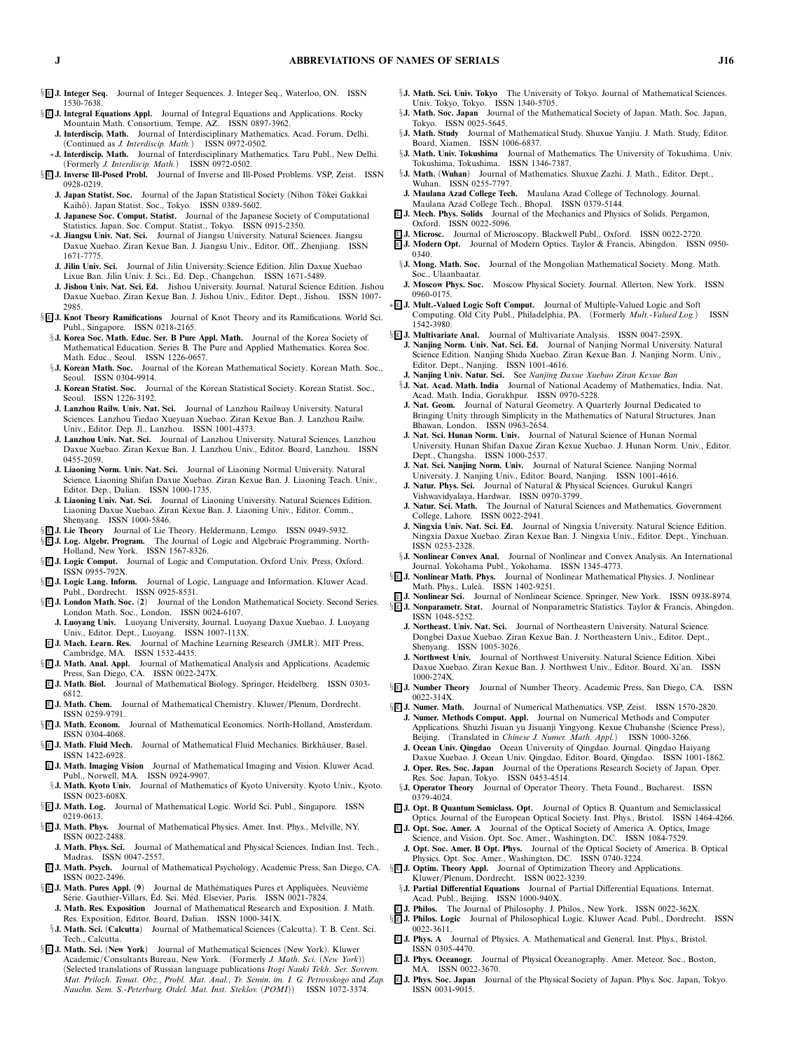- § <sup>E</sup> **J. Integer Seq.** *Journal of Integer Sequences. J. Integer Seq., Waterloo, ON. ISSN 1530-7638.*
- § **E J. Integral Equations Appl.** Journal of Integral Equations and Applications. Rocky *Mountain Math. Consortium, Tempe, AZ. ISSN 0897-3962.*
	- **J. Interdiscip. Math.** *Journal of Interdisciplinary Mathematics. Acad. Forum, Delhi. (Continued as J. Interdiscip. Math.) ISSN 0972-0502.*
	- ∗**J. Interdiscip. Math.** *Journal of Interdisciplinary Mathematics. Taru Publ., New Delhi. (Formerly J. Interdiscip. Math.) ISSN 0972-0502.*
- § <sup>E</sup> **J. Inverse Ill-Posed Probl.** *Journal of Inverse and Ill-Posed Problems. VSP, Zeist. ISSN 0928-0219.*
	- **J. Japan Statist. Soc.** Journal of the Japan Statistical Society (Nihon Tôkei Gakkai *Kaih ˆo). Japan Statist. Soc., Tokyo. ISSN 0389-5602.*
	- **J. Japanese Soc. Comput. Statist.** *Journal of the Japanese Society of Computational Statistics. Japan. Soc. Comput. Statist., Tokyo. ISSN 0915-2350.*
	- ∗**J. Jiangsu Univ. Nat. Sci.** *Journal of Jiangsu University. Natural Sciences. Jiangsu Daxue Xuebao. Ziran Kexue Ban. J. Jiangsu Univ., Editor. Off., Zhenjiang. ISSN 1671-7775.*
	- Journal of Jilin University. Science Edition. Jilin Daxue Xuebao *Lixue Ban. Jilin Univ. J. Sci., Ed. Dep., Changchun. ISSN 1671-5489.*
	- **J. Jishou Univ. Nat. Sci. Ed.** *Jishou University. Journal. Natural Science Edition. Jishou Daxue Xuebao. Ziran Kexue Ban. J. Jishou Univ., Editor. Dept., Jishou. ISSN 1007- 2985.*
- § <sup>E</sup> **J. Knot Theory Ramifications** *Journal of Knot Theory and its Ramifications. World Sci. Publ., Singapore. ISSN 0218-2165.*
	- §**J. Korea Soc. Math. Educ. Ser. B Pure Appl. Math.** *Journal of the Korea Society of Mathematical Education. Series B. The Pure and Applied Mathematics. Korea Soc. Math. Educ., Seoul. ISSN 1226-0657.*
	- §**J. Korean Math. Soc.** *Journal of the Korean Mathematical Society. Korean Math. Soc., Seoul. ISSN 0304-9914.*
	- **J. Korean Statist. Soc.** *Journal of the Korean Statistical Society. Korean Statist. Soc., Seoul. ISSN 1226-3192.*
	- **J. Lanzhou Railw. Univ. Nat. Sci.** *Journal of Lanzhou Railway University. Natural Sciences. Lanzhou Tiedao Xueyuan Xuebao. Ziran Kexue Ban. J. Lanzhou Railw. Univ., Editor. Dep. Jl., Lanzhou. ISSN 1001-4373.*
	- **J. Lanzhou Univ. Nat. Sci.** *Journal of Lanzhou University. Natural Sciences. Lanzhou Daxue Xuebao. Ziran Kexue Ban. J. Lanzhou Univ., Editor. Board, Lanzhou. ISSN 0455-2059.*
	- **J. Liaoning Norm. Univ. Nat. Sci.** *Journal of Liaoning Normal University. Natural Science. Liaoning Shifan Daxue Xuebao. Ziran Kexue Ban. J. Liaoning Teach. Univ., Editor. Dep., Dalian. ISSN 1000-1735.*
	- **J. Liaoning Univ. Nat. Sci.** *Journal of Liaoning University. Natural Sciences Edition. Liaoning Daxue Xuebao. Ziran Kexue Ban. J. Liaoning Univ., Editor. Comm., Shenyang. ISSN 1000-5846.*
- § <sup>E</sup> **J. Lie Theory** *Journal of Lie Theory. Heldermann, Lemgo. ISSN 0949-5932.*
- § <sup>E</sup> **J. Log. Algebr. Program.** *The Journal of Logic and Algebraic Programming. North-Holland, New York. ISSN 1567-8326.*
- § E J. Logic Comput. Journal of Logic and Computation. Oxford Univ. Press, Oxford. *ISSN 0955-792X.*
- § <sup>E</sup> **J. LogicLang. Inform.** *Journal of Logic, Language and Information. Kluwer Acad. Publ., Dordrecht. ISSN 0925-8531.*
- § <sup>E</sup> **J. London Math. Soc.** *(***2***) Journal of the London Mathematical Society. Second Series. London Math. Soc., London. ISSN 0024-6107.*
- **J. Luoyang Univ.** *Luoyang University. Journal. Luoyang Daxue Xuebao. J. Luoyang Univ., Editor. Dept., Luoyang. ISSN 1007-113X.*
- <sup>E</sup> **J. Mach. Learn. Res.** *Journal of Machine Learning Research (JMLR). MIT Press, Cambridge, MA. ISSN 1532-4435.*
- § <sup>E</sup> **J. Math. Anal. Appl.** *Journal of Mathematical Analysis and Applications. Academic Press, San Diego, CA. ISSN 0022-247X.*
- <sup>E</sup> **J. Math. Biol.** *Journal of Mathematical Biology. Springer, Heidelberg. ISSN 0303-* **6812.**<br>**E** J. Math. Chem.
- Journal of Mathematical Chemistry. Kluwer/Plenum, Dordrecht. *ISSN 0259-9791.*
- § <sup>E</sup> **J. Math. Econom.** *Journal of Mathematical Economics. North-Holland, Amsterdam. ISSN 0304-4068.*
- § **E** J. Math. Fluid Mech. Journal of Mathematical Fluid Mechanics. Birkhäuser, Basel. *ISSN 1422-6928.*
- <sup>E</sup> **J. Math. Imaging Vision** *Journal of Mathematical Imaging and Vision. Kluwer Acad. Publ., Norwell, MA. ISSN 0924-9907.*
- §**J. Math. Kyoto Univ.** *Journal of Mathematics of Kyoto University. Kyoto Univ., Kyoto. ISSN 0023-608X.*<br>*§***E** J. Math. Log. Journ Journal of Mathematical Logic. World Sci. Publ., Singapore. ISSN
- 0219-0613.<br><u>§</u>**E** J. Math. Phys. Journal of Mathematical Physics. Amer. Inst. Phys., Melville, NY.
- *ISSN 0022-2488.* **J. Math. Phys. Sci.** *Journal of Mathematical and Physical Sciences. Indian Inst. Tech.,*
- *Madras. ISSN 0047-2557.*
- *ISSN 0022-2496.* §<sup>[[]</sup> J. Math. Pures Appl. (9) Journal de Mathématiques Pures et Appliquées. Neuvième
- *S´erie. Gauthier-Villars, Ed. Sci. M´ ´ ed. Elsevier, Paris. ISSN 0021-7824.* **J. Math. Res. Exposition** *Journal of Mathematical Research and Exposition. J. Math. Res. Exposition, Editor. Board, Dalian. ISSN 1000-341X.*
- §**J. Math. Sci.** *(***Calcutta***) Journal of Mathematical Sciences (Calcutta). T. B. Cent. Sci. Tech., Calcutta.*
- § <sup>E</sup> **J. Math. Sci.** *(***New York***) Journal of Mathematical Sciences (New York). Kluwer Academic/Consultants Bureau, New York. (Formerly J. Math. Sci. (New York)) (Selected translations of Russian language publications Itogi Nauki Tekh. Ser. Sovrem. Mat. Prilozh. Temat. Obz., Probl. Mat. Anal., Tr. Semin. im. I. G. Petrovskogo and Zap. Nauchn. Sem. S.-Peterburg. Otdel. Mat. Inst. Steklov. (POMI)) ISSN 1072-3374.*
- §**J. Math. Sci. Univ. Tokyo** *The University of Tokyo. Journal of Mathematical Sciences. Univ. Tokyo, Tokyo. ISSN 1340-5705.*
- §**J. Math. Soc. Japan** *Journal of the Mathematical Society of Japan. Math. Soc. Japan, Tokyo. ISSN 0025-5645.*
- §**J. Math. Study** *Journal of Mathematical Study. Shuxue Yanjiu. J. Math. Study, Editor. Board, Xiamen. ISSN 1006-6837.*
- §**J. Math. Univ. Tokushima** *Journal of Mathematics. The University of Tokushima. Univ. Tokushima, Tokushima. ISSN 1346-7387.*
- §**J. Math.** *(***Wuhan***) Journal of Mathematics. Shuxue Zazhi. J. Math., Editor. Dept., Wuhan. ISSN 0255-7797.* **J. Maulana Azad College Tech.** *Maulana Azad College of Technology. Journal.*
	- *Maulana Azad College Tech., Bhopal. ISSN 0379-5144.*
	- <sup>E</sup> **J. Mech. Phys. Solids** *Journal of the Mechanics and Physics of Solids. Pergamon, Oxford. ISSN 0022-5096.*
	- <sup>E</sup> **J. Microsc.** *Journal of Microscopy. Blackwell Publ., Oxford. ISSN 0022-2720.*
	- <sup>E</sup> **J. Modern Opt.** *Journal of Modern Optics. Taylor & Francis, Abingdon. ISSN 0950- 0340.*
	- §**J. Mong. Math. Soc.** *Journal of the Mongolian Mathematical Society. Mong. Math. Soc., Ulaanbaatar.*
	- **J. Moscow Phys. Soc.** *Moscow Physical Society. Journal. Allerton, New York. ISSN 0960-0175.*
	- ∗ <sup>E</sup> **J. Mult.-Valued LogicSoft Comput.** *Journal of Multiple-Valued Logic and Soft Computing. Old City Publ., Philadelphia, PA. (Formerly Mult.-Valued Log.) ISSN 1542-3980.*
	- § <sup>E</sup> **J. Multivariate Anal.** *Journal of Multivariate Analysis. ISSN 0047-259X.*
		- **J. Nanjing Norm. Univ. Nat. Sci. Ed.** *Journal of Nanjing Normal University. Natural Science Edition. Nanjing Shida Xuebao. Ziran Kexue Ban. J. Nanjing Norm. Univ., Editor. Dept., Nanjing. ISSN 1001-4616.*
		- **J. Nanjing Univ. Natur. Sci.** *See Nanjing Daxue Xuebao Ziran Kexue Ban* §**J. Nat. Acad. Math. India** *Journal of National Academy of Mathematics, India. Nat.*
		- *Acad. Math. India, Gorakhpur. ISSN 0970-5228.*
		- **J. Nat. Geom.** *Journal of Natural Geometry. A Quarterly Journal Dedicated to Bringing Unity through Simplicity in the Mathematics of Natural Structures. Jnan Bhawan, London. ISSN 0963-2654.*
		- **J. Nat. Sci. Hunan Norm. Univ.** *Journal of Natural Science of Hunan Normal University. Hunan Shifan Daxue Ziran Kexue Xuebao. J. Hunan Norm. Univ., Editor. Dept., Changsha. ISSN 1000-2537.*
		- **J. Nat. Sci. Nanjing Norm. Univ.** *Journal of Natural Science. Nanjing Normal University. J. Nanjing Univ., Editor. Board, Nanjing. ISSN 1001-4616.*
		- **J. Natur. Phys. Sci.** *Journal of Natural & Physical Sciences. Gurukul Kangri Vishwavidyalaya, Hardwar. ISSN 0970-3799.*
		- **J. Natur. Sci. Math.** *The Journal of Natural Sciences and Mathematics. Government College, Lahore. ISSN 0022-2941.*
		- **J. Ningxia Univ. Nat. Sci. Ed.** *Journal of Ningxia University. Natural Science Edition. Ningxia Daxue Xuebao. Ziran Kexue Ban. J. Ningxia Univ., Editor. Dept., Yinchuan. ISSN 0253-2328.*
		- §**J. Nonlinear Convex Anal.** *Journal of Nonlinear and Convex Analysis. An International Journal. Yokohama Publ., Yokohama. ISSN 1345-4773.*
	- § <sup>E</sup> **J. Nonlinear Math. Phys.** *Journal of Nonlinear Mathematical Physics. J. Nonlinear Math. Phys., Lule˚a. ISSN 1402-9251.*
	- <sup>E</sup> **J. Nonlinear Sci.** *Journal of Nonlinear Science. Springer, New York. ISSN 0938-8974.* § <sup>E</sup> **J. Nonparametr. Stat.** *Journal of Nonparametric Statistics. Taylor & Francis, Abingdon. ISSN 1048-5252.*
		- **J. Northeast. Univ. Nat. Sci.** *Journal of Northeastern University. Natural Science. Dongbei Daxue Xuebao. Ziran Kexue Ban. J. Northeastern Univ., Editor. Dept., Shenyang. ISSN 1005-3026.*
		- **J. Northwest Univ.** *Journal of Northwest University. Natural Science Edition. Xibei Daxue Xuebao. Ziran Kexue Ban. J. Northwest Univ., Editor. Board, Xi'an. ISSN 1000-274X.*
	- § <sup>E</sup> **J. Number Theory** *Journal of Number Theory. Academic Press, San Diego, CA. ISSN 0022-314X.*
	- § <sup>E</sup> **J. Numer. Math.** *Journal of Numerical Mathematics. VSP, Zeist. ISSN 1570-2820.*
		- **J. Numer. Methods Comput. Appl.** *Journal on Numerical Methods and Computer Applications. Shuzhi Jisuan yu Jisuanji Yingyong. Kexue Chubanshe (Science Press), Beijing. (Translated in Chinese J. Numer. Math. Appl.) ISSN 1000-3266.*
		- **J. Ocean Univ. Qingdao** *Ocean University of Qingdao. Journal. Qingdao Haiyang Daxue Xuebao. J. Ocean Univ. Qingdao, Editor. Board, Qingdao. ISSN 1001-1862.* **J. Oper. Res. Soc. Japan** *Journal of the Operations Research Society of Japan. Oper.*
	- *Res. Soc. Japan, Tokyo. ISSN 0453-4514.* §**J. Operator Theory** *Journal of Operator Theory. Theta Found., Bucharest. ISSN 0379-4024.*
	- <sup>E</sup> **J. Opt. B Quantum Semiclass. Opt.** *Journal of Optics B. Quantum and Semiclassical Optics. Journal of the European Optical Society. Inst. Phys., Bristol. ISSN 1464-4266.*
	- <sup>E</sup> **J. Opt. Soc. Amer. A** *Journal of the Optical Society of America A. Optics, Image Science, and Vision. Opt. Soc. Amer., Washington, DC. ISSN 1084-7529.* **J. Opt. Soc. Amer. B Opt. Phys.** *Journal of the Optical Society of America. B. Optical Physics. Opt. Soc. Amer., Washington, DC. ISSN 0740-3224.*
- <sup>E</sup> **J. Math. Psych.** *Journal of Mathematical Psychology. Academic Press, San Diego, CA.* § <sup>E</sup> **J. Optim. Theory Appl.** *Journal of Optimization Theory and Applications. Kluwer/Plenum, Dordrecht. ISSN 0022-3239.*
	- §**J. Partial Differential Equations** *Journal of Partial Differential Equations. Internat. Acad. Publ., Beijing. ISSN 1000-940X.*
	- <sup>E</sup> **J. Philos.** *The Journal of Philosophy. J. Philos., New York. ISSN 0022-362X.*
	- § <sup>E</sup> **J. Philos. Logic** *Journal of Philosophical Logic. Kluwer Acad. Publ., Dordrecht. ISSN 0022-3611.* <sup>E</sup> **J. Phys. A** *Journal of Physics. A. Mathematical and General. Inst. Phys., Bristol.*
	- *ISSN 0305-4470.*
	- <sup>E</sup> **J. Phys. Oceanogr.** *Journal of Physical Oceanography. Amer. Meteor. Soc., Boston, MA. ISSN 0022-3670.*
	- <sup>E</sup> **J. Phys. Soc. Japan** *Journal of the Physical Society of Japan. Phys. Soc. Japan, Tokyo. ISSN 0031-9015.*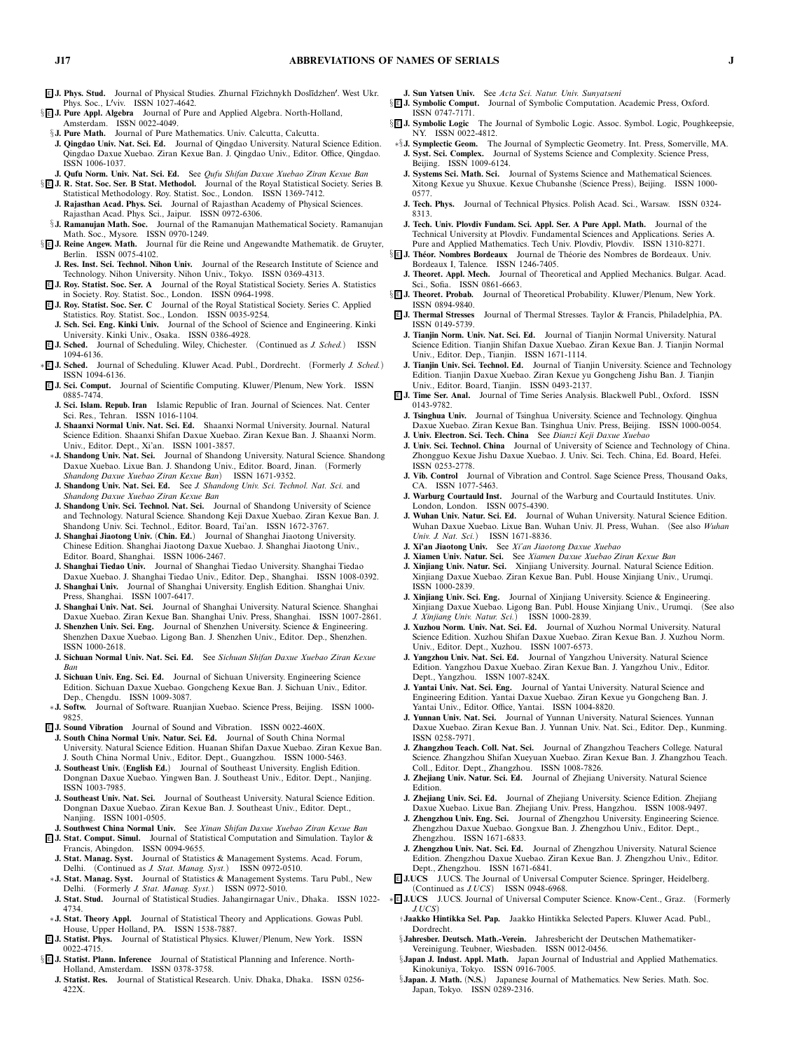- <sup>E</sup> **J. Phys. Stud.** *Journal of Physical Studies. Zhurnal F¯ızichnykh Dosl¯ıdzhen. West Ukr. Phys. Soc., Lviv. ISSN 1027-4642.*
- § <sup>E</sup> **J. Pure Appl. Algebra** *Journal of Pure and Applied Algebra. North-Holland, Amsterdam. ISSN 0022-4049.*
- §**J. Pure Math.** *Journal of Pure Mathematics. Univ. Calcutta, Calcutta.*
- **J. Qingdao Univ. Nat. Sci. Ed.** *Journal of Qingdao University. Natural Science Edition. Qingdao Daxue Xuebao. Ziran Kexue Ban. J. Qingdao Univ., Editor. Office, Qingdao. ISSN 1006-1037.*
- **J. Qufu Norm. Univ. Nat. Sci. Ed.** *See Qufu Shifan Daxue Xuebao Ziran Kexue Ban* § <sup>E</sup> **J. R. Stat. Soc. Ser. B Stat. Methodol.** *Journal of the Royal Statistical Society. Series B.*
	- *Statistical Methodology. Roy. Statist. Soc., London. ISSN 1369-7412.* **J. Rajasthan Acad. Phys. Sci.** *Journal of Rajasthan Academy of Physical Sciences. Rajasthan Acad. Phys. Sci., Jaipur. ISSN 0972-6306.*
- §**J. Ramanujan Math. Soc.** *Journal of the Ramanujan Mathematical Society. Ramanujan Math. Soc., Mysore. ISSN 0970-1249.*
- § **E J. Reine Angew. Math.** Journal für die Reine und Angewandte Mathematik. de Gruyter, *Berlin. ISSN 0075-4102.*
- **J. Res. Inst. Sci. Technol. Nihon Univ.** *Journal of the Research Institute of Science and Technology. Nihon University. Nihon Univ., Tokyo. ISSN 0369-4313.*
- <sup>E</sup> **J. Roy. Statist. Soc. Ser. A** *Journal of the Royal Statistical Society. Series A. Statistics in Society. Roy. Statist. Soc., London. ISSN 0964-1998.*
- <sup>E</sup> **J. Roy. Statist. Soc. Ser. C** *Journal of the Royal Statistical Society. Series C. Applied Statistics. Roy. Statist. Soc., London. ISSN 0035-9254.*
- **J. Sch. Sci. Eng. Kinki Univ.** *Journal of the School of Science and Engineering. Kinki University. Kinki Univ., Osaka. ISSN 0386-4928.*
- <sup>E</sup> **J. Sched.** *Journal of Scheduling. Wiley, Chichester. (Continued as J. Sched.) ISSN 1094-6136.*
- ∗ <sup>E</sup> **J. Sched.** *Journal of Scheduling. Kluwer Acad. Publ., Dordrecht. (Formerly J. Sched.) ISSN 1094-6136.*
- <sup>E</sup> **J. Sci. Comput.** *Journal of Scientific Computing. Kluwer/Plenum, New York. ISSN 0885-7474.*
- **J. Sci. Islam. Repub. Iran** *Islamic Republic of Iran. Journal of Sciences. Nat. Center Sci. Res., Tehran. ISSN 1016-1104.*
- **J. Shaanxi Normal Univ. Nat. Sci. Ed.** *Shaanxi Normal University. Journal. Natural Science Edition. Shaanxi Shifan Daxue Xuebao. Ziran Kexue Ban. J. Shaanxi Norm. Univ., Editor. Dept., Xi'an. ISSN 1001-3857.*
- ∗**J. Shandong Univ. Nat. Sci.** *Journal of Shandong University. Natural Science. Shandong Daxue Xuebao. Lixue Ban. J. Shandong Univ., Editor. Board, Jinan. (Formerly Shandong Daxue Xuebao Ziran Kexue Ban) ISSN 1671-9352.*
- **J. Shandong Univ. Nat. Sci. Ed.** *See J. Shandong Univ. Sci. Technol. Nat. Sci. and Shandong Daxue Xuebao Ziran Kexue Ban*
- **J. Shandong Univ. Sci. Technol. Nat. Sci.** *Journal of Shandong University of Science and Technology. Natural Science. Shandong Keji Daxue Xuebao. Ziran Kexue Ban. J. Shandong Univ. Sci. Technol., Editor. Board, Tai'an. ISSN 1672-3767.*
- **J. Shanghai Jiaotong Univ.** *(***Chin. Ed.***) Journal of Shanghai Jiaotong University. Chinese Edition. Shanghai Jiaotong Daxue Xuebao. J. Shanghai Jiaotong Univ., Editor. Board, Shanghai. ISSN 1006-2467.*
- **J. Shanghai Tiedao Univ.** *Journal of Shanghai Tiedao University. Shanghai Tiedao Daxue Xuebao. J. Shanghai Tiedao Univ., Editor. Dep., Shanghai. ISSN 1008-0392.*
- **J. Shanghai Univ.** *Journal of Shanghai University. English Edition. Shanghai Univ. Press, Shanghai. ISSN 1007-6417.*
- **J. Shanghai Univ. Nat. Sci.** *Journal of Shanghai University. Natural Science. Shanghai Daxue Xuebao. Ziran Kexue Ban. Shanghai Univ. Press, Shanghai. ISSN 1007-2861.*
- **J. Shenzhen Univ. Sci. Eng.** *Journal of Shenzhen University. Science & Engineering. Shenzhen Daxue Xuebao. Ligong Ban. J. Shenzhen Univ., Editor. Dep., Shenzhen. ISSN 1000-2618.*
- **J. Sichuan Normal Univ. Nat. Sci. Ed.** *See Sichuan Shifan Daxue Xuebao Ziran Kexue Ban*
- **J. Sichuan Univ. Eng. Sci. Ed.** *Journal of Sichuan University. Engineering Science Edition. Sichuan Daxue Xuebao. Gongcheng Kexue Ban. J. Sichuan Univ., Editor. Dep., Chengdu. ISSN 1009-3087.*
- ∗**J. Softw.** *Journal of Software. Ruanjian Xuebao. Science Press, Beijing. ISSN 1000- 9825.*
- <sup>E</sup> **J. Sound Vibration** *Journal of Sound and Vibration. ISSN 0022-460X.*
- **J. South China Normal Univ. Natur. Sci. Ed.** *Journal of South China Normal University. Natural Science Edition. Huanan Shifan Daxue Xuebao. Ziran Kexue Ban. J. South China Normal Univ., Editor. Dept., Guangzhou. ISSN 1000-5463.*
- **J. Southeast Univ.** *(***English Ed.***) Journal of Southeast University. English Edition. Dongnan Daxue Xuebao. Yingwen Ban. J. Southeast Univ., Editor. Dept., Nanjing. ISSN 1003-7985.*
- **J. Southeast Univ. Nat. Sci.** *Journal of Southeast University. Natural Science Edition. Dongnan Daxue Xuebao. Ziran Kexue Ban. J. Southeast Univ., Editor. Dept., Nanjing. ISSN 1001-0505.*
- **J. Southwest China Normal Univ.** *See Xinan Shifan Daxue Xuebao Ziran Kexue Ban* <sup>E</sup> **J. Stat. Comput. Simul.** *Journal of Statistical Computation and Simulation. Taylor & Francis, Abingdon. ISSN 0094-9655.*
- **J. Stat. Manag. Syst.** *Journal of Statistics & Management Systems. Acad. Forum, Delhi. (Continued as J. Stat. Manag. Syst.) ISSN 0972-0510.*
- ∗**J. Stat. Manag. Syst.** *Journal of Statistics & Management Systems. Taru Publ., New Delhi. (Formerly J. Stat. Manag. Syst.) ISSN 0972-5010.*
- **J. Stat. Stud.** *Journal of Statistical Studies. Jahangirnagar Univ., Dhaka. ISSN 1022- 4734.*
- ∗**J. Stat. Theory Appl.** *Journal of Statistical Theory and Applications. Gowas Publ. House, Upper Holland, PA. ISSN 1538-7887.*
- <sup>E</sup> **J. Statist. Phys.** *Journal of Statistical Physics. Kluwer/Plenum, New York. ISSN 0022-4715.*
- § <sup>E</sup> **J. Statist. Plann. Inference** *Journal of Statistical Planning and Inference. North-Holland, Amsterdam. ISSN 0378-3758.*
	- **J. Statist. Res.** *Journal of Statistical Research. Univ. Dhaka, Dhaka. ISSN 0256- 422X.*
- **J. Sun Yatsen Univ.** *See Acta Sci. Natur. Univ. Sunyatseni*
- § <sup>E</sup> **J. SymbolicComput.** *Journal of Symbolic Computation. Academic Press, Oxford. ISSN 0747-7171.*
- § <sup>E</sup> **J. SymbolicLogic** *The Journal of Symbolic Logic. Assoc. Symbol. Logic, Poughkeepsie, NY. ISSN 0022-4812.*
- ∗§**J. Symplectic Geom.** *The Journal of Symplectic Geometry. Int. Press, Somerville, MA.* **J. Syst. Sci. Complex.** *Journal of Systems Science and Complexity. Science Press, Beijing. ISSN 1009-6124.*
- **J. Systems Sci. Math. Sci.** *Journal of Systems Science and Mathematical Sciences. Xitong Kexue yu Shuxue. Kexue Chubanshe (Science Press), Beijing. ISSN 1000- 0577.*
- **J. Tech. Phys.** *Journal of Technical Physics. Polish Acad. Sci., Warsaw. ISSN 0324- 8313.*
- **J. Tech. Univ. Plovdiv Fundam. Sci. Appl. Ser. A Pure Appl. Math.** *Journal of the Technical University at Plovdiv. Fundamental Sciences and Applications. Series A. Pure and Applied Mathematics. Tech Univ. Plovdiv, Plovdiv. ISSN 1310-8271.*
- § <sup>E</sup> **J. Th ´eor. Nombres Bordeaux** *Journal de Th´eorie des Nombres de Bordeaux. Univ. Bordeaux I, Talence. ISSN 1246-7405.*
- **J. Theoret. Appl. Mech.** *Journal of Theoretical and Applied Mechanics. Bulgar. Acad. Sci., Sofia. ISSN 0861-6663.*
- § <sup>E</sup> **J. Theoret. Probab.** *Journal of Theoretical Probability. Kluwer/Plenum, New York.* **ISSN 0894-9840.**<br>**EJ.** Thermal Stresses
- <sup>E</sup> **J. Thermal Stresses** *Journal of Thermal Stresses. Taylor & Francis, Philadelphia, PA. ISSN 0149-5739.*
- **J. Tianjin Norm. Univ. Nat. Sci. Ed.** *Journal of Tianjin Normal University. Natural Science Edition. Tianjin Shifan Daxue Xuebao. Ziran Kexue Ban. J. Tianjin Normal Univ., Editor. Dep., Tianjin. ISSN 1671-1114.*
- **J. Tianjin Univ. Sci. Technol. Ed.** *Journal of Tianjin University. Science and Technology Edition. Tianjin Daxue Xuebao. Ziran Kexue yu Gongcheng Jishu Ban. J. Tianjin Univ., Editor. Board, Tianjin. ISSN 0493-2137.*
- <sup>E</sup> **J. Time Ser. Anal.** *Journal of Time Series Analysis. Blackwell Publ., Oxford. ISSN 0143-9782.*
	- **J. Tsinghua Univ.** *Journal of Tsinghua University. Science and Technology. Qinghua Daxue Xuebao. Ziran Kexue Ban. Tsinghua Univ. Press, Beijing. ISSN 1000-0054.*
	- **J. Univ. Electron. Sci. Tech. China** *See Dianzi Keji Daxue Xuebao*
	- **J. Univ. Sci. Technol. China** *Journal of University of Science and Technology of China. Zhongguo Kexue Jishu Daxue Xuebao. J. Univ. Sci. Tech. China, Ed. Board, Hefei. ISSN 0253-2778.* **J. Vib. Control** *Journal of Vibration and Control. Sage Science Press, Thousand Oaks,*
	- *CA. ISSN 1077-5463.*
	- **J. Warburg Courtauld Inst.** *Journal of the Warburg and Courtauld Institutes. Univ. London, London. ISSN 0075-4390.*
	- **J. Wuhan Univ. Natur. Sci. Ed.** *Journal of Wuhan University. Natural Science Edition. Wuhan Daxue Xuebao. Lixue Ban. Wuhan Univ. Jl. Press, Wuhan. (See also Wuhan Univ. J. Nat. Sci.) ISSN 1671-8836.*
	- **J. Xi'an Jiaotong Univ.** *See Xi'an Jiaotong Daxue Xuebao*
	- **J. Xiamen Univ. Natur. Sci.** *See Xiamen Daxue Xuebao Ziran Kexue Ban*
	- **J. Xinjiang Univ. Natur. Sci.** *Xinjiang University. Journal. Natural Science Edition. Xinjiang Daxue Xuebao. Ziran Kexue Ban. Publ. House Xinjiang Univ., Urumqi. ISSN 1000-2839.*
	- **J. Xinjiang Univ. Sci. Eng.** *Journal of Xinjiang University. Science & Engineering. Xinjiang Daxue Xuebao. Ligong Ban. Publ. House Xinjiang Univ., Urumqi. (See also J. Xinjiang Univ. Natur. Sci.) ISSN 1000-2839.*
	- **J. Xuzhou Norm. Univ. Nat. Sci. Ed.** *Journal of Xuzhou Normal University. Natural Science Edition. Xuzhou Shifan Daxue Xuebao. Ziran Kexue Ban. J. Xuzhou Norm. Univ., Editor. Dept., Xuzhou. ISSN 1007-6573.*
	- **J. Yangzhou Univ. Nat. Sci. Ed.** *Journal of Yangzhou University. Natural Science Edition. Yangzhou Daxue Xuebao. Ziran Kexue Ban. J. Yangzhou Univ., Editor. Dept., Yangzhou. ISSN 1007-824X.*
	- **J. Yantai Univ. Nat. Sci. Eng.** *Journal of Yantai University. Natural Science and Engineering Edition. Yantai Daxue Xuebao. Ziran Kexue yu Gongcheng Ban. J. Yantai Univ., Editor. Office, Yantai. ISSN 1004-8820.*
	- **J. Yunnan Univ. Nat. Sci.** *Journal of Yunnan University. Natural Sciences. Yunnan Daxue Xuebao. Ziran Kexue Ban. J. Yunnan Univ. Nat. Sci., Editor. Dep., Kunming. ISSN 0258-7971.*
	- **J. Zhangzhou Teach. Coll. Nat. Sci.** *Journal of Zhangzhou Teachers College. Natural Science. Zhangzhou Shifan Xueyuan Xuebao. Ziran Kexue Ban. J. Zhangzhou Teach. Coll., Editor. Dept., Zhangzhou. ISSN 1008-7826.*
	- **J. Zhejiang Univ. Natur. Sci. Ed.** *Journal of Zhejiang University. Natural Science Edition.*
	- **J. Zhejiang Univ. Sci. Ed.** *Journal of Zhejiang University. Science Edition. Zhejiang Daxue Xuebao. Lixue Ban. Zhejiang Univ. Press, Hangzhou. ISSN 1008-9497.*
	- **J. Zhengzhou Univ. Eng. Sci.** *Journal of Zhengzhou University. Engineering Science. Zhengzhou Daxue Xuebao. Gongxue Ban. J. Zhengzhou Univ., Editor. Dept., Zhengzhou. ISSN 1671-6833.*
	- **J. Zhengzhou Univ. Nat. Sci. Ed.** *Journal of Zhengzhou University. Natural Science Edition. Zhengzhou Daxue Xuebao. Ziran Kexue Ban. J. Zhengzhou Univ., Editor. Dept., Zhengzhou. ISSN 1671-6841.*
- <sup>E</sup> **J.UCS** *J.UCS. The Journal of Universal Computer Science. Springer, Heidelberg. (Continued as J.UCS) ISSN 0948-6968.*
- ∗ <sup>E</sup> **J.UCS** *J.UCS. Journal of Universal Computer Science. Know-Cent., Graz. (Formerly J.UCS)*
	- †**Jaakko Hintikka Sel. Pap.** *Jaakko Hintikka Selected Papers. Kluwer Acad. Publ., Dordrecht.*
	- §**Jahresber. Deutsch. Math.-Verein.** *Jahresbericht der Deutschen Mathematiker-Vereinigung. Teubner, Wiesbaden. ISSN 0012-0456.*
	- §**Japan J. Indust. Appl. Math.** *Japan Journal of Industrial and Applied Mathematics. Kinokuniya, Tokyo. ISSN 0916-7005.*
	- §**Japan. J. Math.** *(***N.S.***) Japanese Journal of Mathematics. New Series. Math. Soc. Japan, Tokyo. ISSN 0289-2316.*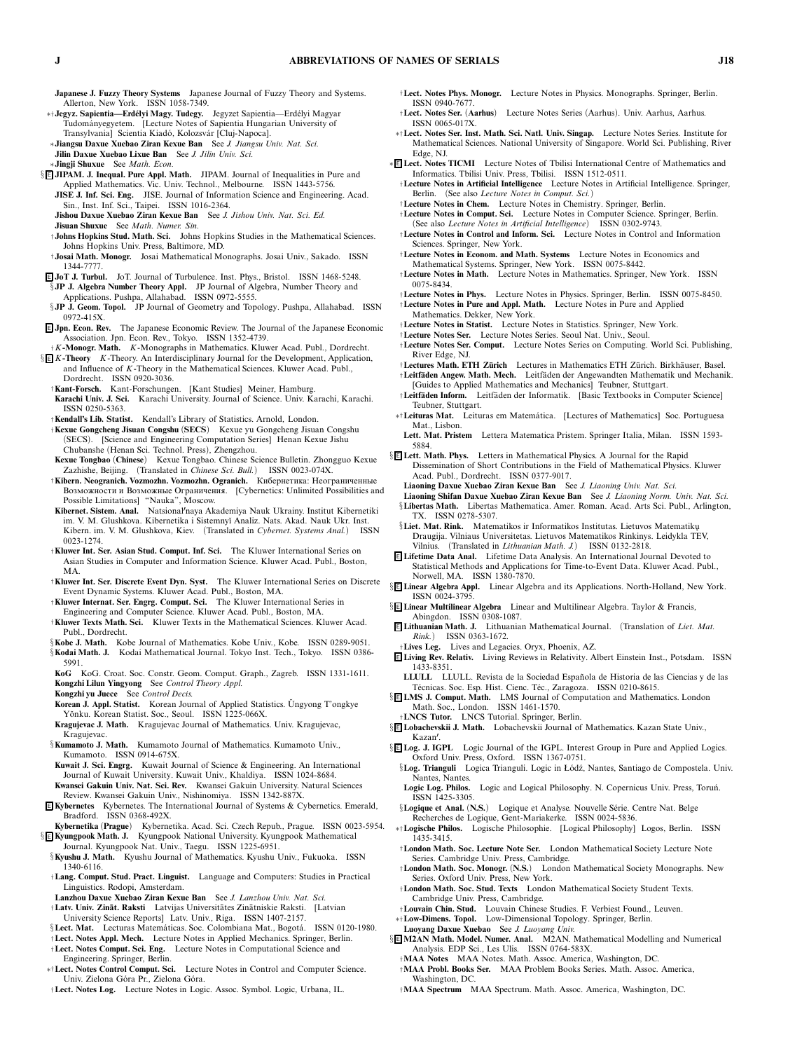- **Japanese J. Fuzzy Theory Systems** *Japanese Journal of Fuzzy Theory and Systems. Allerton, New York. ISSN 1058-7349.*
- ∗†**Jegyz. Sapientia—Erd ´elyi Magy. Tudegy.** *Jegyzet Sapientia—Erd´elyi Magyar Tudom´anyegyetem. [Lecture Notes of Sapientia Hungarian University of* Transylvania] Scientia Kiadó, Kolozsvár [Cluj-Napoca].
- ∗**Jiangsu Daxue Xuebao Ziran Kexue Ban** *See J. Jiangsu Univ. Nat. Sci.* **Jilin Daxue Xuebao Lixue Ban** *See J. Jilin Univ. Sci.*
- ∗**Jingji Shuxue** *See Math. Econ.*
- § **E** JIPAM. J. Inequal. Pure Appl. Math. JIPAM. Journal of Inequalities in Pure and *Applied Mathematics. Vic. Univ. Technol., Melbourne. ISSN 1443-5756.* **JISE J. Inf. Sci. Eng.** *JISE. Journal of Information Science and Engineering. Acad.*
	- *Sin., Inst. Inf. Sci., Taipei. ISSN 1016-2364.* **Jishou Daxue Xuebao Ziran Kexue Ban** *See J. Jishou Univ. Nat. Sci. Ed.*
	- **Jisuan Shuxue** *See Math. Numer. Sin.*
	- †**Johns Hopkins Stud. Math. Sci.** *Johns Hopkins Studies in the Mathematical Sciences. Johns Hopkins Univ. Press, Baltimore, MD.*
- †**Josai Math. Monogr.** *Josai Mathematical Monographs. Josai Univ., Sakado. ISSN 1344-7777.*
- <sup>E</sup> **JoT J. Turbul.** *JoT. Journal of Turbulence. Inst. Phys., Bristol. ISSN 1468-5248.* §**JP J. Algebra Number Theory Appl.** *JP Journal of Algebra, Number Theory and Applications. Pushpa, Allahabad. ISSN 0972-5555.*
- §**JP J. Geom. Topol.** *JP Journal of Geometry and Topology. Pushpa, Allahabad. ISSN 0972-415X.*
- <sup>E</sup> **Jpn. Econ. Rev.** *The Japanese Economic Review. The Journal of the Japanese Economic Association. Jpn. Econ. Rev., Tokyo. ISSN 1352-4739.*
- †*K***-Monogr. Math.** *K-Monographs in Mathematics. Kluwer Acad. Publ., Dordrecht.* § <sup>E</sup> *K***-Theory** *K-Theory. An Interdisciplinary Journal for the Development, Application, and Influence of K-Theory in the Mathematical Sciences. Kluwer Acad. Publ., Dordrecht. ISSN 0920-3036.*
	- †**Kant-Forsch.** *Kant-Forschungen. [Kant Studies] Meiner, Hamburg.*
	- **Karachi Univ. J. Sci.** *Karachi University. Journal of Science. Univ. Karachi, Karachi. ISSN 0250-5363.*
	- †**Kendall's Lib. Statist.** *Kendall's Library of Statistics. Arnold, London.*
	- †**Kexue Gongcheng Jisuan Congshu** *(***SECS***) Kexue yu Gongcheng Jisuan Congshu (SECS). [Science and Engineering Computation Series] Henan Kexue Jishu Chubanshe (Henan Sci. Technol. Press), Zhengzhou.*
	- **Kexue Tongbao** *(***Chinese***) Kexue Tongbao. Chinese Science Bulletin. Zhongguo Kexue Zazhishe, Beijing. (Translated in Chinese Sci. Bull.) ISSN 0023-074X.*
	- †**Kibern. Neogranich. Vozmozhn. Vozmozhn. Ogranich.** Кибернетика: Неограниченные Возможности и Возможные Ограничения. *[Cybernetics: Unlimited Possibilities and Possible Limitations] "Nauka", Moscow.*
	- **Kibernet. Sistem. Anal.** *Natsionalnaya Akademiya Nauk Ukrainy. Institut Kibernetiki im. V. M. Glushkova. Kibernetika i Sistemny˘ı Analiz. Nats. Akad. Nauk Ukr. Inst. Kibern. im. V. M. Glushkova, Kiev. (Translated in Cybernet. Systems Anal.) ISSN 0023-1274.*
	- †**Kluwer Int. Ser. Asian Stud. Comput. Inf. Sci.** *The Kluwer International Series on Asian Studies in Computer and Information Science. Kluwer Acad. Publ., Boston, MA.*
	- †**Kluwer Int. Ser. Discrete Event Dyn. Syst.** *The Kluwer International Series on Discrete Event Dynamic Systems. Kluwer Acad. Publ., Boston, MA.*
	- †**Kluwer Internat. Ser. Engrg. Comput. Sci.** *The Kluwer International Series in*
	- *Engineering and Computer Science. Kluwer Acad. Publ., Boston, MA.* †**Kluwer Texts Math. Sci.** *Kluwer Texts in the Mathematical Sciences. Kluwer Acad. Publ., Dordrecht.*
	- §**Kobe J. Math.** *Kobe Journal of Mathematics. Kobe Univ., Kobe. ISSN 0289-9051.* §**Kodai Math. J.** *Kodai Mathematical Journal. Tokyo Inst. Tech., Tokyo. ISSN 0386- 5991.*
	- **KoG** *KoG. Croat. Soc. Constr. Geom. Comput. Graph., Zagreb. ISSN 1331-1611.* **Kongzhi Lilun Yingyong** *See Control Theory Appl.*
	- **Kongzhi yu Juece** *See Control Decis.*
	- **Korean J. Appl. Statist.** *Korean Journal of Applied Statistics. Ungyong T'ongkye ˘ Y ˘onku. Korean Statist. Soc., Seoul. ISSN 1225-066X.*
	- **KragujevacJ. Math.** *Kragujevac Journal of Mathematics. Univ. Kragujevac, Kragujevac.*
	- §**Kumamoto J. Math.** *Kumamoto Journal of Mathematics. Kumamoto Univ., Kumamoto. ISSN 0914-675X.*
	- **Kuwait J. Sci. Engrg.** *Kuwait Journal of Science & Engineering. An International Journal of Kuwait University. Kuwait Univ., Khaldiya. ISSN 1024-8684.* **Kwansei Gakuin Univ. Nat. Sci. Rev.** *Kwansei Gakuin University. Natural Sciences Review. Kwansei Gakuin Univ., Nishinomiya. ISSN 1342-887X.*
- <sup>E</sup> **Kybernetes** *Kybernetes. The International Journal of Systems & Cybernetics. Emerald, Bradford. ISSN 0368-492X.*
- **Kybernetika** *(***Prague***) Kybernetika. Acad. Sci. Czech Repub., Prague. ISSN 0023-5954.* § <sup>E</sup> **Kyungpook Math. J.** *Kyungpook National University. Kyungpook Mathematical Journal. Kyungpook Nat. Univ., Taegu. ISSN 1225-6951.*
- §**Kyushu J. Math.** *Kyushu Journal of Mathematics. Kyushu Univ., Fukuoka. ISSN 1340-6116.*
- †**Lang. Comput. Stud. Pract. Linguist.** *Language and Computers: Studies in Practical Linguistics. Rodopi, Amsterdam.*
- **Lanzhou Daxue Xuebao Ziran Kexue Ban** *See J. Lanzhou Univ. Nat. Sci.* †**Latv. Univ. Zin ¯at. Raksti** *Latvijas Universit¯ates Zin¯atniskie Raksti. [Latvian*
- *University Science Reports] Latv. Univ., Riga. ISSN 1407-2157.* §Lect. Mat. Lecturas Matemáticas. Soc. Colombiana Mat., Bogotá. ISSN 0120-1980.
- †**Lect. Notes Appl. Mech.** *Lecture Notes in Applied Mechanics. Springer, Berlin.*
- †**Lect. Notes Comput. Sci. Eng.** *Lecture Notes in Computational Science and Engineering. Springer, Berlin.*
- ∗†**Lect. Notes Control Comput. Sci.** *Lecture Notes in Control and Computer Science. Univ. Zielona G ´ora Pr., Zielona G ´ora.*
- †**Lect. Notes Log.** *Lecture Notes in Logic. Assoc. Symbol. Logic, Urbana, IL.*
- †**Lect. Notes Phys. Monogr.** *Lecture Notes in Physics. Monographs. Springer, Berlin. ISSN 0940-7677.*
- †**Lect. Notes Ser.** *(***Aarhus***) Lecture Notes Series (Aarhus). Univ. Aarhus, Aarhus. ISSN 0065-017X.*
- ∗†**Lect. Notes Ser. Inst. Math. Sci. Natl. Univ. Singap.** *Lecture Notes Series. Institute for Mathematical Sciences. National University of Singapore. World Sci. Publishing, River Edge, NJ.*
- ∗ <sup>E</sup> **Lect. Notes TICMI** *Lecture Notes of Tbilisi International Centre of Mathematics and Informatics. Tbilisi Univ. Press, Tbilisi. ISSN 1512-0511.*
	- †**Lecture Notes in Artificial Intelligence** *Lecture Notes in Artificial Intelligence. Springer, Berlin. (See also Lecture Notes in Comput. Sci.)*
	- †**Lecture Notes in Chem.** *Lecture Notes in Chemistry. Springer, Berlin.*
	- †**Lecture Notes in Comput. Sci.** *Lecture Notes in Computer Science. Springer, Berlin. (See also Lecture Notes in Artificial Intelligence) ISSN 0302-9743.*
	- †**Lecture Notes in Control and Inform. Sci.** *Lecture Notes in Control and Information Sciences. Springer, New York.*
- †**Lecture Notes in Econom. and Math. Systems** *Lecture Notes in Economics and Mathematical Systems. Springer, New York. ISSN 0075-8442.*
- †**Lecture Notes in Math.** *Lecture Notes in Mathematics. Springer, New York. ISSN 0075-8434.*
- †**Lecture Notes in Phys.** *Lecture Notes in Physics. Springer, Berlin. ISSN 0075-8450.*
- †**Lecture Notes in Pure and Appl. Math.** *Lecture Notes in Pure and Applied*
- *Mathematics. Dekker, New York.*
- †**Lecture Notes in Statist.** *Lecture Notes in Statistics. Springer, New York.*
- †**Lecture Notes Ser.** *Lecture Notes Series. Seoul Nat. Univ., Seoul.*
- †**Lecture Notes Ser. Comput.** *Lecture Notes Series on Computing. World Sci. Publishing, River Edge, NJ.*
- †**Lectures Math. ETH Z¨urich** *Lectures in Mathematics ETH Z ¨urich. Birkh¨auser, Basel.* †**Leitf¨aden Angew. Math. Mech.** *Leitf¨aden der Angewandten Mathematik und Mechanik. [Guides to Applied Mathematics and Mechanics] Teubner, Stuttgart.*
- †**Leitf¨aden Inform.** *Leitf¨aden der Informatik. [Basic Textbooks in Computer Science] Teubner, Stuttgart.*
- ∗†**Leituras Mat.** *Leituras em Matem´atica. [Lectures of Mathematics] Soc. Portuguesa Mat., Lisbon.*
- **Lett. Mat. Pristem** *Lettera Matematica Pristem. Springer Italia, Milan. ISSN 1593- 5884.*
- § <sup>E</sup> **Lett. Math. Phys.** *Letters in Mathematical Physics. A Journal for the Rapid Dissemination of Short Contributions in the Field of Mathematical Physics. Kluwer Acad. Publ., Dordrecht. ISSN 0377-9017.*
	- **Liaoning Daxue Xuebao Ziran Kexue Ban** *See J. Liaoning Univ. Nat. Sci.*
	- **Liaoning Shifan Daxue Xuebao Ziran Kexue Ban** *See J. Liaoning Norm. Univ. Nat. Sci.* §**Libertas Math.** *Libertas Mathematica. Amer. Roman. Acad. Arts Sci. Publ., Arlington, TX. ISSN 0278-5307.*
- §**Liet. Mat. Rink.** *Matematikos ir Informatikos Institutas. Lietuvos Matematiku Draugija. Vilniaus Universitetas. Lietuvos Matematikos Rinkinys. Leidykla TEV, Vilnius. (Translated in Lithuanian Math. J.) ISSN 0132-2818.*
- <sup>E</sup> **Lifetime Data Anal.** *Lifetime Data Analysis. An International Journal Devoted to Statistical Methods and Applications for Time-to-Event Data. Kluwer Acad. Publ., Norwell, MA. ISSN 1380-7870.*
- § <sup>E</sup> **Linear Algebra Appl.** *Linear Algebra and its Applications. North-Holland, New York. ISSN 0024-3795.*
- § <sup>E</sup> **Linear Multilinear Algebra** *Linear and Multilinear Algebra. Taylor & Francis, Abingdon. ISSN 0308-1087.*
- <sup>E</sup> **Lithuanian Math. J.** *Lithuanian Mathematical Journal. (Translation of Liet. Mat. Rink.) ISSN 0363-1672.*
- †**Lives Leg.** *Lives and Legacies. Oryx, Phoenix, AZ.*
- <sup>E</sup> **Living Rev. Relativ.** *Living Reviews in Relativity. Albert Einstein Inst., Potsdam. ISSN 1433-8351.*
- **LLULL** *LLULL. Revista de la Sociedad Espa ˜nola de Historia de las Ciencias y de las T´ecnicas. Soc. Esp. Hist. Cienc. T´ec., Zaragoza. ISSN 0210-8615.*
- § <sup>E</sup> **LMS J. Comput. Math.** *LMS Journal of Computation and Mathematics. London Math. Soc., London. ISSN 1461-1570.*

†**LNCS Tutor.** *LNCS Tutorial. Springer, Berlin.*

- § <sup>E</sup> **Lobachevskii J. Math.** *Lobachevskii Journal of Mathematics. Kazan State Univ.,*
- § <sup>E</sup> **Log. J. IGPL** *Logic Journal of the IGPL. Interest Group in Pure and Applied Logics. Oxford Univ. Press, Oxford. ISSN 1367-0751.*
- §**Log. Trianguli** *Logica Trianguli. Logic in Ł ´od´z, Nantes, Santiago de Compostela. Univ. Nantes, Nantes.*
- Logic Log. Philos. Logic and Logical Philosophy. N. Copernicus Univ. Press, Toruń. *ISSN 1425-3305.*
- §Logique et Anal. (N.S.) Logique et Analyse. Nouvelle Série. Centre Nat. Belge *Recherches de Logique, Gent-Mariakerke. ISSN 0024-5836.*
- ∗†**Logische Philos.** *Logische Philosophie. [Logical Philosophy] Logos, Berlin. ISSN 1435-3415.*
- †**London Math. Soc. Lecture Note Ser.** *London Mathematical Society Lecture Note Series. Cambridge Univ. Press, Cambridge.*
- †**London Math. Soc. Monogr.** *(***N.S.***) London Mathematical Society Monographs. New Series. Oxford Univ. Press, New York.*
- †**London Math. Soc. Stud. Texts** *London Mathematical Society Student Texts. Cambridge Univ. Press, Cambridge.*
- †**Louvain Chin. Stud.** *Louvain Chinese Studies. F. Verbiest Found., Leuven.* ∗†**Low-Dimens. Topol.** *Low-Dimensional Topology. Springer, Berlin.*
- **Luoyang Daxue Xuebao** *See J. Luoyang Univ.*
- § <sup>E</sup> **M2AN Math. Model. Numer. Anal.** *M2AN. Mathematical Modelling and Numerical Analysis. EDP Sci., Les Ulis. ISSN 0764-583X.*
	- †**MAA Notes** *MAA Notes. Math. Assoc. America, Washington, DC.* †**MAA Probl. Books Ser.** *MAA Problem Books Series. Math. Assoc. America,*
	- †**MAA Spectrum** *MAA Spectrum. Math. Assoc. America, Washington, DC.*

*Kazan.*

*Washington, DC.*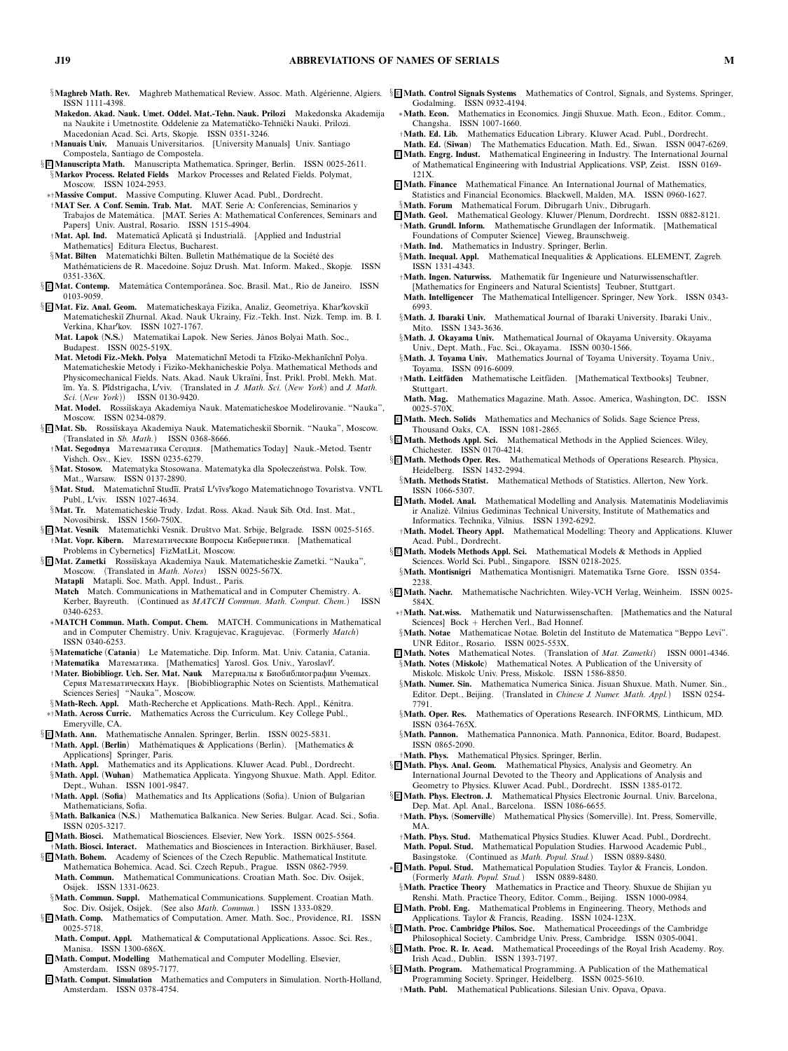- *ISSN 1111-4398.*
- **Makedon. Akad. Nauk. Umet. Oddel. Mat.-Tehn. Nauk. Prilozi** *Makedonska Akademija* na Naukite i Umetnostite. Oddelenie za Matematičko-Tehnički Nauki. Prilozi. *Macedonian Acad. Sci. Arts, Skopje. ISSN 0351-3246.*
- †**Manuais Univ.** *Manuais Universitarios. [University Manuals] Univ. Santiago Compostela, Santiago de Compostela.*
- § <sup>E</sup> **Manuscripta Math.** *Manuscripta Mathematica. Springer, Berlin. ISSN 0025-2611.* §**Markov Process. Related Fields** *Markov Processes and Related Fields. Polymat,*
- *Moscow. ISSN 1024-2953.*
- ∗†**Massive Comput.** *Massive Computing. Kluwer Acad. Publ., Dordrecht.*
- †**MAT Ser. A Conf. Semin. Trab. Mat.** *MAT. Serie A: Conferencias, Seminarios y Trabajos de Matem´atica. [MAT. Series A: Mathematical Conferences, Seminars and Papers] Univ. Austral, Rosario. ISSN 1515-4904.*
- $\dagger$ Mat. Apl. Ind. Matematică Aplicată și Industrială. [Applied and Industrial *Mathematics] Editura Electus, Bucharest.*
- §Mat. Bilten Matematichki Bilten. Bulletin Mathématique de la Société des *Math´ematiciens de R. Macedoine. Sojuz Drush. Mat. Inform. Maked., Skopje. ISSN 0351-336X.*
- § <sup>E</sup> **Mat. Contemp.** *Matem´atica Contemporˆanea. Soc. Brasil. Mat., Rio de Janeiro. ISSN 0103-9059.*
- § <sup>E</sup> **Mat. Fiz. Anal. Geom.** *Matematicheskaya Fizika, Analiz, Geometriya. Kharkovski˘ı Matematicheski˘ı Zhurnal. Akad. Nauk Ukrainy, Fiz.-Tekh. Inst. Nizk. Temp. im. B. I. Verkina, Kharkov. ISSN 1027-1767.*
	- **Mat. Lapok** *(***N.S.***) Matematikai Lapok. New Series. J´anos Bolyai Math. Soc., Budapest. ISSN 0025-519X.*
	- **Mat. Metodi Fiz.-Mekh. Polya** *Matematichn¯ı Metodi ta F¯ıziko-Mekhan¯ıchn¯ı Polya. Matematicheskie Metody i Fiziko-Mekhanicheskie Polya. Mathematical Methods and Physicomechanical Fields. Nats. Akad. Nauk Ukra¨ıni, ¯ Inst. Prikl. Probl. Mekh. Mat. ¯ım. Ya. S. P¯ıdstrigacha, Lviv. (Translated in J. Math. Sci. (New York) and J. Math. Sci. (New York)) ISSN 0130-9420.*
	- **Mat. Model.** *Rossi˘ıskaya Akademiya Nauk. Matematicheskoe Modelirovanie. "Nauka", Moscow. ISSN 0234-0879.*
- § <sup>E</sup> **Mat. Sb.** *Rossi˘ıskaya Akademiya Nauk. Matematicheski˘ı Sbornik. "Nauka", Moscow. (Translated in Sb. Math.) ISSN 0368-8666.*
- †**Mat. Segodnya** Математика Сегодня. *[Mathematics Today] Nauk.-Metod. Tsentr Vishch. Osv., Kiev. ISSN 0235-6279.*
- §Mat. Stosow. Matematyka Stosowana. Matematyka dla Społeczeństwa. Polsk. Tow. *Mat., Warsaw. ISSN 0137-2890.*
- §**Mat. Stud.** *Matematichn¯ı Stud¯ı¨ı. Prats¯ı Lv¯ıvskogo Matematichnogo Tovaristva. VNTL Publ., Lviv. ISSN 1027-4634.*
- §**Mat. Tr.** *Matematicheskie Trudy. Izdat. Ross. Akad. Nauk Sib. Otd. Inst. Mat., Novosibirsk. ISSN 1560-750X.*
- § **E Mat. Vesnik** Matematichki Vesnik. Društvo Mat. Srbije, Belgrade. ISSN 0025-5165. †**Mat. Vopr. Kibern.** Математические Вопросы Кибернетики. *[Mathematical Problems in Cybernetics] FizMatLit, Moscow.*
- § <sup>E</sup> **Mat. Zametki** *Rossi˘ıskaya Akademiya Nauk. Matematicheskie Zametki. "Nauka", Moscow. (Translated in Math. Notes) ISSN 0025-567X.*
	- **Matapli** *Matapli. Soc. Math. Appl. Indust., Paris.*
	- **Match** *Match. Communications in Mathematical and in Computer Chemistry. A. Kerber, Bayreuth. (Continued as MATCH Commun. Math. Comput. Chem.) ISSN 0340-6253.*
	- ∗**MATCH Commun. Math. Comput. Chem.** *MATCH. Communications in Mathematical and in Computer Chemistry. Univ. Kragujevac, Kragujevac. (Formerly Match) ISSN 0340-6253.*
	- §**Matematiche** *(***Catania***) Le Matematiche. Dip. Inform. Mat. Univ. Catania, Catania.* †**Matematika** Математика. *[Mathematics] Yarosl. Gos. Univ., Yaroslavl.*
	- †**Mater. Biobibliogr. Uch. Ser. Mat. Nauk** Материалы к Биобиблиографии Ученых. Серия Математических Наук. *[Biobibliographic Notes on Scientists. Mathematical Sciences Series] "Nauka", Moscow.*
- §**Math-Rech. Appl.** Math-Recherche et Applications. Math-Rech. Appl., Kénitra. ∗†**Math. Across Curric.** *Mathematics Across the Curriculum. Key College Publ.,*
- *Emeryville, CA.*
- § <sup>E</sup> **Math. Ann.** *Mathematische Annalen. Springer, Berlin. ISSN 0025-5831.* †**Math. Appl.** *(***Berlin***) Math´ematiques & Applications (Berlin). [Mathematics &*
	- *Applications] Springer, Paris.* †**Math. Appl.** *Mathematics and its Applications. Kluwer Acad. Publ., Dordrecht.*
- §**Math. Appl.** *(***Wuhan***) Mathematica Applicata. Yingyong Shuxue. Math. Appl. Editor. Dept., Wuhan. ISSN 1001-9847.* †**Math. Appl.** *(***Sofia***) Mathematics and Its Applications (Sofia). Union of Bulgarian*
- *Mathematicians, Sofia.*
- §**Math. Balkanica** *(***N.S.***) Mathematica Balkanica. New Series. Bulgar. Acad. Sci., Sofia. ISSN 0205-3217.*
- <sup>E</sup> **Math. Biosci.** *Mathematical Biosciences. Elsevier, New York. ISSN 0025-5564.*
- *Math. Biosci. Interact.* Mathematics and Biosciences in Interaction. Birkhäuser, Basel. § <sup>E</sup> **Math. Bohem.** *Academy of Sciences of the Czech Republic. Mathematical Institute. Mathematica Bohemica. Acad. Sci. Czech Repub., Prague. ISSN 0862-7959.*
- **Math. Commun.** *Mathematical Communications. Croatian Math. Soc. Div. Osijek, Osijek. ISSN 1331-0623.*
- §**Math. Commun. Suppl.** *Mathematical Communications. Supplement. Croatian Math. Soc. Div. Osijek, Osijek. (See also Math. Commun.) ISSN 1333-0829.*
- § <sup>E</sup> **Math. Comp.** *Mathematics of Computation. Amer. Math. Soc., Providence, RI. ISSN 0025-5718.*
- **Math. Comput. Appl.** *Mathematical & Computational Applications. Assoc. Sci. Res., Manisa. ISSN 1300-686X.*
- <sup>E</sup> **Math. Comput. Modelling** *Mathematical and Computer Modelling. Elsevier, Amsterdam. ISSN 0895-7177.*
- <sup>E</sup> **Math. Comput. Simulation** *Mathematics and Computers in Simulation. North-Holland, Amsterdam. ISSN 0378-4754.*
- §M**aghreb Math. Rev.** Maghreb Mathematical Review. Assoc. Math. Algérienne, Algiers. §<mark>E Math. Control Signals Systems</mark> Mathematics of Control, Signals, and Systems. Springer, *Godalming. ISSN 0932-4194.*
	- ∗**Math. Econ.** *Mathematics in Economics. Jingji Shuxue. Math. Econ., Editor. Comm., Changsha. ISSN 1007-1660.*
	- †**Math. Ed. Lib.** *Mathematics Education Library. Kluwer Acad. Publ., Dordrecht.* **Math. Ed.** *(***Siwan***) The Mathematics Education. Math. Ed., Siwan. ISSN 0047-6269.*
	- <sup>E</sup> **Math. Engrg. Indust.** *Mathematical Engineering in Industry. The International Journal of Mathematical Engineering with Industrial Applications. VSP, Zeist. ISSN 0169- 121X.*
	- <sup>E</sup> **Math. Finance** *Mathematical Finance. An International Journal of Mathematics, Statistics and Financial Economics. Blackwell, Malden, MA. ISSN 0960-1627.*
	- §**Math. Forum** Mathematical Forum. Dibrugarh Univ., Dibrugarh.<br>**E** Math. Geol. Mathematical Geology. Kluwer/Plenum, Dordrecht. ISSN 0882-8121.
	- †**Math. Grundl. Inform.** *Mathematische Grundlagen der Informatik. [Mathematical Foundations of Computer Science] Vieweg, Braunschweig.*
	- †**Math. Ind.** *Mathematics in Industry. Springer, Berlin.*
	- §**Math. Inequal. Appl.** *Mathematical Inequalities & Applications. ELEMENT, Zagreb. ISSN 1331-4343.*
	- †**Math. Ingen. Naturwiss.** *Mathematik f ¨ur Ingenieure und Naturwissenschaftler.*
	- *[Mathematics for Engineers and Natural Scientists] Teubner, Stuttgart.* **Math. Intelligencer** *The Mathematical Intelligencer. Springer, New York. ISSN 0343- 6993.*
	- §**Math. J. Ibaraki Univ.** *Mathematical Journal of Ibaraki University. Ibaraki Univ., Mito. ISSN 1343-3636.*
	- §**Math. J. Okayama Univ.** *Mathematical Journal of Okayama University. Okayama Univ., Dept. Math., Fac. Sci., Okayama. ISSN 0030-1566.*
	- §**Math. J. Toyama Univ.** *Mathematics Journal of Toyama University. Toyama Univ., Toyama. ISSN 0916-6009.*
	- †**Math. Leitf¨aden** *Mathematische Leitf¨aden. [Mathematical Textbooks] Teubner, Stuttgart.*
	- **Math. Mag.** *Mathematics Magazine. Math. Assoc. America, Washington, DC. ISSN 0025-570X.*
	- <sup>E</sup> **Math. Mech. Solids** *Mathematics and Mechanics of Solids. Sage Science Press, Thousand Oaks, CA. ISSN 1081-2865.*
	- § <sup>E</sup> **Math. Methods Appl. Sci.** *Mathematical Methods in the Applied Sciences. Wiley, Chichester. ISSN 0170-4214.*
	- § <sup>E</sup> **Math. Methods Oper. Res.** *Mathematical Methods of Operations Research. Physica, Heidelberg. ISSN 1432-2994.*
	- §**Math. Methods Statist.** *Mathematical Methods of Statistics. Allerton, New York. ISSN 1066-5307.*
	- <sup>E</sup> **Math. Model. Anal.** *Mathematical Modelling and Analysis. Matematinis Modeliavimis ir Analiz˙e. Vilnius Gediminas Technical University, Institute of Mathematics and Informatics. Technika, Vilnius. ISSN 1392-6292.*
	- †**Math. Model. Theory Appl.** *Mathematical Modelling: Theory and Applications. Kluwer Acad. Publ., Dordrecht.*
	- § <sup>E</sup> **Math. Models Methods Appl. Sci.** *Mathematical Models & Methods in Applied Sciences. World Sci. Publ., Singapore. ISSN 0218-2025.*
	- §**Math. Montisnigri** *Mathematica Montisnigri. Matematika Tsrne Gore. ISSN 0354- 2238.*
	- § <sup>E</sup> **Math. Nachr.** *Mathematische Nachrichten. Wiley-VCH Verlag, Weinheim. ISSN 0025- 584X.*
	- ∗†**Math. Nat.wiss.** *Mathematik und Naturwissenschaften. [Mathematics and the Natural Sciences] Bock + Herchen Verl., Bad Honnef.*
	- §**Math. Notae** *Mathematicae Notae. Boletin del Instituto de Matematica "Beppo Levi". UNR Editor., Rosario. ISSN 0025-553X.*
	- <sup>E</sup> **Math. Notes** *Mathematical Notes. (Translation of Mat. Zametki) ISSN 0001-4346.* §**Math. Notes** *(***Miskolc***) Mathematical Notes. A Publication of the University of Miskolc. Miskolc Univ. Press, Miskolc. ISSN 1586-8850.*
	- §**Math. Numer. Sin.** *Mathematica Numerica Sinica. Jisuan Shuxue. Math. Numer. Sin., Editor. Dept., Beijing. (Translated in Chinese J. Numer. Math. Appl.) ISSN 0254- 7791.*
	- §**Math. Oper. Res.** *Mathematics of Operations Research. INFORMS, Linthicum, MD. ISSN 0364-765X.*
	- §**Math. Pannon.** *Mathematica Pannonica. Math. Pannonica, Editor. Board, Budapest. ISSN 0865-2090.*
	- †**Math. Phys.** *Mathematical Physics. Springer, Berlin.*
	- § <sup>E</sup> **Math. Phys. Anal. Geom.** *Mathematical Physics, Analysis and Geometry. An International Journal Devoted to the Theory and Applications of Analysis and Geometry to Physics. Kluwer Acad. Publ., Dordrecht. ISSN 1385-0172.*
	- § <sup>E</sup> **Math. Phys. Electron. J.** *Mathematical Physics Electronic Journal. Univ. Barcelona, Dep. Mat. Apl. Anal., Barcelona. ISSN 1086-6655.*
	- †**Math. Phys.** *(***Somerville***) Mathematical Physics (Somerville). Int. Press, Somerville, MA.*
	- †**Math. Phys. Stud.** *Mathematical Physics Studies. Kluwer Acad. Publ., Dordrecht.* **Math. Popul. Stud.** *Mathematical Population Studies. Harwood Academic Publ., Basingstoke. (Continued as Math. Popul. Stud.) ISSN 0889-8480.*
	- ∗ <sup>E</sup> **Math. Popul. Stud.** *Mathematical Population Studies. Taylor & Francis, London. (Formerly Math. Popul. Stud.) ISSN 0889-8480.*
	- §**Math. Practice Theory** *Mathematics in Practice and Theory. Shuxue de Shijian yu Renshi. Math. Practice Theory, Editor. Comm., Beijing. ISSN 1000-0984.*
	- <sup>E</sup> **Math. Probl. Eng.** *Mathematical Problems in Engineering. Theory, Methods and Applications. Taylor & Francis, Reading. ISSN 1024-123X.*
	- § <sup>E</sup> **Math. Proc. Cambridge Philos. Soc.** *Mathematical Proceedings of the Cambridge Philosophical Society. Cambridge Univ. Press, Cambridge. ISSN 0305-0041.*
	- § <sup>E</sup> **Math. Proc . R. Ir. Ac ad.** *Mathematical Proceedings of the Royal Irish Academy. Roy. Irish Acad., Dublin. ISSN 1393-7197.*
	- § <sup>E</sup> **Math. Program.** *Mathematical Programming. A Publication of the Mathematical Programming Society. Springer, Heidelberg. ISSN 0025-5610.*
		- †**Math. Publ.** *Mathematical Publications. Silesian Univ. Opava, Opava.*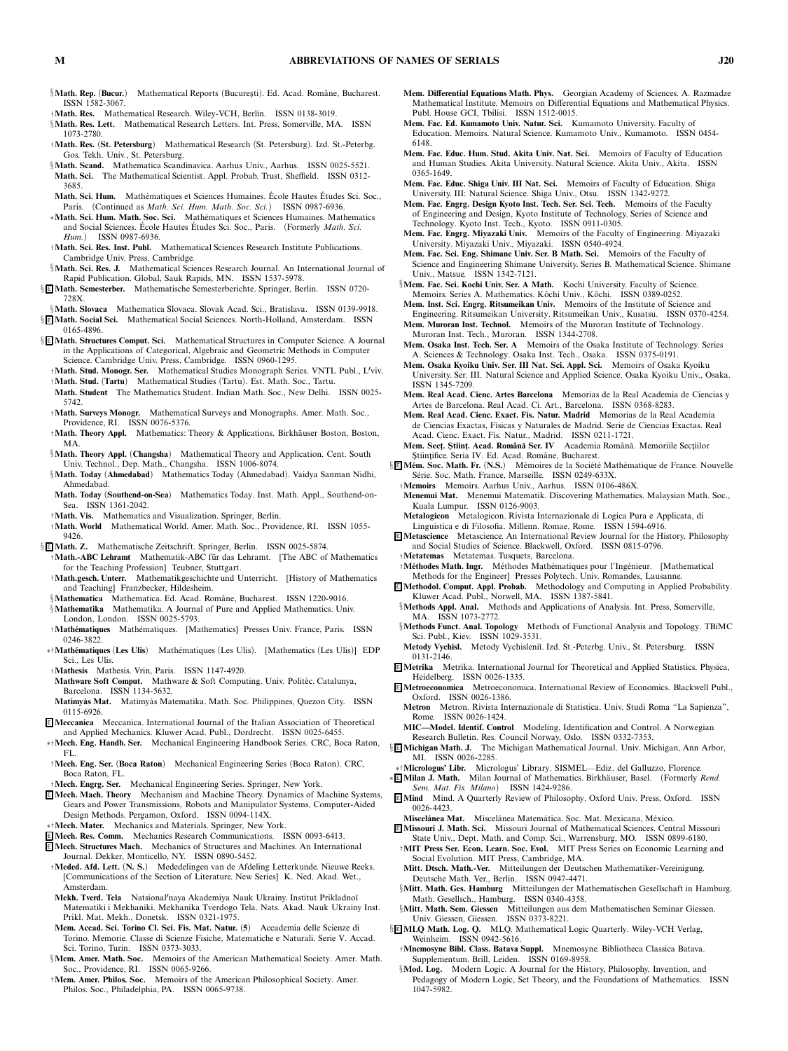- §**Math. Rep.** (Bucur.) Mathematical Reports (Bucuresti). Ed. Acad. Române, Bucharest. *ISSN 1582-3067.*
- †**Math. Res.** *Mathematical Research. Wiley-VCH, Berlin. ISSN 0138-3019.*
- §**Math. Res. Lett.** *Mathematical Research Letters. Int. Press, Somerville, MA. ISSN*
- *1073-2780.* †**Math. Res.** *(***St. Petersburg***) Mathematical Research (St. Petersburg). Izd. St.-Peterbg. Gos. Tekh. Univ., St. Petersburg.*
- §**Math. Scand.** *Mathematica Scandinavica. Aarhus Univ., Aarhus. ISSN 0025-5521.* **Math. Sci.** *The Mathematical Scientist. Appl. Probab. Trust, Sheffield. ISSN 0312- 3685.*
- **Math. Sci. Hum.** Mathématiques et Sciences Humaines. École Hautes Études Sci. Soc., *Paris. (Continued as Math. Sci. Hum. Math. Soc. Sci.) ISSN 0987-6936.*
- ∗**Math. Sci. Hum. Math. Soc. Sci.** *Math´ematiques et Sciences Humaines. Mathematics and Social Sciences. Ecole Hautes ´ Etudes Sci. Soc., Paris. (Formerly ´ Math. Sci. Hum.) ISSN 0987-6936.*
- †**Math. Sci. Res. Inst. Publ.** *Mathematical Sciences Research Institute Publications. Cambridge Univ. Press, Cambridge.*
- §**Math. Sci. Res. J.** *Mathematical Sciences Research Journal. An International Journal of Rapid Publication. Global, Sauk Rapids, MN. ISSN 1537-5978.*
- § <sup>E</sup> **Math. Semesterber.** *Mathematische Semesterberichte. Springer, Berlin. ISSN 0720- 728X.*
- §**Math. Slovaca** *Mathematica Slovaca. Slovak Acad. Sci., Bratislava. ISSN 0139-9918.* § <sup>E</sup> **Math. Soc ial Sc i.** *Mathematical Social Sciences. North-Holland, Amsterdam. ISSN 0165-4896.*
- § <sup>E</sup> **Math. Structures Comput. Sci.** *Mathematical Structures in Computer Science. A Journal in the Applications of Categorical, Algebraic and Geometric Methods in Computer Science. Cambridge Univ. Press, Cambridge. ISSN 0960-1295.*
	- †**Math. Stud. Monogr. Ser.** *Mathematical Studies Monograph Series. VNTL Publ., Lviv.*
	- †**Math. Stud.** *(***Tartu***) Mathematical Studies (Tartu). Est. Math. Soc., Tartu.*
	- **Math. Student** *The Mathematics Student. Indian Math. Soc., New Delhi. ISSN 0025- 5742.*
	- †**Math. Surveys Monogr.** *Mathematical Surveys and Monographs. Amer. Math. Soc., Providence, RI. ISSN 0076-5376.*
	- †**Math. Theory Appl.** *Mathematics: Theory & Applications. Birkh¨auser Boston, Boston, MA.*
	- §**Math. Theory Appl.** *(***Changsha***) Mathematical Theory and Application. Cent. South Univ. Technol., Dep. Math., Changsha. ISSN 1006-8074.*
	- §**Math. Today** *(***Ahmedabad***) Mathematics Today (Ahmedabad). Vaidya Sanman Nidhi, Ahmedabad.*
	- **Math. Today** *(***Southend-on-Sea***) Mathematics Today. Inst. Math. Appl., Southend-on-Sea. ISSN 1361-2042.*
	- †**Math. Vis.** *Mathematics and Visualization. Springer, Berlin.*
- †**Math. World** *Mathematical World. Amer. Math. Soc., Providence, RI. ISSN 1055- 9426.*
- § <sup>E</sup> **Math. Z.** *Mathematische Zeitschrift. Springer, Berlin. ISSN 0025-5874.* †**Math.-ABC Lehramt** *Mathematik-ABC f ¨ur das Lehramt. [The ABC of Mathematics*
	- *for the Teaching Profession] Teubner, Stuttgart.* †**Math.gesch. Unterr.** *Mathematikgeschichte und Unterricht. [History of Mathematics*
	- *and Teaching] Franzbecker, Hildesheim.*
	- §**Mathematica** Mathematica. Ed. Acad. Române, Bucharest. ISSN 1220-9016.
	- §**Mathematika** *Mathematika. A Journal of Pure and Applied Mathematics. Univ. London, London. ISSN 0025-5793.*
	- †**Math´ematiques** *Math´ematiques. [Mathematics] Presses Univ. France, Paris. ISSN 0246-3822.*
- ∗†**Math´ematiques** *(***Les Ulis***) Math´ematiques (Les Ulis). [Mathematics (Les Ulis)] EDP Sci., Les Ulis.*
- †**Mathesis** *Mathesis. Vrin, Paris. ISSN 1147-4920.*
- **Mathware Soft Comput.** Mathware & Soft Computing. Univ. Politèc. Catalunya, *Barcelona. ISSN 1134-5632.*
- **Matimy ´as Mat.** *Matimy ´as Matematika. Math. Soc. Philippines, Quezon City. ISSN 0115-6926.*
- <sup>E</sup> **Meccanica** *Meccanica. International Journal of the Italian Association of Theoretical and Applied Mechanics. Kluwer Acad. Publ., Dordrecht. ISSN 0025-6455.*
- ∗†**Mech. Eng. Handb. Ser.** *Mechanical Engineering Handbook Series. CRC, Boca Raton, FL.*
- †**Mech. Eng. Ser.** *(***Boca Raton***) Mechanical Engineering Series (Boca Raton). CRC, Boca Raton, FL.*
- †**Mech. Engrg. Ser.** *Mechanical Engineering Series. Springer, New York.*
- <sup>E</sup> **Mech. Mach. Theory** *Mechanism and Machine Theory. Dynamics of Machine Systems, Gears and Power Transmissions, Robots and Manipulator Systems, Computer-Aided Design Methods. Pergamon, Oxford. ISSN 0094-114X.*
- ∗†**Mech. Mater.** *Mechanics and Materials. Springer, New York.*
- <sup>E</sup> **Mech. Res. Comm.** *Mechanics Research Communications. ISSN 0093-6413.* <sup>E</sup> **Mech. Structures Mach.** *Mechanics of Structures and Machines. An International*
- *Journal. Dekker, Monticello, NY. ISSN 0890-5452.* †**Meded. Afd. Lett.** *(***N. S.***) Mededelingen van de Afdeling Letterkunde. Nieuwe Reeks. [Communications of the Section of Literature. New Series] K. Ned. Akad. Wet.,*
- *Amsterdam.* **Mekh. Tverd. Tela** *Natsionalnaya Akademiya Nauk Ukrainy. Institut Prikladno˘ı*
- *Matematiki i Mekhaniki. Mekhanika Tverdogo Tela. Nats. Akad. Nauk Ukrainy Inst. Prikl. Mat. Mekh., Donetsk. ISSN 0321-1975.* **Mem. Accad. Sci. Torino Cl. Sci. Fis. Mat. Natur.** *(***5***) Accademia delle Scienze di*
- *Torino. Memorie. Classe di Scienze Fisiche, Matematiche e Naturali. Serie V. Accad. Sci. Torino, Turin. ISSN 0373-3033.*
- §**Mem. Amer. Math. Soc.** *Memoirs of the American Mathematical Society. Amer. Math. Soc., Providence, RI. ISSN 0065-9266.*
- †**Mem. Amer. Philos. Soc.** *Memoirs of the American Philosophical Society. Amer. Philos. Soc., Philadelphia, PA. ISSN 0065-9738.*
- **Mem. Differential Equations Math. Phys.** *Georgian Academy of Sciences. A. Razmadze Mathematical Institute. Memoirs on Differential Equations and Mathematical Physics. Publ. House GCI, Tbilisi. ISSN 1512-0015.*
- **Mem. Fac. Ed. Kumamoto Univ. Natur. Sci.** *Kumamoto University. Faculty of Education. Memoirs. Natural Science. Kumamoto Univ., Kumamoto. ISSN 0454- 6148.*
- **Mem. Fac. Educ. Hum. Stud. Akita Univ. Nat. Sci.** *Memoirs of Faculty of Education and Human Studies. Akita University. Natural Science. Akita Univ., Akita. ISSN 0365-1649.*
- **Mem. Fac. Educ. Shiga Univ. III Nat. Sci.** *Memoirs of Faculty of Education. Shiga University. III: Natural Science. Shiga Univ., Otsu. ISSN 1342-9272.*
- **Mem. Fac. Engrg. Design Kyoto Inst. Tech. Ser. Sci. Tech.** *Memoirs of the Faculty of Engineering and Design, Kyoto Institute of Technology. Series of Science and Technology. Kyoto Inst. Tech., Kyoto. ISSN 0911-0305.*
- **Mem. Fac. Engrg. Miyazaki Univ.** *Memoirs of the Faculty of Engineering. Miyazaki University. Miyazaki Univ., Miyazaki. ISSN 0540-4924.*
- **Mem. Fac. Sci. Eng. Shimane Univ. Ser. B Math. Sci.** *Memoirs of the Faculty of Science and Engineering Shimane University. Series B. Mathematical Science. Shimane Univ., Matsue. ISSN 1342-7121.*
- §**Mem. Fac. Sci. Kochi Univ. Ser. A Math.** *Kochi University. Faculty of Science. Memoirs. Series A. Mathematics. K ˆochi Univ., K ˆochi. ISSN 0389-0252.*
- **Mem. Inst. Sci. Engrg. Ritsumeikan Univ.** *Memoirs of the Institute of Science and Engineering. Ritsumeikan University. Ritsumeikan Univ., Kusatsu. ISSN 0370-4254.*
- **Mem. Muroran Inst. Technol.** *Memoirs of the Muroran Institute of Technology. Muroran Inst. Tech., Muroran. ISSN 1344-2708.*
- **Mem. Osaka Inst. Tech. Ser. A** *Memoirs of the Osaka Institute of Technology. Series A. Sciences & Technology. Osaka Inst. Tech., Osaka. ISSN 0375-0191.*
- **Mem. Osaka Kyoiku Univ. Ser. III Nat. Sci. Appl. Sci.** *Memoirs of Osaka Kyoiku University. Ser. III. Natural Science and Applied Science. Osaka Kyoiku Univ., Osaka. ISSN 1345-7209.*
- **Mem. Real Acad. Cienc. Artes Barcelona** *Memorias de la Real Academia de Ciencias y Artes de Barcelona. Real Acad. Ci. Art., Barcelona. ISSN 0368-8283.*
- **Mem. Real Acad. Cienc. Exact. F´ıs. Natur. Madrid** *Memorias de la Real Academia de Ciencias Exactas, F´ısicas y Naturales de Madrid. Serie de Ciencias Exactas. Real Acad. Cienc. Exact. F´ıs. Natur., Madrid. ISSN 0211-1721.*
- Mem. Sect. Științ. Acad. Română Ser. IV Academia Română. Memoriile Secțiilor *S¸ tiint¸ifice. Seria IV. Ed. Acad. Romˆane, Bucharest.*
- § E Mém. Soc. Math. Fr. (N.S.) Mémoires de la Société Mathématique de France. Nouvelle *S´erie. Soc. Math. France, Marseille. ISSN 0249-633X.*

†**Memoirs** *Memoirs. Aarhus Univ., Aarhus. ISSN 0106-486X.*

- **Menemui Mat.** *Menemui Matematik. Discovering Mathematics. Malaysian Math. Soc., Kuala Lumpur. ISSN 0126-9003.*
- **Metalogicon** *Metalogicon. Rivista Internazionale di Logica Pura e Applicata, di Linguistica e di Filosofia. Millenn. Romae, Rome. ISSN 1594-6916.*
- <sup>E</sup> **Metascience** *Metascience. An International Review Journal for the History, Philosophy and Social Studies of Science. Blackwell, Oxford. ISSN 0815-0796.*
- †**Metatemas** *Metatemas. Tusquets, Barcelona.* †**M´ethodes Math. Ingr.** *M´ethodes Math´ematiques pour l'Ing ´enieur. [Mathematical Methods for the Engineer] Presses Polytech. Univ. Romandes, Lausanne.*
- <sup>E</sup> **Methodol. Comput. Appl. Probab.** *Methodology and Computing in Applied Probability. Kluwer Acad. Publ., Norwell, MA. ISSN 1387-5841.*
- §**Methods Appl. Anal.** *Methods and Applications of Analysis. Int. Press, Somerville, MA. ISSN 1073-2772.*
- §**Methods Funct. Anal. Topology** *Methods of Functional Analysis and Topology. TBiMC Sci. Publ., Kiev. ISSN 1029-3531.*
- **Metody Vychisl.** *Metody Vychisleni˘ı. Izd. St.-Peterbg. Univ., St. Petersburg. ISSN 0131-2146.*
- <sup>E</sup> **Metrika** *Metrika. International Journal for Theoretical and Applied Statistics. Physica, Heidelberg. ISSN 0026-1335.*
- <sup>E</sup> **Metroeconomica** *Metroeconomica. International Review of Economics. Blackwell Publ., Oxford. ISSN 0026-1386.*
	- **Metron** *Metron. Rivista Internazionale di Statistica. Univ. Studi Roma "La Sapienza", Rome. ISSN 0026-1424.*
	- **MIC—Model. Identif. Control** *Modeling, Identification and Control. A Norwegian Research Bulletin. Res. Council Norway, Oslo. ISSN 0332-7353.*
- § <sup>E</sup> **Michigan Math. J.** *The Michigan Mathematical Journal. Univ. Michigan, Ann Arbor, MI. ISSN 0026-2285.*
- ∗†**Micrologus' Libr.** *Micrologus' Library. SISMEL—Ediz. del Galluzzo, Florence.*
- ∗ <sup>E</sup> **Milan J. Math.** *Milan Journal of Mathematics. Birkh¨auser, Basel. (Formerly Rend. Sem. Mat. Fis. Milano) ISSN 1424-9286.*
- <sup>E</sup> **Mind** *Mind. A Quarterly Review of Philosophy. Oxford Univ. Press, Oxford. ISSN 0026-4423.*
- **Miscel´anea Mat.** *Miscel´anea Matem´atica. Soc. Mat. Mexicana, M´exico.*
- <sup>E</sup> **Missouri J. Math. Sci.** *Missouri Journal of Mathematical Sciences. Central Missouri State Univ., Dept. Math. and Comp. Sci., Warrensburg, MO. ISSN 0899-6180.*
- †**MIT Press Ser. Econ. Learn. Soc. Evol.** *MIT Press Series on Economic Learning and Social Evolution. MIT Press, Cambridge, MA.* **Mitt. Dtsch. Math.-Ver.** *Mitteilungen der Deutschen Mathematiker-Vereinigung.*
	- *Deutsche Math. Ver., Berlin. ISSN 0947-4471.*
- §**Mitt. Math. Ges. Hamburg** *Mitteilungen der Mathematischen Gesellschaft in Hamburg. Math. Gesellsch., Hamburg. ISSN 0340-4358.*
- §**Mitt. Math. Sem. Giessen** *Mitteilungen aus dem Mathematischen Seminar Giessen. Univ. Giessen, Giessen. ISSN 0373-8221.*
- § <sup>E</sup> **MLQ Math. Log. Q.** *MLQ. Mathematical Logic Quarterly. Wiley-VCH Verlag, Weinheim. ISSN 0942-5616.*
	- †**Mnemosyne Bibl. Class. Batava Suppl.** *Mnemosyne. Bibliotheca Classica Batava. Supplementum. Brill, Leiden. ISSN 0169-8958.*
	- §**Mod. Log.** *Modern Logic. A Journal for the History, Philosophy, Invention, and Pedagogy of Modern Logic, Set Theory, and the Foundations of Mathematics. ISSN 1047-5982.*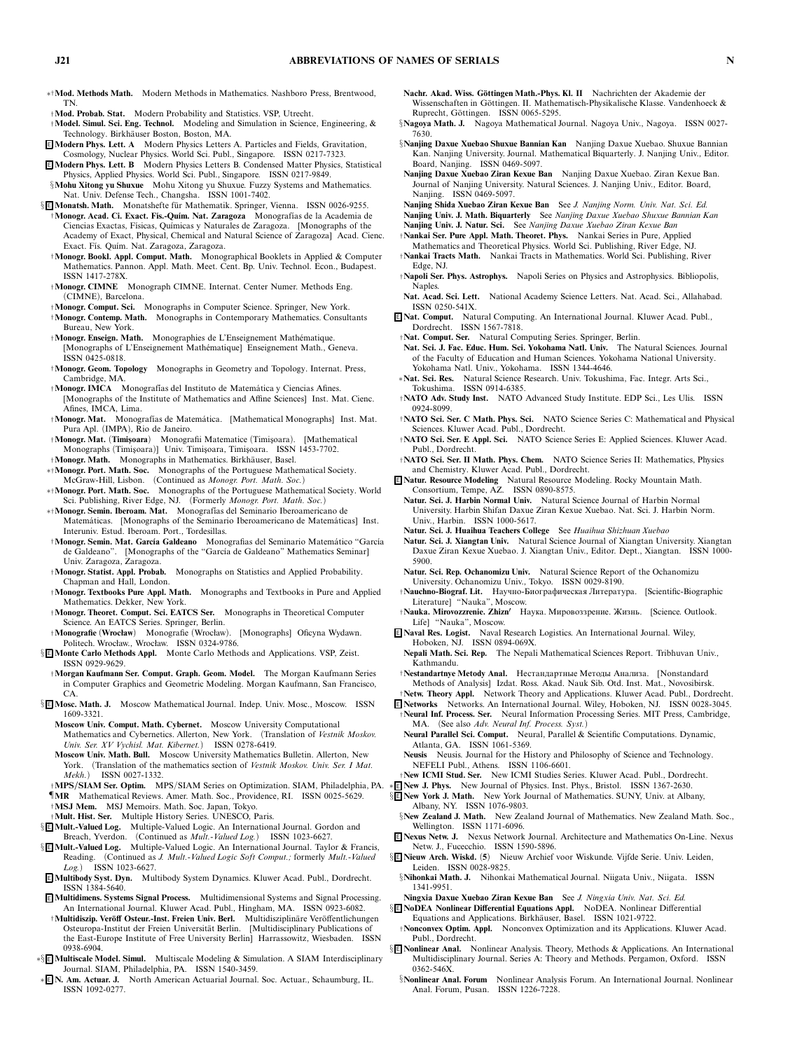- ∗†**Mod. Methods Math.** *Modern Methods in Mathematics. Nashboro Press, Brentwood, TN.*
- †**Mod. Probab. Stat.** *Modern Probability and Statistics. VSP, Utrecht.*
- †**Model. Simul. Sci. Eng. Technol.** *Modeling and Simulation in Science, Engineering, & Technology. Birkh¨auser Boston, Boston, MA.*
- <sup>E</sup> **Modern Phys. Lett. A** *Modern Physics Letters A. Particles and Fields, Gravitation, Cosmology, Nuclear Physics. World Sci. Publ., Singapore. ISSN 0217-7323.*
- <sup>E</sup> **Modern Phys. Lett. B** *Modern Physics Letters B. Condensed Matter Physics, Statistical Physics, Applied Physics. World Sci. Publ., Singapore. ISSN 0217-9849.*
- §**Mohu Xitong yu Shuxue** *Mohu Xitong yu Shuxue. Fuzzy Systems and Mathematics. Nat. Univ. Defense Tech., Changsha. ISSN 1001-7402.*
- § **E** Monatsh. Math. Monatshefte für Mathematik. Springer, Vienna. ISSN 0026-9255. †**Monogr. Acad. Ci. Exact. F´ıs.-Qu´ım. Nat. Zaragoza** *Monograf´ıas de la Academia de Ciencias Exactas, F´ısicas, Qu´ımicas y Naturales de Zaragoza. [Monographs of the Academy of Exact, Physical, Chemical and Natural Science of Zaragoza] Acad. Cienc. Exact. F´ıs. Qu´ım. Nat. Zaragoza, Zaragoza.*
	- †**Monogr. Bookl. Appl. Comput. Math.** *Monographical Booklets in Applied & Computer Mathematics. Pannon. Appl. Math. Meet. Cent. Bp. Univ. Technol. Econ., Budapest. ISSN 1417-278X.*
	- †**Monogr. CIMNE** *Monograph CIMNE. Internat. Center Numer. Methods Eng. (CIMNE), Barcelona.*
	- †**Monogr. Comput. Sci.** *Monographs in Computer Science. Springer, New York.* †**Monogr. Contemp. Math.** *Monographs in Contemporary Mathematics. Consultants Bureau, New York.*
	- †**Monogr. Enseign. Math.** *Monographies de L'Enseignement Math´ematique. [Monographs of L'Enseignement Math´ematique] Enseignement Math., Geneva. ISSN 0425-0818.*
	- †**Monogr. Geom. Topology** *Monographs in Geometry and Topology. Internat. Press, Cambridge, MA.*
	- †**Monogr. IMCA** *Monograf´ias del Instituto de Matem´atica y Ciencias Afines. [Monographs of the Institute of Mathematics and Affine Sciences] Inst. Mat. Cienc. Afines, IMCA, Lima.*
	- †**Monogr. Mat.** *Monograf´ıas de Matem´atica. [Mathematical Monographs] Inst. Mat. Pura Apl. (IMPA), Rio de Janeiro.*
	- †**Monogr. Mat.** *(***Timis¸oara***) Monografii Matematice (Timis¸oara). [Mathematical Monographs (Timis¸oara)] Univ. Timis¸oara, Timis¸oara. ISSN 1453-7702.*
	- †**Monogr. Math.** *Monographs in Mathematics. Birkh¨auser, Basel.*
- ∗†**Monogr. Port. Math. Soc.** *Monographs of the Portuguese Mathematical Society. McGraw-Hill, Lisbon. (Continued as Monogr. Port. Math. Soc.)*
- ∗†**Monogr. Port. Math. Soc.** *Monographs of the Portuguese Mathematical Society. World Sci. Publishing, River Edge, NJ. (Formerly Monogr. Port. Math. Soc.)*
- ∗†**Monogr. Semin. Iberoam. Mat.** *Monograf´ias del Seminario Iberoamericano de Matem´aticas. [Monographs of the Seminario Iberoamericano de Matem´aticas] Inst. Interuniv. Estud. Iberoam. Port., Tordesillas.*
- †**Monogr. Semin. Mat. Garc´ıa Galdeano** *Monografias del Seminario Matem´atico "Garc´ıa de Galdeano". [Monographs of the "Garc´ıa de Galdeano" Mathematics Seminar] Univ. Zaragoza, Zaragoza.*
- †**Monogr. Statist. Appl. Probab.** *Monographs on Statistics and Applied Probability. Chapman and Hall, London.*
- †**Monogr. Textbooks Pure Appl. Math.** *Monographs and Textbooks in Pure and Applied Mathematics. Dekker, New York.*
- †**Monogr. Theoret. Comput. Sci. EATCS Ser.** *Monographs in Theoretical Computer Science. An EATCS Series. Springer, Berlin.*
- †**Monografie** *(***Wrocław***) Monografie (Wrocław). [Monographs] Oficyna Wydawn. Politech. Wrocław., Wrocław. ISSN 0324-9786.*
- § <sup>E</sup> **Monte Carlo Methods Appl.** *Monte Carlo Methods and Applications. VSP, Zeist. ISSN 0929-9629.*
- †**Morgan Kaufmann Ser. Comput. Graph. Geom. Model.** *The Morgan Kaufmann Series in Computer Graphics and Geometric Modeling. Morgan Kaufmann, San Francisco, CA.*
- § <sup>E</sup> **Mosc. Math. J.** *Moscow Mathematical Journal. Indep. Univ. Mosc., Moscow. ISSN 1609-3321.*
	- **Moscow Univ. Comput. Math. Cybernet.** *Moscow University Computational Mathematics and Cybernetics. Allerton, New York. (Translation of Vestnik Moskov. Univ. Ser. XV Vychisl. Mat. Kibernet.) ISSN 0278-6419.*
	- **Moscow Univ. Math. Bull.** *Moscow University Mathematics Bulletin. Allerton, New York. (Translation of the mathematics section of Vestnik Moskov. Univ. Ser. I Mat. Mekh.) ISSN 0027-1332.*
- †**MPS/SIAM Ser. Optim.** *MPS/SIAM Series on Optimization. SIAM, Philadelphia, PA.*
- ¶**MR** *Mathematical Reviews. Amer. Math. Soc., Providence, RI. ISSN 0025-5629.* †**MSJ Mem.** *MSJ Memoirs. Math. Soc. Japan, Tokyo.*
- †**Mult. Hist. Ser.** *Multiple History Series. UNESCO, Paris.*
- § <sup>E</sup> **Mult.-Valued Log.** *Multiple-Valued Logic. An International Journal. Gordon and Breach, Yverdon. (Continued as Mult.-Valued Log.) ISSN 1023-6627.*
- § <sup>E</sup> **Mult.-Valued Log.** *Multiple-Valued Logic. An International Journal. Taylor & Francis, Reading. (Continued as J. Mult.-Valued Logic Soft Comput.; formerly Mult.-Valued Log.) ISSN 1023-6627.*
- <sup>E</sup> **Multibody Syst. Dyn.** *Multibody System Dynamics. Kluwer Acad. Publ., Dordrecht. ISSN 1384-5640.*
- <sup>E</sup> **Multidimens. Systems Signal Process.** *Multidimensional Systems and Signal Processing. An International Journal. Kluwer Acad. Publ., Hingham, MA. ISSN 0923-6082.*
- †**Multidiszip. Ver¨off Osteur.-Inst. Freien Univ. Berl.** *Multidisziplin¨are Ver ¨offentlichungen* **Osteuropa-Institut der Freien Universität Berlin.** [Multidisciplinary Publications of *the East-Europe Institute of Free University Berlin] Harrassowitz, Wiesbaden. ISSN 0938-6904.*
- ∗§ <sup>E</sup> **Multiscale Model. Simul.** *Multiscale Modeling & Simulation. A SIAM Interdisciplinary Journal. SIAM, Philadelphia, PA. ISSN 1540-3459.*
- ∗ <sup>E</sup> **N. Am. Actuar. J.** *North American Actuarial Journal. Soc. Actuar., Schaumburg, IL. ISSN 1092-0277.*
- **Nachr. Akad. Wiss. Göttingen Math.-Phys. Kl. II** Nachrichten der Akademie der Wissenschaften in Göttingen. II. Mathematisch-Physikalische Klasse. Vandenhoeck & *Ruprecht, G ¨ottingen. ISSN 0065-5295.*
- §**Nagoya Math. J.** *Nagoya Mathematical Journal. Nagoya Univ., Nagoya. ISSN 0027- 7630.*
- §**Nanjing Daxue Xuebao Shuxue Bannian Kan** *Nanjing Daxue Xuebao. Shuxue Bannian Kan. Nanjing University. Journal. Mathematical Biquarterly. J. Nanjing Univ., Editor. Board, Nanjing. ISSN 0469-5097.*
- **Nanjing Daxue Xuebao Ziran Kexue Ban** *Nanjing Daxue Xuebao. Ziran Kexue Ban. Journal of Nanjing University. Natural Sciences. J. Nanjing Univ., Editor. Board, Nanjing. ISSN 0469-5097.*
- **Nanjing Shida Xuebao Ziran Kexue Ban** *See J. Nanjing Norm. Univ. Nat. Sci. Ed.*
- **Nanjing Univ. J. Math. Biquarterly** *See Nanjing Daxue Xuebao Shuxue Bannian Kan* **Nanjing Univ. J. Natur. Sci.** *See Nanjing Daxue Xuebao Ziran Kexue Ban*
- †**Nankai Ser. Pure Appl. Math. Theoret. Phys.** *Nankai Series in Pure, Applied*
- *Mathematics and Theoretical Physics. World Sci. Publishing, River Edge, NJ.* †**Nankai Tracts Math.** *Nankai Tracts in Mathematics. World Sci. Publishing, River*
- *Edge, NJ.* †**Napoli Ser. Phys. Astrophys.** *Napoli Series on Physics and Astrophysics. Bibliopolis, Naples.*
- **Nat. Acad. Sci. Lett.** *National Academy Science Letters. Nat. Acad. Sci., Allahabad. ISSN 0250-541X.*
- <sup>E</sup> **Nat. Comput.** *Natural Computing. An International Journal. Kluwer Acad. Publ., Dordrecht. ISSN 1567-7818.*
- †**Nat. Comput. Ser.** *Natural Computing Series. Springer, Berlin.*
- **Nat. Sci. J. Fac. Educ. Hum. Sci. Yokohama Natl. Univ.** *The Natural Sciences. Journal of the Faculty of Education and Human Sciences. Yokohama National University. Yokohama Natl. Univ., Yokohama. ISSN 1344-4646.*
- ∗**Nat. Sci. Res.** *Natural Science Research. Univ. Tokushima, Fac. Integr. Arts Sci., Tokushima. ISSN 0914-6385.*
- †**NATO Adv. Study Inst.** *NATO Advanced Study Institute. EDP Sci., Les Ulis. ISSN 0924-8099.*
- †**NATO Sci. Ser. C Math. Phys. Sci.** *NATO Science Series C: Mathematical and Physical Sciences. Kluwer Acad. Publ., Dordrecht.*
- †**NATO Sci. Ser. E Appl. Sci.** *NATO Science Series E: Applied Sciences. Kluwer Acad. Publ., Dordrecht.*
- †**NATO Sci. Ser. II Math. Phys. Chem.** *NATO Science Series II: Mathematics, Physics and Chemistry. Kluwer Acad. Publ., Dordrecht.*
- <sup>E</sup> **Natur. Resource Modeling** *Natural Resource Modeling. Rocky Mountain Math. Consortium, Tempe, AZ. ISSN 0890-8575.*
- **Natur. Sci. J. Harbin Normal Univ.** *Natural Science Journal of Harbin Normal University. Harbin Shifan Daxue Ziran Kexue Xuebao. Nat. Sci. J. Harbin Norm. Univ., Harbin. ISSN 1000-5617.*
- **Natur. Sci. J. Huaihua Teachers College** *See Huaihua Shizhuan Xuebao*
- **Natur. Sci. J. Xiangtan Univ.** *Natural Science Journal of Xiangtan University. Xiangtan Daxue Ziran Kexue Xuebao. J. Xiangtan Univ., Editor. Dept., Xiangtan. ISSN 1000- 5900.*
- **Natur. Sci. Rep. Ochanomizu Univ.** *Natural Science Report of the Ochanomizu University. Ochanomizu Univ., Tokyo. ISSN 0029-8190.*
- †**Nauchno-Biograf. Lit.** Научно-Биографическая Литература. *[Scientific-Biographic Literature] "Nauka", Moscow.*
- †**Nauka. Mirovozzrenie. Zhizn** Наука. Мировоззрение. Жизнь. *[Science. Outlook. Life] "Nauka", Moscow.*
- <sup>E</sup> **Naval Res. Logist.** *Naval Research Logistics. An International Journal. Wiley, Hoboken, NJ. ISSN 0894-069X.*
- **Nepali Math. Sci. Rep.** *The Nepali Mathematical Sciences Report. Tribhuvan Univ., Kathmandu.*
- †**Nestandartnye Metody Anal.** Нестандартные Методы Анализа. *[Nonstandard Methods of Analysis] Izdat. Ross. Akad. Nauk Sib. Otd. Inst. Mat., Novosibirsk.*
- †**Netw. Theory Appl.** *Network Theory and Applications. Kluwer Acad. Publ., Dordrecht.* <sup>E</sup> **Networks** *Networks. An International Journal. Wiley, Hoboken, NJ. ISSN 0028-3045.*
- †**Neural Inf. Process. Ser.** *Neural Information Processing Series. MIT Press, Cambridge, MA. (See also Adv. Neural Inf. Process. Syst.)*
- **Neural Parallel Sci. Comput.** *Neural, Parallel & Scientific Computations. Dynamic, Atlanta, GA. ISSN 1061-5369.*
- **Neusis** *Neusis. Journal for the History and Philosophy of Science and Technology. NEFELI Publ., Athens. ISSN 1106-6601.*
- †**New ICMI Stud. Ser.** *New ICMI Studies Series. Kluwer Acad. Publ., Dordrecht.*
- ∗ <sup>E</sup> **New J. Phys.** *New Journal of Physics. Inst. Phys., Bristol. ISSN 1367-2630.*
- § <sup>E</sup> **New York J. Math.** *New York Journal of Mathematics. SUNY, Univ. at Albany, Albany, NY. ISSN 1076-9803.*
- §**New Zealand J. Math.** *New Zealand Journal of Mathematics. New Zealand Math. Soc., Wellington. ISSN 1171-6096.*
- <sup>E</sup> **Nexus Netw. J.** *Nexus Network Journal. Architecture and Mathematics On-Line. Nexus Netw. J., Fucecchio. ISSN 1590-5896.*
- § <sup>E</sup> **Nieuw Arch. Wiskd.** *(***5***) Nieuw Archief voor Wiskunde. Vijfde Serie. Univ. Leiden, Leiden. ISSN 0028-9825.*
- §**Nihonkai Math. J.** *Nihonkai Mathematical Journal. Niigata Univ., Niigata. ISSN 1341-9951.*
- **Ningxia Daxue Xuebao Ziran Kexue Ban** *See J. Ningxia Univ. Nat. Sci. Ed.* § <sup>E</sup> **NoDEA Nonlinear Differential Equations Appl.** *NoDEA. Nonlinear Differential*
- *Equations and Applications. Birkh¨auser, Basel. ISSN 1021-9722.* †**Nonconvex Optim. Appl.** *Nonconvex Optimization and its Applications. Kluwer Acad. Publ., Dordrecht.*
- § <sup>E</sup> **Nonlinear Anal.** *Nonlinear Analysis. Theory, Methods & Applications. An International Multidisciplinary Journal. Series A: Theory and Methods. Pergamon, Oxford. ISSN 0362-546X.*
	- §**Nonlinear Anal. Forum** *Nonlinear Analysis Forum. An International Journal. Nonlinear Anal. Forum, Pusan. ISSN 1226-7228.*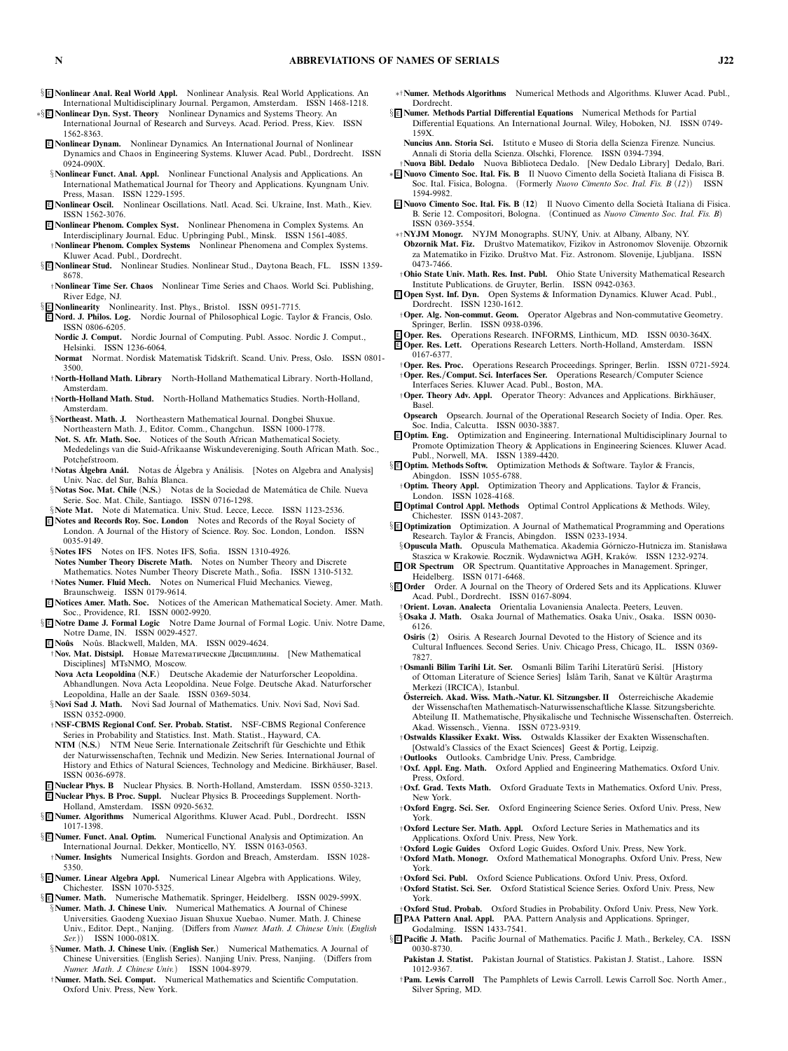§ <sup>E</sup> **Nonlinear Anal. Real World Appl.** *Nonlinear Analysis. Real World Applications. An International Multidisciplinary Journal. Pergamon, Amsterdam. ISSN 1468-1218.*

∗§ <sup>E</sup> **Nonlinear Dyn. Syst. Theory** *Nonlinear Dynamics and Systems Theory. An International Journal of Research and Surveys. Acad. Period. Press, Kiev. ISSN 1562-8363.*

<sup>E</sup> **Nonlinear Dynam.** *Nonlinear Dynamics. An International Journal of Nonlinear Dynamics and Chaos in Engineering Systems. Kluwer Acad. Publ., Dordrecht. ISSN 0924-090X.*

- §**Nonlinear Funct. Anal. Appl.** *Nonlinear Functional Analysis and Applications. An International Mathematical Journal for Theory and Applications. Kyungnam Univ. Press, Masan. ISSN 1229-1595.*
- <sup>E</sup> **Nonlinear Oscil.** *Nonlinear Oscillations. Natl. Acad. Sci. Ukraine, Inst. Math., Kiev. ISSN 1562-3076.*
- <sup>E</sup> **Nonlinear Phenom. Complex Syst.** *Nonlinear Phenomena in Complex Systems. An Interdisciplinary Journal. Educ. Upbringing Publ., Minsk. ISSN 1561-4085.*
- †**Nonlinear Phenom. Complex Systems** *Nonlinear Phenomena and Complex Systems. Kluwer Acad. Publ., Dordrecht.*
- § <sup>E</sup> **Nonlinear Stud.** *Nonlinear Studies. Nonlinear Stud., Daytona Beach, FL. ISSN 1359- 8678.*
- †**Nonlinear Time Ser. Chaos** *Nonlinear Time Series and Chaos. World Sci. Publishing, River Edge, NJ.*
- § <sup>E</sup> **Nonlinearity** *Nonlinearity. Inst. Phys., Bristol. ISSN 0951-7715.*
- <sup>E</sup> **Nord. J. Philos. Log.** *Nordic Journal of Philosophical Logic. Taylor & Francis, Oslo. ISSN 0806-6205.*
- **NordicJ. Comput.** *Nordic Journal of Computing. Publ. Assoc. Nordic J. Comput., Helsinki. ISSN 1236-6064.*
- **Normat** *Normat. Nordisk Matematisk Tidskrift. Scand. Univ. Press, Oslo. ISSN 0801- 3500.*
- †**North-Holland Math. Library** *North-Holland Mathematical Library. North-Holland, Amsterdam.*
- †**North-Holland Math. Stud.** *North-Holland Mathematics Studies. North-Holland, Amsterdam.*
- §**Northeast. Math. J.** *Northeastern Mathematical Journal. Dongbei Shuxue. Northeastern Math. J., Editor. Comm., Changchun. ISSN 1000-1778.*
- **Not. S. Afr. Math. Soc.** *Notices of the South African Mathematical Society. Mededelings van die Suid-Afrikaanse Wiskundevereniging. South African Math. Soc., Potchefstroom.*
- †**Notas Algebra An ´ ´ al.** *Notas de Algebra y An´ ´ alisis. [Notes on Algebra and Analysis] Univ. Nac. del Sur, Bah´ıa Blanca.*
- §**Notas Soc. Mat. Chile** (N.S.) Notas de la Sociedad de Matemática de Chile. Nueva *Serie. Soc. Mat. Chile, Santiago. ISSN 0716-1298.*
- §**Note Mat.** *Note di Matematica. Univ. Stud. Lecce, Lecce. ISSN 1123-2536.*
- <sup>E</sup> **Notes and Records Roy. Soc. London** *Notes and Records of the Royal Society of London. A Journal of the History of Science. Roy. Soc. London, London. ISSN 0035-9149.*

§**Notes IFS** *Notes on IFS. Notes IFS, Sofia. ISSN 1310-4926.*

- **Notes Number Theory Discrete Math.** *Notes on Number Theory and Discrete Mathematics. Notes Number Theory Discrete Math., Sofia. ISSN 1310-5132.*
- †**Notes Numer. Fluid Mech.** *Notes on Numerical Fluid Mechanics. Vieweg, Braunschweig. ISSN 0179-9614.*
- <sup>E</sup> **Notices Amer. Math. Soc.** *Notices of the American Mathematical Society. Amer. Math. Soc., Providence, RI. ISSN 0002-9920.*
- § <sup>E</sup> **Notre Dame J. Formal Logic** *Notre Dame Journal of Formal Logic. Univ. Notre Dame, Notre Dame, IN. ISSN 0029-4527.*
- <sup>E</sup> **No ˆus** *No ˆus. Blackwell, Malden, MA. ISSN 0029-4624.*
- †**Nov. Mat. Distsipl.** Новые Математические Дисциплины. *[New Mathematical Disciplines] MTsNMO, Moscow.*
- **Nova Acta Leopoldina** *(***N.F.***) Deutsche Akademie der Naturforscher Leopoldina. Abhandlungen. Nova Acta Leopoldina. Neue Folge. Deutsche Akad. Naturforscher Leopoldina, Halle an der Saale. ISSN 0369-5034.*
- §**Novi Sad J. Math.** *Novi Sad Journal of Mathematics. Univ. Novi Sad, Novi Sad. ISSN 0352-0900.*
- †**NSF-CBMS Regional Conf. Ser. Probab. Statist.** *NSF-CBMS Regional Conference Series in Probability and Statistics. Inst. Math. Statist., Hayward, CA.*
- **NTM** *(N.S.)* NTM Neue Serie. Internationale Zeitschrift für Geschichte und Ethik *der Naturwissenschaften, Technik und Medizin. New Series. International Journal of* History and Ethics of Natural Sciences, Technology and Medicine. Birkhäuser, Basel. *ISSN 0036-6978.*
- <sup>E</sup> **Nuclear Phys. B** *Nuclear Physics. B. North-Holland, Amsterdam. ISSN 0550-3213.* <sup>E</sup> **Nuclear Phys. B Proc. Suppl.** *Nuclear Physics B. Proceedings Supplement. North-Holland, Amsterdam. ISSN 0920-5632.*
- § <sup>E</sup> **Numer. Algorithms** *Numerical Algorithms. Kluwer Acad. Publ., Dordrecht. ISSN 1017-1398.*
- § <sup>E</sup> **Numer. Funct. Anal. Optim.** *Numerical Functional Analysis and Optimization. An International Journal. Dekker, Monticello, NY. ISSN 0163-0563.*
- †**Numer. Insights** *Numerical Insights. Gordon and Breach, Amsterdam. ISSN 1028- 5350.*
- § <sup>E</sup> **Numer. Linear Algebra Appl.** *Numerical Linear Algebra with Applications. Wiley, Chichester. ISSN 1070-5325.*
- § <sup>E</sup> **Numer. Math.** *Numerische Mathematik. Springer, Heidelberg. ISSN 0029-599X.* §**Numer. Math. J. Chinese Univ.** *Numerical Mathematics. A Journal of Chinese*
- *Universities. Gaodeng Xuexiao Jisuan Shuxue Xuebao. Numer. Math. J. Chinese Univ., Editor. Dept., Nanjing. (Differs from Numer. Math. J. Chinese Univ. (English ISSN 1000-081X.*
- §**Numer. Math. J. Chinese Univ.** *(***English Ser.***) Numerical Mathematics. A Journal of Chinese Universities. (English Series). Nanjing Univ. Press, Nanjing. (Differs from Numer. Math. J. Chinese Univ.) ISSN 1004-8979.*
- †**Numer. Math. Sci. Comput.** *Numerical Mathematics and Scientific Computation. Oxford Univ. Press, New York.*
- ∗†**Numer. Methods Algorithms** *Numerical Methods and Algorithms. Kluwer Acad. Publ., Dordrecht.*
- § <sup>E</sup> **Numer. Methods Partial Differential Equations** *Numerical Methods for Partial Differential Equations. An International Journal. Wiley, Hoboken, NJ. ISSN 0749- 159X.*
	- **Nuncius Ann. Storia Sci.** *Istituto e Museo di Storia della Scienza Firenze. Nuncius. Annali di Storia della Scienza. Olschki, Florence. ISSN 0394-7394.*
- †**Nuova Bibl. Dedalo** *Nuova Biblioteca Dedalo. [New Dedalo Library] Dedalo, Bari.* ∗ <sup>E</sup> **Nuovo Cimento Soc. Ital. Fis. B** *Il Nuovo Cimento della Societ`a Italiana di Fisisca B.*
- *Soc. Ital. Fisica, Bologna. (Formerly Nuovo Cimento Soc. Ital. Fis. B (12)) ISSN 1594-9982.*
- E Nuovo Cimento Soc. Ital. Fis. B (12) Il Nuovo Cimento della Società Italiana di Fisica. *B. Serie 12. Compositori, Bologna. (Continued as Nuovo Cimento Soc. Ital. Fis. B) ISSN 0369-3554.*
- ∗†**NYJM Monogr.** *NYJM Monographs. SUNY, Univ. at Albany, Albany, NY.*
- **Obzornik Mat. Fiz.** *Druˇstvo Matematikov, Fizikov in Astronomov Slovenije. Obzornik za Matematiko in Fiziko. Druˇstvo Mat. Fiz. Astronom. Slovenije, Ljubljana. ISSN 0473-7466.*
- †**Ohio State Univ. Math. Res. Inst. Publ.** *Ohio State University Mathematical Research Institute Publications. de Gruyter, Berlin. ISSN 0942-0363.*
- <sup>E</sup> **Open Syst. Inf. Dyn.** *Open Systems & Information Dynamics. Kluwer Acad. Publ., Dordrecht. ISSN 1230-1612.*
- †**Oper. Alg. Non-commut. Geom.** *Operator Algebras and Non-commutative Geometry. Springer, Berlin. ISSN 0938-0396.*
- <sup>E</sup> **Oper. Res.** *Operations Research. INFORMS, Linthicum, MD. ISSN 0030-364X.* <sup>E</sup> **Oper. Res. Lett.** *Operations Research Letters. North-Holland, Amsterdam. ISSN*
- *0167-6377.* †**Oper. Res. Proc.** *Operations Research Proceedings. Springer, Berlin. ISSN 0721-5924.*
- †**Oper. Res./Comput. Sci. Interfaces Ser.** *Operations Research/Computer Science Interfaces Series. Kluwer Acad. Publ., Boston, MA.*
- †**Oper. Theory Adv. Appl.** *Operator Theory: Advances and Applications. Birkh¨auser, Basel.*
- **Opsearch** *Opsearch. Journal of the Operational Research Society of India. Oper. Res. Soc. India, Calcutta. ISSN 0030-3887.*
- <sup>E</sup> **Optim. Eng.** *Optimization and Engineering. International Multidisciplinary Journal to Promote Optimization Theory & Applications in Engineering Sciences. Kluwer Acad. Publ., Norwell, MA. ISSN 1389-4420.*
- § <sup>E</sup> **Optim. Methods Softw.** *Optimization Methods & Software. Taylor & Francis, Abingdon. ISSN 1055-6788.*
	- †**Optim. Theory Appl.** *Optimization Theory and Applications. Taylor & Francis, London. ISSN 1028-4168.*

<sup>E</sup> **Optimal Control Appl. Methods** *Optimal Control Applications & Methods. Wiley, Chichester. ISSN 0143-2087.*

- § <sup>E</sup> **Optimization** *Optimization. A Journal of Mathematical Programming and Operations Research. Taylor & Francis, Abingdon. ISSN 0233-1934.*
- §**Opuscula Math.** *Opuscula Mathematica. Akademia G ´orniczo-Hutnicza im. Stanisława Staszica w Krakowie. Rocznik. Wydawnictwa AGH, Krak ´ow. ISSN 1232-9274.* <sup>E</sup> **OR Spectrum** *OR Spectrum. Quantitative Approaches in Management. Springer,*
- *Heidelberg. ISSN 0171-6468.*
- §<sup>E</sup> Order Order. A Journal on the Theory of Ordered Sets and its Applications. Kluwer *Acad. Publ., Dordrecht. ISSN 0167-8094.*
	- †**Orient. Lovan. Analecta** *Orientalia Lovaniensia Analecta. Peeters, Leuven.*
	- §**Osaka J. Math.** *Osaka Journal of Mathematics. Osaka Univ., Osaka. ISSN 0030- 6126.*
	- **Osiris** *(***2***) Osiris. A Research Journal Devoted to the History of Science and its Cultural Influences. Second Series. Univ. Chicago Press, Chicago, IL. ISSN 0369- 7827.*
	- †**Osmanli B˙il˙im Tar˙ih˙i Lit. Ser.** *Osmanli B˙il˙im Tar˙ih˙i L˙iterat ¨ur ¨u Ser˙is˙i. [History* of Ottoman Literature of Science Series] İslâm Tarih, Sanat ve Kültür Araştırma *Merkezi (IRCICA), Istanbul.*
	- **Osterreich. Akad. Wiss. Math.-Natur. Kl. Sitzungsber. II ¨** *Osterreichische Akademie ¨ der Wissenschaften Mathematisch-Naturwissenschaftliche Klasse. Sitzungsberichte. Abteilung II. Mathematische, Physikalische und Technische Wissenschaften. Osterreich. ¨ Akad. Wissensch., Vienna. ISSN 0723-9319.*
	- †**Ostwalds Klassiker Exakt. Wiss.** *Ostwalds Klassiker der Exakten Wissenschaften. [Ostwald's Classics of the Exact Sciences] Geest & Portig, Leipzig.*
	- †**Outlooks** *Outlooks. Cambridge Univ. Press, Cambridge.*
	- †**Oxf. Appl. Eng. Math.** *Oxford Applied and Engineering Mathematics. Oxford Univ. Press, Oxford.*
	- †**Oxf. Grad. Texts Math.** *Oxford Graduate Texts in Mathematics. Oxford Univ. Press, New York.*
	- †**Oxford Engrg. Sci. Ser.** *Oxford Engineering Science Series. Oxford Univ. Press, New York.*
	- †**Oxford Lecture Ser. Math. Appl.** *Oxford Lecture Series in Mathematics and its Applications. Oxford Univ. Press, New York.*
	- †**Oxford LogicGuides** *Oxford Logic Guides. Oxford Univ. Press, New York.*
	- †**Oxford Math. Monogr.** *Oxford Mathematical Monographs. Oxford Univ. Press, New York.*
	- †**Oxford Sci. Publ.** *Oxford Science Publications. Oxford Univ. Press, Oxford.* †**Oxford Statist. Sci. Ser.** *Oxford Statistical Science Series. Oxford Univ. Press, New York.*
- †**Oxford Stud. Probab.** *Oxford Studies in Probability. Oxford Univ. Press, New York.* <sup>E</sup> **PAA Pattern Anal. Appl.** *PAA. Pattern Analysis and Applications. Springer,*
- *Godalming. ISSN 1433-7541.* § <sup>E</sup> **Pacific J. Math.** *Pacific Journal of Mathematics. Pacific J. Math., Berkeley, CA. ISSN*
	- *0030-8730.* **Pakistan J. Statist.** *Pakistan Journal of Statistics. Pakistan J. Statist., Lahore. ISSN 1012-9367.*
	- †**Pam. Lewis Carroll** *The Pamphlets of Lewis Carroll. Lewis Carroll Soc. North Amer., Silver Spring, MD.*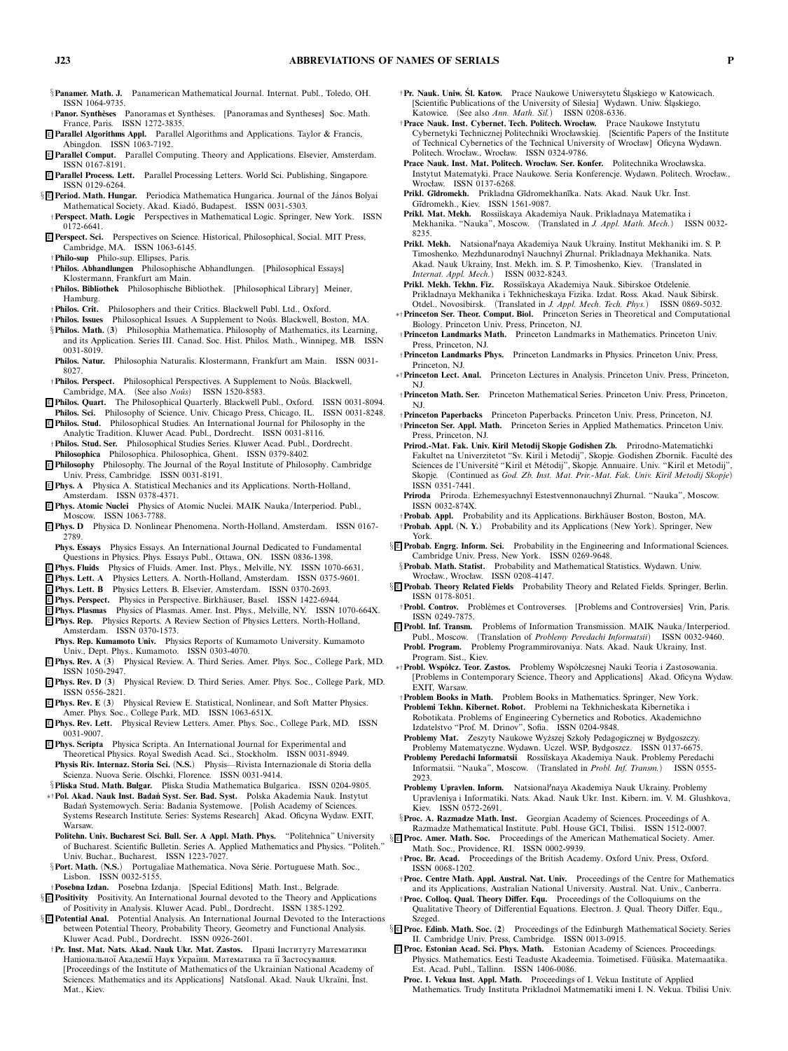- §**Panamer. Math. J.** *Panamerican Mathematical Journal. Internat. Publ., Toledo, OH. ISSN 1064-9735.*
- †**Panor. Synth `eses** *Panoramas et Synth`eses. [Panoramas and Syntheses] Soc. Math. France, Paris. ISSN 1272-3835.*
- <sup>E</sup> **Parallel Algorithms Appl.** *Parallel Algorithms and Applications. Taylor & Francis, Abingdon. ISSN 1063-7192.*
- <sup>E</sup> **Parallel Comput.** *Parallel Computing. Theory and Applications. Elsevier, Amsterdam. ISSN 0167-8191.*
- <sup>E</sup> **Parallel Process. Lett.** *Parallel Processing Letters. World Sci. Publishing, Singapore. ISSN 0129-6264.*
- § <sup>E</sup> **Period. Math. Hungar.** *Periodica Mathematica Hungarica. Journal of the J´anos Bolyai* Mathematical Society. Akad. Kiadó, Budapest. ISSN 0031-5303.
- †**Perspect. Math. Logic** *Perspectives in Mathematical Logic. Springer, New York. ISSN 0172-6641.*
- <sup>E</sup> **Perspect. Sci.** *Perspectives on Science. Historical, Philosophical, Social. MIT Press, Cambridge, MA. ISSN 1063-6145.*
- †**Philo-sup** *Philo-sup. Ellipses, Paris.* †**Philos. Abhandlungen** *Philosophische Abhandlungen. [Philosophical Essays] Klostermann, Frankfurt am Main.*
- †**Philos. Bibliothek** *Philosophische Bibliothek. [Philosophical Library] Meiner, Hamburg.*
- †**Philos. Crit.** *Philosophers and their Critics. Blackwell Publ. Ltd., Oxford.*
- $\dagger$ Philos. Issues Philosophical Issues. A Supplement to Noûs. Blackwell, Boston, MA. §**Philos. Math.** *(***3***) Philosophia Mathematica. Philosophy of Mathematics, its Learning,*
- *and its Application. Series III. Canad. Soc. Hist. Philos. Math., Winnipeg, MB. ISSN 0031-8019.* **Philos. Natur.** *Philosophia Naturalis. Klostermann, Frankfurt am Main. ISSN 0031-*
- *8027.* †**Philos. Perspect.** *Philosophical Perspectives. A Supplement to No ˆus. Blackwell,*
- *Cambridge, MA.* (See also *Noûs*) ISSN 1520-8583.
- <sup>E</sup> **Philos. Quart.** *The Philosophical Quarterly. Blackwell Publ., Oxford. ISSN 0031-8094.* **Philos. Sci.** *Philosophy of Science. Univ. Chicago Press, Chicago, IL. ISSN 0031-8248.*
- <sup>E</sup> **Philos. Stud.** *Philosophical Studies. An International Journal for Philosophy in the Analytic Tradition. Kluwer Acad. Publ., Dordrecht. ISSN 0031-8116.*
- †**Philos. Stud. Ser.** *Philosophical Studies Series. Kluwer Acad. Publ., Dordrecht.* **Philosophica** *Philosophica. Philosophica, Ghent. ISSN 0379-8402.*
- <sup>E</sup> **Philosophy** *Philosophy. The Journal of the Royal Institute of Philosophy. Cambridge Univ. Press, Cambridge. ISSN 0031-8191.*
- <sup>E</sup> **Phys. A** *Physica A. Statistical Mechanics and its Applications. North-Holland, Amsterdam. ISSN 0378-4371.*
- <sup>E</sup> **Phys. AtomicNuclei** *Physics of Atomic Nuclei. MAIK Nauka/Interperiod. Publ., Moscow. ISSN 1063-7788.*
- <sup>E</sup> **Phys. D** *Physica D. Nonlinear Phenomena. North-Holland, Amsterdam. ISSN 0167- 2789.*
- **Phys. Essays** *Physics Essays. An International Journal Dedicated to Fundamental Questions in Physics. Phys. Essays Publ., Ottawa, ON. ISSN 0836-1398.*
- <sup>E</sup> **Phys. Fluids** *Physics of Fluids. Amer. Inst. Phys., Melville, NY. ISSN 1070-6631.*
- <sup>E</sup> **Phys. Lett. A** *Physics Letters. A. North-Holland, Amsterdam. ISSN 0375-9601.*
- <sup>E</sup> **Phys. Lett. B** *Physics Letters. B. Elsevier, Amsterdam. ISSN 0370-2693.*
- <sup>E</sup> **Phys. Perspect.** *Physics in Perspective. Birkh¨auser, Basel. ISSN 1422-6944.*
- <sup>E</sup> **Phys. Plasmas** *Physics of Plasmas. Amer. Inst. Phys., Melville, NY. ISSN 1070-664X.* <sup>E</sup> **Phys. Rep.** *Physics Reports. A Review Section of Physics Letters. North-Holland, Amsterdam. ISSN 0370-1573.*
- **Phys. Rep. Kumamoto Univ.** *Physics Reports of Kumamoto University. Kumamoto Univ., Dept. Phys., Kumamoto. ISSN 0303-4070.*
- <sup>E</sup> **Phys. Rev. A** *(***3***) Physical Review. A. Third Series. Amer. Phys. Soc., College Park, MD. ISSN 1050-2947.*
- <sup>E</sup> **Phys. Rev. D** *(***3***) Physical Review. D. Third Series. Amer. Phys. Soc., College Park, MD. ISSN 0556-2821.*
- <sup>E</sup> **Phys. Rev. E** *(***3***) Physical Review E. Statistical, Nonlinear, and Soft Matter Physics. Amer. Phys. Soc., College Park, MD. ISSN 1063-651X.*
- <sup>E</sup> **Phys. Rev. Lett.** *Physical Review Letters. Amer. Phys. Soc., College Park, MD. ISSN 0031-9007.*
- <sup>E</sup> **Phys. Scripta** *Physica Scripta. An International Journal for Experimental and Theoretical Physics. Royal Swedish Acad. Sci., Stockholm. ISSN 0031-8949.* **Physis Riv. Internaz. Storia Sci.** *(***N.S.***) Physis—Rivista Internazionale di Storia della Scienza. Nuova Serie. Olschki, Florence. ISSN 0031-9414.*
- §**Pliska Stud. Math. Bulgar.** *Pliska Studia Mathematica Bulgarica. ISSN 0204-9805.* ∗†**Pol. Akad. Nauk Inst. Bada ´n Syst. Ser. Bad. Syst.** *Polska Akademia Nauk. Instytut* Badań Systemowych. Seria: Badania Systemowe. [Polish Academy of Sciences
- *Systems Research Institute. Series: Systems Research] Akad. Oficyna Wydaw. EXIT, Warsaw.* **Politehn. Univ. Bucharest Sci. Bull. Ser. A Appl. Math. Phys.** *"Politehnica" University*
- *of Bucharest. Scientific Bulletin. Series A. Applied Mathematics and Physics. "Politeh." Univ. Buchar., Bucharest. ISSN 1223-7027.*
- §**Port. Math.** (N.S.) Portugaliae Mathematica. Nova Série. Portuguese Math. Soc., *Lisbon. ISSN 0032-5155.*
- †**Posebna Izdan.** *Posebna Izdanja. [Special Editions] Math. Inst., Belgrade.*
- § <sup>E</sup> **Positivity** *Positivity. An International Journal devoted to the Theory and Applications of Positivity in Analysis. Kluwer Acad. Publ., Dordrecht. ISSN 1385-1292.* § <sup>E</sup> **Potential Anal.** *Potential Analysis. An International Journal Devoted to the Interactions*
- *between Potential Theory, Probability Theory, Geometry and Functional Analysis. Kluwer Acad. Publ., Dordrecht. ISSN 0926-2601.*
- †**Pr. Inst. Mat. Nats. Akad. Nauk Ukr. Mat. Zastos.** Праці Інституту Математики Національної Академії Наук України. Математика та її Застосування. *[Proceedings of the Institute of Mathematics of the Ukrainian National Academy of Sciences. Mathematics and its Applications] Nats¯ıonal. Akad. Nauk Ukra¨ıni, ¯ Inst. Mat., Kiev.*
- †**Pr. Nauk. Uniw. Sl. Katow. ´** *Prace Naukowe Uniwersytetu Sl ´ askiego w Katowicach. [Scientific Publications of the University of Silesia] Wydawn. Uniw. Sl ´ askiego, Katowice. (See also Ann. Math. Sil.) ISSN 0208-6336.*
- †**Prace Nauk. Inst. Cybernet. Tech. Politech. Wrocław.** *Prace Naukowe Instytutu Cybernetyki Technicznej Politechniki Wrocławskiej. [Scientific Papers of the Institute of Technical Cybernetics of the Technical University of Wrocław] Oficyna Wydawn. Politech. Wrocław., Wrocław. ISSN 0324-9786.*
- **Prace Nauk. Inst. Mat. Politech. Wrocław. Ser. Konfer.** *Politechnika Wrocławska. Instytut Matematyki. Prace Naukowe. Seria Konferencje. Wydawn. Politech. Wrocław., Wrocław. ISSN 0137-6268.*
- Prikl. Gīdromekh. Prikladna Gīdromekhanīka. Nats. Akad. Nauk Ukr. Īnst. *G¯ıdromekh., Kiev. ISSN 1561-9087.*
- **Prikl. Mat. Mekh.** *Rossi˘ıskaya Akademiya Nauk. Prikladnaya Matematika i Mekhanika. "Nauka", Moscow. (Translated in J. Appl. Math. Mech.) ISSN 0032- 8235.*
- **Prikl. Mekh.** *Natsionalnaya Akademiya Nauk Ukrainy. Institut Mekhaniki im. S. P. Timoshenko. Mezhdunarodny˘ı Nauchny˘ı Zhurnal. Prikladnaya Mekhanika. Nats. Akad. Nauk Ukrainy, Inst. Mekh. im. S. P. Timoshenko, Kiev. (Translated in Internat. Appl. Mech.)*
- **Prikl. Mekh. Tekhn. Fiz.** *Rossi˘ıskaya Akademiya Nauk. Sibirskoe Otdelenie. Prikladnaya Mekhanika i Tekhnicheskaya Fizika. Izdat. Ross. Akad. Nauk Sibirsk.*
- *Otdel., Novosibirsk. (Translated in J. Appl. Mech. Tech. Phys.) ISSN 0869-5032.* ∗†**Princeton Ser. Theor. Comput. Biol.** *Princeton Series in Theoretical and Computational Biology. Princeton Univ. Press, Princeton, NJ.*
- †**Princeton Landmarks Math.** *Princeton Landmarks in Mathematics. Princeton Univ. Press, Princeton, NJ.*
- †**Princeton Landmarks Phys.** *Princeton Landmarks in Physics. Princeton Univ. Press, Princeton, NJ.*
- ∗†**Princeton Lect. Anal.** *Princeton Lectures in Analysis. Princeton Univ. Press, Princeton, NJ.*
- †**Princeton Math. Ser.** *Princeton Mathematical Series. Princeton Univ. Press, Princeton, NJ.*
- †**Princeton Paperbacks** *Princeton Paperbacks. Princeton Univ. Press, Princeton, NJ.* †**Princeton Ser. Appl. Math.** *Princeton Series in Applied Mathematics. Princeton Univ. Press, Princeton, NJ.*
- **Prirod.-Mat. Fak. Univ. Kiril Metodij Skopje Godishen Zb.** *Prirodno-Matematichki* Fakultet na Univerzitetot "Sv. Kiril i Metodij", Skopje. Godishen Zbornik. Faculté des *Sciences de l'Universit´e "Kiril et M´etodij", Skopje. Annuaire. Univ. "Kiril et Metodij", Skopje. (Continued as God. Zb. Inst. Mat. Prir.-Mat. Fak. Univ. Kiril Metodij Skopje) ISSN 0351-7441.*
- **Priroda** *Priroda. Ezhemesyachny˘ı Estestvennonauchny˘ı Zhurnal. "Nauka", Moscow. ISSN 0032-874X.*
- †**Probab. Appl.** *Probability and its Applications. Birkh¨auser Boston, Boston, MA.*
- †**Probab. Appl.** *(***N. Y.***) Probability and its Applications (New York). Springer, New York.*
- § <sup>E</sup> **Probab. Engrg. Inform. Sci.** *Probability in the Engineering and Informational Sciences. Cambridge Univ. Press, New York. ISSN 0269-9648.* §**Probab. Math. Statist.** *Probability and Mathematical Statistics. Wydawn. Uniw.*
- *Wrocław., Wrocław. ISSN 0208-4147.* § <sup>E</sup> **Probab. Theory Related Fields** *Probability Theory and Related Fields. Springer, Berlin.*
- *ISSN 0178-8051.* †**Probl. Controv.** *Probl`emes et Controverses. [Problems and Controversies] Vrin, Paris.*
- *ISSN 0249-7875.* <sup>E</sup> **Probl. Inf. Transm.** *Problems of Information Transmission. MAIK Nauka/Interperiod.*
- *Publ., Moscow. (Translation of Problemy Peredachi Informatsii) ISSN 0032-9460.* **Probl. Program.** *Problemy Programmirovaniya. Nats. Akad. Nauk Ukrainy, Inst. Program. Sist., Kiev.*
- ∗†**Probl. Wsp ´ołcz. Teor. Zastos.** *Problemy Wsp ´ołczesnej Nauki Teoria i Zastosowania. [Problems in Contemporary Science, Theory and Applications] Akad. Oficyna Wydaw. EXIT, Warsaw.*
- †**Problem Books in Math.** *Problem Books in Mathematics. Springer, New York.*
- **Problemi Tekhn. Kibernet. Robot.** *Problemi na Tekhnicheskata Kibernetika i Robotikata. Problems of Engineering Cybernetics and Robotics. Akademichno Izdatelstvo "Prof. M. Drinov", Sofia. ISSN 0204-9848.*
- Problemy Mat. Zeszyty Naukowe Wyższej Szkoły Pedagogicznej w Bydgoszczy. *Problemy Matematyczne. Wydawn. Uczel. WSP, Bydgoszcz. ISSN 0137-6675.*
- Problemy Peredachi Informatsii Rossiĭskaya Akademiya Nauk. Problemy Peredachi *Informatsii. "Nauka", Moscow. (Translated in Probl. Inf. Transm.) ISSN 0555- 2923.*
- **Problemy Upravlen. Inform.** *Natsionalnaya Akademiya Nauk Ukrainy. Problemy Upravleniya i Informatiki. Nats. Akad. Nauk Ukr. Inst. Kibern. im. V. M. Glushkova, Kiev. ISSN 0572-2691.*
- §**Proc. A. Razmadze Math. Inst.** *Georgian Academy of Sciences. Proceedings of A. Razmadze Mathematical Institute. Publ. House GCI, Tbilisi. ISSN 1512-0007.*
- § <sup>E</sup> **Proc. Amer. Math. Soc.** *Proceedings of the American Mathematical Society. Amer. Math. Soc., Providence, RI. ISSN 0002-9939.*
	- †**Proc. Br. Acad.** *Proceedings of the British Academy. Oxford Univ. Press, Oxford. ISSN 0068-1202.*
	- †**Proc. Centre Math. Appl. Austral. Nat. Univ.** *Proceedings of the Centre for Mathematics and its Applications, Australian National University. Austral. Nat. Univ., Canberra.*
	- †**Proc. Colloq. Qual. Theory Differ. Equ.** *Proceedings of the Colloquiums on the Qualitative Theory of Differential Equations. Electron. J. Qual. Theory Differ. Equ., Szeged.*
- § <sup>E</sup> **Proc. Edinb. Math. Soc.** *(***2***) Proceedings of the Edinburgh Mathematical Society. Series II. Cambridge Univ. Press, Cambridge. ISSN 0013-0915.*
- <sup>E</sup> **Proc. Estonian Acad. Sci. Phys. Math.** *Estonian Academy of Sciences. Proceedings.* Physics. Mathematics. Eesti Teaduste Akadeemia. Toimetised. Füüsika. Matemaatika. *Est. Acad. Publ., Tallinn. ISSN 1406-0086.*
	- **Proc. I. Vekua Inst. Appl. Math.** *Proceedings of I. Vekua Institute of Applied*
		- *Mathematics. Trudy Instituta Prikladno˘ı Matmematiki imeni I. N. Vekua. Tbilisi Univ.*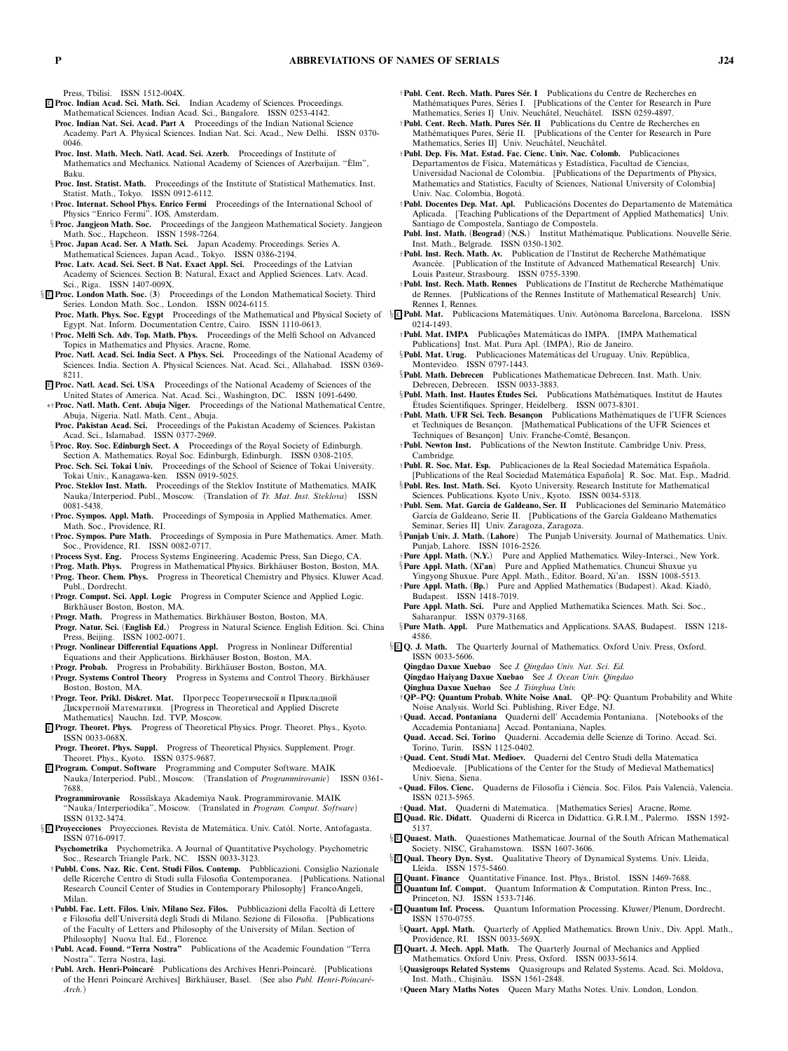*Press, Tbilisi. ISSN 1512-004X.*

- <sup>E</sup> **Proc. Indian Acad. Sci. Math. Sci.** *Indian Academy of Sciences. Proceedings. Mathematical Sciences. Indian Acad. Sci., Bangalore. ISSN 0253-4142.*
- **Proc. Indian Nat. Sci. Acad. Part A** *Proceedings of the Indian National Science Academy. Part A. Physical Sciences. Indian Nat. Sci. Acad., New Delhi. ISSN 0370- 0046.*
- **Proc. Inst. Math. Mech. Natl. Acad. Sci. Azerb.** *Proceedings of Institute of Mathematics and Mechanics. National Academy of Sciences of Azerbaijan. "Elm", ` Baku.*
- **Proc. Inst. Statist. Math.** *Proceedings of the Institute of Statistical Mathematics. Inst. Statist. Math., Tokyo. ISSN 0912-6112.*
- †**Proc. Internat. School Phys. Enrico Fermi** *Proceedings of the International School of Physics "Enrico Fermi". IOS, Amsterdam.*
- §**Proc. Jangjeon Math. Soc.** *Proceedings of the Jangjeon Mathematical Society. Jangjeon Math. Soc., Hapcheon. ISSN 1598-7264.*
- §**Proc. Japan Acad. Ser. A Math. Sci.** *Japan Academy. Proceedings. Series A. Mathematical Sciences. Japan Acad., Tokyo. ISSN 0386-2194.* **Proc. Latv. Acad. Sci. Sect. B Nat. Exact Appl. Sci.** *Proceedings of the Latvian*

*Academy of Sciences. Section B: Natural, Exact and Applied Sciences. Latv. Acad. Sci., Riga. ISSN 1407-009X.*

- § <sup>E</sup> **Proc. London Math. Soc.** *(***3***) Proceedings of the London Mathematical Society. Third Series. London Math. Soc., London. ISSN 0024-6115.*
	- *Egypt. Nat. Inform. Documentation Centre, Cairo. ISSN 1110-0613.*
	- †**Proc. Melfi Sch. Adv. Top. Math. Phys.** *Proceedings of the Melfi School on Advanced Topics in Mathematics and Physics. Aracne, Rome.*
	- **Proc. Natl. Acad. Sci. India Sect. A Phys. Sci.** *Proceedings of the National Academy of Sciences. India. Section A. Physical Sciences. Nat. Acad. Sci., Allahabad. ISSN 0369- 8211.*
- <sup>E</sup> **Proc. Natl. Acad. Sci. USA** *Proceedings of the National Academy of Sciences of the*
- *United States of America. Nat. Acad. Sci., Washington, DC. ISSN 1091-6490.* ∗†**Proc. Natl. Math. Cent. Abuja Niger.** *Proceedings of the National Mathematical Centre,*
- *Abuja, Nigeria. Natl. Math. Cent., Abuja.* **Proc. Pakistan Acad. Sci.** *Proceedings of the Pakistan Academy of Sciences. Pakistan Acad. Sci., Islamabad. ISSN 0377-2969.*
- §**Proc. Roy. Soc. Edinburgh Sect. A** *Proceedings of the Royal Society of Edinburgh. Section A. Mathematics. Royal Soc. Edinburgh, Edinburgh. ISSN 0308-2105.*
- **Proc. Sch. Sci. Tokai Univ.** *Proceedings of the School of Science of Tokai University. Tokai Univ., Kanagawa-ken. ISSN 0919-5025.*
- **Proc. Steklov Inst. Math.** *Proceedings of the Steklov Institute of Mathematics. MAIK Nauka/Interperiod. Publ., Moscow. (Translation of Tr. Mat. Inst. Steklova) ISSN 0081-5438.*
- †**Proc. Sympos. Appl. Math.** *Proceedings of Symposia in Applied Mathematics. Amer. Math. Soc., Providence, RI.*
- †**Proc. Sympos. Pure Math.** *Proceedings of Symposia in Pure Mathematics. Amer. Math. Soc., Providence, RI. ISSN 0082-0717.*
- †**Process Syst. Eng.** *Process Systems Engineering. Academic Press, San Diego, CA.*
- †**Prog. Math. Phys.** *Progress in Mathematical Physics. Birkh¨auser Boston, Boston, MA.* †**Prog. Theor. Chem. Phys.** *Progress in Theoretical Chemistry and Physics. Kluwer Acad. Publ., Dordrecht.*
- †**Progr. Comput. Sci. Appl. Logic** *Progress in Computer Science and Applied Logic. Birkh¨auser Boston, Boston, MA.*
- †**Progr. Math.** *Progress in Mathematics. Birkh¨auser Boston, Boston, MA.*
- **Progr. Natur. Sci.** *(***English Ed.***) Progress in Natural Science. English Edition. Sci. China Press, Beijing. ISSN 1002-0071.*
- †**Progr. Nonlinear Differential Equations Appl.** *Progress in Nonlinear Differential Equations and their Applications. Birkh¨auser Boston, Boston, MA.*
- †**Progr. Probab.** *Progress in Probability. Birkh¨auser Boston, Boston, MA.* †**Progr. Systems Control Theory** *Progress in Systems and Control Theory. Birkh¨auser Boston, Boston, MA.*
- †**Progr. Teor. Prikl. Diskret. Mat.** Прогресс Теоретической и Прикладной Дискретнои Математики. *[Progress in Theoretical and Applied Discrete Mathematics] Nauchn. Izd. TVP, Moscow.*
- <sup>E</sup> **Progr. Theoret. Phys.** *Progress of Theoretical Physics. Progr. Theoret. Phys., Kyoto. ISSN 0033-068X.*
- **Progr. Theoret. Phys. Suppl.** *Progress of Theoretical Physics. Supplement. Progr. Theoret. Phys., Kyoto. ISSN 0375-9687.*
- <sup>E</sup> **Program. Comput. Software** *Programming and Computer Software. MAIK Nauka/Interperiod. Publ., Moscow. (Translation of Programmirovanie) ISSN 0361- 7688.*
- **Programmirovanie** *Rossi˘ıskaya Akademiya Nauk. Programmirovanie. MAIK "Nauka/Interperiodika", Moscow. (Translated in Program. Comput. Software) ISSN 0132-3474.*
- $\S$  **E Provecciones** Provecciones. Revista de Matemática. Univ. Catól. Norte, Antofagasta. *ISSN 0716-0917.*
- **Psychometrika** *Psychometrika. A Journal of Quantitative Psychology. Psychometric Soc., Research Triangle Park, NC. ISSN 0033-3123.*
- †**Pubbl. Cons. Naz. Ric. Cent. Studi Filos. Contemp.** *Pubblicazioni. Consiglio Nazionale delle Ricerche Centro di Studi sulla Filosofia Contemporanea. [Publications. National Research Council Center of Studies in Contemporary Philosophy] FrancoAngeli, Milan.*
- †**Pubbl. Fac. Lett. Filos. Univ. Milano Sez. Filos.** *Pubblicazioni della Facolt`a di Lettere e Filosofia dell'Universit`a degli Studi di Milano. Sezione di Filosofia. [Publications of the Faculty of Letters and Philosophy of the University of Milan. Section of Philosophy] Nuova Ital. Ed., Florence.*
- †**Publ. Acad. Found. "Terra Nostra"** *Publications of the Academic Foundation "Terra Nostra". Terra Nostra, Ias¸i.*
- †**Publ. Arch. Henri-Poincar´e** *Publications des Archives Henri-Poincar´e. [Publications* of the Henri Poincaré Archives] Birkhäuser, Basel. (See also *Publ. Henri-Poincaré-Arch.)*
- †**Publ. Cent. Rech. Math. Pures S ´er. I** *Publications du Centre de Recherches en* Mathématiques Pures, Séries I. [Publications of the Center for Research in Pure Mathematics, Series Il Univ. Neuchâtel, Neuchâtel. ISSN 0259-4897.
- †**Publ. Cent. Rech. Math. Pures S ´er. II** *Publications du Centre de Recherches en* Mathématiques Pures, Série II. [Publications of the Center for Research in Pure Mathematics, Series II] Univ. Neuchâtel, Neuchâtel.
- †**Publ. Dep. F´ıs. Mat. Estad. Fac. Cienc. Univ. Nac. Colomb.** *Publicaciones Departamentos de F´ısica, Matem´aticas y Estad´ıstica, Facultad de Ciencias, Universidad Nacional de Colombia. [Publications of the Departments of Physics, Mathematics and Statistics, Faculty of Sciences, National University of Colombia] Univ. Nac. Colombia, Bogot´a.*
- †**Publ. Docentes Dep. Mat. Apl.** *Publicaci ´ons Docentes do Departamento de Matem´atica Aplicada. [Teaching Publications of the Department of Applied Mathematics] Univ. Santiago de Compostela, Santiago de Compostela.*
- Publ. Inst. Math. (Beograd) (N.S.) Institut Mathématique. Publications. Nouvelle Série. *Inst. Math., Belgrade. ISSN 0350-1302.*
- †**Publ. Inst. Rech. Math. Av.** Publication de l'Institut de Recherche Mathématique<br>Avancée. [Publication of the Institute of Advanced Mathematical Research] Univ. *Louis Pasteur, Strasbourg. ISSN 0755-3390.*
- †**Publ. Inst. Rech. Math. Rennes** *Publications de l'Institut de Recherche Math´ematique de Rennes. [Publications of the Rennes Institute of Mathematical Research] Univ. Rennes I, Rennes.*
- **Proc. Math. Phys. Soc. Egypt** *Proceedings of the Mathematical and Physical Society of* § <sup>E</sup> **Publ. Mat.** *Publicacions Matem`atiques. Univ. Aut `onoma Barcelona, Barcelona. ISSN 0214-1493.*
	- †**Publ. Mat. IMPA** *Publicac¸˜oes Matem´aticas do IMPA. [IMPA Mathematical Publications] Inst. Mat. Pura Apl. (IMPA), Rio de Janeiro.*
	- §**Publ. Mat. Urug.** *Publicaciones Matem´aticas del Uruguay. Univ. Rep ´ublica, Montevideo. ISSN 0797-1443.*
	- §**Publ. Math. Debrecen** *Publicationes Mathematicae Debrecen. Inst. Math. Univ. Debrecen, Debrecen. ISSN 0033-3883.*
	- §**Publ. Math. Inst. Hautes Etudes Sci. ´** *Publications Math´ematiques. Institut de Hautes Etudes Scientifiques. Springer, Heidelberg. ISSN ´ 0073-8301.*
	- †**Publ. Math. UFR Sci. Tech. Besanc¸on** *Publications Math´ematiques de l'UFR Sciences* et Techniques de Besançon. [Mathematical Publications of the UFR Sciences et Techniques of Besancon] Univ. Franche-Comté, Besancon.
	- †**Publ. Newton Inst.** *Publications of the Newton Institute. Cambridge Univ. Press, Cambridge.*
	- †**Publ. R. Soc. Mat. Esp.** *Publicaciones de la Real Sociedad Matem´atica Espa ˜nola. [Publications of the Real Sociedad Matem´atica Espa ˜nola] R. Soc. Mat. Esp., Madrid.*
	- §**Publ. Res. Inst. Math. Sci.** *Kyoto University. Research Institute for Mathematical Sciences. Publications. Kyoto Univ., Kyoto. ISSN 0034-5318.*
	- †**Publ. Sem. Mat. Garc´ıa de Galdeano, Ser. II** *Publicaciones del Seminario Matem´atico Garc´ıa de Galdeano, Serie II. [Publications of the Garc´ia Galdeano Mathematics*
	- *Seminar, Series II] Univ. Zaragoza, Zaragoza.* The Punjab University. Journal of Mathematics. Univ. *Punjab, Lahore. ISSN 1016-2526.*
	- †**Pure Appl. Math.** *(***N.Y.***) Pure and Applied Mathematics. Wiley-Intersci., New York.* §**Pure Appl. Math.** *(***Xi'an***) Pure and Applied Mathematics. Chuncui Shuxue yu*
	- *Yingyong Shuxue. Pure Appl. Math., Editor. Board, Xi'an. ISSN 1008-5513.*  $\dagger$ Pure Appl. Math. (Bp.) Pure and Applied Mathematics (Budapest). Akad. Kiadó, *Budapest. ISSN 1418-7019.*
	- **Pure Appl. Math. Sci.** *Pure and Applied Mathematika Sciences. Math. Sci. Soc., Saharanpur. ISSN 0379-3168.*
	- §**Pure Math. Appl.** *Pure Mathematics and Applications. SAAS, Budapest. ISSN 1218- 4586.*
	- § <sup>E</sup> **Q. J. Math.** *The Quarterly Journal of Mathematics. Oxford Univ. Press, Oxford. ISSN 0033-5606.*
		- **Qingdao Daxue Xuebao** *See J. Qingdao Univ. Nat. Sci. Ed.*
		- **Qingdao Haiyang Daxue Xuebao** *See J. Ocean Univ. Qingdao*
		- **Qinghua Daxue Xuebao** *See J. Tsinghua Univ.*
		- †**QP–PQ: Quantum Probab. White Noise Anal.** *QP–PQ: Quantum Probability and White Noise Analysis. World Sci. Publishing, River Edge, NJ.*
		- †**Quad. Accad. Pontaniana** *Quaderni dell' Accademia Pontaniana. [Notebooks of the Accademia Pontaniana] Accad. Pontaniana, Naples.*
		- **Quad. Accad. Sci. Torino** *Quaderni. Accademia delle Scienze di Torino. Accad. Sci. Torino, Turin. ISSN 1125-0402.*
		- †**Quad. Cent. Studi Mat. Medioev.** *Quaderni del Centro Studi della Matematica Medioevale. [Publications of the Center for the Study of Medieval Mathematics] Univ. Siena, Siena.*
	- ∗**Quad. Filos. Cienc.** *Quaderns de Filosof´ıa i Ci`encia. Soc. Filos. Pa´ıs Valenci`a, Valencia. ISSN 0213-5965.*
	- †**Quad. Mat.** *Quaderni di Matematica. [Mathematics Series] Aracne, Rome.*
	- <sup>E</sup> **Quad. Ric. Didatt.** *Quaderni di Ricerca in Didattica. G.R.I.M., Palermo. ISSN 1592- 5137.*
	- § <sup>E</sup> **Quaest. Math.** *Quaestiones Mathematicae. Journal of the South African Mathematical Society. NISC, Grahamstown. ISSN 1607-3606.*
	- § <sup>E</sup> **Qual. Theory Dyn. Syst.** *Qualitative Theory of Dynamical Systems. Univ. Lleida, Lleida. ISSN 1575-5460.*
	- <sup>E</sup> **Quant. Finance** *Quantitative Finance. Inst. Phys., Bristol. ISSN 1469-7688.*
	- <sup>E</sup> **Quantum Inf. Comput.** *Quantum Information & Computation. Rinton Press, Inc., Princeton, NJ. ISSN 1533-7146.*
	- ∗ <sup>E</sup> **Quantum Inf. Process.** *Quantum Information Processing. Kluwer/Plenum, Dordrecht. ISSN 1570-0755.*
	- §**Quart. Appl. Math.** *Quarterly of Applied Mathematics. Brown Univ., Div. Appl. Math., Providence, RI. ISSN 0033-569X.*
	- <sup>E</sup> **Quart. J. Mech. Appl. Math.** *The Quarterly Journal of Mechanics and Applied Mathematics. Oxford Univ. Press, Oxford. ISSN 0033-5614.*
	- §**Quasigroups Related Systems** Quasigroups and Related Systems. Acad. Sci. Moldova, Inst. Math., Chisinău. ISSN 1561-2848.
	- †**Queen Mary Maths Notes** *Queen Mary Maths Notes. Univ. London, London.*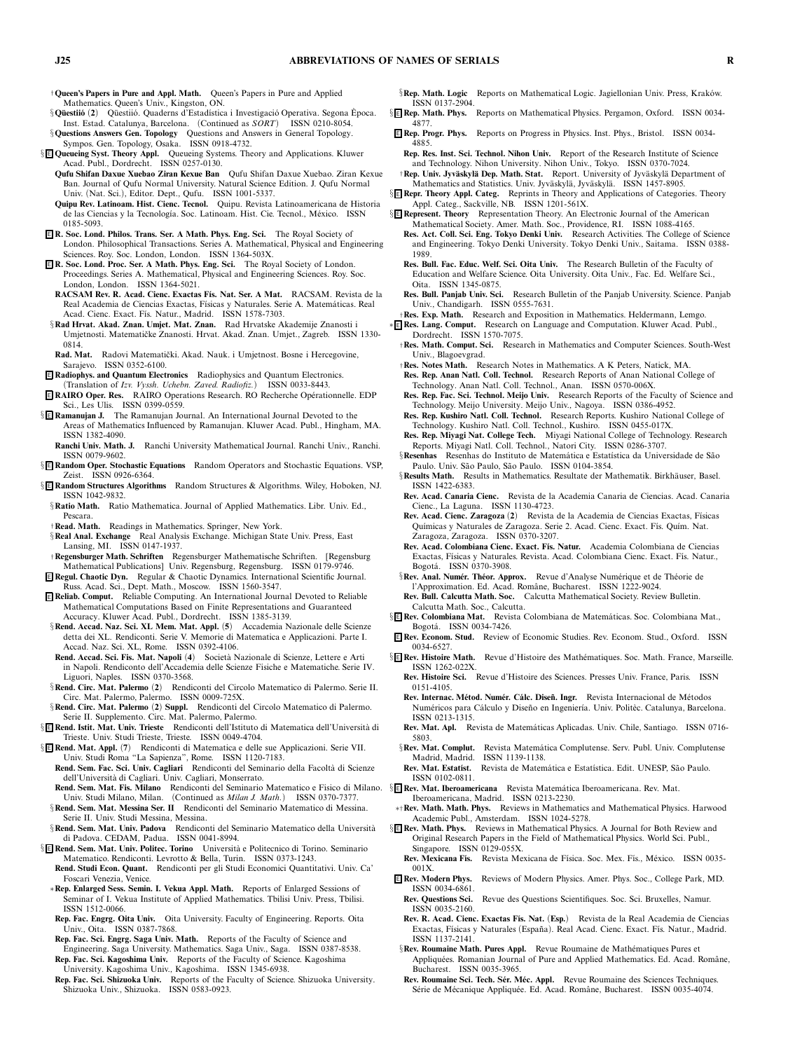†**Queen's Papers in Pure and Appl. Math.** *Queen's Papers in Pure and Applied Mathematics. Queen's Univ., Kingston, ON.*

§**Q¨uestii´o** *(***2***) Q¨uestii ´o. Quaderns d'Estad´ıstica i Investigaci ´o Operativa. Segona Epoca. ` Inst. Estad. Catalunya, Barcelona. (Continued as SORT) ISSN 0210-8054.* §**Questions Answers Gen. Topology** *Questions and Answers in General Topology.*

*Sympos. Gen. Topology, Osaka. ISSN 0918-4732.*

- § <sup>E</sup> **Queueing Syst. Theory Appl.** *Queueing Systems. Theory and Applications. Kluwer Acad. Publ., Dordrecht. ISSN 0257-0130.*
	- **Qufu Shifan Daxue Xuebao Ziran Kexue Ban** *Qufu Shifan Daxue Xuebao. Ziran Kexue Ban. Journal of Qufu Normal University. Natural Science Edition. J. Qufu Normal Univ. (Nat. Sci.), Editor. Dept., Qufu. ISSN 1001-5337.*
	- **Quipu Rev. Latinoam. Hist. Cienc. Tecnol.** *Quipu. Revista Latinoamericana de Historia de las Ciencias y la Tecnolog´ıa. Soc. Latinoam. Hist. Cie. Tecnol., M´exico. ISSN 0185-5093.*
- <sup>E</sup> **R. Soc. Lond. Philos. Trans. Ser. A Math. Phys. Eng. Sci.** *The Royal Society of London. Philosophical Transactions. Series A. Mathematical, Physical and Engineering Sciences. Roy. Soc. London, London. ISSN 1364-503X.*
- <sup>E</sup> **R. Soc. Lond. Proc. Ser. A Math. Phys. Eng. Sci.** *The Royal Society of London. Proceedings. Series A. Mathematical, Physical and Engineering Sciences. Roy. Soc. London, London. ISSN 1364-5021.*
- **RACSAM Rev. R. Acad. Cienc. Exactas F´ıs. Nat. Ser. A Mat.** *RACSAM. Revista de la Real Academia de Ciencias Exactas, F´ısicas y Naturales. Serie A. Matem´aticas. Real Acad. Cienc. Exact. F´ıs. Natur., Madrid. ISSN 1578-7303.*
- §**Rad Hrvat. Akad. Znan. Umjet. Mat. Znan.** *Rad Hrvatske Akademije Znanosti i Umjetnosti. Matematiˇcke Znanosti. Hrvat. Akad. Znan. Umjet., Zagreb. ISSN 1330- 0814.*
- Rad. Mat. Radovi Matematički. Akad. Nauk. i Umjetnost. Bosne i Hercegovine, *Sarajevo. ISSN 0352-6100.*
- <sup>E</sup> **Radiophys. and Quantum Electronics** *Radiophysics and Quantum Electronics.*
- *(Translation of Izv. Vyssh. Uchebn. Zaved. Radiofiz.) ISSN 0033-8443.* <sup>E</sup> **RAIRO Oper. Res.** *RAIRO Operations Research. RO Recherche Op´erationnelle. EDP*
- *Sci., Les Ulis. ISSN 0399-0559.* § <sup>E</sup> **Ramanujan J.** *The Ramanujan Journal. An International Journal Devoted to the Areas of Mathematics Influenced by Ramanujan. Kluwer Acad. Publ., Hingham, MA.*
- *ISSN 1382-4090.* **Ranchi Univ. Math. J.** *Ranchi University Mathematical Journal. Ranchi Univ., Ranchi.*
- *ISSN 0079-9602.* § <sup>E</sup> **Random Oper. Stochastic Equations** *Random Operators and Stochastic Equations. VSP,*
- *Zeist. ISSN 0926-6364.*
- § <sup>E</sup> **Random Structures Algorithms** *Random Structures & Algorithms. Wiley, Hoboken, NJ. ISSN 1042-9832.*
	- §**Ratio Math.** *Ratio Mathematica. Journal of Applied Mathematics. Libr. Univ. Ed., Pescara.*
	- †**Read. Math.** *Readings in Mathematics. Springer, New York.*
	- §**Real Anal. Exchange** *Real Analysis Exchange. Michigan State Univ. Press, East Lansing, MI. ISSN 0147-1937.*
- †**Regensburger Math. Schriften** *Regensburger Mathematische Schriften. [Regensburg Mathematical Publications] Univ. Regensburg, Regensburg. ISSN 0179-9746.*
- <sup>E</sup> **Regul. ChaoticDyn.** *Regular & Chaotic Dynamics. International Scientific Journal. Russ. Acad. Sci., Dept. Math., Moscow. ISSN 1560-3547.*
- <sup>E</sup> **Reliab. Comput.** *Reliable Computing. An International Journal Devoted to Reliable Mathematical Computations Based on Finite Representations and Guaranteed Accuracy. Kluwer Acad. Publ., Dordrecht. ISSN 1385-3139.*
- §**Rend. Accad. Naz. Sci. XL Mem. Mat. Appl.** *(***5***) Accademia Nazionale delle Scienze detta dei XL. Rendiconti. Serie V. Memorie di Matematica e Applicazioni. Parte I. Accad. Naz. Sci. XL, Rome. ISSN 0392-4106.*
- **Rend. Accad. Sci. Fis. Mat. Napoli** *(***4***) Societ`a Nazionale di Scienze, Lettere e Arti in Napoli. Rendiconto dell'Accademia delle Scienze Fisiche e Matematiche. Serie IV. Liguori, Naples. ISSN 0370-3568.*
- §**Rend. Circ. Mat. Palermo** *(***2***) Rendiconti del Circolo Matematico di Palermo. Serie II. Circ. Mat. Palermo, Palermo. ISSN 0009-725X.*
- §**Rend. Circ. Mat. Palermo** *(***2***)* **Suppl.** *Rendiconti del Circolo Matematico di Palermo. Serie II. Supplemento. Circ. Mat. Palermo, Palermo.*
- § **E Rend. Istit. Mat. Univ. Trieste** Rendiconti dell'Istituto di Matematica dell'Università di Trieste. Univ. Studi Trieste, Trieste. ISSN 0049-4704.
- § <sup>E</sup> **Rend. Mat. Appl.** *(***7***) Rendiconti di Matematica e delle sue Applicazioni. Serie VII. Univ. Studi Roma "La Sapienza", Rome. ISSN 1120-7183.*
	- **Rend. Sem. Fac. Sci. Univ. Cagliari** *Rendiconti del Seminario della Facolt`a di Scienze dell'Universit`a di Cagliari. Univ. Cagliari, Monserrato.*
- *Univ. Studi Milano, Milan. (Continued as Milan J. Math.) ISSN 0370-7377.*
- §**Rend. Sem. Mat. Messina Ser. II** *Rendiconti del Seminario Matematico di Messina. Serie II. Univ. Studi Messina, Messina.*
- §**Rend. Sem. Mat. Univ. Padova** *Rendiconti del Seminario Matematico della Universit`a di Padova. CEDAM, Padua. ISSN 0041-8994.*
- § <sup>E</sup> **Rend. Sem. Mat. Univ. Politec. Torino** *Universit`a e Politecnico di Torino. Seminario Matematico. Rendiconti. Levrotto & Bella, Turin. ISSN 0373-1243.*
- **Rend. Studi Econ. Quant.** *Rendiconti per gli Studi Economici Quantitativi. Univ. Ca' Foscari Venezia, Venice.*
- ∗**Rep. Enlarged Sess. Semin. I. Vekua Appl. Math.** *Reports of Enlarged Sessions of Seminar of I. Vekua Institute of Applied Mathematics. Tbilisi Univ. Press, Tbilisi. ISSN 1512-0066.*
- **Rep. Fac. Engrg. Oita Univ.** *Oita University. Faculty of Engineering. Reports. Oita Univ., Oita. ISSN 0387-7868.*
- **Rep. Fac. Sci. Engrg. Saga Univ. Math.** *Reports of the Faculty of Science and Engineering. Saga University. Mathematics. Saga Univ., Saga. ISSN 0387-8538.* **Rep. Fac. Sci. Kagoshima Univ.** *Reports of the Faculty of Science. Kagoshima*
- *University. Kagoshima Univ., Kagoshima. ISSN 1345-6938.* **Rep. Fac. Sci. Shizuoka Univ.** *Reports of the Faculty of Science. Shizuoka University. Shizuoka Univ., Shizuoka. ISSN 0583-0923.*
- §**Rep. Math. Logic** Reports on Mathematical Logic. Jagiellonian Univ. Press, Kraków. *ISSN 0137-2904.*
- § <sup>E</sup> **Rep. Math. Phys.** *Reports on Mathematical Physics. Pergamon, Oxford. ISSN 0034- 4877.*
- <sup>E</sup> **Rep. Progr. Phys.** *Reports on Progress in Physics. Inst. Phys., Bristol. ISSN 0034- 4885.*
- **Rep. Res. Inst. Sci. Technol. Nihon Univ.** *Report of the Research Institute of Science and Technology. Nihon University. Nihon Univ., Tokyo. ISSN 0370-7024.* †**Rep. Univ. Jyv¨askyl¨a Dep. Math. Stat.** *Report. University of Jyv ¨askyl¨a Department of*
- Mathematics and Statistics. Univ. Jyväskylä, Jyväskylä. ISSN 1457-8905.
- § <sup>E</sup> **Repr. Theory Appl. Categ.** *Reprints in Theory and Applications of Categories. Theory Appl. Categ., Sackville, NB. ISSN 1201-561X.*
- § <sup>E</sup> **Represent. Theory** *Representation Theory. An Electronic Journal of the American Mathematical Society. Amer. Math. Soc., Providence, RI. ISSN 1088-4165.*
	- **Res. Act. Coll. Sci. Eng. Tokyo Denki Univ.** *Research Activities. The College of Science and Engineering. Tokyo Denki University. Tokyo Denki Univ., Saitama. ISSN 0388- 1989.*
	- **Res. Bull. Fac. Educ. Welf. Sci. Oita Univ.** *The Research Bulletin of the Faculty of Education and Welfare Science. Oita University. Oita Univ., Fac. Ed. Welfare Sci., Oita. ISSN 1345-0875.*
	- **Res. Bull. Panjab Univ. Sci.** *Research Bulletin of the Panjab University. Science. Panjab Univ., Chandigarh. ISSN 0555-7631.*
- †**Res. Exp. Math.** *Research and Exposition in Mathematics. Heldermann, Lemgo.* ∗ <sup>E</sup> **Res. Lang. Comput.** *Research on Language and Computation. Kluwer Acad. Publ., Dordrecht. ISSN 1570-7075.*
	- †**Res. Math. Comput. Sci.** *Research in Mathematics and Computer Sciences. South-West Univ., Blagoevgrad.*
	- †**Res. Notes Math.** *Research Notes in Mathematics. A K Peters, Natick, MA.*
	- **Res. Rep. Anan Natl. Coll. Technol.** *Research Reports of Anan National College of Technology. Anan Natl. Coll. Technol., Anan. ISSN 0570-006X.*
	- **Res. Rep. Fac. Sci. Technol. Meijo Univ.** *Research Reports of the Faculty of Science and Technology. Meijo University. Meijo Univ., Nagoya. ISSN 0386-4952.*
	- **Res. Rep. Kushiro Natl. Coll. Technol.** *Research Reports. Kushiro National College of Technology. Kushiro Natl. Coll. Technol., Kushiro. ISSN 0455-017X.*
	- **Res. Rep. Miyagi Nat. College Tech.** *Miyagi National College of Technology. Research Reports. Miyagi Natl. Coll. Technol., Natori City. ISSN 0286-3707.* §**Resenhas** *Resenhas do Instituto de Matem´atica e Estat´ıstica da Universidade de S˜ao*
	- *Paulo. Univ. S˜ao Paulo, S˜ao Paulo. ISSN 0104-3854.*
	- §Results Math. Results in Mathematics. Resultate der Mathematik. Birkhäuser, Basel. *ISSN 1422-6383.*
	- **Rev. Acad. Canaria Cienc.** *Revista de la Academia Canaria de Ciencias. Acad. Canaria Cienc., La Laguna. ISSN 1130-4723.*
	- **Rev. Acad. Cienc. Zaragoza** *(***2***) Revista de la Academia de Ciencias Exactas, F´ısicas Qu´ımicas y Naturales de Zaragoza. Serie 2. Acad. Cienc. Exact. F´ıs. Qu´ım. Nat. Zaragoza, Zaragoza. ISSN 0370-3207.*
	- **Rev. Acad. Colombiana Cienc. Exact. F´ıs. Natur.** *Academia Colombiana de Ciencias Exactas, F´ısicas y Naturales. Revista. Acad. Colombiana Cienc. Exact. F´ıs. Natur., Bogot´a. ISSN 0370-3908.*
	- §Rev. Anal. Numér. Théor. Approx. Revue d'Analyse Numérique et de Théorie de *l'Approximation. Ed. Acad. Romˆane, Bucharest. ISSN 1222-9024.* **Rev. Bull. Calcutta Math. Soc.** *Calcutta Mathematical Society. Review Bulletin.*
- *Calcutta Math. Soc., Calcutta.*<br><sup>§</sup>**E Rev. Colombiana Mat.** Revista C § <sup>E</sup> **Rev. Colombiana Mat.** *Revista Colombiana de Matem´aticas. Soc. Colombiana Mat.,*
- *Bogot´a. ISSN 0034-7426.*
- <sup>E</sup> **Rev. Econom. Stud.** *Review of Economic Studies. Rev. Econom. Stud., Oxford. ISSN 0034-6527.*
- § <sup>E</sup> **Rev. Histoire Math.** *Revue d'Histoire des Math´ematiques. Soc. Math. France, Marseille. ISSN 1262-022X.*
	- **Rev. Histoire Sci.** *Revue d'Histoire des Sciences. Presses Univ. France, Paris. ISSN 0151-4105.*
	- Rev. Internac. Métod. Numér. Cálc. Diseñ. Ingr. Revista Internacional de Métodos *Numéricos para Cálculo y Diseño en Ingeniería. Univ. Politèc. Catalunya, Barcelona. ISSN 0213-1315.*
	- **Rev. Mat. Apl.** *Revista de Matem´aticas Aplicadas. Univ. Chile, Santiago. ISSN 0716- 5803.*
	- §**Rev. Mat. Complut.** *Revista Matem´atica Complutense. Serv. Publ. Univ. Complutense Madrid, Madrid. ISSN 1139-1138.*
- **Rev. Mat. Estat´ıst.** *Revista de Matem´atica e Estat´ıstica. Edit. UNESP, S˜ao Paulo. ISSN 0102-0811.*
- **Rend. Sem. Mat. Fis. Milano** *Rendiconti del Seminario Matematico e Fisico di Milano.* § <sup>E</sup> **Rev. Mat. Iberoamericana** *Revista Matem´atica Iberoamericana. Rev. Mat. Iberoamericana, Madrid. ISSN 0213-2230.*
	- ∗†**Rev. Math. Math. Phys.** *Reviews in Mathematics and Mathematical Physics. Harwood Academic Publ., Amsterdam. ISSN 1024-5278.*
	- § <sup>E</sup> **Rev. Math. Phys.** *Reviews in Mathematical Physics. A Journal for Both Review and Original Research Papers in the Field of Mathematical Physics. World Sci. Publ., Singapore. ISSN 0129-055X.*
		- Rev. Mexicana Fís. Revista Mexicana de Física. Soc. Mex. Fís., México. ISSN 0035-*001X.*
	- <sup>E</sup> **Rev. Modern Phys.** *Reviews of Modern Physics. Amer. Phys. Soc., College Park, MD. ISSN 0034-6861.*
		- **Rev. Questions Sci.** *Revue des Questions Scientifiques. Soc. Sci. Bruxelles, Namur. ISSN 0035-2160.*
	- **Rev. R. Acad. Cienc. Exactas F´ıs. Nat.** *(***Esp.***) Revista de la Real Academia de Ciencias Exactas, F´ısicas y Naturales (Espa ˜na). Real Acad. Cienc. Exact. F´ıs. Natur., Madrid. ISSN 1137-2141.*
	- §**Rev. Roumaine Math. Pures Appl.** *Revue Roumaine de Math´ematiques Pures et Appliqu´ees. Romanian Journal of Pure and Applied Mathematics. Ed. Acad. Romˆane, Bucharest. ISSN 0035-3965.*
	- Rev. Roumaine Sci. Tech. Sér. Méc. Appl. Revue Roumaine des Sciences Techniques. *S´erie de M´ecanique Appliqu´ee. Ed. Acad. Romˆane, Bucharest. ISSN 0035-4074.*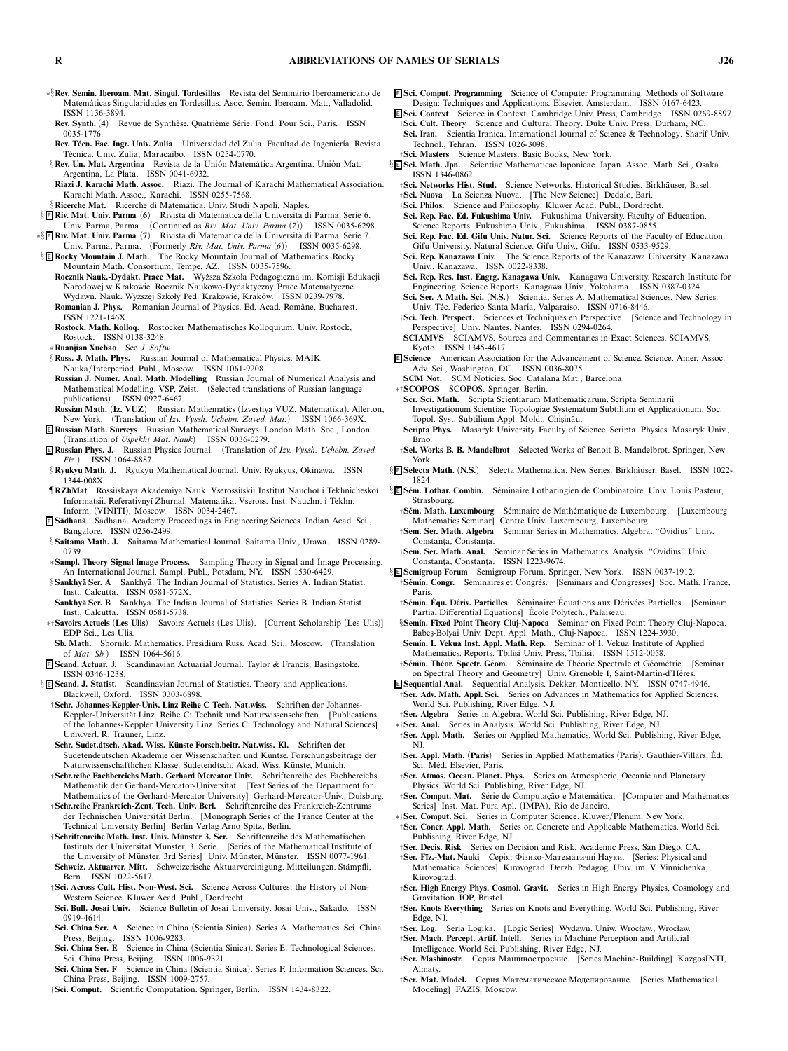- ∗§**Rev. Semin. Iberoam. Mat. Singul. Tordesillas** *Revista del Seminario Iberoamericano de Matem´aticas Singularidades en Tordesillas. Asoc. Semin. Iberoam. Mat., Valladolid. ISSN 1136-3894.*
- **Rev. Synth.** *(***4***) Revue de Synth`ese. Quatri`eme S´erie. Fond. Pour Sci., Paris. ISSN 0035-1776.*
- Rev. Técn. Fac. Ingr. Univ. Zulia *Universidad del Zulia. Facultad de Ingeniería. Revista T´ecnica. Univ. Zulia, Maracaibo. ISSN 0254-0770.*
- §Rev. Un. Mat. Argentina Revista de la Unión Matemática Argentina. Unión Mat. *Argentina, La Plata. ISSN 0041-6932.*
- **Riazi J. Karachi Math. Assoc.** *Riazi. The Journal of Karachi Mathematical Association. Karachi Math. Assoc., Karachi. ISSN 0255-7568.*
- §**Ricerche Mat.** *Ricerche di Matematica. Univ. Studi Napoli, Naples.*
- § <sup>E</sup> **Riv. Mat. Univ. Parma** *(***6***) Rivista di Matematica della Universit`a di Parma. Serie 6. Univ. Parma, Parma. (Continued as Riv. Mat. Univ. Parma (7)) ISSN 0035-6298.*
- ∗§ <sup>E</sup> **Riv. Mat. Univ. Parma** *(***7***) Rivista di Matematica della Universit`a di Parma. Serie 7. Univ. Parma, Parma. (Formerly Riv. Mat. Univ. Parma (6)) ISSN 0035-6298.*
- § <sup>E</sup> **Rocky Mountain J. Math.** *The Rocky Mountain Journal of Mathematics. Rocky Mountain Math. Consortium, Tempe, AZ. ISSN 0035-7596.*
- **Rocznik Nauk.-Dydakt. Prace Mat.** *Wy ˙zsza Szkoła Pedagogiczna im. Komisji Edukacji Narodowej w Krakowie. Rocznik Naukowo-Dydaktyczny. Prace Matematyczne. Wydawn. Nauk. Wy ˙zszej Szkoły Ped. Krakowie, Krak ´ow. ISSN 0239-7978.* **Romanian J. Phys.** *Romanian Journal of Physics. Ed. Acad. Romˆane, Bucharest. ISSN 1221-146X.*
- **Rostock. Math. Kolloq.** *Rostocker Mathematisches Kolloquium. Univ. Rostock, Rostock. ISSN 0138-3248.*
- ∗**Ruanjian Xuebao** *See J. Softw.*
- §**Russ. J. Math. Phys.** *Russian Journal of Mathematical Physics. MAIK Nauka/Interperiod. Publ., Moscow. ISSN 1061-9208.*
- **Russian J. Numer. Anal. Math. Modelling** *Russian Journal of Numerical Analysis and Mathematical Modelling. VSP, Zeist. (Selected translations of Russian language publications) ISSN 0927-6467.*
- **Russian Math.** *(***Iz. VUZ***) Russian Mathematics (Izvestiya VUZ. Matematika). Allerton, New York. (Translation of Izv. Vyssh. Uchebn. Zaved. Mat.) ISSN 1066-369X.*
- <sup>E</sup> **Russian Math. Surveys** *Russian Mathematical Surveys. London Math. Soc., London. (Translation of Uspekhi Mat. Nauk) ISSN 0036-0279.*
- <sup>E</sup> **Russian Phys. J.** *Russian Physics Journal. (Translation of Izv. Vyssh. Uchebn. Zaved. Fiz.) ISSN 1064-8887.*
- §**Ryukyu Math. J.** *Ryukyu Mathematical Journal. Univ. Ryukyus, Okinawa. ISSN 1344-008X.*
- ¶**RZhMat** *Rossi˘ıskaya Akademiya Nauk. Vserossi˘ıski˘ı Institut Naucho˘ı i Tekhnichesko˘ı Informatsii. Referativny˘ı Zhurnal. Matematika. Vseross. Inst. Nauchn. i Tekhn. Inform. (VINITI), Moscow. ISSN 0034-2467.*
- <sup>E</sup> **S ¯adhan¯a** *S¯adhan¯a. Academy Proceedings in Engineering Sciences. Indian Acad. Sci., Bangalore. ISSN 0256-2499.*
- §**Saitama Math. J.** *Saitama Mathematical Journal. Saitama Univ., Urawa. ISSN 0289- 0739.*
- ∗**Sampl. Theory Signal Image Process.** *Sampling Theory in Signal and Image Processing. An International Journal. Sampl. Publ., Potsdam, NY. ISSN 1530-6429.* §**Sankhyā Ser. A** Sankhyā. The Indian Journal of Statistics. Series A. Indian Statist.
- *Inst., Calcutta. ISSN 0581-572X.* Sankhyā Ser. B Sankhyā. The Indian Journal of Statistics. Series B. Indian Statist.
- *Inst., Calcutta. ISSN 0581-5738.*
- ∗†**Savoirs Actuels** *(***Les Ulis***) Savoirs Actuels (Les Ulis). [Current Scholarship (Les Ulis)] EDP Sci., Les Ulis.*
- **Sb. Math.** *Sbornik. Mathematics. Presidium Russ. Acad. Sci., Moscow. (Translation of Mat. Sb.) ISSN 1064-5616.*
- <sup>E</sup> **Scand. Actuar. J.** *Scandinavian Actuarial Journal. Taylor & Francis, Basingstoke. ISSN 0346-1238.* § <sup>E</sup> **Scand. J. Statist.** *Scandinavian Journal of Statistics. Theory and Applications.*
- *Blackwell, Oxford. ISSN 0303-6898.*
- †**Schr. Johannes-Keppler-Univ. Linz Reihe C Tech. Nat.wiss.** *Schriften der Johannes-*Keppler-Universität Linz. Reihe C: Technik und Naturwissenschaften. [Publications *of the Johannes-Keppler University Linz. Series C: Technology and Natural Sciences] Univ.verl. R. Trauner, Linz.*
- **Schr. Sudet.dtsch. Akad. Wiss. K¨unste Forsch.beitr. Nat.wiss. Kl.** *Schriften der* Sudetendeutschen Akademie der Wissenschaften und Küntse. Forschungsbeiträge der *Naturwissenschaftlichen Klasse. Sudetendtsch. Akad. Wiss. K ¨unste, Munich.*
- †**Schr.reihe Fachbereichs Math. Gerhard Mercator Univ.** *Schriftenreihe des Fachbereichs Mathematik der Gerhard-Mercator-Universität. [Text Series of the Department for Mathematics of the Gerhard-Mercator University] Gerhard-Mercator-Univ., Duisburg.*
- †**Schr.reihe Frankreich-Zent. Tech. Univ. Berl.** *Schriftenreihe des Frankreich-Zentrums* der Technischen Universität Berlin. [Monograph Series of the France Center at the *Technical University Berlin] Berlin Verlag Arno Spitz, Berlin.*
- †**Schriftenreihe Math. Inst. Univ. M¨unster 3. Ser.** *Schriftenreihe des Mathematischen* Instituts der Universität Münster, 3. Serie. [Series of the Mathematical Institute of *the University of Münster, 3rd Series] Univ. Münster, Münster. ISSN 0077-1961.*
- **Schweiz. Aktuarver. Mitt.** *Schweizerische Aktuarvereinigung. Mitteilungen. St¨ampfli, Bern. ISSN 1022-5617.*
- †**Sci. Across Cult. Hist. Non-West. Sci.** *Science Across Cultures: the History of Non-Western Science. Kluwer Acad. Publ., Dordrecht.*
- **Sci. Bull. Josai Univ.** *Science Bulletin of Josai University. Josai Univ., Sakado. ISSN 0919-4614.*
- **Sci. China Ser. A** *Science in China (Scientia Sinica). Series A. Mathematics. Sci. China Press, Beijing. ISSN 1006-9283.*
- **Sci. China Ser. E** *Science in China (Scientia Sinica). Series E. Technological Sciences. Sci. China Press, Beijing. ISSN 1006-9321.*
- **Sci. China Ser. F** *Science in China (Scientia Sinica). Series F. Information Sciences. Sci. China Press, Beijing. ISSN 1009-2757.*
- †**Sci. Comput.** *Scientific Computation. Springer, Berlin. ISSN 1434-8322.*
- <sup>E</sup> **Sci. Comput. Programming** *Science of Computer Programming. Methods of Software Design: Techniques and Applications. Elsevier, Amsterdam. ISSN 0167-6423.*
- <sup>E</sup> **Sci. Context** *Science in Context. Cambridge Univ. Press, Cambridge. ISSN 0269-8897.* †**Sci. Cult. Theory** *Science and Cultural Theory. Duke Univ. Press, Durham, NC.* **Sci. Iran.** *Scientia Iranica. International Journal of Science & Technology. Sharif Univ.*
- *Technol., Tehran. ISSN 1026-3098.* †**Sci. Masters** *Science Masters. Basic Books, New York.*
- 
- § <sup>E</sup> **Sci. Math. Jpn.** *Scientiae Mathematicae Japonicae. Japan. Assoc. Math. Sci., Osaka. ISSN 1346-0862.*
	- †**Sci. Networks Hist. Stud.** *Science Networks. Historical Studies. Birkh¨auser, Basel.*
	- †**Sci. Nuova** *La Scienza Nuova. [The New Science] Dedalo, Bari.*
	- †**Sci. Philos.** *Science and Philosophy. Kluwer Acad. Publ., Dordrecht.* **Sci. Rep. Fac. Ed. Fukushima Univ.** *Fukushima University. Faculty of Education.*
	- *Science Reports. Fukushima Univ., Fukushima. ISSN 0387-0855.* **Sci. Rep. Fac. Ed. Gifu Univ. Natur. Sci.** *Science Reports of the Faculty of Education.*
	- *Gifu University. Natural Science. Gifu Univ., Gifu. ISSN 0533-9529.* **Sci. Rep. Kanazawa Univ.** *The Science Reports of the Kanazawa University. Kanazawa*
	- *Univ., Kanazawa. ISSN 0022-8338.* **Sci. Rep. Res. Inst. Engrg. Kanagawa Univ.** *Kanagawa University. Research Institute for*
	- *Engineering. Science Reports. Kanagawa Univ., Yokohama. ISSN 0387-0324.* **Sci. Ser. A Math. Sci.** *(***N.S.***) Scientia. Series A. Mathematical Sciences. New Series.*
	- Univ. Téc. Federico Santa María, Valparaíso. ISSN 0716-8446.
	- †**Sci. Tech. Perspect.** *Sciences et Techniques en Perspective. [Science and Technology in Perspective] Univ. Nantes, Nantes. ISSN 0294-0264.*
	- **SCIAMVS** *SCIAMVS. Sources and Commentaries in Exact Sciences. SCIAMVS, Kyoto. ISSN 1345-4617.*
- <sup>E</sup> **Science** *American Association for the Advancement of Science. Science. Amer. Assoc. Adv. Sci., Washington, DC. ISSN 0036-8075.*
- **SCM Not. SCM Notícies. Soc. Catalana Mat., Barcelona.**
- ∗†**SCOPOS** *SCOPOS. Springer, Berlin.*
- **Scr. Sci. Math.** *Scripta Scientiarum Mathematicarum. Scripta Seminarii Investigationum Scientiae. Topologiae Systematum Subtilium et Applicationum. Soc.*
- *Topol. Syst. Subtilium Appl. Mold., Chis¸in˘au.*
- **Scripta Phys.** *Masaryk University. Faculty of Science. Scripta. Physics. Masaryk Univ., Brno.*
- †**Sel. Works B. B. Mandelbrot** *Selected Works of Benoit B. Mandelbrot. Springer, New York.*
- § **E Selecta Math.** (N.S.) Selecta Mathematica. New Series. Birkhäuser, Basel. ISSN 1022-*1824.*
- § <sup>E</sup> **S ´em. Lothar. Combin.** *S´eminaire Lotharingien de Combinatoire. Univ. Louis Pasteur, Strasbourg.*
	- †**S ´em. Math. Luxembourg** *S´eminaire de Math´ematique de Luxembourg. [Luxembourg Mathematics Seminar] Centre Univ. Luxembourg, Luxembourg.*
	- †**Sem. Ser. Math. Algebra** *Seminar Series in Mathematics. Algebra. "Ovidius" Univ.* Constanta, Constanta.
	- †**Sem. Ser. Math. Anal.** *Seminar Series in Mathematics. Analysis. "Ovidius" Univ.* Constanta, Constanta. ISSN 1223-9674.
- § <sup>E</sup> **Semigroup Forum** *Semigroup Forum. Springer, New York. ISSN 0037-1912.*
- †**S ´emin. Congr.** *S´eminaires et Congr`es. [Seminars and Congresses] Soc. Math. France, Paris.*
- †**S ´emin. Equ. D´ ´ eriv. Partielles** *S´eminaire: Equations aux D´ ´ eriv ´ees Partielles. [Seminar: Partial Differential Equations] Ecole Polytech., Palaiseau. ´*
- §**Semin. Fixed Point Theory Cluj-Napoca** *Seminar on Fixed Point Theory Cluj-Napoca. Babes¸-Bolyai Univ. Dept. Appl. Math., Cluj-Napoca. ISSN 1224-3930.*
- **Semin. I. Vekua Inst. Appl. Math. Rep.** *Seminar of I. Vekua Institute of Applied Mathematics. Reports. Tbilisi Univ. Press, Tbilisi. ISSN 1512-0058.*
- †**S ´emin. Th ´eor. Spectr. G´eom.** *S´eminaire de Th´eorie Spectrale et G´eom´etrie. [Seminar on Spectral Theory and Geometry] Univ. Grenoble I, Saint-Martin-d'H`eres.*
- <sup>E</sup> **Sequential Anal.** *Sequential Analysis. Dekker, Monticello, NY. ISSN 0747-4946.* †**Ser. Adv. Math. Appl. Sci.** *Series on Advances in Mathematics for Applied Sciences.*
- *World Sci. Publishing, River Edge, NJ.* †**Ser. Algebra** *Series in Algebra. World Sci. Publishing, River Edge, NJ.*
- ∗†**Ser. Anal.** *Series in Analysis. World Sci. Publishing, River Edge, NJ.*
- †**Ser. Appl. Math.** *Series on Applied Mathematics. World Sci. Publishing, River Edge, NJ.*
- †**Ser. Appl. Math.** *(***Paris***) Series in Applied Mathematics (Paris). Gauthier-Villars, Ed. ´ Sci. M´ed. Elsevier, Paris.*
- †**Ser. Atmos. Ocean. Planet. Phys.** *Series on Atmospheric, Oceanic and Planetary Physics. World Sci. Publishing, River Edge, NJ.*
- <sup>†</sup>**Ser. Comput. Mat.** Série de Computação e Matemática. [Computer and Mathematics] *Series] Inst. Mat. Pura Apl. (IMPA), Rio de Janeiro.*
- ∗†**Ser. Comput. Sci.** *Series in Computer Science. Kluwer/Plenum, New York.* †**Ser. Concr. Appl. Math.** *Series on Concrete and Applicable Mathematics. World Sci. Publishing, River Edge, NJ.*
- †**Ser. Decis. Risk** *Series on Decision and Risk. Academic Press, San Diego, CA.*
- †**Ser. F¯ız.-Mat. Nauki** Серія: Фізико-Математичні Науки. *[Series: Physical and Mathematical Sciences] K¯ırovograd. Derzh. Pedagog. Un¯ıv. ¯ım. V. Vinnichenka, Kirovograd.*
- †**Ser. High Energy Phys. Cosmol. Gravit.** *Series in High Energy Physics, Cosmology and Gravitation. IOP, Bristol.*
- †**Ser. Knots Everything** *Series on Knots and Everything. World Sci. Publishing, River Edge, NJ.*
- †**Ser. Log.** *Seria Logika. [Logic Series] Wydawn. Uniw. Wrocław., Wrocław.* †**Ser. Mach. Percept. Artif. Intell.** *Series in Machine Perception and Artificial*
- *Intelligence. World Sci. Publishing, River Edge, NJ.* †**Ser. Mashinostr.** Серия Машиностроение. *[Series Machine-Building] KazgosINTI,*
- *Almaty.*
- †**Ser. Mat. Model.** Серия Математическое Моделирование. *[Series Mathematical Modeling] FAZIS, Moscow.*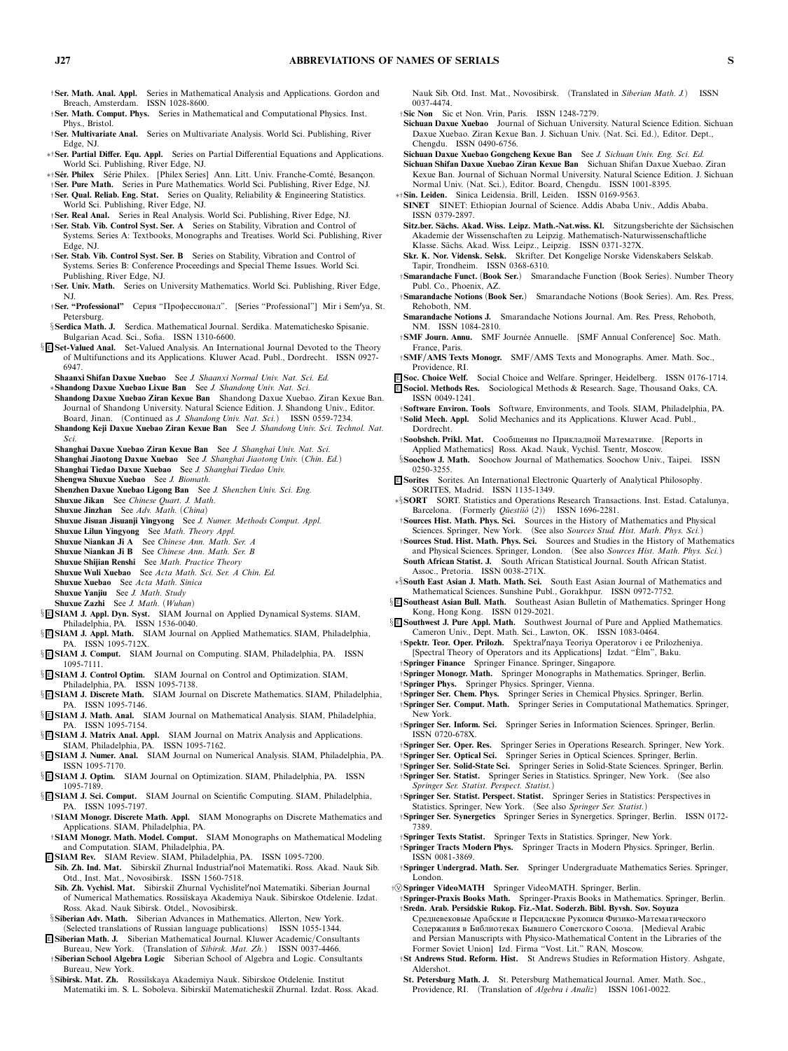- †**Ser. Math. Anal. Appl.** *Series in Mathematical Analysis and Applications. Gordon and Breach, Amsterdam. ISSN 1028-8600.*
- †**Ser. Math. Comput. Phys.** *Series in Mathematical and Computational Physics. Inst. Phys., Bristol.*
- †**Ser. Multivariate Anal.** *Series on Multivariate Analysis. World Sci. Publishing, River Edge, NJ.*
- ∗†**Ser. Partial Differ. Equ. Appl.** *Series on Partial Differential Equations and Applications. World Sci. Publishing, River Edge, NJ.*
- ∗†**S ´er. Philex** *S´erie Philex. [Philex Series] Ann. Litt. Univ. Franche-Comt´e, Besanc¸on.*
- †**Ser. Pure Math.** *Series in Pure Mathematics. World Sci. Publishing, River Edge, NJ.* †**Ser. Qual. Reliab. Eng. Stat.** *Series on Quality, Reliability & Engineering Statistics.*
- *World Sci. Publishing, River Edge, NJ.* †**Ser. Real Anal.** *Series in Real Analysis. World Sci. Publishing, River Edge, NJ.*
- †**Ser. Stab. Vib. Control Syst. Ser. A** *Series on Stability, Vibration and Control of Systems. Series A: Textbooks, Monographs and Treatises. World Sci. Publishing, River Edge, NJ.*
- †**Ser. Stab. Vib. Control Syst. Ser. B** *Series on Stability, Vibration and Control of Systems. Series B: Conference Proceedings and Special Theme Issues. World Sci. Publishing, River Edge, NJ.*
- †**Ser. Univ. Math.** *Series on University Mathematics. World Sci. Publishing, River Edge, NJ.*
- †**Ser. "Professional"** Серия "Профессионал". *[Series "Professional"] Mir i Semya, St. Petersburg.*
- §**Serdica Math. J.** *Serdica. Mathematical Journal. Serdika. Matematichesko Spisanie. Bulgarian Acad. Sci., Sofia. ISSN 1310-6600.*
- § <sup>E</sup> **Set-Valued Anal.** *Set-Valued Analysis. An International Journal Devoted to the Theory of Multifunctions and its Applications. Kluwer Acad. Publ., Dordrecht. ISSN 0927- 6947.*
	- **Shaanxi Shifan Daxue Xuebao** *See J. Shaanxi Normal Univ. Nat. Sci. Ed.*
	- ∗**Shandong Daxue Xuebao Lixue Ban** *See J. Shandong Univ. Nat. Sci.*
	- **Shandong Daxue Xuebao Ziran Kexue Ban** *Shandong Daxue Xuebao. Ziran Kexue Ban. Journal of Shandong University. Natural Science Edition. J. Shandong Univ., Editor. Board, Jinan. (Continued as J. Shandong Univ. Nat. Sci.) ISSN 0559-7234.*
	- **Shandong Keji Daxue Xuebao Ziran Kexue Ban** *See J. Shandong Univ. Sci. Technol. Nat. Sci.*
	- **Shanghai Daxue Xuebao Ziran Kexue Ban** *See J. Shanghai Univ. Nat. Sci.*
	- **Shanghai Jiaotong Daxue Xuebao** *See J. Shanghai Jiaotong Univ. (Chin. Ed.)*
	- **Shanghai Tiedao Daxue Xuebao** *See J. Shanghai Tiedao Univ.*
	- **Shengwa Shuxue Xuebao** *See J. Biomath.*
	- **Shenzhen Daxue Xuebao Ligong Ban** *See J. Shenzhen Univ. Sci. Eng.*
	- **Shuxue Jikan** *See Chinese Quart. J. Math.* **Shuxue Jinzhan** *See Adv. Math. (China)*
	- **Shuxue Jisuan Jisuanji Yingyong** *See J. Numer. Methods Comput. Appl.*
	- **Shuxue Lilun Yingyong** *See Math. Theory Appl.*
	- **Shuxue Niankan Ji A** *See Chinese Ann. Math. Ser. A*
	- **Shuxue Niankan Ji B** *See Chinese Ann. Math. Ser. B*
	- **Shuxue Shijian Renshi** *See Math. Practice Theory*
	- **Shuxue Wuli Xuebao** *See Acta Math. Sci. Ser. A Chin. Ed.*
	- **Shuxue Xuebao** *See Acta Math. Sinica*
	- **Shuxue Yanjiu** *See J. Math. Study*
	- **Shuxue Zazhi** *See J. Math. (Wuhan)*
- § <sup>E</sup> **SIAM J. Appl. Dyn. Syst.** *SIAM Journal on Applied Dynamical Systems. SIAM, Philadelphia, PA. ISSN 1536-0040.*
- § <sup>E</sup> **SIAM J. Appl. Math.** *SIAM Journal on Applied Mathematics. SIAM, Philadelphia, PA. ISSN 1095-712X.* § <sup>E</sup> **SIAM J. Comput.** *SIAM Journal on Computing. SIAM, Philadelphia, PA. ISSN*
- *1095-7111.*
- § <sup>E</sup> **SIAM J. Control Optim.** *SIAM Journal on Control and Optimization. SIAM, Philadelphia, PA. ISSN 1095-7138.*
- § <sup>E</sup> **SIAM J. Discrete Math.** *SIAM Journal on Discrete Mathematics. SIAM, Philadelphia, PA. ISSN 1095-7146.*
- § <sup>E</sup> **SIAM J. Math. Anal.** *SIAM Journal on Mathematical Analysis. SIAM, Philadelphia, PA. ISSN 1095-7154.*
- § <sup>E</sup> **SIAM J. Matrix Anal. Appl.** *SIAM Journal on Matrix Analysis and Applications. SIAM, Philadelphia, PA. ISSN 1095-7162.*
- § <sup>E</sup> **SIAM J. Numer. Anal.** *SIAM Journal on Numerical Analysis. SIAM, Philadelphia, PA. ISSN 1095-7170.*
- § <sup>E</sup> **SIAM J. Optim.** *SIAM Journal on Optimization. SIAM, Philadelphia, PA. ISSN 1095-7189.*
- § <sup>E</sup> **SIAM J. Sci. Comput.** *SIAM Journal on Scientific Computing. SIAM, Philadelphia,* **PA. ISSN 1095-7197.**<br>*†* **SIAM Monogr. Discrete Math. Appl.**
- $SIAM$  Monographs on Discrete Mathematics and *Applications. SIAM, Philadelphia, PA.*
- †**SIAM Monogr. Math. Model. Comput.** *SIAM Monographs on Mathematical Modeling and Computation. SIAM, Philadelphia, PA.*
- <sup>E</sup> **SIAM Rev.** *SIAM Review. SIAM, Philadelphia, PA. ISSN 1095-7200.* **Sib. Zh. Ind. Mat.** *Sibirski˘ı Zhurnal Industrialno˘ı Matematiki. Ross. Akad. Nauk Sib.*
- *Otd., Inst. Mat., Novosibirsk. ISSN 1560-7518.* **Sib. Zh. Vychisl. Mat.** *Sibirski˘ı Zhurnal Vychislitelno˘ı Matematiki. Siberian Journal*
- *of Numerical Mathematics. Rossi˘ıskaya Akademiya Nauk. Sibirskoe Otdelenie. Izdat. Ross. Akad. Nauk Sibirsk. Otdel., Novosibirsk.* §**Siberian Adv. Math.** *Siberian Advances in Mathematics. Allerton, New York.*
- *(Selected translations of Russian language publications) ISSN 1055-1344.*
- <sup>E</sup> **Siberian Math. J.** *Siberian Mathematical Journal. Kluwer Academic/Consultants Bureau, New York. (Translation of Sibirsk. Mat. Zh.) ISSN 0037-4466.*
- †**Siberian School Algebra Logic** *Siberian School of Algebra and Logic. Consultants Bureau, New York.*
- §Sibirsk. Mat. Zh. Rossiĭskaya Akademiya Nauk. Sibirskoe Otdelenie. Institut *Matematiki im. S. L. Soboleva. Sibirski˘ı Matematicheski˘ı Zhurnal. Izdat. Ross. Akad.*
- *Nauk Sib. Otd. Inst. Mat., Novosibirsk. (Translated in Siberian Math. J.) ISSN 0037-4474.*
- †**SicNon** *Sic et Non. Vrin, Paris. ISSN 1248-7279.*
- **Sichuan Daxue Xuebao** *Journal of Sichuan University. Natural Science Edition. Sichuan Daxue Xuebao. Ziran Kexue Ban. J. Sichuan Univ. (Nat. Sci. Ed.), Editor. Dept., Chengdu. ISSN 0490-6756.*
- **Sichuan Daxue Xuebao Gongcheng Kexue Ban** *See J. Sichuan Univ. Eng. Sci. Ed.*
- **Sichuan Shifan Daxue Xuebao Ziran Kexue Ban** *Sichuan Shifan Daxue Xuebao. Ziran Kexue Ban. Journal of Sichuan Normal University. Natural Science Edition. J. Sichuan Normal Univ. (Nat. Sci.), Editor. Board, Chengdu. ISSN 1001-8395.*
- ∗†**Sin. Leiden.** *Sinica Leidensia. Brill, Leiden. ISSN 0169-9563.*
- **SINET** *SINET: Ethiopian Journal of Science. Addis Ababa Univ., Addis Ababa. ISSN 0379-2897.*
- Sitz.ber. Sächs. Akad. Wiss. Leipz. Math.-Nat.wiss. Kl. Sitzungsberichte der Sächsischen *Akademie der Wissenschaften zu Leipzig. Mathematisch-Naturwissenschaftliche Klasse. S¨achs. Akad. Wiss. Leipz., Leipzig. ISSN 0371-327X.*
- **Skr. K. Nor. Vidensk. Selsk.** *Skrifter. Det Kongelige Norske Videnskabers Selskab. Tapir, Trondheim. ISSN 0368-6310.*
- †**Smarandache Funct.** *(***Book Ser.***) Smarandache Function (Book Series). Number Theory Publ. Co., Phoenix, AZ.*
- †**Smarandache Notions** *(***Book Ser.***) Smarandache Notions (Book Series). Am. Res. Press, Rehoboth, NM.*
- **Smarandache Notions J.** *Smarandache Notions Journal. Am. Res. Press, Rehoboth, NM. ISSN 1084-2810.*
- †**SMF Journ. Annu.** *SMF Journ´ee Annuelle. [SMF Annual Conference] Soc. Math. France, Paris.*
- †**SMF/AMS Texts Monogr.** *SMF/AMS Texts and Monographs. Amer. Math. Soc., Providence, RI.*
- <sup>E</sup> **Soc. Choice Welf.** *Social Choice and Welfare. Springer, Heidelberg. ISSN 0176-1714.* <sup>E</sup> **Sociol. Methods Res.** *Sociological Methods & Research. Sage, Thousand Oaks, CA. ISSN 0049-1241.*
- †**Software Environ. Tools** *Software, Environments, and Tools. SIAM, Philadelphia, PA.* †**Solid Mech. Appl.** *Solid Mechanics and its Applications. Kluwer Acad. Publ., Dordrecht.*
- †**Soobshch. Prikl. Mat.** Сообщения по Прикладнои Математике. *[Reports in Applied Mathematics] Ross. Akad. Nauk, Vychisl. Tsentr, Moscow.*
- §**Soochow J. Math.** *Soochow Journal of Mathematics. Soochow Univ., Taipei. ISSN 0250-3255.*
- <sup>E</sup> **Sorites** *Sorites. An International Electronic Quarterly of Analytical Philosophy. SORITES, Madrid. ISSN 1135-1349.*
- ∗§**SORT** *SORT. Statistics and Operations Research Transactions. Inst. Estad. Catalunya, Barcelona.* (Formerly *Qüestiió* (2)) ISSN 1696-2281.
- †**Sources Hist. Math. Phys. Sci.** *Sources in the History of Mathematics and Physical Sciences. Springer, New York. (See also Sources Stud. Hist. Math. Phys. Sci.)* †**Sources Stud. Hist. Math. Phys. Sci.** *Sources and Studies in the History of Mathematics*
- *and Physical Sciences. Springer, London. (See also Sources Hist. Math. Phys. Sci.)* **South African Statist. J.** *South African Statistical Journal. South African Statist.*
- *Assoc., Pretoria. ISSN 0038-271X.* ∗§**South East Asian J. Math. Math. Sci.** *South East Asian Journal of Mathematics and*
- *Mathematical Sciences. Sunshine Publ., Gorakhpur. ISSN 0972-7752.*
- § <sup>E</sup> **Southeast Asian Bull. Math.** *Southeast Asian Bulletin of Mathematics. Springer Hong Kong, Hong Kong. ISSN 0129-2021.*
- § <sup>E</sup> **Southwest J. Pure Appl. Math.** *Southwest Journal of Pure and Applied Mathematics. Cameron Univ., Dept. Math. Sci., Lawton, OK. ISSN 1083-0464.*
	- †**Spektr. Teor. Oper. Prilozh.** *Spektralnaya Teoriya Operatorov i ee Prilozheniya. [Spectral Theory of Operators and its Applications] Izdat. "Elm", Baku. `*
	- †**Springer Finance** *Springer Finance. Springer, Singapore.* †**Springer Monogr. Math.** *Springer Monographs in Mathematics. Springer, Berlin.* †**Springer Phys.** *Springer Physics. Springer, Vienna.*
	- †**Springer Ser. Chem. Phys.** *Springer Series in Chemical Physics. Springer, Berlin.*
	- †**Springer Ser. Comput. Math.** *Springer Series in Computational Mathematics. Springer, New York.*
	- †**Springer Ser. Inform. Sci.** *Springer Series in Information Sciences. Springer, Berlin. ISSN 0720-678X.*
	- †**Springer Ser. Oper. Res.** *Springer Series in Operations Research. Springer, New York.* †**Springer Ser. Optical Sci.** *Springer Series in Optical Sciences. Springer, Berlin.*
	- †**Springer Ser. Solid-State Sci.** *Springer Series in Solid-State Sciences. Springer, Berlin.*
	- †**Springer Ser. Statist.** *Springer Series in Statistics. Springer, New York. (See also Springer Ser. Statist. Perspect. Statist.)*
	- †**Springer Ser. Statist. Perspect. Statist.** *Springer Series in Statistics: Perspectives in Statistics. Springer, New York. (See also Springer Ser. Statist.)*
	- †**Springer Ser. Synergetics** *Springer Series in Synergetics. Springer, Berlin. ISSN 0172- 7389.*
	- †**Springer Texts Statist.** *Springer Texts in Statistics. Springer, New York.*
	- †**Springer Tracts Modern Phys.** *Springer Tracts in Modern Physics. Springer, Berlin. ISSN 0081-3869.*
	- †**Springer Undergrad. Math. Ser.** *Springer Undergraduate Mathematics Series. Springer, London.*
- †<sup>V</sup> **Springer VideoMATH** *Springer VideoMATH. Springer, Berlin.*
- †**Springer-Praxis Books Math.** *Springer-Praxis Books in Mathematics. Springer, Berlin.* †**Sredn. Arab. Persidskie Rukop. Fiz.-Mat. Soderzh. Bibl. Byvsh. Sov. Soyuza** Средневековые Арабские и Персидские Рукописи Физико-Математического
- Содержания в Библиотеках Бывшего Советского Союза. *[Medieval Arabic and Persian Manuscripts with Physico-Mathematical Content in the Libraries of the Former Soviet Union] Izd. Firma "Vost. Lit." RAN, Moscow.*
- †**St Andrews Stud. Reform. Hist.** *St Andrews Studies in Reformation History. Ashgate, Aldershot.*
- **St. Petersburg Math. J.** *St. Petersburg Mathematical Journal. Amer. Math. Soc., Providence, RI. (Translation of Algebra i Analiz) ISSN 1061-0022.*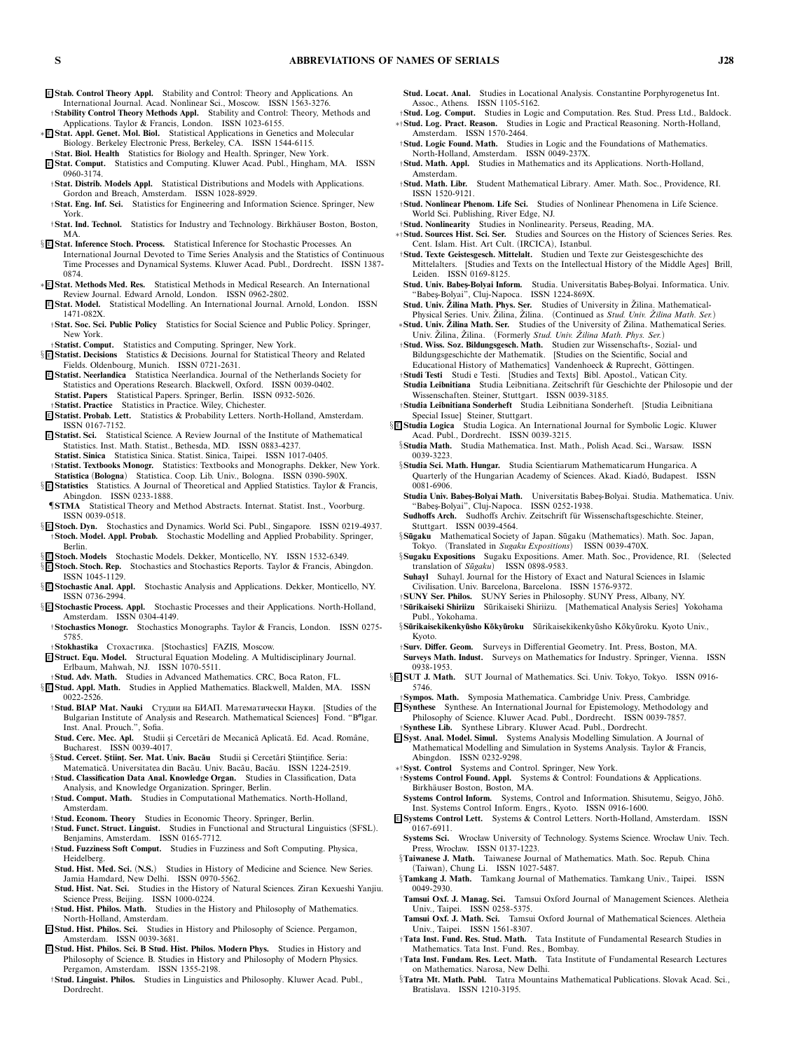- <sup>E</sup> **Stab. Control Theory Appl.** *Stability and Control: Theory and Applications. An International Journal. Acad. Nonlinear Sci., Moscow. ISSN 1563-3276.*
- †**Stability Control Theory Methods Appl.** *Stability and Control: Theory, Methods and Applications. Taylor & Francis, London. ISSN 1023-6155.*
- ∗ <sup>E</sup> **Stat. Appl. Genet. Mol. Biol.** *Statistical Applications in Genetics and Molecular Biology. Berkeley Electronic Press, Berkeley, CA. ISSN 1544-6115.* †**Stat. Biol. Health** *Statistics for Biology and Health. Springer, New York.*
- <sup>E</sup> **Stat. Comput.** *Statistics and Computing. Kluwer Acad. Publ., Hingham, MA. ISSN*
- *0960-3174.* †**Stat. Distrib. Models Appl.** *Statistical Distributions and Models with Applications. Gordon and Breach, Amsterdam. ISSN 1028-8929.*
- †**Stat. Eng. Inf. Sci.** *Statistics for Engineering and Information Science. Springer, New York.*
- †**Stat. Ind. Technol.** *Statistics for Industry and Technology. Birkh¨auser Boston, Boston, MA.*
- § <sup>E</sup> **Stat. Inference Stoch. Process.** *Statistical Inference for Stochastic Processes. An International Journal Devoted to Time Series Analysis and the Statistics of Continuous Time Processes and Dynamical Systems. Kluwer Acad. Publ., Dordrecht. ISSN 1387- 0874.*
- ∗ <sup>E</sup> **Stat. Methods Med. Res.** *Statistical Methods in Medical Research. An International Review Journal. Edward Arnold, London. ISSN 0962-2802.*
- <sup>E</sup> **Stat. Model.** *Statistical Modelling. An International Journal. Arnold, London. ISSN 1471-082X.*
- †**Stat. Soc. Sci. Public Policy** *Statistics for Social Science and Public Policy. Springer, New York.*
- †**Statist. Comput.** *Statistics and Computing. Springer, New York.*
- § <sup>E</sup> **Statist. Decisions** *Statistics & Decisions. Journal for Statistical Theory and Related Fields. Oldenbourg, Munich. ISSN 0721-2631.*
- <sup>E</sup> **Statist. Neerlandica** *Statistica Neerlandica. Journal of the Netherlands Society for Statistics and Operations Research. Blackwell, Oxford. ISSN 0039-0402.* **Statist. Papers** *Statistical Papers. Springer, Berlin. ISSN 0932-5026.*
- †**Statist. Practice** *Statistics in Practice. Wiley, Chichester.*
- <sup>E</sup> **Statist. Probab. Lett.** *Statistics & Probability Letters. North-Holland, Amsterdam. ISSN 0167-7152.*
- <sup>E</sup> **Statist. Sci.** *Statistical Science. A Review Journal of the Institute of Mathematical Statistics. Inst. Math. Statist., Bethesda, MD. ISSN 0883-4237.* **Statist. Sinica** *Statistica Sinica. Statist. Sinica, Taipei. ISSN 1017-0405.*
- †**Statist. Textbooks Monogr.** *Statistics: Textbooks and Monographs. Dekker, New York.* **Statistica** *(***Bologna***) Statistica. Coop. Lib. Univ., Bologna. ISSN 0390-590X.*
- § <sup>E</sup> **Statistics** *Statistics. A Journal of Theoretical and Applied Statistics. Taylor & Francis, Abingdon. ISSN 0233-1888.*
- ¶**STMA** *Statistical Theory and Method Abstracts. Internat. Statist. Inst., Voorburg. ISSN 0039-0518.*
- § <sup>E</sup> **Stoch. Dyn.** *Stochastics and Dynamics. World Sci. Publ., Singapore. ISSN 0219-4937.* †**Stoch. Model. Appl. Probab.** *Stochastic Modelling and Applied Probability. Springer, Berlin.*
- § <sup>E</sup> **Stoch. Models** *Stochastic Models. Dekker, Monticello, NY. ISSN 1532-6349.*
- § <sup>E</sup> **Stoch. Stoch. Rep.** *Stochastics and Stochastics Reports. Taylor & Francis, Abingdon. ISSN 1045-1129.*
- § <sup>E</sup> **Stochastic Anal. Appl.** *Stochastic Analysis and Applications. Dekker, Monticello, NY. ISSN 0736-2994.*
- § <sup>E</sup> **Stochastic Process. Appl.** *Stochastic Processes and their Applications. North-Holland, Amsterdam. ISSN 0304-4149.*
- †**Stochastics Monogr.** *Stochastics Monographs. Taylor & Francis, London. ISSN 0275- 5785.*
- †**Stokhastika** Стохастика. *[Stochastics] FAZIS, Moscow.*
- <sup>E</sup> **Struct. Equ. Model.** *Structural Equation Modeling. A Multidisciplinary Journal. Erlbaum, Mahwah, NJ. ISSN 1070-5511.*
- †**Stud. Adv. Math.** *Studies in Advanced Mathematics. CRC, Boca Raton, FL.* § <sup>E</sup> **Stud. Appl. Math.** *Studies in Applied Mathematics. Blackwell, Malden, MA. ISSN*
- *0022-2526.* †**Stud. BIAP Mat. Nauki** Студии на БИАП. Математически Науки. *[Studies of the* Bulgarian Institute of Analysis and Research. Mathematical Sciences] Fond. "B"lgar. *Inst. Anal. Prouch.", Sofia.*
- Stud. Cerc. Mec. Apl. Studii și Cercetări de Mecanică Aplicată. Ed. Acad. Române, *Bucharest. ISSN 0039-4017.*
- §**Stud. Cercet. Stiint. Ser. Mat. Univ. Bacău** Studii și Cercetări Stiintifice. Seria:
- *Matematic˘a. Universitatea din Bac˘au. Univ. Bac˘au, Bac˘au. ISSN 1224-2519.* †**Stud. Classification Data Anal. Knowledge Organ.** *Studies in Classification, Data*
- *Analysis, and Knowledge Organization. Springer, Berlin.* †**Stud. Comput. Math.** *Studies in Computational Mathematics. North-Holland,*
- *Amsterdam.*
- †**Stud. Econom. Theory** *Studies in Economic Theory. Springer, Berlin.* †**Stud. Funct. Struct. Linguist.** *Studies in Functional and Structural Linguistics (SFSL). Benjamins, Amsterdam. ISSN 0165-7712.*
- †**Stud. Fuzziness Soft Comput.** *Studies in Fuzziness and Soft Computing. Physica, Heidelberg.*
- **Stud. Hist. Med. Sci.** *(***N.S.***) Studies in History of Medicine and Science. New Series. Jamia Hamdard, New Delhi. ISSN 0970-5562.*
- **Stud. Hist. Nat. Sci.** *Studies in the History of Natural Sciences. Ziran Kexueshi Yanjiu. Science Press, Beijing. ISSN 1000-0224.*
- †**Stud. Hist. Philos. Math.** *Studies in the History and Philosophy of Mathematics. North-Holland, Amsterdam.*
- <sup>E</sup> **Stud. Hist. Philos. Sci.** *Studies in History and Philosophy of Science. Pergamon, Amsterdam. ISSN 0039-3681.*
- <sup>E</sup> **Stud. Hist. Philos. Sci. B Stud. Hist. Philos. Modern Phys.** *Studies in History and Philosophy of Science. B. Studies in History and Philosophy of Modern Physics. Pergamon, Amsterdam. ISSN 1355-2198.*
- †**Stud. Linguist. Philos.** *Studies in Linguistics and Philosophy. Kluwer Acad. Publ., Dordrecht.*
- **Stud. Locat. Anal.** *Studies in Locational Analysis. Constantine Porphyrogenetus Int. Assoc., Athens. ISSN 1105-5162.*
- †**Stud. Log. Comput.** *Studies in Logic and Computation. Res. Stud. Press Ltd., Baldock.* ∗†**Stud. Log. Pract. Reason.** *Studies in Logic and Practical Reasoning. North-Holland, Amsterdam. ISSN 1570-2464.*
- $\dagger$ **Stud. Logic Found. Math.** Studies in Logic and the Foundations of Mathematics. *North-Holland, Amsterdam. ISSN 0049-237X.*
- †**Stud. Math. Appl.** *Studies in Mathematics and its Applications. North-Holland, Amsterdam.*
- †**Stud. Math. Libr.** *Student Mathematical Library. Amer. Math. Soc., Providence, RI. ISSN 1520-9121.*
- †**Stud. Nonlinear Phenom. Life Sci.** *Studies of Nonlinear Phenomena in Life Science. World Sci. Publishing, River Edge, NJ.*
- †**Stud. Nonlinearity** *Studies in Nonlinearity. Perseus, Reading, MA.*
- ∗†**Stud. Sources Hist. Sci. Ser.** *Studies and Sources on the History of Sciences Series. Res. Cent. Islam. Hist. Art Cult. (IRCICA), Istanbul.*
- †**Stud. Texte Geistesgesch. Mittelalt.** *Studien und Texte zur Geistesgeschichte des Mittelalters. [Studies and Texts on the Intellectual History of the Middle Ages] Brill, Leiden. ISSN 0169-8125.*
- **Stud. Univ. Babes¸-Bolyai Inform.** *Studia. Universitatis Babes¸-Bolyai. Informatica. Univ. "Babes¸-Bolyai", Cluj-Napoca. ISSN 1224-869X.*
- **Stud. Univ. Zilina Math. Phys. Ser. ˇ** *Studies of University in Zilina. Mathematical- ˇ*
- *Physical Series. Univ. Zilina, ˇ Zilina. (Continued as ˇ Stud. Univ. Zilina Math. Ser. ˇ )* <sup>∗</sup>**Stud. Univ. Zilina Math. Ser. <sup>ˇ</sup>** *Studies of the University of Zilina. Mathematical Series. <sup>ˇ</sup>*
- *Univ. Zilina, ˇ Zilina. (Formerly ˇ Stud. Univ. Zilina Math. Phys. Ser. ˇ )* †**Stud. Wiss. Soz. Bildungsgesch. Math.** *Studien zur Wissenschafts-, Sozial- und Bildungsgeschichte der Mathematik. [Studies on the Scientific, Social and*
- Educational History of Mathematics] Vandenhoeck & Ruprecht, Göttingen. †**Studi Testi** *Studi e Testi. [Studies and Texts] Bibl. Apostol., Vatican City.*
- **Studia Leibnitiana** Studia Leibnitiana. Zeitschrift für Geschichte der Philosopie und der *Wissenschaften. Steiner, Stuttgart. ISSN 0039-3185.*
- †**Studia Leibnitiana Sonderheft** *Studia Leibnitiana Sonderheft. [Studia Leibnitiana Special Issue] Steiner, Stuttgart.*
- § <sup>E</sup> **Studia Logica** *Studia Logica. An International Journal for Symbolic Logic. Kluwer Acad. Publ., Dordrecht. ISSN 0039-3215.*
	- §**Studia Math.** *Studia Mathematica. Inst. Math., Polish Acad. Sci., Warsaw. ISSN 0039-3223.*
	- §**Studia Sci. Math. Hungar.** *Studia Scientiarum Mathematicarum Hungarica. A* Quarterly of the Hungarian Academy of Sciences. Akad. Kiadó, Budapest. ISSN *0081-6906.*
	- **Studia Univ. Babes¸-Bolyai Math.** *Universitatis Babes¸-Bolyai. Studia. Mathematica. Univ. "Babes¸-Bolyai", Cluj-Napoca. ISSN 0252-1938.*
	- **Sudhoffs Arch.** Sudhoffs Archiv. Zeitschrift für Wissenschaftsgeschichte. Steiner, *Stuttgart. ISSN 0039-4564.*
	- §Sügaku Mathematical Society of Japan. Sügaku (Mathematics). Math. Soc. Japan, *Tokyo. (Translated in Sugaku Expositions) ISSN 0039-470X.*
	- §**Sugaku Expositions** *Sugaku Expositions. Amer. Math. Soc., Providence, RI. (Selected translation of Sūgaku* $)$  ISSN 0898-9583.
	- **Suhayl** *Suhayl. Journal for the History of Exact and Natural Sciences in Islamic Civilisation. Univ. Barcelona, Barcelona. ISSN 1576-9372.*
	- †**SUNY Ser. Philos.** *SUNY Series in Philosophy. SUNY Press, Albany, NY.*
	- †**S ¯urikaiseki Shiriizu** *S ¯urikaiseki Shiriizu. [Mathematical Analysis Series] Yokohama Publ., Yokohama.*
- §**Sūrikaisekikenkyūsho Kōkyūroku** Sūrikaisekikenkyūsho Kōkyūroku. Kyoto Univ., *Kyoto.*
- †**Surv. Differ. Geom.** *Surveys in Differential Geometry. Int. Press, Boston, MA.*
- **Surveys Math. Indust.** *Surveys on Mathematics for Industry. Springer, Vienna. ISSN 0938-1953.*
- § <sup>E</sup> **SUT J. Math.** *SUT Journal of Mathematics. Sci. Univ. Tokyo, Tokyo. ISSN 0916- 5746.*

†**Sympos. Math.** *Symposia Mathematica. Cambridge Univ. Press, Cambridge.*

- <sup>E</sup> **Synthese** *Synthese. An International Journal for Epistemology, Methodology and Philosophy of Science. Kluwer Acad. Publ., Dordrecht. ISSN 0039-7857.* †**Synthese Lib.** *Synthese Library. Kluwer Acad. Publ., Dordrecht.*
- 
- <sup>E</sup> **Syst. Anal. Model. Simul.** *Systems Analysis Modelling Simulation. A Journal of Mathematical Modelling and Simulation in Systems Analysis. Taylor & Francis, Abingdon. ISSN 0232-9298.*
- ∗†**Syst. Control** *Systems and Control. Springer, New York.*
- †**Systems Control Found. Appl.** *Systems & Control: Foundations & Applications. Birkh¨auser Boston, Boston, MA.*
- Systems Control Inform. Systems, Control and Information. Shisutemu, Seigyo, Jōhō. *Inst. Systems Control Inform. Engrs., Kyoto. ISSN 0916-1600.*
- <sup>E</sup> **Systems Control Lett.** *Systems & Control Letters. North-Holland, Amsterdam. ISSN 0167-6911.*
- **Systems Sci.** *Wrocław University of Technology. Systems Science. Wrocław Univ. Tech. Press, Wrocław. ISSN 0137-1223.*
- §**Taiwanese J. Math.** *Taiwanese Journal of Mathematics. Math. Soc. Repub. China (Taiwan), Chung Li. ISSN 1027-5487.*
- §**Tamkang J. Math.** *Tamkang Journal of Mathematics. Tamkang Univ., Taipei. ISSN 0049-2930.*
- **Tamsui Oxf. J. Manag. Sci.** *Tamsui Oxford Journal of Management Sciences. Aletheia Univ., Taipei. ISSN 0258-5375.*
- **Tamsui Oxf. J. Math. Sci.** *Tamsui Oxford Journal of Mathematical Sciences. Aletheia Univ., Taipei. ISSN 1561-8307.*
- †**Tata Inst. Fund. Res. Stud. Math.** *Tata Institute of Fundamental Research Studies in Mathematics. Tata Inst. Fund. Res., Bombay.*
- †**Tata Inst. Fundam. Res. Lect. Math.** *Tata Institute of Fundamental Research Lectures on Mathematics. Narosa, New Delhi.*
- §**Tatra Mt. Math. Publ.** *Tatra Mountains Mathematical Publications. Slovak Acad. Sci., Bratislava. ISSN 1210-3195.*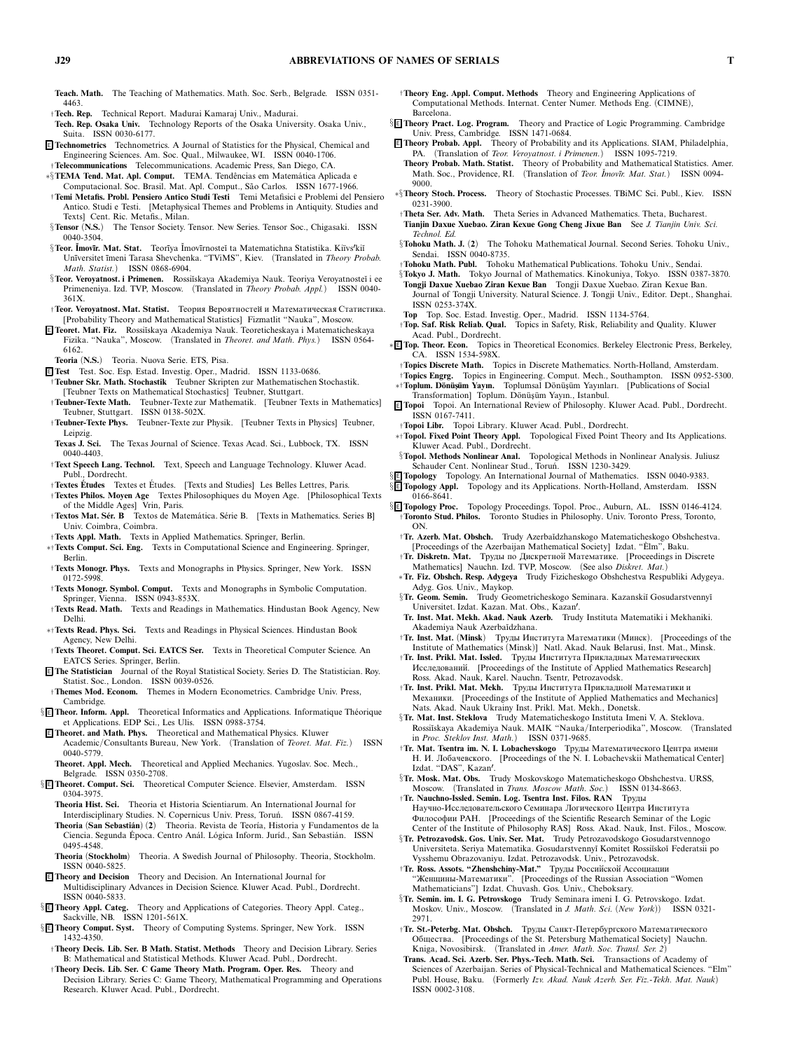**Teach. Math.** *The Teaching of Mathematics. Math. Soc. Serb., Belgrade. ISSN 0351- 4463.*

- †**Tech. Rep.** *Technical Report. Madurai Kamaraj Univ., Madurai.*
- **Tech. Rep. Osaka Univ.** *Technology Reports of the Osaka University. Osaka Univ., Suita. ISSN 0030-6177.*
- <sup>E</sup> **Technometrics** *Technometrics. A Journal of Statistics for the Physical, Chemical and Engineering Sciences. Am. Soc. Qual., Milwaukee, WI. ISSN 0040-1706.*
- †**Telecommunications** *Telecommunications. Academic Press, San Diego, CA.* ∗§**TEMA Tend. Mat. Apl. Comput.** *TEMA. Tendˆencias em Matem´atica Aplicada e*
- *Computacional. Soc. Brasil. Mat. Apl. Comput., S˜ao Carlos. ISSN 1677-1966.* †**Temi Metafis. Probl. Pensiero Antico Studi Testi** *Temi Metafisici e Problemi del Pensiero Antico. Studi e Testi. [Metaphysical Themes and Problems in Antiquity. Studies and Texts] Cent. Ric. Metafis., Milan.*
- §**Tensor** *(***N.S.***) The Tensor Society. Tensor. New Series. Tensor Soc., Chigasaki. ISSN 0040-3504.*
- §**Teor. Ĭmovīr. Mat. Stat.** Teorīya Ĭmovīrnosteĭ ta Matematichna Statistika. Kiïvs<sup>*r*</sup>kiŭ *Un¯ıversitet ¯ımeni Tarasa Shevchenka. "TViMS", Kiev. (Translated in Theory Probab. Math. Statist.) ISSN 0868-6904.*
- §**Teor. Veroyatnost. i Primenen.** *Rossi˘ıskaya Akademiya Nauk. Teoriya Veroyatnoste˘ı i ee Primeneniya. Izd. TVP, Moscow. (Translated in Theory Probab. Appl.) ISSN 0040- 361X.*
- †**Teor. Veroyatnost. Mat. Statist.** Теория Вероятностеи и Математическая Статистика. *[Probability Theory and Mathematical Statistics] Fizmatlit "Nauka", Moscow.*
- <sup>E</sup> **Teoret. Mat. Fiz.** *Rossi˘ıskaya Akademiya Nauk. Teoreticheskaya i Matematicheskaya Fizika. "Nauka", Moscow. (Translated in Theoret. and Math. Phys.) ISSN 0564- 6162.*
- **Teoria** *(***N.S.***) Teoria. Nuova Serie. ETS, Pisa.*
- <sup>E</sup> **Test** *Test. Soc. Esp. Estad. Investig. Oper., Madrid. ISSN 1133-0686.* †**Teubner Skr. Math. Stochastik** *Teubner Skripten zur Mathematischen Stochastik.*
- *[Teubner Texts on Mathematical Stochastics] Teubner, Stuttgart.* †**Teubner-Texte Math.** *Teubner-Texte zur Mathematik. [Teubner Texts in Mathematics]*
- *Teubner, Stuttgart. ISSN 0138-502X.* †**Teubner-Texte Phys.** *Teubner-Texte zur Physik. [Teubner Texts in Physics] Teubner,*
- *Leipzig.* **Texas J. Sci.** *The Texas Journal of Science. Texas Acad. Sci., Lubbock, TX. ISSN*
- *0040-4403.* †**Text Speech Lang. Technol.** *Text, Speech and Language Technology. Kluwer Acad.*
- *Publ., Dordrecht.* †**Textes Etudes ´** *Textes et Etudes. [Texts and Studies] Les Belles Lettres, Paris. ´*
- †**Textes Philos. Moyen Age** *Textes Philosophiques du Moyen Age. [Philosophical Texts of the Middle Ages] Vrin, Paris.*
- †**Textos Mat. Sér. B Textos de Matemática. Série B.** [Texts in Mathematics. Series B] *Univ. Coimbra, Coimbra.*
- †**Texts Appl. Math.** *Texts in Applied Mathematics. Springer, Berlin.*
- ∗†**Texts Comput. Sci. Eng.** *Texts in Computational Science and Engineering. Springer, Berlin.*
- †**Texts Monogr. Phys.** *Texts and Monographs in Physics. Springer, New York. ISSN 0172-5998.*
- †**Texts Monogr. Symbol. Comput.** *Texts and Monographs in Symbolic Computation. Springer, Vienna. ISSN 0943-853X.*
- †**Texts Read. Math.** *Texts and Readings in Mathematics. Hindustan Book Agency, New Delhi.*
- ∗†**Texts Read. Phys. Sci.** *Texts and Readings in Physical Sciences. Hindustan Book Agency, New Delhi.*
- †**Texts Theoret. Comput. Sci. EATCS Ser.** *Texts in Theoretical Computer Science. An EATCS Series. Springer, Berlin.*
- <sup>E</sup> **The Statistician** *Journal of the Royal Statistical Society. Series D. The Statistician. Roy. Statist. Soc., London. ISSN 0039-0526.*
- †**Themes Mod. Econom.** *Themes in Modern Econometrics. Cambridge Univ. Press, Cambridge.*
- **§ E Theor. Inform. Appl.** Theoretical Informatics and Applications. Informatique Théorique *et Applications. EDP Sci., Les Ulis. ISSN 0988-3754.*
- <sup>E</sup> **Theoret. and Math. Phys.** *Theoretical and Mathematical Physics. Kluwer Academic/Consultants Bureau, New York. (Translation of Teoret. Mat. Fiz.) ISSN 0040-5779.*
- **Theoret. Appl. Mech.** *Theoretical and Applied Mechanics. Yugoslav. Soc. Mech., Belgrade. ISSN 0350-2708.*
- § <sup>E</sup> **Theoret. Comput. Sci.** *Theoretical Computer Science. Elsevier, Amsterdam. ISSN 0304-3975.*
- **Theoria Hist. Sci.** *Theoria et Historia Scientiarum. An International Journal for* Interdisciplinary Studies. N. Copernicus Univ. Press, Toruń. ISSN 0867-4159.
- **Theoria** *(***San Sebasti´an***) (***2***) Theoria. Revista de Teor´ıa, Historia y Fundamentos de la Ciencia. Segunda Epoca. Centro An´ ´ al. L ´ogica Inform. Jur´ıd., San Sebasti´an. ISSN 0495-4548.*
- **Theoria** *(***Stockholm***) Theoria. A Swedish Journal of Philosophy. Theoria, Stockholm. ISSN 0040-5825.*
- <sup>E</sup> **Theory and Decision** *Theory and Decision. An International Journal for Multidisciplinary Advances in Decision Science. Kluwer Acad. Publ., Dordrecht.* **ISSN 0040-5833.**<br>**§ E** Theory Appl. Categ.
- § <sup>E</sup> **Theory Appl. Categ.** *Theory and Applications of Categories. Theory Appl. Categ., Sackville, NB. ISSN 1201-561X.*
- § <sup>E</sup> **Theory Comput. Syst.** *Theory of Computing Systems. Springer, New York. ISSN 1432-4350.*
- †**Theory Decis. Lib. Ser. B Math. Statist. Methods** *Theory and Decision Library. Series B: Mathematical and Statistical Methods. Kluwer Acad. Publ., Dordrecht.*
- †**Theory Decis. Lib. Ser. C Game Theory Math. Program. Oper. Res.** *Theory and Decision Library. Series C: Game Theory, Mathematical Programming and Operations Research. Kluwer Acad. Publ., Dordrecht.*
- †**Theory Eng. Appl. Comput. Methods** *Theory and Engineering Applications of Computational Methods. Internat. Center Numer. Methods Eng. (CIMNE), Barcelona.*
- § <sup>E</sup> **Theory Pract. Log. Program.** *Theory and Practice of Logic Programming. Cambridge Univ. Press, Cambridge. ISSN 1471-0684.*
- <sup>E</sup> **Theory Probab. Appl.** *Theory of Probability and its Applications. SIAM, Philadelphia, PA. (Translation of Teor. Veroyatnost. i Primenen.) ISSN 1095-7219.* **Theory Probab. Math. Statist.** *Theory of Probability and Mathematical Statistics. Amer.*
- *Math. Soc., Providence, RI. (Translation of Teor. ˘ Imov¯ır. Mat. Stat.) ISSN 0094- 9000.*
- ∗§**Theory Stoch. Process.** *Theory of Stochastic Processes. TBiMC Sci. Publ., Kiev. ISSN 0231-3900.*
- †**Theta Ser. Adv. Math.** *Theta Series in Advanced Mathematics. Theta, Bucharest.* **Tianjin Daxue Xuebao. Ziran Kexue Gong Cheng Jixue Ban** *See J. Tianjin Univ. Sci. Technol. Ed.*
- §**Tohoku Math. J.** *(***2***) The Tohoku Mathematical Journal. Second Series. Tohoku Univ., Sendai. ISSN 0040-8735.*
- †**Tohoku Math. Publ.** *Tohoku Mathematical Publications. Tohoku Univ., Sendai.*
- §**Tokyo J. Math.** *Tokyo Journal of Mathematics. Kinokuniya, Tokyo. ISSN 0387-3870.*
- **Tongji Daxue Xuebao Ziran Kexue Ban** *Tongji Daxue Xuebao. Ziran Kexue Ban. Journal of Tongji University. Natural Science. J. Tongji Univ., Editor. Dept., Shanghai. ISSN 0253-374X.*
- **Top** *Top. Soc. Estad. Investig. Oper., Madrid. ISSN 1134-5764.*
- †**Top. Saf. Risk Reliab. Qual.** *Topics in Safety, Risk, Reliability and Quality. Kluwer Acad. Publ., Dordrecht.*
- ∗ <sup>E</sup> **Top. Theor. Econ.** *Topics in Theoretical Economics. Berkeley Electronic Press, Berkeley, CA. ISSN 1534-598X.*
	- †**Topics Discrete Math.** *Topics in Discrete Mathematics. North-Holland, Amsterdam.*
- †**Topics Engrg.** *Topics in Engineering. Comput. Mech., Southampton. ISSN 0952-5300.* ∗†**Toplum. D¨on¨us¸¨um Yayın.** *Toplumsal D ¨on ¨us¸ ¨um Yayınları. [Publications of Social*
- *Transformation] Toplum. D ¨on ¨us¸ ¨um Yayın., Istanbul.* <sup>E</sup> **Topoi** *Topoi. An International Review of Philosophy. Kluwer Acad. Publ., Dordrecht. ISSN 0167-7411.*
- †**Topoi Libr.** *Topoi Library. Kluwer Acad. Publ., Dordrecht.*
- ∗†**Topol. Fixed Point Theory Appl.** *Topological Fixed Point Theory and Its Applications. Kluwer Acad. Publ., Dordrecht.* §**Topol. Methods Nonlinear Anal.** *Topological Methods in Nonlinear Analysis. Juliusz*
- *Schauder Cent. Nonlinear Stud., Toru ´n. ISSN 1230-3429.*
- § <sup>E</sup> **Topology** *Topology. An International Journal of Mathematics. ISSN 0040-9383.* § <sup>E</sup> **Topology Appl.** *Topology and its Applications. North-Holland, Amsterdam. ISSN 0166-8641.*
- § <sup>E</sup> **Topology Proc.** *Topology Proceedings. Topol. Proc., Auburn, AL. ISSN 0146-4124.* †**Toronto Stud. Philos.** *Toronto Studies in Philosophy. Univ. Toronto Press, Toronto, ON.*
	- †**Tr. Azerb. Mat. Obshch.** *Trudy Azerba˘ıdzhanskogo Matematicheskogo Obshchestva. [Proceedings of the Azerbaijan Mathematical Society] Izdat. "Elm", Baku. `*
	- †**Tr. Diskretn. Mat.** Труды по Дискретнои Математике. *[Proceedings in Discrete Mathematics] Nauchn. Izd. TVP, Moscow. (See also Diskret. Mat.)*
	- ∗**Tr. Fiz. Obshch. Resp. Adygeya** *Trudy Fizicheskogo Obshchestva Respubliki Adygeya. Adyg. Gos. Univ., Maykop.*
	- §**Tr. Geom. Semin.** Trudy Geometricheskogo Seminara. Kazanskiĭ Gosudarstvennyĭ *Universitet. Izdat. Kazan. Mat. Obs., Kazan.*
	- **Tr. Inst. Mat. Mekh. Akad. Nauk Azerb.** *Trudy Instituta Matematiki i Mekhaniki. Akademiya Nauk Azerba˘ıdzhana.*
	- †**Tr. Inst. Mat.** *(***Minsk***)* Труды Института Математики *(*Минск*)*. *[Proceedings of the Institute of Mathematics (Minsk)] Natl. Akad. Nauk Belarusi, Inst. Mat., Minsk.*
	- †**Tr. Inst. Prikl. Mat. Issled.** Труды Института Прикладных Математических Исследовании. *[Proceedings of the Institute of Applied Mathematics Research] Ross. Akad. Nauk, Karel. Nauchn. Tsentr, Petrozavodsk.*
	- †**Tr. Inst. Prikl. Mat. Mekh.** Труды Института Прикладнои Математики и Механики. *[Proceedings of the Institute of Applied Mathematics and Mechanics] Nats. Akad. Nauk Ukrainy Inst. Prikl. Mat. Mekh., Donetsk.*
	- §**Tr. Mat. Inst. Steklova** *Trudy Matematicheskogo Instituta Imeni V. A. Steklova. Rossi˘ıskaya Akademiya Nauk. MAIK "Nauka/Interperiodika", Moscow. (Translated in Proc. Steklov Inst. Math.) ISSN 0371-9685.*
	- †**Tr. Mat. Tsentra im. N. I. Lobachevskogo** Труды Математического Центра имени Н. И. Лобачевского. *[Proceedings of the N. I. Lobachevskii Mathematical Center] Izdat. "DAS", Kazan.*
	- §**Tr. Mosk. Mat. Obs.** *Trudy Moskovskogo Matematicheskogo Obshchestva. URSS, Moscow. (Translated in Trans. Moscow Math. Soc.) ISSN 0134-8663.*
	- †**Tr. Nauchno-Issled. Semin. Log. Tsentra Inst. Filos. RAN** Труды Научно-Исследовательского Семинара Логического Центра Института Философии РАН. *[Proceedings of the Scientific Research Seminar of the Logic Center of the Institute of Philosophy RAS] Ross. Akad. Nauk, Inst. Filos., Moscow.*
	- §**Tr. Petrozavodsk. Gos. Univ. Ser. Mat.** *Trudy Petrozavodskogo Gosudarstvennogo Universiteta. Seriya Matematika. Gosudarstvenny˘ı Komitet Rossi˘ısko˘ı Federatsii po Vysshemu Obrazovaniyu. Izdat. Petrozavodsk. Univ., Petrozavodsk.*
	- † Tr. Ross. Assots. "Zhenshchiny-Mat." Труды Российской Ассоциации "Женщины-Математики". *[Proceedings of the Russian Association "Women Mathematicians"] Izdat. Chuvash. Gos. Univ., Cheboksary.*
	- §**Tr. Semin. im. I. G. Petrovskogo** *Trudy Seminara imeni I. G. Petrovskogo. Izdat. Moskov. Univ., Moscow. (Translated in J. Math. Sci. (New York)) ISSN 0321- 2971.*
	- †**Tr. St.-Peterbg. Mat. Obshch.** Труды Санкт-Петербургского Математического Общества. *[Proceedings of the St. Petersburg Mathematical Society] Nauchn. Kniga, Novosibirsk. (Translated in Amer. Math. Soc. Transl. Ser. 2)*
	- **Trans. Acad. Sci. Azerb. Ser. Phys.-Tech. Math. Sci.** *Transactions of Academy of Sciences of Azerbaijan. Series of Physical-Technical and Mathematical Sciences. "Elm" Publ. House, Baku. (Formerly Izv. Akad. Nauk Azerb. Ser. Fiz.-Tekh. Mat. Nauk) ISSN 0002-3108.*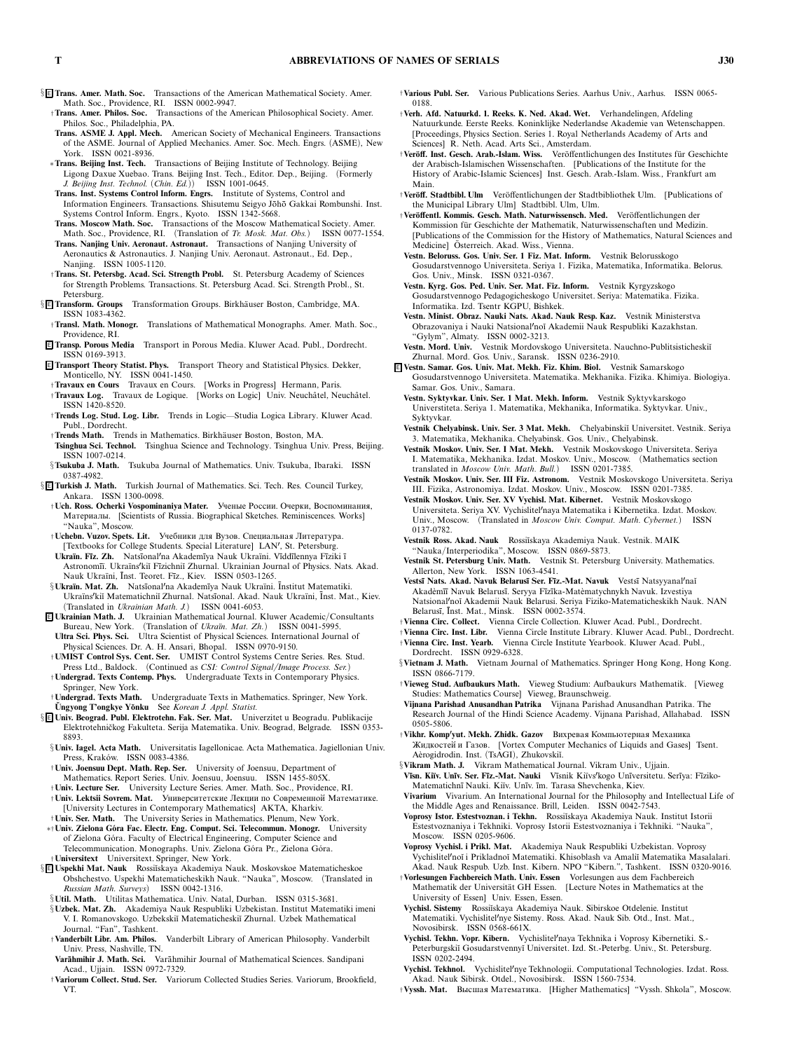- § <sup>E</sup> **Trans. Amer. Math. Soc.** *Transactions of the American Mathematical Society. Amer. Math. Soc., Providence, RI. ISSN 0002-9947.*
	- †**Trans. Amer. Philos. Soc.** *Transactions of the American Philosophical Society. Amer. Philos. Soc., Philadelphia, PA.*
	- **Trans. ASME J. Appl. Mech.** *American Society of Mechanical Engineers. Transactions of the ASME. Journal of Applied Mechanics. Amer. Soc. Mech. Engrs. (ASME), New York. ISSN 0021-8936.*
	- ∗**Trans. Beijing Inst. Tech.** *Transactions of Beijing Institute of Technology. Beijing Ligong Daxue Xuebao. Trans. Beijing Inst. Tech., Editor. Dep., Beijing. (Formerly J. Beijing Inst. Technol. (Chin. Ed.)) ISSN 1001-0645.*
	- **Trans. Inst. Systems Control Inform. Engrs.** *Institute of Systems, Control and* Information Engineers. Transactions. Shisutemu Seigyo Jōhō Gakkai Rombunshi. Inst. *Systems Control Inform. Engrs., Kyoto. ISSN 1342-5668.*
	- **Trans. Moscow Math. Soc.** *Transactions of the Moscow Mathematical Society. Amer. Math. Soc., Providence, RI. (Translation of Tr. Mosk. Mat. Obs.) ISSN 0077-1554.*
	- **Trans. Nanjing Univ. Aeronaut. Astronaut.** *Transactions of Nanjing University of Aeronautics & Astronautics. J. Nanjing Univ. Aeronaut. Astronaut., Ed. Dep., Nanjing. ISSN 1005-1120.*
- †**Trans. St. Petersbg. Acad. Sci. Strength Probl.** *St. Petersburg Academy of Sciences for Strength Problems. Transactions. St. Petersburg Acad. Sci. Strength Probl., St. Petersburg.*<br>*<u>Petersburg</u>***. Groups**
- § <sup>E</sup> **Transform. Groups** *Transformation Groups. Birkh¨auser Boston, Cambridge, MA. ISSN 1083-4362.*
- †**Transl. Math. Monogr.** *Translations of Mathematical Monographs. Amer. Math. Soc., Providence, RI.*
- <sup>E</sup> **Transp. Porous Media** *Transport in Porous Media. Kluwer Acad. Publ., Dordrecht. ISSN 0169-3913.*
- <sup>E</sup> **Transport Theory Statist. Phys.** *Transport Theory and Statistical Physics. Dekker, Monticello, NY. ISSN 0041-1450.*
- †**Travaux en Cours** *Travaux en Cours. [Works in Progress] Hermann, Paris.*
- $\dagger$ Travaux Log. Travaux de Logique. [Works on Logic] Univ. Neuchâtel, Neuchâtel. *ISSN 1420-8520.*
- †**Trends Log. Stud. Log. Libr.** *Trends in Logic—Studia Logica Library. Kluwer Acad. Publ., Dordrecht.*
- †**Trends Math.** *Trends in Mathematics. Birkh¨auser Boston, Boston, MA.* **Tsinghua Sci. Technol.** *Tsinghua Science and Technology. Tsinghua Univ. Press, Beijing. ISSN 1007-0214.*
- §**Tsukuba J. Math.** *Tsukuba Journal of Mathematics. Univ. Tsukuba, Ibaraki. ISSN 0387-4982.*
- § <sup>E</sup> **Turkish J. Math.** *Turkish Journal of Mathematics. Sci. Tech. Res. Council Turkey, Ankara. ISSN 1300-0098.*
- †**Uch. Ross. Ocherki Vospominaniya Mater.** Ученые России. Очерки, Воспоминания, Материалы. *[Scientists of Russia. Biographical Sketches. Reminiscences. Works] "Nauka", Moscow.*
- †**Uchebn. Vuzov. Spets. Lit.** Учебники для Вузов. Специальная Литература. *[Textbooks for College Students. Special Literature] LAN, St. Petersburg.*
- **Ukra¨ın. F¯ız. Zh.** *Nats¯ıonalna Akadem¯ıya Nauk Ukra¨ıni. V¯ıdd¯ılennya F¯ıziki ¯ı* Astronomīi. Ukraïns<sup>*r*kiĭ Fīzichniĭ Zhurnal. Ukrainian Journal of Physics. Nats. Akad.</sup> *Nauk Ukra¨ıni, ¯ Inst. Teoret. F¯ız., Kiev. ISSN 0503-1265.*
- §**Ukra¨ın. Mat. Zh.** *Nats¯ıonalna Akadem¯ıya Nauk Ukra¨ıni. ¯ Institut Matematiki. Ukra¨ınski˘ı Matematichni˘ı Zhurnal. Nats¯ıonal. Akad. Nauk Ukra¨ıni, ¯ Inst. Mat., Kiev. (Translated in Ukrainian Math. J.) ISSN 0041-6053.*
- <sup>E</sup> **Ukrainian Math. J.** *Ukrainian Mathematical Journal. Kluwer Academic/Consultants Bureau, New York. (Translation of Ukra¨ın. Mat. Zh.) ISSN 0041-5995.* **Ultra Sci. Phys. Sci.** *Ultra Scientist of Physical Sciences. International Journal of*
- *Physical Sciences. Dr. A. H. Ansari, Bhopal. ISSN 0970-9150.* †**UMIST Control Sys. Cent. Ser.** *UMIST Control Systems Centre Series. Res. Stud.*
- *Press Ltd., Baldock. (Continued as CSI: Control Signal/Image Process. Ser.)* †**Undergrad. Texts Contemp. Phys.** *Undergraduate Texts in Contemporary Physics.*
- *Springer, New York.* †**Undergrad. Texts Math.** *Undergraduate Texts in Mathematics. Springer, New York.*
- **Ungyong T'ongkye Y˘ ˘ onku** *See Korean J. Appl. Statist.*
- § <sup>E</sup> **Univ. Beograd. Publ. Elektrotehn. Fak. Ser. Mat.** *Univerzitet u Beogradu. Publikacije Elektrotehniˇckog Fakulteta. Serija Matematika. Univ. Beograd, Belgrade. ISSN 0353- 8893.*
	- §**Univ. Iagel. Acta Math.** *Universitatis Iagellonicae. Acta Mathematica. Jagiellonian Univ.* Press, Kraków. ISSN 0083-4386.
	- †**Univ. Joensuu Dept. Math. Rep. Ser.** *University of Joensuu, Department of Mathematics. Report Series. Univ. Joensuu, Joensuu. ISSN 1455-805X.*
- †**Univ. Lecture Ser.** *University Lecture Series. Amer. Math. Soc., Providence, RI.* †**Univ. Lektsii Sovrem. Mat.** Университетские Лекции по Современнои Математике. *[University Lectures in Contemporary Mathematics] AKTA, Kharkiv.* †**Univ. Ser. Math.** *The University Series in Mathematics. Plenum, New York.*
- ∗†**Univ. Zielona G´ora Fac. Electr. Eng. Comput. Sci. Telecommun. Monogr.** *University of Zielona G ´ora. Faculty of Electrical Engineering, Computer Science and Telecommunication. Monographs. Univ. Zielona G ´ora Pr., Zielona G ´ora.* †**Universitext** *Universitext. Springer, New York.*
- § <sup>E</sup> **Uspekhi Mat. Nauk** *Rossi˘ıskaya Akademiya Nauk. Moskovskoe Matematicheskoe Obshchestvo. Uspekhi Matematicheskikh Nauk. "Nauka", Moscow. (Translated in Russian Math. Surveys) ISSN 0042-1316.*
- §**Util. Math.** *Utilitas Mathematica. Univ. Natal, Durban. ISSN 0315-3681.* §**Uzbek. Mat. Zh.** *Akademiya Nauk Respubliki Uzbekistan. Institut Matematiki imeni V. I. Romanovskogo. Uzbekski˘ı Matematicheski˘ı Zhurnal. Uzbek Mathematical*
- *Journal. "Fan", Tashkent.* †**Vanderbilt Libr. Am. Philos.** *Vanderbilt Library of American Philosophy. Vanderbilt Univ. Press, Nashville, TN.*
- **Var¯ahmihir J. Math. Sci.** *Var¯ahmihir Journal of Mathematical Sciences. Sandipani Acad., Ujjain. ISSN 0972-7329.*
- †**Variorum Collect. Stud. Ser.** *Variorum Collected Studies Series. Variorum, Brookfield, VT.*
- †**Various Publ. Ser.** *Various Publications Series. Aarhus Univ., Aarhus. ISSN 0065- 0188.*
- †**Verh. Afd. Natuurkd. 1. Reeks. K. Ned. Akad. Wet.** *Verhandelingen, Afdeling Natuurkunde. Eerste Reeks. Koninklijke Nederlandse Akademie van Wetenschappen. [Proceedings, Physics Section. Series 1. Royal Netherlands Academy of Arts and Sciences] R. Neth. Acad. Arts Sci., Amsterdam.*
- †**Ver¨off. Inst. Gesch. Arab.-Islam. Wiss.** *Ver ¨offentlichungen des Institutes f ¨ur Geschichte* der Arabisch-Islamischen Wissenschaften. [Publications of the Institute for the *History of Arabic-Islamic Sciences] Inst. Gesch. Arab.-Islam. Wiss., Frankfurt am Main.*
- †**Ver¨off. Stadtbibl. Ulm** *Ver ¨offentlichungen der Stadtbibliothek Ulm. [Publications of the Municipal Library Ulm] Stadtbibl. Ulm, Ulm.*
- †**Ver¨offentl. Kommis. Gesch. Math. Naturwissensch. Med.** *Ver ¨offentlichungen der Kommission f ¨ur Geschichte der Mathematik, Naturwissenschaften und Medizin. [Publications of the Commission for the History of Mathematics, Natural Sciences and Medicine] Osterreich. Akad. Wiss., Vienna. ¨*
- **Vestn. Beloruss. Gos. Univ. Ser. 1 Fiz. Mat. Inform.** *Vestnik Belorusskogo Gosudarstvennogo Universiteta. Seriya 1. Fizika, Matematika, Informatika. Belorus. Gos. Univ., Minsk. ISSN 0321-0367.*
- **Vestn. Kyrg. Gos. Ped. Univ. Ser. Mat. Fiz. Inform.** *Vestnik Kyrgyzskogo Gosudarstvennogo Pedagogicheskogo Universitet. Seriya: Matematika. Fizika. Informatika. Izd. Tsentr KGPU, Bishkek.*
- **Vestn. Minist. Obraz. Nauki Nats. Akad. Nauk Resp. Kaz.** *Vestnik Ministerstva Obrazovaniya i Nauki Natsionalno˘ı Akademii Nauk Respubliki Kazakhstan. "Gylym", Almaty. ISSN 0002-3213.*
- **Vestn. Mord. Univ.** *Vestnik Mordovskogo Universiteta. Nauchno-Publitsisticheski˘ı Zhurnal. Mord. Gos. Univ., Saransk. ISSN 0236-2910.*
- <sup>E</sup> **Vestn. Samar. Gos. Univ. Mat. Mekh. Fiz. Khim. Biol.** *Vestnik Samarskogo Gosudarstvennogo Universiteta. Matematika. Mekhanika. Fizika. Khimiya. Biologiya. Samar. Gos. Univ., Samara.*
	- **Vestn. Syktyvkar. Univ. Ser. 1 Mat. Mekh. Inform.** *Vestnik Syktyvkarskogo Universtiteta. Seriya 1. Matematika, Mekhanika, Informatika. Syktyvkar. Univ., Syktyvkar.*
	- **Vestnik Chelyabinsk. Univ. Ser. 3 Mat. Mekh.** *Chelyabinski˘ı Universitet. Vestnik. Seriya 3. Matematika, Mekhanika. Chelyabinsk. Gos. Univ., Chelyabinsk.*
	- **Vestnik Moskov. Univ. Ser. I Mat. Mekh.** *Vestnik Moskovskogo Universiteta. Seriya I. Matematika, Mekhanika. Izdat. Moskov. Univ., Moscow. (Mathematics section translated in Moscow Univ. Math. Bull.) ISSN 0201-7385.*
	- **Vestnik Moskov. Univ. Ser. III Fiz. Astronom.** *Vestnik Moskovskogo Universiteta. Seriya III. Fizika, Astronomiya. Izdat. Moskov. Univ., Moscow. ISSN 0201-7385.*
	- **Vestnik Moskov. Univ. Ser. XV Vychisl. Mat. Kibernet.** *Vestnik Moskovskogo Universiteta. Seriya XV. Vychislitelnaya Matematika i Kibernetika. Izdat. Moskov. Univ., Moscow.* (Translated in *Moscow Univ. Comput. Math. Cybernet.*) *0137-0782.*
	- **Vestnik Ross. Akad. Nauk** *Rossi˘ıskaya Akademiya Nauk. Vestnik. MAIK "Nauka/Interperiodika", Moscow. ISSN 0869-5873.*
	- **Vestnik St. Petersburg Univ. Math.** *Vestnik St. Petersburg University. Mathematics. Allerton, New York. ISSN 1063-4541.*
	- Vestsī Nats. Akad. Navuk Belarusī Ser. Fīz.-Mat. Navuk *Vestsī Natsyyanal<sup>/</sup>na*i *Akad`em¯ı¯ı Navuk Belarus¯ı. Seryya F¯ız¯ıka-Mat`ematychnykh Navuk. Izvestiya Natsionalno˘ı Akademii Nauk Belarusi. Seriya Fiziko-Matematicheskikh Nauk. NAN Belarus¯ı, ¯ Inst. Mat., Minsk. ISSN 0002-3574.*
- †**Vienna Circ. Collect.** *Vienna Circle Collection. Kluwer Acad. Publ., Dordrecht.* †**Vienna Circ. Inst. Libr.** *Vienna Circle Institute Library. Kluwer Acad. Publ., Dordrecht.*
- †**Vienna Circ. Inst. Yearb.** *Vienna Circle Institute Yearbook. Kluwer Acad. Publ., Dordrecht. ISSN 0929-6328.*
- §**Vietnam J. Math.** *Vietnam Journal of Mathematics. Springer Hong Kong, Hong Kong. ISSN 0866-7179.*
- †**Vieweg Stud. Aufbaukurs Math.** *Vieweg Studium: Aufbaukurs Mathematik. [Vieweg Studies: Mathematics Course] Vieweg, Braunschweig.*
- **Vijnana Parishad Anusandhan Patrika** *Vijnana Parishad Anusandhan Patrika. The Research Journal of the Hindi Science Academy. Vijnana Parishad, Allahabad. ISSN 0505-5806.*
- †**Vikhr. Kompyut. Mekh. Zhidk. Gazov** Вихревая Компьютерная Механика Жидкостей и Газов. [Vortex Computer Mechanics of Liquids and Gases] Tsent.<br>Aèrogidrodin. Inst. (TsAGI), Zhukovskiĭ.
- §**Vikram Math. J.** *Vikram Mathematical Journal. Vikram Univ., Ujjain.* Vīsn. Kiïv. Unīv. Ser. Fīz.-Mat. Nauki Vīsnik Kiïvs<sup>*/kogo Unīversitetu. Serīya: Fīziko-*</sup> *Matematichn¯ı Nauki. Ki¨ıv. Un¯ıv. ¯ım. Tarasa Shevchenka, Kiev.*
- **Vivarium** *Vivarium. An International Journal for the Philosophy and Intellectual Life of the Middle Ages and Renaissance. Brill, Leiden. ISSN 0042-7543.*
- **Voprosy Istor. Estestvoznan. i Tekhn.** *Rossi˘ıskaya Akademiya Nauk. Institut Istorii Estestvoznaniya i Tekhniki. Voprosy Istorii Estestvoznaniya i Tekhniki. "Nauka", Moscow. ISSN 0205-9606.*
- **Voprosy Vychisl. i Prikl. Mat.** *Akademiya Nauk Respubliki Uzbekistan. Voprosy Vychislitelno˘ı i Prikladno˘ı Matematiki. Khisoblash va Amali˘ı Matematika Masalalari. Akad. Nauk Respub. Uzb. Inst. Kibern. NPO "Kibern.", Tashkent. ISSN 0320-9016.*
- †**Vorlesungen Fachbereich Math. Univ. Essen** *Vorlesungen aus dem Fachbereich* Mathematik der Universität GH Essen. [Lecture Notes in Mathematics at the *University of Essen] Univ. Essen, Essen.*
- **Vychisl. Sistemy** *Rossi˘ıskaya Akademiya Nauk. Sibirskoe Otdelenie. Institut Matematiki. Vychislitelnye Sistemy. Ross. Akad. Nauk Sib. Otd., Inst. Mat., Novosibirsk. ISSN 0568-661X.*
- **Vychisl. Tekhn. Vopr. Kibern.** *Vychislitelnaya Tekhnika i Voprosy Kibernetiki. S.- Peterburgski˘ı Gosudarstvenny˘ı Universitet. Izd. St.-Peterbg. Univ., St. Petersburg. ISSN 0202-2494.*
- **Vychisl. Tekhnol.** *Vychislitelnye Tekhnologii. Computational Technologies. Izdat. Ross. Akad. Nauk Sibirsk. Otdel., Novosibirsk. ISSN 1560-7534.*
- †**Vyssh. Mat.** Высшая Математика. *[Higher Mathematics] "Vyssh. Shkola", Moscow.*